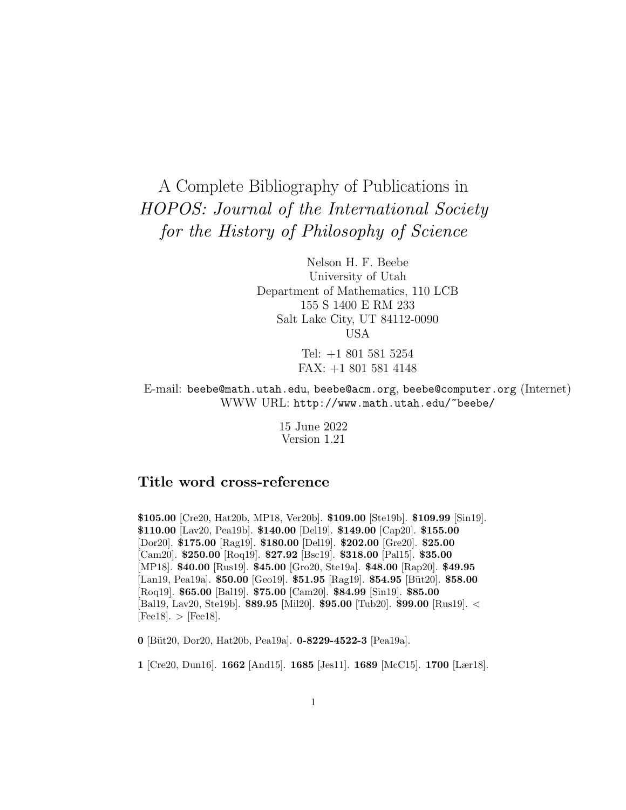# A Complete Bibliography of Publications in HOPOS: Journal of the International Society for the History of Philosophy of Science

Nelson H. F. Beebe University of Utah Department of Mathematics, 110 LCB 155 S 1400 E RM 233 Salt Lake City, UT 84112-0090 USA

> Tel: +1 801 581 5254 FAX: +1 801 581 4148

E-mail: beebe@math.utah.edu, beebe@acm.org, beebe@computer.org (Internet) WWW URL: http://www.math.utah.edu/~beebe/

> 15 June 2022 Version 1.21

# **Title word cross-reference**

**\$105.00** [Cre20, Hat20b, MP18, Ver20b]. **\$109.00** [Ste19b]. **\$109.99** [Sin19]. **\$110.00** [Lav20, Pea19b]. **\$140.00** [Del19]. **\$149.00** [Cap20]. **\$155.00** [Dor20]. **\$175.00** [Rag19]. **\$180.00** [Del19]. **\$202.00** [Gre20]. **\$25.00** [Cam20]. **\$250.00** [Roq19]. **\$27.92** [Bsc19]. **\$318.00** [Pal15]. **\$35.00** [MP18]. **\$40.00** [Rus19]. **\$45.00** [Gro20, Ste19a]. **\$48.00** [Rap20]. **\$49.95** [Lan19, Pea19a]. **\$50.00** [Geo19]. **\$51.95** [Rag19]. **\$54.95** [B¨ut20]. **\$58.00** [Roq19]. **\$65.00** [Bal19]. **\$75.00** [Cam20]. **\$84.99** [Sin19]. **\$85.00** [Bal19, Lav20, Ste19b]. **\$89.95** [Mil20]. **\$95.00** [Tub20]. **\$99.00** [Rus19]. <  $[Fee18] \rightarrow [Fee18]$ .

**0** [B¨ut20, Dor20, Hat20b, Pea19a]. **0-8229-4522-3** [Pea19a].

**1** [Cre20, Dun16]. **1662** [And15]. **1685** [Jes11]. **1689** [McC15]. **1700** [Lær18].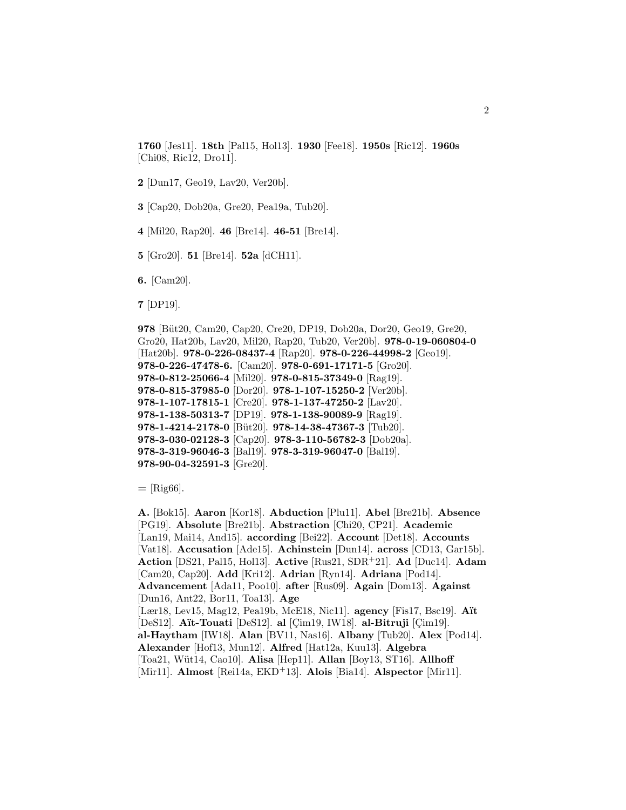**1760** [Jes11]. **18th** [Pal15, Hol13]. **1930** [Fee18]. **1950s** [Ric12]. **1960s** [Chi08, Ric12, Dro11].

**2** [Dun17, Geo19, Lav20, Ver20b].

**3** [Cap20, Dob20a, Gre20, Pea19a, Tub20].

**4** [Mil20, Rap20]. **46** [Bre14]. **46-51** [Bre14].

**5** [Gro20]. **51** [Bre14]. **52a** [dCH11].

**6.** [Cam20].

**7** [DP19].

```
978 [Büt20, Cam20, Cap20, Cre20, DP19, Dob20a, Dor20, Geo19, Gre20,
Gro20, Hat20b, Lav20, Mil20, Rap20, Tub20, Ver20b]. 978-0-19-060804-0
[Hat20b]. 978-0-226-08437-4 [Rap20]. 978-0-226-44998-2 [Geo19].
978-0-226-47478-6. [Cam20]. 978-0-691-17171-5 [Gro20].
978-0-812-25066-4 [Mil20]. 978-0-815-37349-0 [Rag19].
978-0-815-37985-0 [Dor20]. 978-1-107-15250-2 [Ver20b].
978-1-107-17815-1 [Cre20]. 978-1-137-47250-2 [Lav20].
978-1-138-50313-7 [DP19]. 978-1-138-90089-9 [Rag19].
978-1-4214-2178-0 [B¨ut20]. 978-14-38-47367-3 [Tub20].
978-3-030-02128-3 [Cap20]. 978-3-110-56782-3 [Dob20a].
978-3-319-96046-3 [Bal19]. 978-3-319-96047-0 [Bal19].
978-90-04-32591-3 [Gre20].
```
**=** [Rig66].

**A.** [Bok15]. **Aaron** [Kor18]. **Abduction** [Plu11]. **Abel** [Bre21b]. **Absence** [PG19]. **Absolute** [Bre21b]. **Abstraction** [Chi20, CP21]. **Academic** [Lan19, Mai14, And15]. **according** [Bei22]. **Account** [Det18]. **Accounts** [Vat18]. **Accusation** [Ade15]. **Achinstein** [Dun14]. **across** [CD13, Gar15b]. **Action** [DS21, Pal15, Hol13]. **Active** [Rus21, SDR<sup>+</sup>21]. **Ad** [Duc14]. **Adam** [Cam20, Cap20]. **Add** [Kri12]. **Adrian** [Ryn14]. **Adriana** [Pod14]. **Advancement** [Ada11, Poo10]. **after** [Rus09]. **Again** [Dom13]. **Against** [Dun16, Ant22, Bor11, Toa13]. **Age** [Lær18, Lev15, Mag12, Pea19b, McE18, Nic11]. **agency** [Fis17, Bsc19]. **A¨ıt** [DeS12]. **Aït-Touati** [DeS12]. **al** [Cim19, IW18]. **al-Bitruji** [Cim19]. **al-Haytham** [IW18]. **Alan** [BV11, Nas16]. **Albany** [Tub20]. **Alex** [Pod14]. **Alexander** [Hof13, Mun12]. **Alfred** [Hat12a, Kuu13]. **Algebra** [Toa21, W¨ut14, Cao10]. **Alisa** [Hep11]. **Allan** [Boy13, ST16]. **Allhoff** [Mir11]. **Almost** [Rei14a, EKD<sup>+</sup>13]. **Alois** [Bia14]. **Alspector** [Mir11].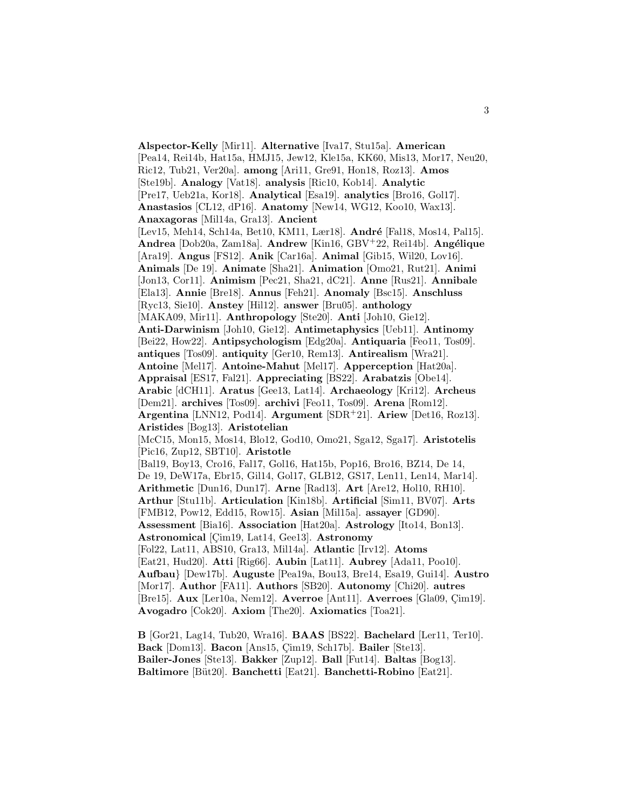**Alspector-Kelly** [Mir11]. **Alternative** [Iva17, Stu15a]. **American** [Pea14, Rei14b, Hat15a, HMJ15, Jew12, Kle15a, KK60, Mis13, Mor17, Neu20, Ric12, Tub21, Ver20a]. **among** [Ari11, Gre91, Hon18, Roz13]. **Amos** [Ste19b]. **Analogy** [Vat18]. **analysis** [Ric10, Kob14]. **Analytic** [Pre17, Ueb21a, Kor18]. **Analytical** [Esa19]. **analytics** [Bro16, Gol17]. **Anastasios** [CL12, dP16]. **Anatomy** [New14, WG12, Koo10, Wax13]. **Anaxagoras** [Mil14a, Gra13]. **Ancient** [Lev15, Meh14, Sch14a, Bet10, KM11, Lær18]. **André** [Fal18, Mos14, Pal15]. **Andrea** [Dob20a, Zam18a]. **Andrew** [Kin16, GBV+22, Rei14b]. **Angélique** [Ara19]. **Angus** [FS12]. **Anik** [Car16a]. **Animal** [Gib15, Wil20, Lov16]. **Animals** [De 19]. **Animate** [Sha21]. **Animation** [Omo21, Rut21]. **Animi** [Jon13, Cor11]. **Animism** [Pec21, Sha21, dC21]. **Anne** [Rus21]. **Annibale** [Ela13]. **Annie** [Bre18]. **Annus** [Feh21]. **Anomaly** [Bsc15]. **Anschluss** [Ryc13, Sie10]. **Anstey** [Hil12]. **answer** [Bru05]. **anthology** [MAKA09, Mir11]. **Anthropology** [Ste20]. **Anti** [Joh10, Gie12]. **Anti-Darwinism** [Joh10, Gie12]. **Antimetaphysics** [Ueb11]. **Antinomy** [Bei22, How22]. **Antipsychologism** [Edg20a]. **Antiquaria** [Feo11, Tos09]. **antiques** [Tos09]. **antiquity** [Ger10, Rem13]. **Antirealism** [Wra21]. **Antoine** [Mel17]. **Antoine-Mahut** [Mel17]. **Apperception** [Hat20a]. **Appraisal** [ES17, Fal21]. **Appreciating** [BS22]. **Arabatzis** [Obe14]. **Arabic** [dCH11]. **Aratus** [Gee13, Lat14]. **Archaeology** [Kri12]. **Archeus** [Dem21]. **archives** [Tos09]. **archivi** [Feo11, Tos09]. **Arena** [Rom12]. **Argentina** [LNN12, Pod14]. **Argument** [SDR<sup>+</sup>21]. **Ariew** [Det16, Roz13]. **Aristides** [Bog13]. **Aristotelian** [McC15, Mon15, Mos14, Blo12, God10, Omo21, Sga12, Sga17]. **Aristotelis** [Pic16, Zup12, SBT10]. **Aristotle** [Bal19, Boy13, Cro16, Fal17, Gol16, Hat15b, Pop16, Bro16, BZ14, De 14, De 19, DeW17a, Ebr15, Gil14, Gol17, GLB12, GS17, Len11, Len14, Mar14]. **Arithmetic** [Dun16, Dun17]. **Arne** [Rad13]. **Art** [Are12, Hol10, RH10]. **Arthur** [Stu11b]. **Articulation** [Kin18b]. **Artificial** [Sim11, BV07]. **Arts** [FMB12, Pow12, Edd15, Row15]. **Asian** [Mil15a]. **assayer** [GD90]. **Assessment** [Bia16]. **Association** [Hat20a]. **Astrology** [Ito14, Bon13]. Astronomical [Cim19, Lat14, Gee13]. Astronomy [Fol22, Lat11, ABS10, Gra13, Mil14a]. **Atlantic** [Irv12]. **Atoms** [Eat21, Hud20]. **Atti** [Rig66]. **Aubin** [Lat11]. **Aubrey** [Ada11, Poo10]. **Aufbau**} [Dew17b]. **Auguste** [Pea19a, Bou13, Bre14, Esa19, Gui14]. **Austro** [Mor17]. **Author** [FA11]. **Authors** [SB20]. **Autonomy** [Chi20]. **autres** [Bre15]. Aux [Ler10a, Nem12]. Averroe [Ant11]. Averroes [Gla09, Cim19]. **Avogadro** [Cok20]. **Axiom** [The20]. **Axiomatics** [Toa21].

**B** [Gor21, Lag14, Tub20, Wra16]. **BAAS** [BS22]. **Bachelard** [Ler11, Ter10]. Back [Dom13]. **Bacon** [Ans15, Cim19, Sch17b]. **Bailer** [Ste13]. **Bailer-Jones** [Ste13]. **Bakker** [Zup12]. **Ball** [Fut14]. **Baltas** [Bog13]. **Baltimore** [B¨ut20]. **Banchetti** [Eat21]. **Banchetti-Robino** [Eat21].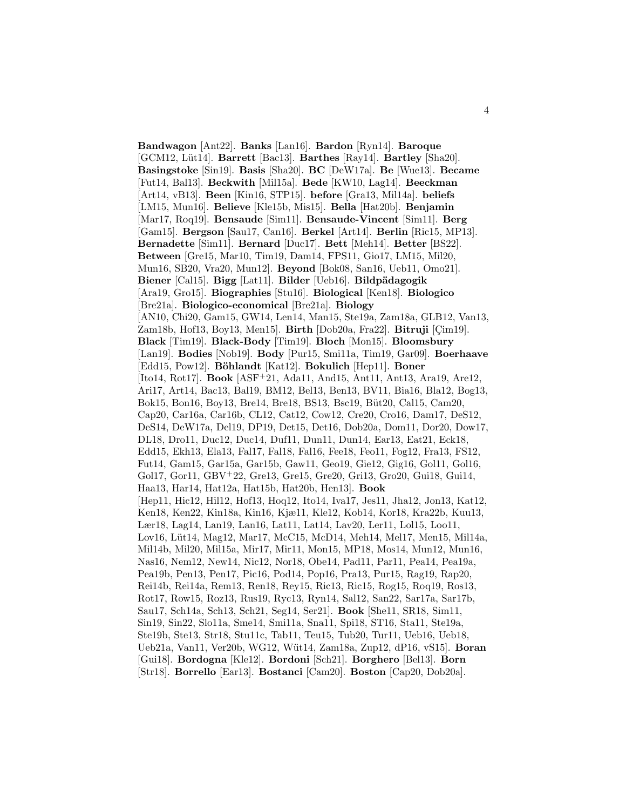**Bandwagon** [Ant22]. **Banks** [Lan16]. **Bardon** [Ryn14]. **Baroque** [GCM12, L¨ut14]. **Barrett** [Bac13]. **Barthes** [Ray14]. **Bartley** [Sha20]. **Basingstoke** [Sin19]. **Basis** [Sha20]. **BC** [DeW17a]. **Be** [Wue13]. **Became** [Fut14, Bal13]. **Beckwith** [Mil15a]. **Bede** [KW10, Lag14]. **Beeckman** [Art14, vB13]. **Been** [Kin16, STP15]. **before** [Gra13, Mil14a]. **beliefs** [LM15, Mun16]. **Believe** [Kle15b, Mis15]. **Bella** [Hat20b]. **Benjamin** [Mar17, Roq19]. **Bensaude** [Sim11]. **Bensaude-Vincent** [Sim11]. **Berg** [Gam15]. **Bergson** [Sau17, Can16]. **Berkel** [Art14]. **Berlin** [Ric15, MP13]. **Bernadette** [Sim11]. **Bernard** [Duc17]. **Bett** [Meh14]. **Better** [BS22]. **Between** [Gre15, Mar10, Tim19, Dam14, FPS11, Gio17, LM15, Mil20, Mun16, SB20, Vra20, Mun12]. **Beyond** [Bok08, San16, Ueb11, Omo21]. **Biener** [Cal15]. **Bigg** [Lat11]. **Bilder** [Ueb16]. **Bildp¨adagogik** [Ara19, Gro15]. **Biographies** [Stu16]. **Biological** [Ken18]. **Biologico** [Bre21a]. **Biologico-economical** [Bre21a]. **Biology** [AN10, Chi20, Gam15, GW14, Len14, Man15, Ste19a, Zam18a, GLB12, Van13, Zam18b, Hof13, Boy13, Men15]. **Birth** [Dob20a, Fra22]. **Bitruji** [Cim19]. **Black** [Tim19]. **Black-Body** [Tim19]. **Bloch** [Mon15]. **Bloomsbury** [Lan19]. **Bodies** [Nob19]. **Body** [Pur15, Smi11a, Tim19, Gar09]. **Boerhaave** [Edd15, Pow12]. **B¨ohlandt** [Kat12]. **Bokulich** [Hep11]. **Boner** [Ito14, Rot17]. **Book** [ASF<sup>+</sup>21, Ada11, And15, Ant11, Ant13, Ara19, Are12, Ari17, Art14, Bac13, Bal19, BM12, Bel13, Ben13, BV11, Bia16, Bla12, Bog13, Bok15, Bon16, Boy13, Bre14, Bre18, BS13, Bsc19, Büt20, Cal15, Cam20, Cap20, Car16a, Car16b, CL12, Cat12, Cow12, Cre20, Cro16, Dam17, DeS12, DeS14, DeW17a, Del19, DP19, Det15, Det16, Dob20a, Dom11, Dor20, Dow17, DL18, Dro11, Duc12, Duc14, Duf11, Dun11, Dun14, Ear13, Eat21, Eck18, Edd15, Ekh13, Ela13, Fal17, Fal18, Fal16, Fee18, Feo11, Fog12, Fra13, FS12, Fut14, Gam15, Gar15a, Gar15b, Gaw11, Geo19, Gie12, Gig16, Gol11, Gol16, Gol17, Gor11, GBV<sup>+</sup>22, Gre13, Gre15, Gre20, Gri13, Gro20, Gui18, Gui14, Haa13, Har14, Hat12a, Hat15b, Hat20b, Hen13]. **Book** [Hep11, Hic12, Hil12, Hof13, Hoq12, Ito14, Iva17, Jes11, Jha12, Jon13, Kat12, Ken18, Ken22, Kin18a, Kin16, Kjæ11, Kle12, Kob14, Kor18, Kra22b, Kuu13, Lær18, Lag14, Lan19, Lan16, Lat11, Lat14, Lav20, Ler11, Lol15, Loo11, Lov16, Lüt14, Mag12, Mar17, McC15, McD14, Meh14, Mel17, Men15, Mil14a, Mil14b, Mil20, Mil15a, Mir17, Mir11, Mon15, MP18, Mos14, Mun12, Mun16, Nas16, Nem12, New14, Nic12, Nor18, Obe14, Pad11, Par11, Pea14, Pea19a, Pea19b, Pen13, Pen17, Pic16, Pod14, Pop16, Pra13, Pur15, Rag19, Rap20, Rei14b, Rei14a, Rem13, Ren18, Rey15, Ric13, Ric15, Rog15, Roq19, Ros13, Rot17, Row15, Roz13, Rus19, Ryc13, Ryn14, Sal12, San22, Sar17a, Sar17b, Sau17, Sch14a, Sch13, Sch21, Seg14, Ser21]. **Book** [She11, SR18, Sim11, Sin19, Sin22, Slo11a, Sme14, Smi11a, Sna11, Spi18, ST16, Sta11, Ste19a, Ste19b, Ste13, Str18, Stu11c, Tab11, Teu15, Tub20, Tur11, Ueb16, Ueb18, Ueb21a, Van11, Ver20b, WG12, W¨ut14, Zam18a, Zup12, dP16, vS15]. **Boran** [Gui18]. **Bordogna** [Kle12]. **Bordoni** [Sch21]. **Borghero** [Bel13]. **Born** [Str18]. **Borrello** [Ear13]. **Bostanci** [Cam20]. **Boston** [Cap20, Dob20a].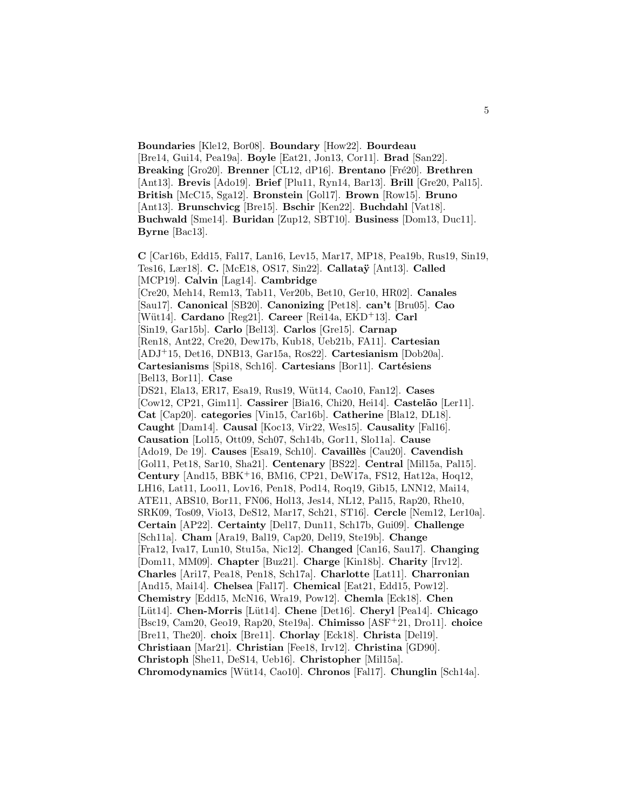**Boundaries** [Kle12, Bor08]. **Boundary** [How22]. **Bourdeau** [Bre14, Gui14, Pea19a]. **Boyle** [Eat21, Jon13, Cor11]. **Brad** [San22]. **Breaking** [Gro20]. **Brenner** [CL12, dP16]. **Brentano** [Fré20]. **Brethren** [Ant13]. **Brevis** [Ado19]. **Brief** [Plu11, Ryn14, Bar13]. **Brill** [Gre20, Pal15]. **British** [McC15, Sga12]. **Bronstein** [Gol17]. **Brown** [Row15]. **Bruno** [Ant13]. **Brunschvicg** [Bre15]. **Bschir** [Ken22]. **Buchdahl** [Vat18]. **Buchwald** [Sme14]. **Buridan** [Zup12, SBT10]. **Business** [Dom13, Duc11]. **Byrne** [Bac13].

**C** [Car16b, Edd15, Fal17, Lan16, Lev15, Mar17, MP18, Pea19b, Rus19, Sin19, Tes16, Lær18]. **C.** [McE18, OS17, Sin22]. **Callata¨y** [Ant13]. **Called** [MCP19]. **Calvin** [Lag14]. **Cambridge** [Cre20, Meh14, Rem13, Tab11, Ver20b, Bet10, Ger10, HR02]. **Canales** [Sau17]. **Canonical** [SB20]. **Canonizing** [Pet18]. **can't** [Bru05]. **Cao** [W¨ut14]. **Cardano** [Reg21]. **Career** [Rei14a, EKD<sup>+</sup>13]. **Carl** [Sin19, Gar15b]. **Carlo** [Bel13]. **Carlos** [Gre15]. **Carnap** [Ren18, Ant22, Cre20, Dew17b, Kub18, Ueb21b, FA11]. **Cartesian** [ADJ<sup>+</sup>15, Det16, DNB13, Gar15a, Ros22]. **Cartesianism** [Dob20a]. **Cartesianisms** [Spi18, Sch16]. **Cartesians** [Bor11]. **Cartésiens** [Bel13, Bor11]. **Case** [DS21, Ela13, ER17, Esa19, Rus19, W¨ut14, Cao10, Fan12]. **Cases** [Cow12, CP21, Gim11]. **Cassirer** [Bia16, Chi20, Hei14]. **Castel˜ao** [Ler11]. **Cat** [Cap20]. **categories** [Vin15, Car16b]. **Catherine** [Bla12, DL18]. **Caught** [Dam14]. **Causal** [Koc13, Vir22, Wes15]. **Causality** [Fal16]. **Causation** [Lol15, Ott09, Sch07, Sch14b, Gor11, Slo11a]. **Cause** [Ado19, De 19]. **Causes** [Esa19, Sch10]. **Cavaillès** [Cau20]. **Cavendish** [Gol11, Pet18, Sar10, Sha21]. **Centenary** [BS22]. **Central** [Mil15a, Pal15]. **Century** [And15, BBK<sup>+</sup>16, BM16, CP21, DeW17a, FS12, Hat12a, Hoq12, LH16, Lat11, Loo11, Lov16, Pen18, Pod14, Roq19, Gib15, LNN12, Mai14, ATE11, ABS10, Bor11, FN06, Hol13, Jes14, NL12, Pal15, Rap20, Rhe10, SRK09, Tos09, Vio13, DeS12, Mar17, Sch21, ST16]. **Cercle** [Nem12, Ler10a]. **Certain** [AP22]. **Certainty** [Del17, Dun11, Sch17b, Gui09]. **Challenge** [Sch11a]. **Cham** [Ara19, Bal19, Cap20, Del19, Ste19b]. **Change** [Fra12, Iva17, Lun10, Stu15a, Nic12]. **Changed** [Can16, Sau17]. **Changing** [Dom11, MM09]. **Chapter** [Buz21]. **Charge** [Kin18b]. **Charity** [Irv12]. **Charles** [Ari17, Pea18, Pen18, Sch17a]. **Charlotte** [Lat11]. **Charronian** [And15, Mai14]. **Chelsea** [Fal17]. **Chemical** [Eat21, Edd15, Pow12]. **Chemistry** [Edd15, McN16, Wra19, Pow12]. **Chemla** [Eck18]. **Chen** [L¨ut14]. **Chen-Morris** [L¨ut14]. **Chene** [Det16]. **Cheryl** [Pea14]. **Chicago** [Bsc19, Cam20, Geo19, Rap20, Ste19a]. **Chimisso** [ASF<sup>+</sup>21, Dro11]. **choice** [Bre11, The20]. **choix** [Bre11]. **Chorlay** [Eck18]. **Christa** [Del19]. **Christiaan** [Mar21]. **Christian** [Fee18, Irv12]. **Christina** [GD90]. **Christoph** [She11, DeS14, Ueb16]. **Christopher** [Mil15a]. **Chromodynamics** [W¨ut14, Cao10]. **Chronos** [Fal17]. **Chunglin** [Sch14a].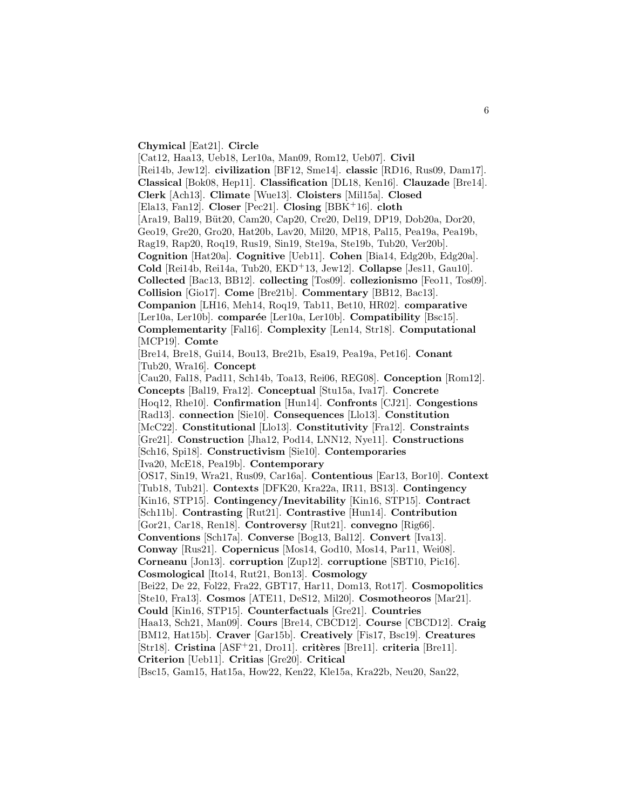#### **Chymical** [Eat21]. **Circle**

[Cat12, Haa13, Ueb18, Ler10a, Man09, Rom12, Ueb07]. **Civil** [Rei14b, Jew12]. **civilization** [BF12, Sme14]. **classic** [RD16, Rus09, Dam17]. **Classical** [Bok08, Hep11]. **Classification** [DL18, Ken16]. **Clauzade** [Bre14]. **Clerk** [Ach13]. **Climate** [Wue13]. **Cloisters** [Mil15a]. **Closed** [Ela13, Fan12]. **Closer** [Pec21]. **Closing** [BBK<sup>+</sup>16]. **cloth** [Ara19, Bal19, Büt20, Cam20, Cap20, Cre20, Del19, DP19, Dob20a, Dor20, Geo19, Gre20, Gro20, Hat20b, Lav20, Mil20, MP18, Pal15, Pea19a, Pea19b, Rag19, Rap20, Roq19, Rus19, Sin19, Ste19a, Ste19b, Tub20, Ver20b]. **Cognition** [Hat20a]. **Cognitive** [Ueb11]. **Cohen** [Bia14, Edg20b, Edg20a]. **Cold** [Rei14b, Rei14a, Tub20, EKD<sup>+</sup>13, Jew12]. **Collapse** [Jes11, Gau10]. **Collected** [Bac13, BB12]. **collecting** [Tos09]. **collezionismo** [Feo11, Tos09]. **Collision** [Gio17]. **Come** [Bre21b]. **Commentary** [BB12, Bac13]. **Companion** [LH16, Meh14, Roq19, Tab11, Bet10, HR02]. **comparative** [Ler10a, Ler10b]. **comparée** [Ler10a, Ler10b]. **Compatibility** [Bsc15]. **Complementarity** [Fal16]. **Complexity** [Len14, Str18]. **Computational** [MCP19]. **Comte** [Bre14, Bre18, Gui14, Bou13, Bre21b, Esa19, Pea19a, Pet16]. **Conant** [Tub20, Wra16]. **Concept** [Cau20, Fal18, Pad11, Sch14b, Toa13, Rei06, REG08]. **Conception** [Rom12]. **Concepts** [Bal19, Fra12]. **Conceptual** [Stu15a, Iva17]. **Concrete** [Hoq12, Rhe10]. **Confirmation** [Hun14]. **Confronts** [CJ21]. **Congestions** [Rad13]. **connection** [Sie10]. **Consequences** [Llo13]. **Constitution** [McC22]. **Constitutional** [Llo13]. **Constitutivity** [Fra12]. **Constraints** [Gre21]. **Construction** [Jha12, Pod14, LNN12, Nye11]. **Constructions** [Sch16, Spi18]. **Constructivism** [Sie10]. **Contemporaries** [Iva20, McE18, Pea19b]. **Contemporary** [OS17, Sin19, Wra21, Rus09, Car16a]. **Contentious** [Ear13, Bor10]. **Context** [Tub18, Tub21]. **Contexts** [DFK20, Kra22a, IR11, BS13]. **Contingency** [Kin16, STP15]. **Contingency/Inevitability** [Kin16, STP15]. **Contract** [Sch11b]. **Contrasting** [Rut21]. **Contrastive** [Hun14]. **Contribution** [Gor21, Car18, Ren18]. **Controversy** [Rut21]. **convegno** [Rig66]. **Conventions** [Sch17a]. **Converse** [Bog13, Bal12]. **Convert** [Iva13]. **Conway** [Rus21]. **Copernicus** [Mos14, God10, Mos14, Par11, Wei08]. **Corneanu** [Jon13]. **corruption** [Zup12]. **corruptione** [SBT10, Pic16]. **Cosmological** [Ito14, Rut21, Bon13]. **Cosmology** [Bei22, De 22, Fol22, Fra22, GBT17, Har11, Dom13, Rot17]. **Cosmopolitics** [Ste10, Fra13]. **Cosmos** [ATE11, DeS12, Mil20]. **Cosmotheoros** [Mar21]. **Could** [Kin16, STP15]. **Counterfactuals** [Gre21]. **Countries** [Haa13, Sch21, Man09]. **Cours** [Bre14, CBCD12]. **Course** [CBCD12]. **Craig** [BM12, Hat15b]. **Craver** [Gar15b]. **Creatively** [Fis17, Bsc19]. **Creatures** [Str18]. **Cristina** [ASF<sup>+</sup>21, Dro11]. **crit`eres** [Bre11]. **criteria** [Bre11]. **Criterion** [Ueb11]. **Critias** [Gre20]. **Critical**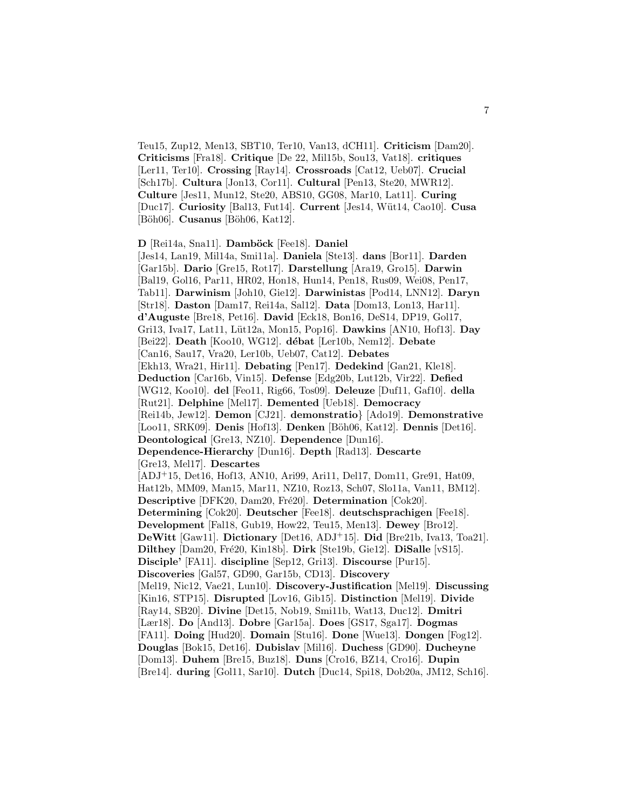Teu15, Zup12, Men13, SBT10, Ter10, Van13, dCH11]. **Criticism** [Dam20]. **Criticisms** [Fra18]. **Critique** [De 22, Mil15b, Sou13, Vat18]. **critiques** [Ler11, Ter10]. **Crossing** [Ray14]. **Crossroads** [Cat12, Ueb07]. **Crucial** [Sch17b]. **Cultura** [Jon13, Cor11]. **Cultural** [Pen13, Ste20, MWR12]. **Culture** [Jes11, Mun12, Ste20, ABS10, GG08, Mar10, Lat11]. **Curing** [Duc17]. **Curiosity** [Bal13, Fut14]. **Current** [Jes14, W¨ut14, Cao10]. **Cusa** [Böh06]. **Cusanus** [Böh06, Kat12].

**D** [Rei14a, Sna11]. **Damböck** [Fee18]. **Daniel** [Jes14, Lan19, Mil14a, Smi11a]. **Daniela** [Ste13]. **dans** [Bor11]. **Darden** [Gar15b]. **Dario** [Gre15, Rot17]. **Darstellung** [Ara19, Gro15]. **Darwin** [Bal19, Gol16, Par11, HR02, Hon18, Hun14, Pen18, Rus09, Wei08, Pen17, Tab11]. **Darwinism** [Joh10, Gie12]. **Darwinistas** [Pod14, LNN12]. **Daryn** [Str18]. **Daston** [Dam17, Rei14a, Sal12]. **Data** [Dom13, Lon13, Har11]. **d'Auguste** [Bre18, Pet16]. **David** [Eck18, Bon16, DeS14, DP19, Gol17, Gri13, Iva17, Lat11, L¨ut12a, Mon15, Pop16]. **Dawkins** [AN10, Hof13]. **Day** [Bei22]. **Death** [Koo10, WG12]. **d´ebat** [Ler10b, Nem12]. **Debate** [Can16, Sau17, Vra20, Ler10b, Ueb07, Cat12]. **Debates** [Ekh13, Wra21, Hir11]. **Debating** [Pen17]. **Dedekind** [Gan21, Kle18]. **Deduction** [Car16b, Vin15]. **Defense** [Edg20b, Lut12b, Vir22]. **Defied** [WG12, Koo10]. **del** [Feo11, Rig66, Tos09]. **Deleuze** [Duf11, Gaf10]. **della** [Rut21]. **Delphine** [Mel17]. **Demented** [Ueb18]. **Democracy** [Rei14b, Jew12]. **Demon** [CJ21]. **demonstratio**} [Ado19]. **Demonstrative** [Loo11, SRK09]. **Denis** [Hof13]. **Denken** [B¨oh06, Kat12]. **Dennis** [Det16]. **Deontological** [Gre13, NZ10]. **Dependence** [Dun16]. **Dependence-Hierarchy** [Dun16]. **Depth** [Rad13]. **Descarte** [Gre13, Mel17]. **Descartes** [ADJ<sup>+</sup>15, Det16, Hof13, AN10, Ari99, Ari11, Del17, Dom11, Gre91, Hat09, Hat12b, MM09, Man15, Mar11, NZ10, Roz13, Sch07, Slo11a, Van11, BM12]. **Descriptive** [DFK20, Dam20, Fré20]. **Determination** [Cok20]. **Determining** [Cok20]. **Deutscher** [Fee18]. **deutschsprachigen** [Fee18]. **Development** [Fal18, Gub19, How22, Teu15, Men13]. **Dewey** [Bro12]. **DeWitt** [Gaw11]. **Dictionary** [Det16, ADJ<sup>+</sup>15]. **Did** [Bre21b, Iva13, Toa21]. **Dilthey** [Dam20, Fré20, Kin18b]. **Dirk** [Ste19b, Gie12]. **DiSalle** [vS15]. **Disciple'** [FA11]. **discipline** [Sep12, Gri13]. **Discourse** [Pur15]. **Discoveries** [Gal57, GD90, Gar15b, CD13]. **Discovery** [Mel19, Nic12, Vae21, Lun10]. **Discovery-Justification** [Mel19]. **Discussing** [Kin16, STP15]. **Disrupted** [Lov16, Gib15]. **Distinction** [Mel19]. **Divide** [Ray14, SB20]. **Divine** [Det15, Nob19, Smi11b, Wat13, Duc12]. **Dmitri** [Lær18]. **Do** [And13]. **Dobre** [Gar15a]. **Does** [GS17, Sga17]. **Dogmas** [FA11]. **Doing** [Hud20]. **Domain** [Stu16]. **Done** [Wue13]. **Dongen** [Fog12]. **Douglas** [Bok15, Det16]. **Dubislav** [Mil16]. **Duchess** [GD90]. **Ducheyne** [Dom13]. **Duhem** [Bre15, Buz18]. **Duns** [Cro16, BZ14, Cro16]. **Dupin** [Bre14]. **during** [Gol11, Sar10]. **Dutch** [Duc14, Spi18, Dob20a, JM12, Sch16].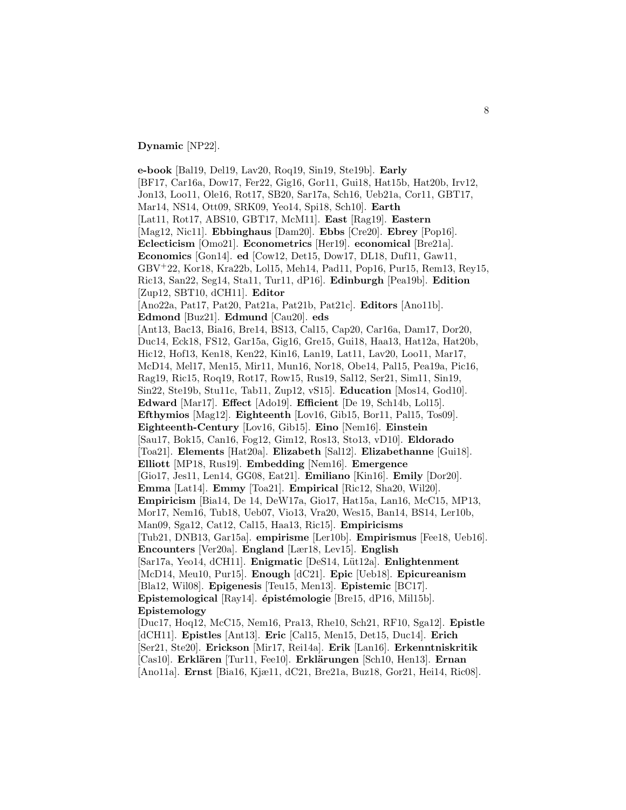**Dynamic** [NP22].

**e-book** [Bal19, Del19, Lav20, Roq19, Sin19, Ste19b]. **Early** [BF17, Car16a, Dow17, Fer22, Gig16, Gor11, Gui18, Hat15b, Hat20b, Irv12, Jon13, Loo11, Ole16, Rot17, SB20, Sar17a, Sch16, Ueb21a, Cor11, GBT17, Mar14, NS14, Ott09, SRK09, Yeo14, Spi18, Sch10]. **Earth** [Lat11, Rot17, ABS10, GBT17, McM11]. **East** [Rag19]. **Eastern** [Mag12, Nic11]. **Ebbinghaus** [Dam20]. **Ebbs** [Cre20]. **Ebrey** [Pop16]. **Eclecticism** [Omo21]. **Econometrics** [Her19]. **economical** [Bre21a]. **Economics** [Gon14]. **ed** [Cow12, Det15, Dow17, DL18, Duf11, Gaw11, GBV<sup>+</sup>22, Kor18, Kra22b, Lol15, Meh14, Pad11, Pop16, Pur15, Rem13, Rey15, Ric13, San22, Seg14, Sta11, Tur11, dP16]. **Edinburgh** [Pea19b]. **Edition** [Zup12, SBT10, dCH11]. **Editor** [Ano22a, Pat17, Pat20, Pat21a, Pat21b, Pat21c]. **Editors** [Ano11b]. **Edmond** [Buz21]. **Edmund** [Cau20]. **eds** [Ant13, Bac13, Bia16, Bre14, BS13, Cal15, Cap20, Car16a, Dam17, Dor20, Duc14, Eck18, FS12, Gar15a, Gig16, Gre15, Gui18, Haa13, Hat12a, Hat20b, Hic12, Hof13, Ken18, Ken22, Kin16, Lan19, Lat11, Lav20, Loo11, Mar17, McD14, Mel17, Men15, Mir11, Mun16, Nor18, Obe14, Pal15, Pea19a, Pic16, Rag19, Ric15, Roq19, Rot17, Row15, Rus19, Sal12, Ser21, Sim11, Sin19, Sin22, Ste19b, Stu11c, Tab11, Zup12, vS15]. **Education** [Mos14, God10]. **Edward** [Mar17]. **Effect** [Ado19]. **Efficient** [De 19, Sch14b, Lol15]. **Efthymios** [Mag12]. **Eighteenth** [Lov16, Gib15, Bor11, Pal15, Tos09]. **Eighteenth-Century** [Lov16, Gib15]. **Eino** [Nem16]. **Einstein** [Sau17, Bok15, Can16, Fog12, Gim12, Ros13, Sto13, vD10]. **Eldorado** [Toa21]. **Elements** [Hat20a]. **Elizabeth** [Sal12]. **Elizabethanne** [Gui18]. **Elliott** [MP18, Rus19]. **Embedding** [Nem16]. **Emergence** [Gio17, Jes11, Len14, GG08, Eat21]. **Emiliano** [Kin16]. **Emily** [Dor20]. **Emma** [Lat14]. **Emmy** [Toa21]. **Empirical** [Ric12, Sha20, Wil20]. **Empiricism** [Bia14, De 14, DeW17a, Gio17, Hat15a, Lan16, McC15, MP13, Mor17, Nem16, Tub18, Ueb07, Vio13, Vra20, Wes15, Ban14, BS14, Ler10b, Man09, Sga12, Cat12, Cal15, Haa13, Ric15]. **Empiricisms** [Tub21, DNB13, Gar15a]. **empirisme** [Ler10b]. **Empirismus** [Fee18, Ueb16]. **Encounters** [Ver20a]. **England** [Lær18, Lev15]. **English** [Sar17a, Yeo14, dCH11]. **Enigmatic** [DeS14, L¨ut12a]. **Enlightenment** [McD14, Meu10, Pur15]. **Enough** [dC21]. **Epic** [Ueb18]. **Epicureanism** [Bla12, Wil08]. **Epigenesis** [Teu15, Men13]. **Epistemic** [BC17]. Epistemological [Ray14]. **épistémologie** [Bre15, dP16, Mil15b]. **Epistemology** [Duc17, Hoq12, McC15, Nem16, Pra13, Rhe10, Sch21, RF10, Sga12]. **Epistle** [dCH11]. **Epistles** [Ant13]. **Eric** [Cal15, Men15, Det15, Duc14]. **Erich**

[Ser21, Ste20]. **Erickson** [Mir17, Rei14a]. **Erik** [Lan16]. **Erkenntniskritik** [Cas10]. **Erkl¨aren** [Tur11, Fee10]. **Erkl¨arungen** [Sch10, Hen13]. **Ernan** [Ano11a]. **Ernst** [Bia16, Kjæ11, dC21, Bre21a, Buz18, Gor21, Hei14, Ric08].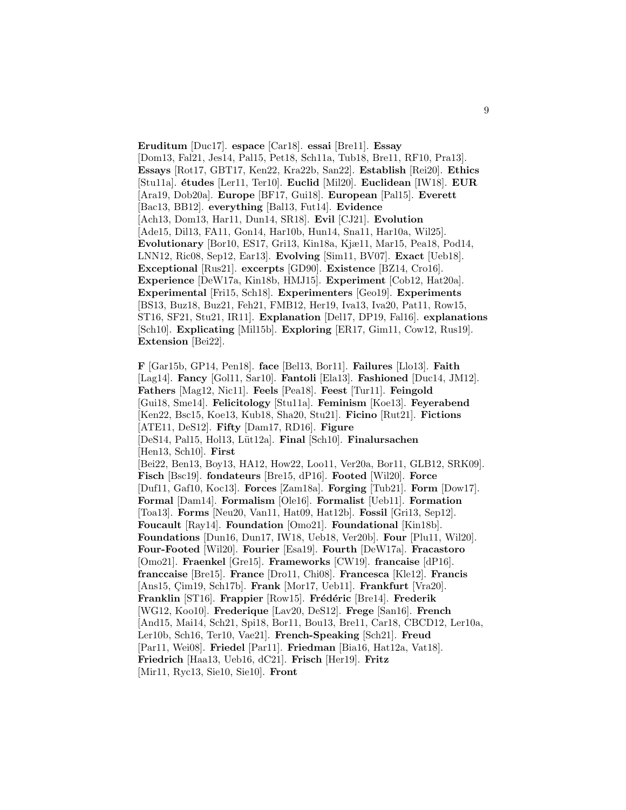**Eruditum** [Duc17]. **espace** [Car18]. **essai** [Bre11]. **Essay** [Dom13, Fal21, Jes14, Pal15, Pet18, Sch11a, Tub18, Bre11, RF10, Pra13]. **Essays** [Rot17, GBT17, Ken22, Kra22b, San22]. **Establish** [Rei20]. **Ethics** [Stu11a]. **´etudes** [Ler11, Ter10]. **Euclid** [Mil20]. **Euclidean** [IW18]. **EUR** [Ara19, Dob20a]. **Europe** [BF17, Gui18]. **European** [Pal15]. **Everett** [Bac13, BB12]. **everything** [Bal13, Fut14]. **Evidence** [Ach13, Dom13, Har11, Dun14, SR18]. **Evil** [CJ21]. **Evolution** [Ade15, Dil13, FA11, Gon14, Har10b, Hun14, Sna11, Har10a, Wil25]. **Evolutionary** [Bor10, ES17, Gri13, Kin18a, Kjæ11, Mar15, Pea18, Pod14, LNN12, Ric08, Sep12, Ear13]. **Evolving** [Sim11, BV07]. **Exact** [Ueb18]. **Exceptional** [Rus21]. **excerpts** [GD90]. **Existence** [BZ14, Cro16]. **Experience** [DeW17a, Kin18b, HMJ15]. **Experiment** [Cob12, Hat20a]. **Experimental** [Fri15, Sch18]. **Experimenters** [Geo19]. **Experiments** [BS13, Buz18, Buz21, Feh21, FMB12, Her19, Iva13, Iva20, Pat11, Row15, ST16, SF21, Stu21, IR11]. **Explanation** [Del17, DP19, Fal16]. **explanations** [Sch10]. **Explicating** [Mil15b]. **Exploring** [ER17, Gim11, Cow12, Rus19]. **Extension** [Bei22].

**F** [Gar15b, GP14, Pen18]. **face** [Bel13, Bor11]. **Failures** [Llo13]. **Faith** [Lag14]. **Fancy** [Gol11, Sar10]. **Fantoli** [Ela13]. **Fashioned** [Duc14, JM12]. **Fathers** [Mag12, Nic11]. **Feels** [Pea18]. **Feest** [Tur11]. **Feingold** [Gui18, Sme14]. **Felicitology** [Stu11a]. **Feminism** [Koe13]. **Feyerabend** [Ken22, Bsc15, Koe13, Kub18, Sha20, Stu21]. **Ficino** [Rut21]. **Fictions** [ATE11, DeS12]. **Fifty** [Dam17, RD16]. **Figure** [DeS14, Pal15, Hol13, L¨ut12a]. **Final** [Sch10]. **Finalursachen** [Hen13, Sch10]. **First** [Bei22, Ben13, Boy13, HA12, How22, Loo11, Ver20a, Bor11, GLB12, SRK09]. **Fisch** [Bsc19]. **fondateurs** [Bre15, dP16]. **Footed** [Wil20]. **Force** [Duf11, Gaf10, Koc13]. **Forces** [Zam18a]. **Forging** [Tub21]. **Form** [Dow17]. **Formal** [Dam14]. **Formalism** [Ole16]. **Formalist** [Ueb11]. **Formation** [Toa13]. **Forms** [Neu20, Van11, Hat09, Hat12b]. **Fossil** [Gri13, Sep12]. **Foucault** [Ray14]. **Foundation** [Omo21]. **Foundational** [Kin18b]. **Foundations** [Dun16, Dun17, IW18, Ueb18, Ver20b]. **Four** [Plu11, Wil20]. **Four-Footed** [Wil20]. **Fourier** [Esa19]. **Fourth** [DeW17a]. **Fracastoro** [Omo21]. **Fraenkel** [Gre15]. **Frameworks** [CW19]. **francaise** [dP16]. **franccaise** [Bre15]. **France** [Dro11, Chi08]. **Francesca** [Kle12]. **Francis** [Ans15, Çim19, Sch17b]. **Frank** [Mor17, Ueb11]. **Frankfurt** [Vra20]. **Franklin** [ST16]. **Frappier** [Row15]. **Frédéric** [Bre14]. **Frederik** [WG12, Koo10]. **Frederique** [Lav20, DeS12]. **Frege** [San16]. **French** [And15, Mai14, Sch21, Spi18, Bor11, Bou13, Bre11, Car18, CBCD12, Ler10a, Ler10b, Sch16, Ter10, Vae21]. **French-Speaking** [Sch21]. **Freud** [Par11, Wei08]. **Friedel** [Par11]. **Friedman** [Bia16, Hat12a, Vat18]. **Friedrich** [Haa13, Ueb16, dC21]. **Frisch** [Her19]. **Fritz** [Mir11, Ryc13, Sie10, Sie10]. **Front**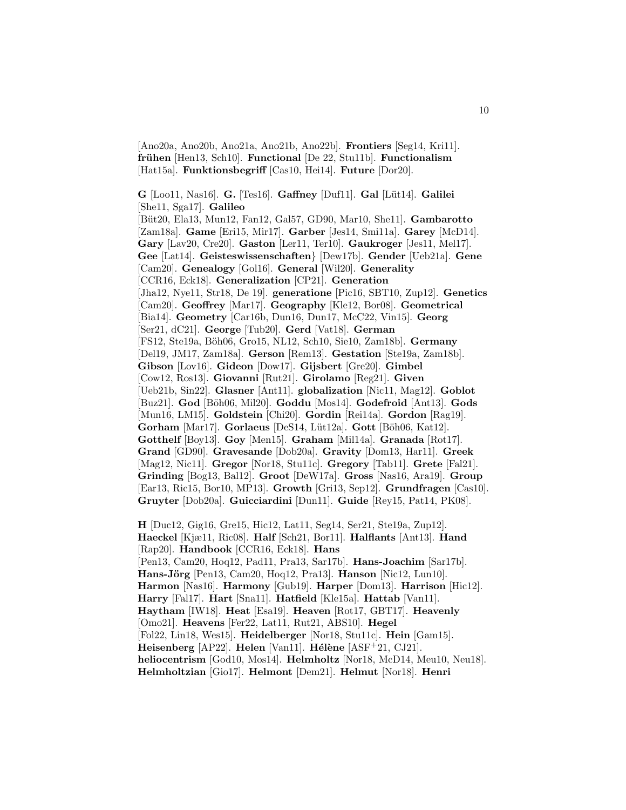[Ano20a, Ano20b, Ano21a, Ano21b, Ano22b]. **Frontiers** [Seg14, Kri11]. **fr¨uhen** [Hen13, Sch10]. **Functional** [De 22, Stu11b]. **Functionalism** [Hat15a]. **Funktionsbegriff** [Cas10, Hei14]. **Future** [Dor20].

**G** [Loo11, Nas16]. **G.** [Tes16]. **Gaffney** [Duf11]. **Gal** [L¨ut14]. **Galilei** [She11, Sga17]. **Galileo** [B¨ut20, Ela13, Mun12, Fan12, Gal57, GD90, Mar10, She11]. **Gambarotto** [Zam18a]. **Game** [Eri15, Mir17]. **Garber** [Jes14, Smi11a]. **Garey** [McD14]. **Gary** [Lav20, Cre20]. **Gaston** [Ler11, Ter10]. **Gaukroger** [Jes11, Mel17]. **Gee** [Lat14]. **Geisteswissenschaften**} [Dew17b]. **Gender** [Ueb21a]. **Gene** [Cam20]. **Genealogy** [Gol16]. **General** [Wil20]. **Generality** [CCR16, Eck18]. **Generalization** [CP21]. **Generation** [Jha12, Nye11, Str18, De 19]. **generatione** [Pic16, SBT10, Zup12]. **Genetics** [Cam20]. **Geoffrey** [Mar17]. **Geography** [Kle12, Bor08]. **Geometrical** [Bia14]. **Geometry** [Car16b, Dun16, Dun17, McC22, Vin15]. **Georg** [Ser21, dC21]. **George** [Tub20]. **Gerd** [Vat18]. **German** [FS12, Ste19a, B¨oh06, Gro15, NL12, Sch10, Sie10, Zam18b]. **Germany** [Del19, JM17, Zam18a]. **Gerson** [Rem13]. **Gestation** [Ste19a, Zam18b]. **Gibson** [Lov16]. **Gideon** [Dow17]. **Gijsbert** [Gre20]. **Gimbel** [Cow12, Ros13]. **Giovanni** [Rut21]. **Girolamo** [Reg21]. **Given** [Ueb21b, Sin22]. **Glasner** [Ant11]. **globalization** [Nic11, Mag12]. **Goblot** [Buz21]. **God** [B¨oh06, Mil20]. **Goddu** [Mos14]. **Godefroid** [Ant13]. **Gods** [Mun16, LM15]. **Goldstein** [Chi20]. **Gordin** [Rei14a]. **Gordon** [Rag19]. **Gorham** [Mar17]. **Gorlaeus** [DeS14, L¨ut12a]. **Gott** [B¨oh06, Kat12]. **Gotthelf** [Boy13]. **Goy** [Men15]. **Graham** [Mil14a]. **Granada** [Rot17]. **Grand** [GD90]. **Gravesande** [Dob20a]. **Gravity** [Dom13, Har11]. **Greek** [Mag12, Nic11]. **Gregor** [Nor18, Stu11c]. **Gregory** [Tab11]. **Grete** [Fal21]. **Grinding** [Bog13, Bal12]. **Groot** [DeW17a]. **Gross** [Nas16, Ara19]. **Group** [Ear13, Ric15, Bor10, MP13]. **Growth** [Gri13, Sep12]. **Grundfragen** [Cas10]. **Gruyter** [Dob20a]. **Guicciardini** [Dun11]. **Guide** [Rey15, Pat14, PK08].

**H** [Duc12, Gig16, Gre15, Hic12, Lat11, Seg14, Ser21, Ste19a, Zup12]. **Haeckel** [Kjæ11, Ric08]. **Half** [Sch21, Bor11]. **Halflants** [Ant13]. **Hand** [Rap20]. **Handbook** [CCR16, Eck18]. **Hans** [Pen13, Cam20, Hoq12, Pad11, Pra13, Sar17b]. **Hans-Joachim** [Sar17b]. Hans-Jörg [Pen13, Cam20, Hoq12, Pra13]. Hanson [Nic12, Lun10]. **Harmon** [Nas16]. **Harmony** [Gub19]. **Harper** [Dom13]. **Harrison** [Hic12]. **Harry** [Fal17]. **Hart** [Sna11]. **Hatfield** [Kle15a]. **Hattab** [Van11]. **Haytham** [IW18]. **Heat** [Esa19]. **Heaven** [Rot17, GBT17]. **Heavenly** [Omo21]. **Heavens** [Fer22, Lat11, Rut21, ABS10]. **Hegel** [Fol22, Lin18, Wes15]. **Heidelberger** [Nor18, Stu11c]. **Hein** [Gam15]. **Heisenberg** [AP22]. **Helen** [Van11]. **Hélène** [ASF<sup>+</sup>21, CJ21]. **heliocentrism** [God10, Mos14]. **Helmholtz** [Nor18, McD14, Meu10, Neu18]. **Helmholtzian** [Gio17]. **Helmont** [Dem21]. **Helmut** [Nor18]. **Henri**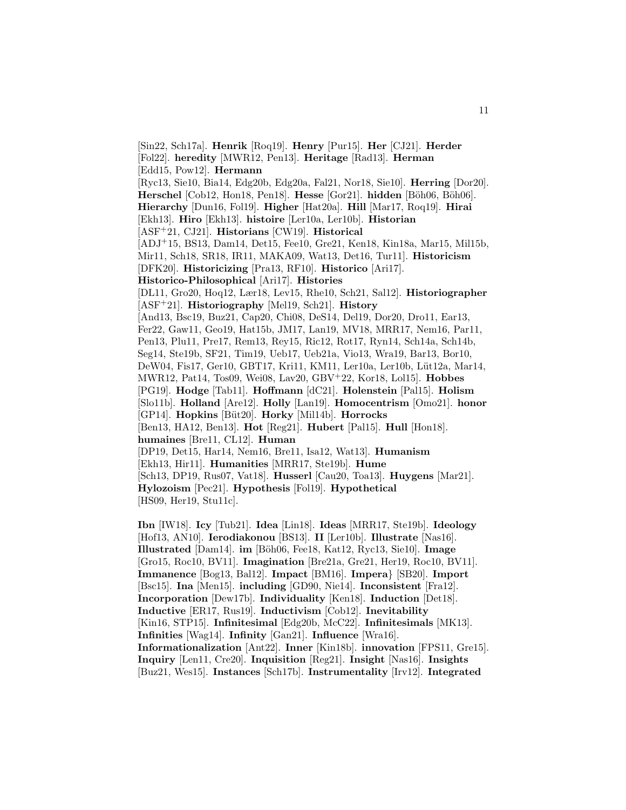[Sin22, Sch17a]. **Henrik** [Roq19]. **Henry** [Pur15]. **Her** [CJ21]. **Herder** [Fol22]. **heredity** [MWR12, Pen13]. **Heritage** [Rad13]. **Herman** [Edd15, Pow12]. **Hermann** [Ryc13, Sie10, Bia14, Edg20b, Edg20a, Fal21, Nor18, Sie10]. **Herring** [Dor20]. **Herschel** [Cob12, Hon18, Pen18]. **Hesse** [Gor21]. **hidden** [B¨oh06, B¨oh06]. **Hierarchy** [Dun16, Fol19]. **Higher** [Hat20a]. **Hill** [Mar17, Roq19]. **Hirai** [Ekh13]. **Hiro** [Ekh13]. **histoire** [Ler10a, Ler10b]. **Historian** [ASF<sup>+</sup>21, CJ21]. **Historians** [CW19]. **Historical** [ADJ<sup>+</sup>15, BS13, Dam14, Det15, Fee10, Gre21, Ken18, Kin18a, Mar15, Mil15b, Mir11, Sch18, SR18, IR11, MAKA09, Wat13, Det16, Tur11]. **Historicism** [DFK20]. **Historicizing** [Pra13, RF10]. **Historico** [Ari17]. **Historico-Philosophical** [Ari17]. **Histories** [DL11, Gro20, Hoq12, Lær18, Lev15, Rhe10, Sch21, Sal12]. **Historiographer** [ASF<sup>+</sup>21]. **Historiography** [Mel19, Sch21]. **History** [And13, Bsc19, Buz21, Cap20, Chi08, DeS14, Del19, Dor20, Dro11, Ear13, Fer22, Gaw11, Geo19, Hat15b, JM17, Lan19, MV18, MRR17, Nem16, Par11, Pen13, Plu11, Pre17, Rem13, Rey15, Ric12, Rot17, Ryn14, Sch14a, Sch14b, Seg14, Ste19b, SF21, Tim19, Ueb17, Ueb21a, Vio13, Wra19, Bar13, Bor10, DeW04, Fis17, Ger10, GBT17, Kri11, KM11, Ler10a, Ler10b, Lüt12a, Mar14, MWR12, Pat14, Tos09, Wei08, Lav20, GBV<sup>+</sup>22, Kor18, Lol15]. **Hobbes** [PG19]. **Hodge** [Tab11]. **Hoffmann** [dC21]. **Holenstein** [Pal15]. **Holism** [Slo11b]. **Holland** [Are12]. **Holly** [Lan19]. **Homocentrism** [Omo21]. **honor** [GP14]. **Hopkins** [B¨ut20]. **Horky** [Mil14b]. **Horrocks** [Ben13, HA12, Ben13]. **Hot** [Reg21]. **Hubert** [Pal15]. **Hull** [Hon18]. **humaines** [Bre11, CL12]. **Human** [DP19, Det15, Har14, Nem16, Bre11, Isa12, Wat13]. **Humanism** [Ekh13, Hir11]. **Humanities** [MRR17, Ste19b]. **Hume** [Sch13, DP19, Rus07, Vat18]. **Husserl** [Cau20, Toa13]. **Huygens** [Mar21]. **Hylozoism** [Pec21]. **Hypothesis** [Fol19]. **Hypothetical** [HS09, Her19, Stu11c].

**Ibn** [IW18]. **Icy** [Tub21]. **Idea** [Lin18]. **Ideas** [MRR17, Ste19b]. **Ideology** [Hof13, AN10]. **Ierodiakonou** [BS13]. **II** [Ler10b]. **Illustrate** [Nas16]. **Illustrated** [Dam14]. **im** [B¨oh06, Fee18, Kat12, Ryc13, Sie10]. **Image** [Gro15, Roc10, BV11]. **Imagination** [Bre21a, Gre21, Her19, Roc10, BV11]. **Immanence** [Bog13, Bal12]. **Impact** [BM16]. **Impera**} [SB20]. **Import** [Bsc15]. **Ina** [Men15]. **including** [GD90, Nie14]. **Inconsistent** [Fra12]. **Incorporation** [Dew17b]. **Individuality** [Ken18]. **Induction** [Det18]. **Inductive** [ER17, Rus19]. **Inductivism** [Cob12]. **Inevitability** [Kin16, STP15]. **Infinitesimal** [Edg20b, McC22]. **Infinitesimals** [MK13]. **Infinities** [Wag14]. **Infinity** [Gan21]. **Influence** [Wra16]. **Informationalization** [Ant22]. **Inner** [Kin18b]. **innovation** [FPS11, Gre15]. **Inquiry** [Len11, Cre20]. **Inquisition** [Reg21]. **Insight** [Nas16]. **Insights** [Buz21, Wes15]. **Instances** [Sch17b]. **Instrumentality** [Irv12]. **Integrated**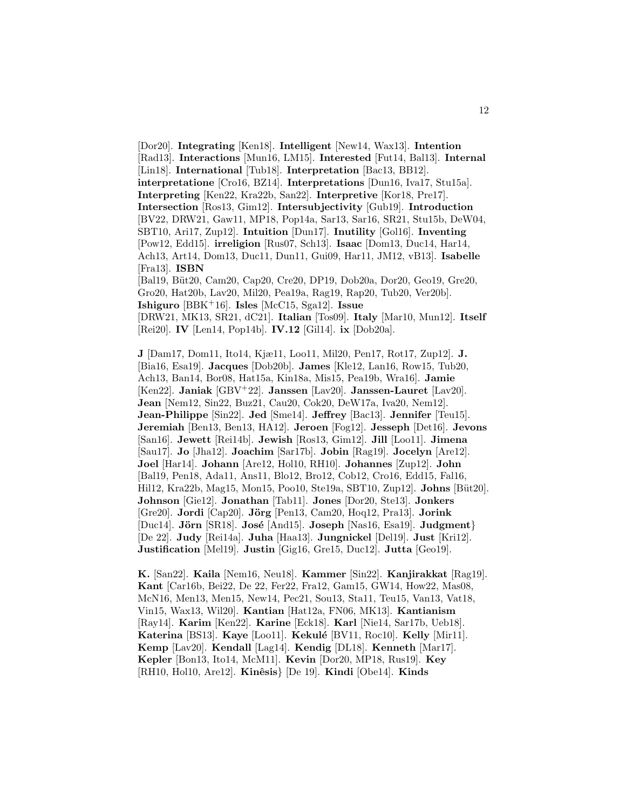[Dor20]. **Integrating** [Ken18]. **Intelligent** [New14, Wax13]. **Intention** [Rad13]. **Interactions** [Mun16, LM15]. **Interested** [Fut14, Bal13]. **Internal** [Lin18]. **International** [Tub18]. **Interpretation** [Bac13, BB12]. **interpretatione** [Cro16, BZ14]. **Interpretations** [Dun16, Iva17, Stu15a]. **Interpreting** [Ken22, Kra22b, San22]. **Interpretive** [Kor18, Pre17]. **Intersection** [Ros13, Gim12]. **Intersubjectivity** [Gub19]. **Introduction** [BV22, DRW21, Gaw11, MP18, Pop14a, Sar13, Sar16, SR21, Stu15b, DeW04, SBT10, Ari17, Zup12]. **Intuition** [Dun17]. **Inutility** [Gol16]. **Inventing** [Pow12, Edd15]. **irreligion** [Rus07, Sch13]. **Isaac** [Dom13, Duc14, Har14, Ach13, Art14, Dom13, Duc11, Dun11, Gui09, Har11, JM12, vB13]. **Isabelle** [Fra13]. **ISBN** [Bal19, B¨ut20, Cam20, Cap20, Cre20, DP19, Dob20a, Dor20, Geo19, Gre20, Gro20, Hat20b, Lav20, Mil20, Pea19a, Rag19, Rap20, Tub20, Ver20b]. **Ishiguro** [BBK<sup>+</sup>16]. **Isles** [McC15, Sga12]. **Issue** [DRW21, MK13, SR21, dC21]. **Italian** [Tos09]. **Italy** [Mar10, Mun12]. **Itself** [Rei20]. **IV** [Len14, Pop14b]. **IV.12** [Gil14]. **ix** [Dob20a].

**J** [Dam17, Dom11, Ito14, Kjæ11, Loo11, Mil20, Pen17, Rot17, Zup12]. **J.** [Bia16, Esa19]. **Jacques** [Dob20b]. **James** [Kle12, Lan16, Row15, Tub20, Ach13, Ban14, Bor08, Hat15a, Kin18a, Mis15, Pea19b, Wra16]. **Jamie** [Ken22]. **Janiak** [GBV<sup>+</sup>22]. **Janssen** [Lav20]. **Janssen-Lauret** [Lav20]. **Jean** [Nem12, Sin22, Buz21, Cau20, Cok20, DeW17a, Iva20, Nem12]. **Jean-Philippe** [Sin22]. **Jed** [Sme14]. **Jeffrey** [Bac13]. **Jennifer** [Teu15]. **Jeremiah** [Ben13, Ben13, HA12]. **Jeroen** [Fog12]. **Jesseph** [Det16]. **Jevons** [San16]. **Jewett** [Rei14b]. **Jewish** [Ros13, Gim12]. **Jill** [Loo11]. **Jimena** [Sau17]. **Jo** [Jha12]. **Joachim** [Sar17b]. **Jobin** [Rag19]. **Jocelyn** [Are12]. **Joel** [Har14]. **Johann** [Are12, Hol10, RH10]. **Johannes** [Zup12]. **John** [Bal19, Pen18, Ada11, Ans11, Blo12, Bro12, Cob12, Cro16, Edd15, Fal16, Hil12, Kra22b, Mag15, Mon15, Poo10, Ste19a, SBT10, Zup12. **Johns** [Büt20]. **Johnson** [Gie12]. **Jonathan** [Tab11]. **Jones** [Dor20, Ste13]. **Jonkers** [Gre20]. **Jordi** [Cap20]. **Jörg** [Pen13, Cam20, Hoq12, Pra13]. **Jorink** [Duc14]. **J¨orn** [SR18]. **Jos´e** [And15]. **Joseph** [Nas16, Esa19]. **Judgment**} [De 22]. **Judy** [Rei14a]. **Juha** [Haa13]. **Jungnickel** [Del19]. **Just** [Kri12]. **Justification** [Mel19]. **Justin** [Gig16, Gre15, Duc12]. **Jutta** [Geo19].

**K.** [San22]. **Kaila** [Nem16, Neu18]. **Kammer** [Sin22]. **Kanjirakkat** [Rag19]. **Kant** [Car16b, Bei22, De 22, Fer22, Fra12, Gam15, GW14, How22, Mas08, McN16, Men13, Men15, New14, Pec21, Sou13, Sta11, Teu15, Van13, Vat18, Vin15, Wax13, Wil20]. **Kantian** [Hat12a, FN06, MK13]. **Kantianism** [Ray14]. **Karim** [Ken22]. **Karine** [Eck18]. **Karl** [Nie14, Sar17b, Ueb18]. **Katerina** [BS13]. **Kaye** [Loo11]. **Kekul´e** [BV11, Roc10]. **Kelly** [Mir11]. **Kemp** [Lav20]. **Kendall** [Lag14]. **Kendig** [DL18]. **Kenneth** [Mar17]. **Kepler** [Bon13, Ito14, McM11]. **Kevin** [Dor20, MP18, Rus19]. **Key** [RH10, Hol10, Are12]. **Kinˆesis**} [De 19]. **Kindi** [Obe14]. **Kinds**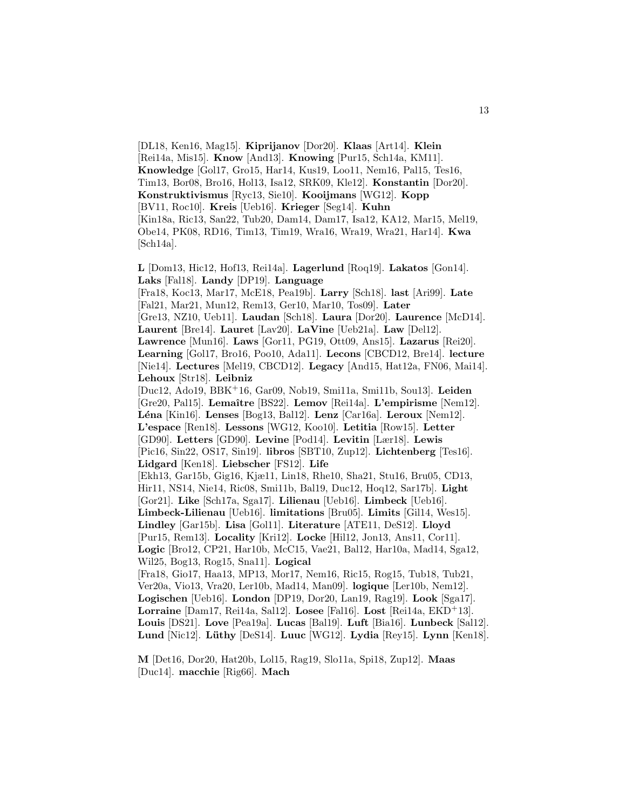[DL18, Ken16, Mag15]. **Kiprijanov** [Dor20]. **Klaas** [Art14]. **Klein** [Rei14a, Mis15]. **Know** [And13]. **Knowing** [Pur15, Sch14a, KM11]. **Knowledge** [Gol17, Gro15, Har14, Kus19, Loo11, Nem16, Pal15, Tes16, Tim13, Bor08, Bro16, Hol13, Isa12, SRK09, Kle12]. **Konstantin** [Dor20]. **Konstruktivismus** [Ryc13, Sie10]. **Kooijmans** [WG12]. **Kopp** [BV11, Roc10]. **Kreis** [Ueb16]. **Krieger** [Seg14]. **Kuhn** [Kin18a, Ric13, San22, Tub20, Dam14, Dam17, Isa12, KA12, Mar15, Mel19, Obe14, PK08, RD16, Tim13, Tim19, Wra16, Wra19, Wra21, Har14]. **Kwa** [Sch14a].

**L** [Dom13, Hic12, Hof13, Rei14a]. **Lagerlund** [Roq19]. **Lakatos** [Gon14]. **Laks** [Fal18]. **Landy** [DP19]. **Language** [Fra18, Koc13, Mar17, McE18, Pea19b]. **Larry** [Sch18]. **last** [Ari99]. **Late** [Fal21, Mar21, Mun12, Rem13, Ger10, Mar10, Tos09]. **Later** [Gre13, NZ10, Ueb11]. **Laudan** [Sch18]. **Laura** [Dor20]. **Laurence** [McD14]. **Laurent** [Bre14]. **Lauret** [Lav20]. **LaVine** [Ueb21a]. **Law** [Del12]. **Lawrence** [Mun16]. **Laws** [Gor11, PG19, Ott09, Ans15]. **Lazarus** [Rei20]. **Learning** [Gol17, Bro16, Poo10, Ada11]. **Lecons** [CBCD12, Bre14]. **lecture** [Nie14]. **Lectures** [Mel19, CBCD12]. **Legacy** [And15, Hat12a, FN06, Mai14]. **Lehoux** [Str18]. **Leibniz** [Duc12, Ado19, BBK<sup>+</sup>16, Gar09, Nob19, Smi11a, Smi11b, Sou13]. **Leiden** [Gre20, Pal15]. **Lemaˆıtre** [BS22]. **Lemov** [Rei14a]. **L'empirisme** [Nem12]. **L´ena** [Kin16]. **Lenses** [Bog13, Bal12]. **Lenz** [Car16a]. **Leroux** [Nem12]. **L'espace** [Ren18]. **Lessons** [WG12, Koo10]. **Letitia** [Row15]. **Letter** [GD90]. **Letters** [GD90]. **Levine** [Pod14]. **Levitin** [Lær18]. **Lewis** [Pic16, Sin22, OS17, Sin19]. **libros** [SBT10, Zup12]. **Lichtenberg** [Tes16]. **Lidgard** [Ken18]. **Liebscher** [FS12]. **Life** [Ekh13, Gar15b, Gig16, Kjæ11, Lin18, Rhe10, Sha21, Stu16, Bru05, CD13, Hir11, NS14, Nie14, Ric08, Smi11b, Bal19, Duc12, Hoq12, Sar17b]. **Light** [Gor21]. **Like** [Sch17a, Sga17]. **Lilienau** [Ueb16]. **Limbeck** [Ueb16]. **Limbeck-Lilienau** [Ueb16]. **limitations** [Bru05]. **Limits** [Gil14, Wes15]. **Lindley** [Gar15b]. **Lisa** [Gol11]. **Literature** [ATE11, DeS12]. **Lloyd** [Pur15, Rem13]. **Locality** [Kri12]. **Locke** [Hil12, Jon13, Ans11, Cor11]. **Logic** [Bro12, CP21, Har10b, McC15, Vae21, Bal12, Har10a, Mad14, Sga12, Wil25, Bog13, Rog15, Sna11]. **Logical** [Fra18, Gio17, Haa13, MP13, Mor17, Nem16, Ric15, Rog15, Tub18, Tub21, Ver20a, Vio13, Vra20, Ler10b, Mad14, Man09]. **logique** [Ler10b, Nem12]. **Logischen** [Ueb16]. **London** [DP19, Dor20, Lan19, Rag19]. **Look** [Sga17]. **Lorraine** [Dam17, Rei14a, Sal12]. **Losee** [Fal16]. **Lost** [Rei14a, EKD<sup>+</sup>13]. **Louis** [DS21]. **Love** [Pea19a]. **Lucas** [Bal19]. **Luft** [Bia16]. **Lunbeck** [Sal12]. **Lund** [Nic12]. **L¨uthy** [DeS14]. **Luuc** [WG12]. **Lydia** [Rey15]. **Lynn** [Ken18].

**M** [Det16, Dor20, Hat20b, Lol15, Rag19, Slo11a, Spi18, Zup12]. **Maas** [Duc14]. **macchie** [Rig66]. **Mach**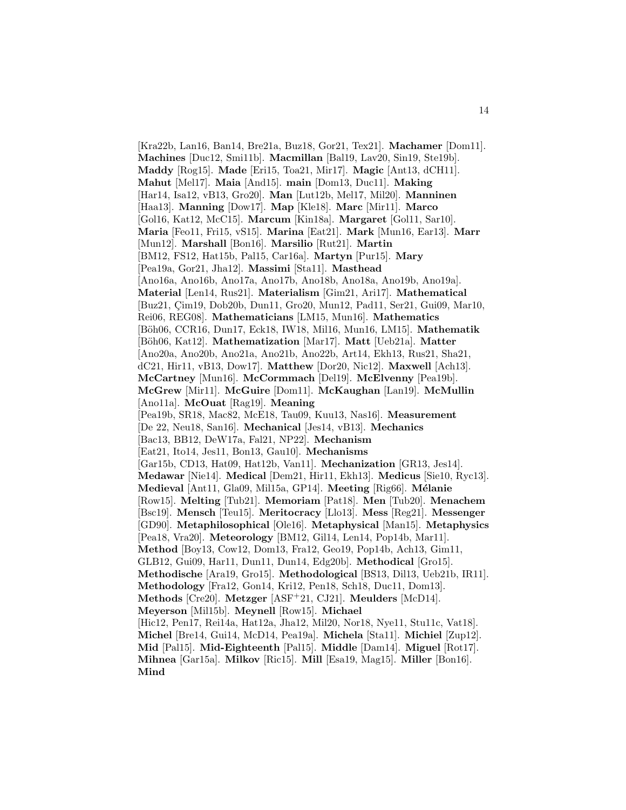[Kra22b, Lan16, Ban14, Bre21a, Buz18, Gor21, Tex21]. **Machamer** [Dom11]. **Machines** [Duc12, Smi11b]. **Macmillan** [Bal19, Lav20, Sin19, Ste19b]. **Maddy** [Rog15]. **Made** [Eri15, Toa21, Mir17]. **Magic** [Ant13, dCH11]. **Mahut** [Mel17]. **Maia** [And15]. **main** [Dom13, Duc11]. **Making** [Har14, Isa12, vB13, Gro20]. **Man** [Lut12b, Mel17, Mil20]. **Manninen** [Haa13]. **Manning** [Dow17]. **Map** [Kle18]. **Marc** [Mir11]. **Marco** [Gol16, Kat12, McC15]. **Marcum** [Kin18a]. **Margaret** [Gol11, Sar10]. **Maria** [Feo11, Fri15, vS15]. **Marina** [Eat21]. **Mark** [Mun16, Ear13]. **Marr** [Mun12]. **Marshall** [Bon16]. **Marsilio** [Rut21]. **Martin** [BM12, FS12, Hat15b, Pal15, Car16a]. **Martyn** [Pur15]. **Mary** [Pea19a, Gor21, Jha12]. **Massimi** [Sta11]. **Masthead** [Ano16a, Ano16b, Ano17a, Ano17b, Ano18b, Ano18a, Ano19b, Ano19a]. **Material** [Len14, Rus21]. **Materialism** [Gim21, Ari17]. **Mathematical** [Buz21, Cim19, Dob20b, Dun11, Gro20, Mun12, Pad11, Ser21, Gui09, Mar10, Rei06, REG08]. **Mathematicians** [LM15, Mun16]. **Mathematics** [B¨oh06, CCR16, Dun17, Eck18, IW18, Mil16, Mun16, LM15]. **Mathematik** [B¨oh06, Kat12]. **Mathematization** [Mar17]. **Matt** [Ueb21a]. **Matter** [Ano20a, Ano20b, Ano21a, Ano21b, Ano22b, Art14, Ekh13, Rus21, Sha21, dC21, Hir11, vB13, Dow17]. **Matthew** [Dor20, Nic12]. **Maxwell** [Ach13]. **McCartney** [Mun16]. **McCormmach** [Del19]. **McElvenny** [Pea19b]. **McGrew** [Mir11]. **McGuire** [Dom11]. **McKaughan** [Lan19]. **McMullin** [Ano11a]. **McOuat** [Rag19]. **Meaning** [Pea19b, SR18, Mac82, McE18, Tau09, Kuu13, Nas16]. **Measurement** [De 22, Neu18, San16]. **Mechanical** [Jes14, vB13]. **Mechanics** [Bac13, BB12, DeW17a, Fal21, NP22]. **Mechanism** [Eat21, Ito14, Jes11, Bon13, Gau10]. **Mechanisms** [Gar15b, CD13, Hat09, Hat12b, Van11]. **Mechanization** [GR13, Jes14]. **Medawar** [Nie14]. **Medical** [Dem21, Hir11, Ekh13]. **Medicus** [Sie10, Ryc13]. **Medieval** [Ant11, Gla09, Mil15a, GP14]. **Meeting** [Rig66]. **M´elanie** [Row15]. **Melting** [Tub21]. **Memoriam** [Pat18]. **Men** [Tub20]. **Menachem** [Bsc19]. **Mensch** [Teu15]. **Meritocracy** [Llo13]. **Mess** [Reg21]. **Messenger** [GD90]. **Metaphilosophical** [Ole16]. **Metaphysical** [Man15]. **Metaphysics** [Pea18, Vra20]. **Meteorology** [BM12, Gil14, Len14, Pop14b, Mar11]. **Method** [Boy13, Cow12, Dom13, Fra12, Geo19, Pop14b, Ach13, Gim11, GLB12, Gui09, Har11, Dun11, Dun14, Edg20b]. **Methodical** [Gro15]. **Methodische** [Ara19, Gro15]. **Methodological** [BS13, Dil13, Ueb21b, IR11]. **Methodology** [Fra12, Gon14, Kri12, Pen18, Sch18, Duc11, Dom13]. **Methods** [Cre20]. **Metzger** [ASF<sup>+</sup>21, CJ21]. **Meulders** [McD14]. **Meyerson** [Mil15b]. **Meynell** [Row15]. **Michael** [Hic12, Pen17, Rei14a, Hat12a, Jha12, Mil20, Nor18, Nye11, Stu11c, Vat18]. **Michel** [Bre14, Gui14, McD14, Pea19a]. **Michela** [Sta11]. **Michiel** [Zup12]. **Mid** [Pal15]. **Mid-Eighteenth** [Pal15]. **Middle** [Dam14]. **Miguel** [Rot17]. **Mihnea** [Gar15a]. **Milkov** [Ric15]. **Mill** [Esa19, Mag15]. **Miller** [Bon16]. **Mind**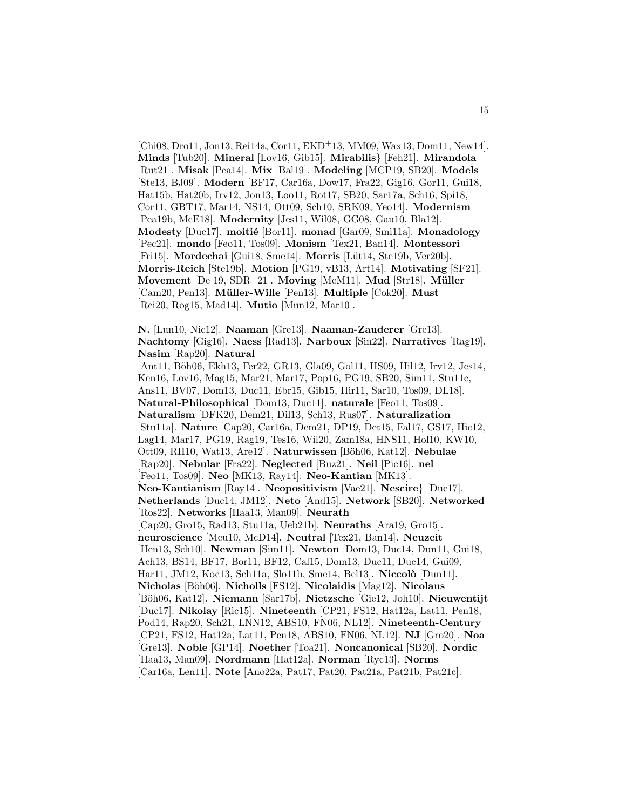[Chi08, Dro11, Jon13, Rei14a, Cor11, EKD<sup>+</sup>13, MM09, Wax13, Dom11, New14]. **Minds** [Tub20]. **Mineral** [Lov16, Gib15]. **Mirabilis**} [Feh21]. **Mirandola** [Rut21]. **Misak** [Pea14]. **Mix** [Bal19]. **Modeling** [MCP19, SB20]. **Models** [Ste13, BJ09]. **Modern** [BF17, Car16a, Dow17, Fra22, Gig16, Gor11, Gui18, Hat15b, Hat20b, Irv12, Jon13, Loo11, Rot17, SB20, Sar17a, Sch16, Spi18, Cor11, GBT17, Mar14, NS14, Ott09, Sch10, SRK09, Yeo14]. **Modernism** [Pea19b, McE18]. **Modernity** [Jes11, Wil08, GG08, Gau10, Bla12]. **Modesty** [Duc17]. **moitié** [Bor11]. **monad** [Gar09, Smi11a]. **Monadology** [Pec21]. **mondo** [Feo11, Tos09]. **Monism** [Tex21, Ban14]. **Montessori** [Fri15]. **Mordechai** [Gui18, Sme14]. **Morris** [Lüt14, Ste19b, Ver20b]. **Morris-Reich** [Ste19b]. **Motion** [PG19, vB13, Art14]. **Motivating** [SF21]. **Movement** [De 19, SDR<sup>+</sup>21]. **Moving** [McM11]. **Mud** [Str18]. **M¨uller** [Cam20, Pen13]. **M¨uller-Wille** [Pen13]. **Multiple** [Cok20]. **Must** [Rei20, Rog15, Mad14]. **Mutio** [Mun12, Mar10].

**N.** [Lun10, Nic12]. **Naaman** [Gre13]. **Naaman-Zauderer** [Gre13]. **Nachtomy** [Gig16]. **Naess** [Rad13]. **Narboux** [Sin22]. **Narratives** [Rag19]. **Nasim** [Rap20]. **Natural** [Ant11, Böh06, Ekh13, Fer22, GR13, Gla09, Gol11, HS09, Hil12, Irv12, Jes14, Ken16, Lov16, Mag15, Mar21, Mar17, Pop16, PG19, SB20, Sim11, Stu11c, Ans11, BV07, Dom13, Duc11, Ebr15, Gib15, Hir11, Sar10, Tos09, DL18]. **Natural-Philosophical** [Dom13, Duc11]. **naturale** [Feo11, Tos09]. **Naturalism** [DFK20, Dem21, Dil13, Sch13, Rus07]. **Naturalization** [Stu11a]. **Nature** [Cap20, Car16a, Dem21, DP19, Det15, Fal17, GS17, Hic12, Lag14, Mar17, PG19, Rag19, Tes16, Wil20, Zam18a, HNS11, Hol10, KW10, Ott09, RH10, Wat13, Are12. Naturwissen [Böh06, Kat12]. Nebulae [Rap20]. **Nebular** [Fra22]. **Neglected** [Buz21]. **Neil** [Pic16]. **nel** [Feo11, Tos09]. **Neo** [MK13, Ray14]. **Neo-Kantian** [MK13]. **Neo-Kantianism** [Ray14]. **Neopositivism** [Vae21]. **Nescire**} [Duc17]. **Netherlands** [Duc14, JM12]. **Neto** [And15]. **Network** [SB20]. **Networked** [Ros22]. **Networks** [Haa13, Man09]. **Neurath** [Cap20, Gro15, Rad13, Stu11a, Ueb21b]. **Neuraths** [Ara19, Gro15]. **neuroscience** [Meu10, McD14]. **Neutral** [Tex21, Ban14]. **Neuzeit** [Hen13, Sch10]. **Newman** [Sim11]. **Newton** [Dom13, Duc14, Dun11, Gui18, Ach13, BS14, BF17, Bor11, BF12, Cal15, Dom13, Duc11, Duc14, Gui09, Har11, JM12, Koc13, Sch11a, Slo11b, Sme14, Bel13]. **Niccol`o** [Dun11]. **Nicholas** [B¨oh06]. **Nicholls** [FS12]. **Nicolaidis** [Mag12]. **Nicolaus** [B¨oh06, Kat12]. **Niemann** [Sar17b]. **Nietzsche** [Gie12, Joh10]. **Nieuwentijt** [Duc17]. **Nikolay** [Ric15]. **Nineteenth** [CP21, FS12, Hat12a, Lat11, Pen18, Pod14, Rap20, Sch21, LNN12, ABS10, FN06, NL12]. **Nineteenth-Century** [CP21, FS12, Hat12a, Lat11, Pen18, ABS10, FN06, NL12]. **NJ** [Gro20]. **Noa** [Gre13]. **Noble** [GP14]. **Noether** [Toa21]. **Noncanonical** [SB20]. **Nordic** [Haa13, Man09]. **Nordmann** [Hat12a]. **Norman** [Ryc13]. **Norms** [Car16a, Len11]. **Note** [Ano22a, Pat17, Pat20, Pat21a, Pat21b, Pat21c].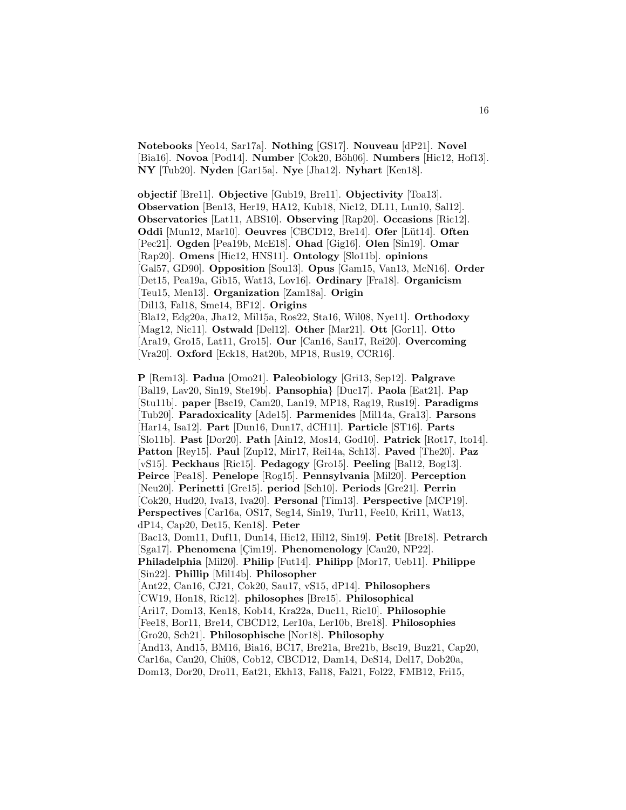**Notebooks** [Yeo14, Sar17a]. **Nothing** [GS17]. **Nouveau** [dP21]. **Novel** [Bia16]. **Novoa** [Pod14]. **Number** [Cok20, Böh06]. **Numbers** [Hic12, Hof13]. **NY** [Tub20]. **Nyden** [Gar15a]. **Nye** [Jha12]. **Nyhart** [Ken18].

**objectif** [Bre11]. **Objective** [Gub19, Bre11]. **Objectivity** [Toa13]. **Observation** [Ben13, Her19, HA12, Kub18, Nic12, DL11, Lun10, Sal12]. **Observatories** [Lat11, ABS10]. **Observing** [Rap20]. **Occasions** [Ric12]. **Oddi** [Mun12, Mar10]. **Oeuvres** [CBCD12, Bre14]. **Ofer** [L¨ut14]. **Often** [Pec21]. **Ogden** [Pea19b, McE18]. **Ohad** [Gig16]. **Olen** [Sin19]. **Omar** [Rap20]. **Omens** [Hic12, HNS11]. **Ontology** [Slo11b]. **opinions** [Gal57, GD90]. **Opposition** [Sou13]. **Opus** [Gam15, Van13, McN16]. **Order** [Det15, Pea19a, Gib15, Wat13, Lov16]. **Ordinary** [Fra18]. **Organicism** [Teu15, Men13]. **Organization** [Zam18a]. **Origin** [Dil13, Fal18, Sme14, BF12]. **Origins** [Bla12, Edg20a, Jha12, Mil15a, Ros22, Sta16, Wil08, Nye11]. **Orthodoxy** [Mag12, Nic11]. **Ostwald** [Del12]. **Other** [Mar21]. **Ott** [Gor11]. **Otto** [Ara19, Gro15, Lat11, Gro15]. **Our** [Can16, Sau17, Rei20]. **Overcoming** [Vra20]. **Oxford** [Eck18, Hat20b, MP18, Rus19, CCR16].

**P** [Rem13]. **Padua** [Omo21]. **Paleobiology** [Gri13, Sep12]. **Palgrave** [Bal19, Lav20, Sin19, Ste19b]. **Pansophia**} [Duc17]. **Paola** [Eat21]. **Pap** [Stu11b]. **paper** [Bsc19, Cam20, Lan19, MP18, Rag19, Rus19]. **Paradigms** [Tub20]. **Paradoxicality** [Ade15]. **Parmenides** [Mil14a, Gra13]. **Parsons** [Har14, Isa12]. **Part** [Dun16, Dun17, dCH11]. **Particle** [ST16]. **Parts** [Slo11b]. **Past** [Dor20]. **Path** [Ain12, Mos14, God10]. **Patrick** [Rot17, Ito14]. **Patton** [Rey15]. **Paul** [Zup12, Mir17, Rei14a, Sch13]. **Paved** [The20]. **Paz** [vS15]. **Peckhaus** [Ric15]. **Pedagogy** [Gro15]. **Peeling** [Bal12, Bog13]. **Peirce** [Pea18]. **Penelope** [Rog15]. **Pennsylvania** [Mil20]. **Perception** [Neu20]. **Perinetti** [Gre15]. **period** [Sch10]. **Periods** [Gre21]. **Perrin** [Cok20, Hud20, Iva13, Iva20]. **Personal** [Tim13]. **Perspective** [MCP19]. **Perspectives** [Car16a, OS17, Seg14, Sin19, Tur11, Fee10, Kri11, Wat13, dP14, Cap20, Det15, Ken18]. **Peter** [Bac13, Dom11, Duf11, Dun14, Hic12, Hil12, Sin19]. **Petit** [Bre18]. **Petrarch** [Sga17]. **Phenomena** [Cim19]. **Phenomenology** [Cau20, NP22]. **Philadelphia** [Mil20]. **Philip** [Fut14]. **Philipp** [Mor17, Ueb11]. **Philippe** [Sin22]. **Phillip** [Mil14b]. **Philosopher** [Ant22, Can16, CJ21, Cok20, Sau17, vS15, dP14]. **Philosophers** [CW19, Hon18, Ric12]. **philosophes** [Bre15]. **Philosophical** [Ari17, Dom13, Ken18, Kob14, Kra22a, Duc11, Ric10]. **Philosophie** [Fee18, Bor11, Bre14, CBCD12, Ler10a, Ler10b, Bre18]. **Philosophies** [Gro20, Sch21]. **Philosophische** [Nor18]. **Philosophy** [And13, And15, BM16, Bia16, BC17, Bre21a, Bre21b, Bsc19, Buz21, Cap20, Car16a, Cau20, Chi08, Cob12, CBCD12, Dam14, DeS14, Del17, Dob20a, Dom13, Dor20, Dro11, Eat21, Ekh13, Fal18, Fal21, Fol22, FMB12, Fri15,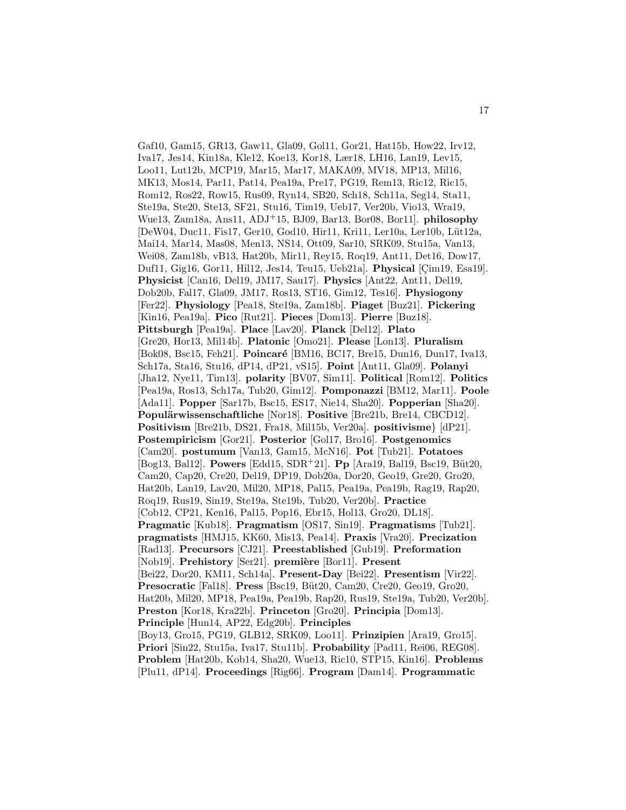Gaf10, Gam15, GR13, Gaw11, Gla09, Gol11, Gor21, Hat15b, How22, Irv12, Iva17, Jes14, Kin18a, Kle12, Koe13, Kor18, Lær18, LH16, Lan19, Lev15, Loo11, Lut12b, MCP19, Mar15, Mar17, MAKA09, MV18, MP13, Mil16, MK13, Mos14, Par11, Pat14, Pea19a, Pre17, PG19, Rem13, Ric12, Ric15, Rom12, Ros22, Row15, Rus09, Ryn14, SB20, Sch18, Sch11a, Seg14, Sta11, Ste19a, Ste20, Ste13, SF21, Stu16, Tim19, Ueb17, Ver20b, Vio13, Wra19, Wue13, Zam18a, Ans11, ADJ<sup>+</sup>15, BJ09, Bar13, Bor08, Bor11]. **philosophy** [DeW04, Duc11, Fis17, Ger10, God10, Hir11, Kri11, Ler10a, Ler10b, Lüt12a, Mai14, Mar14, Mas08, Men13, NS14, Ott09, Sar10, SRK09, Stu15a, Van13, Wei08, Zam18b, vB13, Hat20b, Mir11, Rey15, Roq19, Ant11, Det16, Dow17, Duf11, Gig16, Gor11, Hil12, Jes14, Teu15, Ueb21a]. Physical [Cim19, Esa19]. **Physicist** [Can16, Del19, JM17, Sau17]. **Physics** [Ant22, Ant11, Del19, Dob20b, Fal17, Gla09, JM17, Ros13, ST16, Gim12, Tes16]. **Physiogony** [Fer22]. **Physiology** [Pea18, Ste19a, Zam18b]. **Piaget** [Buz21]. **Pickering** [Kin16, Pea19a]. **Pico** [Rut21]. **Pieces** [Dom13]. **Pierre** [Buz18]. **Pittsburgh** [Pea19a]. **Place** [Lav20]. **Planck** [Del12]. **Plato** [Gre20, Hor13, Mil14b]. **Platonic** [Omo21]. **Please** [Lon13]. **Pluralism** [Bok08, Bsc15, Feh21]. **Poincar´e** [BM16, BC17, Bre15, Dun16, Dun17, Iva13, Sch17a, Sta16, Stu16, dP14, dP21, vS15]. **Point** [Ant11, Gla09]. **Polanyi** [Jha12, Nye11, Tim13]. **polarity** [BV07, Sim11]. **Political** [Rom12]. **Politics** [Pea19a, Ros13, Sch17a, Tub20, Gim12]. **Pomponazzi** [BM12, Mar11]. **Poole** [Ada11]. **Popper** [Sar17b, Bsc15, ES17, Nie14, Sha20]. **Popperian** [Sha20]. Populärwissenschaftliche [Nor18]. Positive [Bre21b, Bre14, CBCD12]. **Positivism** [Bre21b, DS21, Fra18, Mil15b, Ver20a]. **positivisme**} [dP21]. **Postempiricism** [Gor21]. **Posterior** [Gol17, Bro16]. **Postgenomics** [Cam20]. **postumum** [Van13, Gam15, McN16]. **Pot** [Tub21]. **Potatoes** [Bog13, Bal12]. **Powers** [Edd15, SDR<sup>+</sup>21]. **Pp** [Ara19, Bal19, Bsc19, B¨ut20, Cam20, Cap20, Cre20, Del19, DP19, Dob20a, Dor20, Geo19, Gre20, Gro20, Hat20b, Lan19, Lav20, Mil20, MP18, Pal15, Pea19a, Pea19b, Rag19, Rap20, Roq19, Rus19, Sin19, Ste19a, Ste19b, Tub20, Ver20b]. **Practice** [Cob12, CP21, Ken16, Pal15, Pop16, Ebr15, Hol13, Gro20, DL18]. **Pragmatic** [Kub18]. **Pragmatism** [OS17, Sin19]. **Pragmatisms** [Tub21]. **pragmatists** [HMJ15, KK60, Mis13, Pea14]. **Praxis** [Vra20]. **Precization** [Rad13]. **Precursors** [CJ21]. **Preestablished** [Gub19]. **Preformation** [Nob19]. **Prehistory** [Ser21]. **première** [Bor11]. **Present** [Bei22, Dor20, KM11, Sch14a]. **Present-Day** [Bei22]. **Presentism** [Vir22]. **Presocratic** [Fal18]. **Press** [Bsc19, Büt20, Cam20, Cre20, Geo19, Gro20, Hat20b, Mil20, MP18, Pea19a, Pea19b, Rap20, Rus19, Ste19a, Tub20, Ver20b]. **Preston** [Kor18, Kra22b]. **Princeton** [Gro20]. **Principia** [Dom13]. **Principle** [Hun14, AP22, Edg20b]. **Principles** [Boy13, Gro15, PG19, GLB12, SRK09, Loo11]. **Prinzipien** [Ara19, Gro15]. **Priori** [Sin22, Stu15a, Iva17, Stu11b]. **Probability** [Pad11, Rei06, REG08]. **Problem** [Hat20b, Kob14, Sha20, Wue13, Ric10, STP15, Kin16]. **Problems** [Plu11, dP14]. **Proceedings** [Rig66]. **Program** [Dam14]. **Programmatic**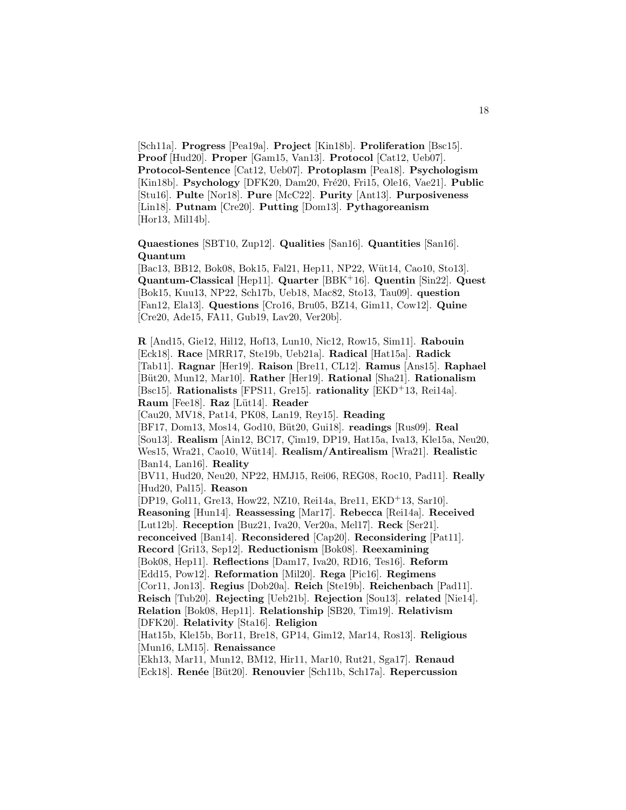[Sch11a]. **Progress** [Pea19a]. **Project** [Kin18b]. **Proliferation** [Bsc15]. **Proof** [Hud20]. **Proper** [Gam15, Van13]. **Protocol** [Cat12, Ueb07]. **Protocol-Sentence** [Cat12, Ueb07]. **Protoplasm** [Pea18]. **Psychologism** [Kin18b]. **Psychology** [DFK20, Dam20, Fré20, Fri15, Ole16, Vae21]. **Public** [Stu16]. **Pulte** [Nor18]. **Pure** [McC22]. **Purity** [Ant13]. **Purposiveness** [Lin18]. **Putnam** [Cre20]. **Putting** [Dom13]. **Pythagoreanism** [Hor13, Mil14b].

**Quaestiones** [SBT10, Zup12]. **Qualities** [San16]. **Quantities** [San16]. **Quantum**

[Bac13, BB12, Bok08, Bok15, Fal21, Hep11, NP22, Wüt14, Cao10, Sto13]. **Quantum-Classical** [Hep11]. **Quarter** [BBK<sup>+</sup>16]. **Quentin** [Sin22]. **Quest** [Bok15, Kuu13, NP22, Sch17b, Ueb18, Mac82, Sto13, Tau09]. **question** [Fan12, Ela13]. **Questions** [Cro16, Bru05, BZ14, Gim11, Cow12]. **Quine** [Cre20, Ade15, FA11, Gub19, Lav20, Ver20b].

**R** [And15, Gie12, Hil12, Hof13, Lun10, Nic12, Row15, Sim11]. **Rabouin** [Eck18]. **Race** [MRR17, Ste19b, Ueb21a]. **Radical** [Hat15a]. **Radick** [Tab11]. **Ragnar** [Her19]. **Raison** [Bre11, CL12]. **Ramus** [Ans15]. **Raphael** [B¨ut20, Mun12, Mar10]. **Rather** [Her19]. **Rational** [Sha21]. **Rationalism** [Bsc15]. **Rationalists** [FPS11, Gre15]. **rationality** [EKD<sup>+</sup>13, Rei14a]. **Raum** [Fee18]. **Raz** [L¨ut14]. **Reader** [Cau20, MV18, Pat14, PK08, Lan19, Rey15]. **Reading** [BF17, Dom13, Mos14, God10, B¨ut20, Gui18]. **readings** [Rus09]. **Real** [Sou13]. **Realism** [Ain12, BC17, Cim19, DP19, Hat15a, Iva13, Kle15a, Neu20, Wes15, Wra21, Cao10, W¨ut14]. **Realism/Antirealism** [Wra21]. **Realistic** [Ban14, Lan16]. **Reality** [BV11, Hud20, Neu20, NP22, HMJ15, Rei06, REG08, Roc10, Pad11]. **Really** [Hud20, Pal15]. **Reason** [DP19, Gol11, Gre13, How22, NZ10, Rei14a, Bre11, EKD<sup>+</sup>13, Sar10]. **Reasoning** [Hun14]. **Reassessing** [Mar17]. **Rebecca** [Rei14a]. **Received** [Lut12b]. **Reception** [Buz21, Iva20, Ver20a, Mel17]. **Reck** [Ser21]. **reconceived** [Ban14]. **Reconsidered** [Cap20]. **Reconsidering** [Pat11]. **Record** [Gri13, Sep12]. **Reductionism** [Bok08]. **Reexamining** [Bok08, Hep11]. **Reflections** [Dam17, Iva20, RD16, Tes16]. **Reform** [Edd15, Pow12]. **Reformation** [Mil20]. **Rega** [Pic16]. **Regimens** [Cor11, Jon13]. **Regius** [Dob20a]. **Reich** [Ste19b]. **Reichenbach** [Pad11]. **Reisch** [Tub20]. **Rejecting** [Ueb21b]. **Rejection** [Sou13]. **related** [Nie14]. **Relation** [Bok08, Hep11]. **Relationship** [SB20, Tim19]. **Relativism** [DFK20]. **Relativity** [Sta16]. **Religion** [Hat15b, Kle15b, Bor11, Bre18, GP14, Gim12, Mar14, Ros13]. **Religious** [Mun16, LM15]. **Renaissance** [Ekh13, Mar11, Mun12, BM12, Hir11, Mar10, Rut21, Sga17]. **Renaud** [Eck18]. **Ren´ee** [B¨ut20]. **Renouvier** [Sch11b, Sch17a]. **Repercussion**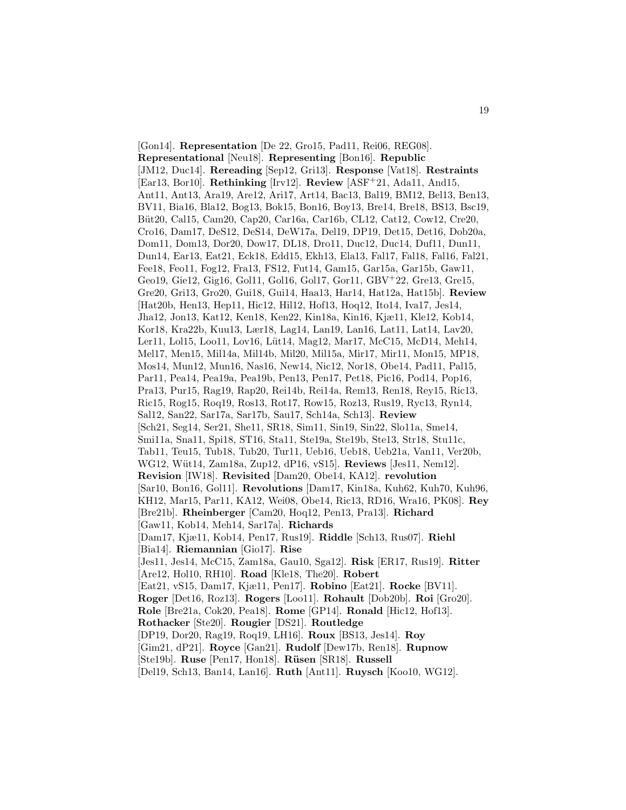[Gon14]. **Representation** [De 22, Gro15, Pad11, Rei06, REG08]. **Representational** [Neu18]. **Representing** [Bon16]. **Republic** [JM12, Duc14]. **Rereading** [Sep12, Gri13]. **Response** [Vat18]. **Restraints** [Ear13, Bor10]. **Rethinking** [Irv12]. **Review** [ASF<sup>+</sup>21, Ada11, And15, Ant11, Ant13, Ara19, Are12, Ari17, Art14, Bac13, Bal19, BM12, Bel13, Ben13, BV11, Bia16, Bla12, Bog13, Bok15, Bon16, Boy13, Bre14, Bre18, BS13, Bsc19, Büt20, Cal15, Cam20, Cap20, Car16a, Car16b, CL12, Cat12, Cow12, Cre20, Cro16, Dam17, DeS12, DeS14, DeW17a, Del19, DP19, Det15, Det16, Dob20a, Dom11, Dom13, Dor20, Dow17, DL18, Dro11, Duc12, Duc14, Duf11, Dun11, Dun14, Ear13, Eat21, Eck18, Edd15, Ekh13, Ela13, Fal17, Fal18, Fal16, Fal21, Fee18, Feo11, Fog12, Fra13, FS12, Fut14, Gam15, Gar15a, Gar15b, Gaw11, Geo19, Gie12, Gig16, Gol11, Gol16, Gol17, Gor11, GBV<sup>+</sup>22, Gre13, Gre15, Gre20, Gri13, Gro20, Gui18, Gui14, Haa13, Har14, Hat12a, Hat15b]. **Review** [Hat20b, Hen13, Hep11, Hic12, Hil12, Hof13, Hoq12, Ito14, Iva17, Jes14, Jha12, Jon13, Kat12, Ken18, Ken22, Kin18a, Kin16, Kjæ11, Kle12, Kob14, Kor18, Kra22b, Kuu13, Lær18, Lag14, Lan19, Lan16, Lat11, Lat14, Lav20, Ler11, Lol15, Loo11, Lov16, Lüt14, Mag12, Mar17, McC15, McD14, Meh14, Mel17, Men15, Mil14a, Mil14b, Mil20, Mil15a, Mir17, Mir11, Mon15, MP18, Mos14, Mun12, Mun16, Nas16, New14, Nic12, Nor18, Obe14, Pad11, Pal15, Par11, Pea14, Pea19a, Pea19b, Pen13, Pen17, Pet18, Pic16, Pod14, Pop16, Pra13, Pur15, Rag19, Rap20, Rei14b, Rei14a, Rem13, Ren18, Rey15, Ric13, Ric15, Rog15, Roq19, Ros13, Rot17, Row15, Roz13, Rus19, Ryc13, Ryn14, Sal12, San22, Sar17a, Sar17b, Sau17, Sch14a, Sch13]. **Review** [Sch21, Seg14, Ser21, She11, SR18, Sim11, Sin19, Sin22, Slo11a, Sme14, Smi11a, Sna11, Spi18, ST16, Sta11, Ste19a, Ste19b, Ste13, Str18, Stu11c, Tab11, Teu15, Tub18, Tub20, Tur11, Ueb16, Ueb18, Ueb21a, Van11, Ver20b, WG12, W¨ut14, Zam18a, Zup12, dP16, vS15]. **Reviews** [Jes11, Nem12]. **Revision** [IW18]. **Revisited** [Dam20, Obe14, KA12]. **revolution** [Sar10, Bon16, Gol11]. **Revolutions** [Dam17, Kin18a, Kuh62, Kuh70, Kuh96, KH12, Mar15, Par11, KA12, Wei08, Obe14, Ric13, RD16, Wra16, PK08]. **Rey** [Bre21b]. **Rheinberger** [Cam20, Hoq12, Pen13, Pra13]. **Richard** [Gaw11, Kob14, Meh14, Sar17a]. **Richards** [Dam17, Kjæ11, Kob14, Pen17, Rus19]. **Riddle** [Sch13, Rus07]. **Riehl** [Bia14]. **Riemannian** [Gio17]. **Rise** [Jes11, Jes14, McC15, Zam18a, Gau10, Sga12]. **Risk** [ER17, Rus19]. **Ritter** [Are12, Hol10, RH10]. **Road** [Kle18, The20]. **Robert** [Eat21, vS15, Dam17, Kjæ11, Pen17]. **Robino** [Eat21]. **Rocke** [BV11]. **Roger** [Det16, Roz13]. **Rogers** [Loo11]. **Rohault** [Dob20b]. **Roi** [Gro20]. **Role** [Bre21a, Cok20, Pea18]. **Rome** [GP14]. **Ronald** [Hic12, Hof13]. **Rothacker** [Ste20]. **Rougier** [DS21]. **Routledge** [DP19, Dor20, Rag19, Roq19, LH16]. **Roux** [BS13, Jes14]. **Roy** [Gim21, dP21]. **Royce** [Gan21]. **Rudolf** [Dew17b, Ren18]. **Rupnow** [Ste19b]. **Ruse** [Pen17, Hon18]. **R¨usen** [SR18]. **Russell** [Del19, Sch13, Ban14, Lan16]. **Ruth** [Ant11]. **Ruysch** [Koo10, WG12].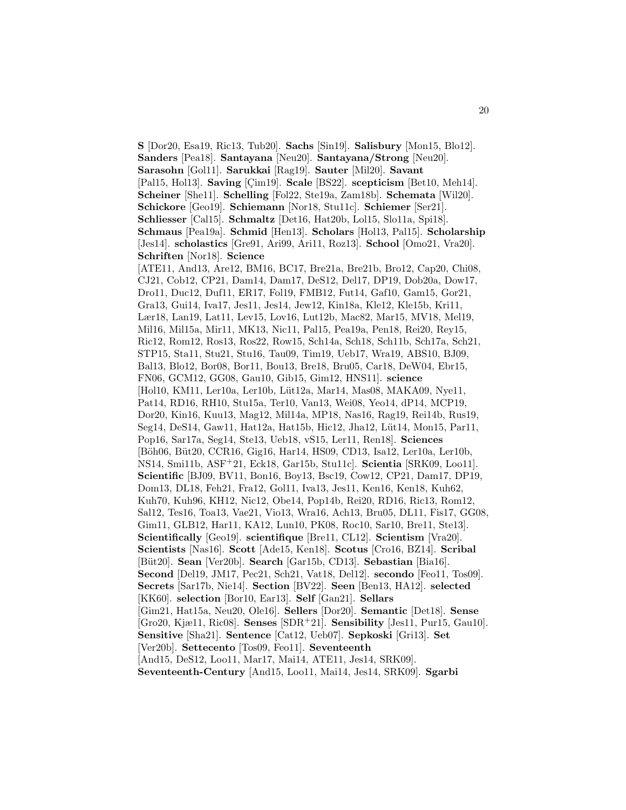**S** [Dor20, Esa19, Ric13, Tub20]. **Sachs** [Sin19]. **Salisbury** [Mon15, Blo12]. **Sanders** [Pea18]. **Santayana** [Neu20]. **Santayana/Strong** [Neu20]. **Sarasohn** [Gol11]. **Sarukkai** [Rag19]. **Sauter** [Mil20]. **Savant** [Pal15, Hol13]. **Saving** [Cim19]. **Scale** [BS22]. **scepticism** [Bet10, Meh14]. **Scheiner** [She11]. **Schelling** [Fol22, Ste19a, Zam18b]. **Schemata** [Wil20]. **Schickore** [Geo19]. **Schiemann** [Nor18, Stu11c]. **Schiemer** [Ser21]. **Schliesser** [Cal15]. **Schmaltz** [Det16, Hat20b, Lol15, Slo11a, Spi18]. **Schmaus** [Pea19a]. **Schmid** [Hen13]. **Scholars** [Hol13, Pal15]. **Scholarship** [Jes14]. **scholastics** [Gre91, Ari99, Ari11, Roz13]. **School** [Omo21, Vra20]. **Schriften** [Nor18]. **Science** [ATE11, And13, Are12, BM16, BC17, Bre21a, Bre21b, Bro12, Cap20, Chi08, CJ21, Cob12, CP21, Dam14, Dam17, DeS12, Del17, DP19, Dob20a, Dow17, Dro11, Duc12, Duf11, ER17, Fol19, FMB12, Fut14, Gaf10, Gam15, Gor21, Gra13, Gui14, Iva17, Jes11, Jes14, Jew12, Kin18a, Kle12, Kle15b, Kri11, Lær18, Lan19, Lat11, Lev15, Lov16, Lut12b, Mac82, Mar15, MV18, Mel19, Mil16, Mil15a, Mir11, MK13, Nic11, Pal15, Pea19a, Pen18, Rei20, Rey15, Ric12, Rom12, Ros13, Ros22, Row15, Sch14a, Sch18, Sch11b, Sch17a, Sch21, STP15, Sta11, Stu21, Stu16, Tau09, Tim19, Ueb17, Wra19, ABS10, BJ09, Bal13, Blo12, Bor08, Bor11, Bou13, Bre18, Bru05, Car18, DeW04, Ebr15, FN06, GCM12, GG08, Gau10, Gib15, Gim12, HNS11]. **science** [Hol10, KM11, Ler10a, Ler10b, Lüt12a, Mar14, Mas08, MAKA09, Nye11, Pat14, RD16, RH10, Stu15a, Ter10, Van13, Wei08, Yeo14, dP14, MCP19, Dor20, Kin16, Kuu13, Mag12, Mil14a, MP18, Nas16, Rag19, Rei14b, Rus19, Seg14, DeS14, Gaw11, Hat12a, Hat15b, Hic12, Jha12, Lüt14, Mon15, Par11, Pop16, Sar17a, Seg14, Ste13, Ueb18, vS15, Ler11, Ren18]. **Sciences** [Böh06, Büt20, CCR16, Gig16, Har14, HS09, CD13, Isa12, Ler10a, Ler10b, NS14, Smi11b, ASF<sup>+</sup>21, Eck18, Gar15b, Stu11c]. **Scientia** [SRK09, Loo11]. **Scientific** [BJ09, BV11, Bon16, Boy13, Bsc19, Cow12, CP21, Dam17, DP19, Dom13, DL18, Feh21, Fra12, Gol11, Iva13, Jes11, Ken16, Ken18, Kuh62, Kuh70, Kuh96, KH12, Nic12, Obe14, Pop14b, Rei20, RD16, Ric13, Rom12, Sal12, Tes16, Toa13, Vae21, Vio13, Wra16, Ach13, Bru05, DL11, Fis17, GG08, Gim11, GLB12, Har11, KA12, Lun10, PK08, Roc10, Sar10, Bre11, Ste13]. **Scientifically** [Geo19]. **scientifique** [Bre11, CL12]. **Scientism** [Vra20]. **Scientists** [Nas16]. **Scott** [Ade15, Ken18]. **Scotus** [Cro16, BZ14]. **Scribal** [B¨ut20]. **Sean** [Ver20b]. **Search** [Gar15b, CD13]. **Sebastian** [Bia16]. **Second** [Del19, JM17, Pec21, Sch21, Vat18, Del12]. **secondo** [Feo11, Tos09]. **Secrets** [Sar17b, Nie14]. **Section** [BV22]. **Seen** [Ben13, HA12]. **selected** [KK60]. **selection** [Bor10, Ear13]. **Self** [Gan21]. **Sellars** [Gim21, Hat15a, Neu20, Ole16]. **Sellers** [Dor20]. **Semantic** [Det18]. **Sense** [Gro20, Kjæ11, Ric08]. **Senses** [SDR<sup>+</sup>21]. **Sensibility** [Jes11, Pur15, Gau10]. **Sensitive** [Sha21]. **Sentence** [Cat12, Ueb07]. **Sepkoski** [Gri13]. **Set** [Ver20b]. **Settecento** [Tos09, Feo11]. **Seventeenth** [And15, DeS12, Loo11, Mar17, Mai14, ATE11, Jes14, SRK09]. **Seventeenth-Century** [And15, Loo11, Mai14, Jes14, SRK09]. **Sgarbi**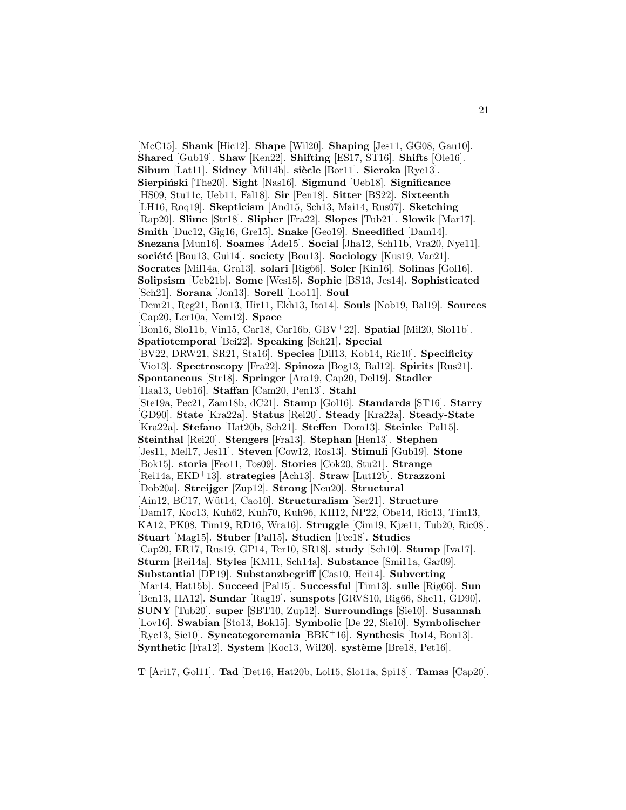[McC15]. **Shank** [Hic12]. **Shape** [Wil20]. **Shaping** [Jes11, GG08, Gau10]. **Shared** [Gub19]. **Shaw** [Ken22]. **Shifting** [ES17, ST16]. **Shifts** [Ole16]. **Sibum** [Lat11]. **Sidney** [Mil14b]. **siècle** [Bor11]. **Sieroka** [Ryc13]. **Sierpiński** [The20]. **Sight** [Nas16]. **Sigmund** [Ueb18]. **Significance** [HS09, Stu11c, Ueb11, Fal18]. **Sir** [Pen18]. **Sitter** [BS22]. **Sixteenth** [LH16, Roq19]. **Skepticism** [And15, Sch13, Mai14, Rus07]. **Sketching** [Rap20]. **Slime** [Str18]. **Slipher** [Fra22]. **Slopes** [Tub21]. **Slowik** [Mar17]. **Smith** [Duc12, Gig16, Gre15]. **Snake** [Geo19]. **Sneedified** [Dam14]. **Snezana** [Mun16]. **Soames** [Ade15]. **Social** [Jha12, Sch11b, Vra20, Nye11]. **société** [Bou13, Gui14]. **society** [Bou13]. **Sociology** [Kus19, Vae21]. **Socrates** [Mil14a, Gra13]. **solari** [Rig66]. **Soler** [Kin16]. **Solinas** [Gol16]. **Solipsism** [Ueb21b]. **Some** [Wes15]. **Sophie** [BS13, Jes14]. **Sophisticated** [Sch21]. **Sorana** [Jon13]. **Sorell** [Loo11]. **Soul** [Dem21, Reg21, Bon13, Hir11, Ekh13, Ito14]. **Souls** [Nob19, Bal19]. **Sources** [Cap20, Ler10a, Nem12]. **Space** [Bon16, Slo11b, Vin15, Car18, Car16b, GBV<sup>+</sup>22]. **Spatial** [Mil20, Slo11b]. **Spatiotemporal** [Bei22]. **Speaking** [Sch21]. **Special** [BV22, DRW21, SR21, Sta16]. **Species** [Dil13, Kob14, Ric10]. **Specificity** [Vio13]. **Spectroscopy** [Fra22]. **Spinoza** [Bog13, Bal12]. **Spirits** [Rus21]. **Spontaneous** [Str18]. **Springer** [Ara19, Cap20, Del19]. **Stadler** [Haa13, Ueb16]. **Staffan** [Cam20, Pen13]. **Stahl** [Ste19a, Pec21, Zam18b, dC21]. **Stamp** [Gol16]. **Standards** [ST16]. **Starry** [GD90]. **State** [Kra22a]. **Status** [Rei20]. **Steady** [Kra22a]. **Steady-State** [Kra22a]. **Stefano** [Hat20b, Sch21]. **Steffen** [Dom13]. **Steinke** [Pal15]. **Steinthal** [Rei20]. **Stengers** [Fra13]. **Stephan** [Hen13]. **Stephen** [Jes11, Mel17, Jes11]. **Steven** [Cow12, Ros13]. **Stimuli** [Gub19]. **Stone** [Bok15]. **storia** [Feo11, Tos09]. **Stories** [Cok20, Stu21]. **Strange** [Rei14a, EKD<sup>+</sup>13]. **strategies** [Ach13]. **Straw** [Lut12b]. **Strazzoni** [Dob20a]. **Streijger** [Zup12]. **Strong** [Neu20]. **Structural** [Ain12, BC17, W¨ut14, Cao10]. **Structuralism** [Ser21]. **Structure** [Dam17, Koc13, Kuh62, Kuh70, Kuh96, KH12, NP22, Obe14, Ric13, Tim13, KA12, PK08, Tim19, RD16, Wra16. **Struggle** [Cim19, Kjæ11, Tub20, Ric08]. **Stuart** [Mag15]. **Stuber** [Pal15]. **Studien** [Fee18]. **Studies** [Cap20, ER17, Rus19, GP14, Ter10, SR18]. **study** [Sch10]. **Stump** [Iva17]. **Sturm** [Rei14a]. **Styles** [KM11, Sch14a]. **Substance** [Smi11a, Gar09]. **Substantial** [DP19]. **Substanzbegriff** [Cas10, Hei14]. **Subverting** [Mar14, Hat15b]. **Succeed** [Pal15]. **Successful** [Tim13]. **sulle** [Rig66]. **Sun** [Ben13, HA12]. **Sundar** [Rag19]. **sunspots** [GRVS10, Rig66, She11, GD90]. **SUNY** [Tub20]. **super** [SBT10, Zup12]. **Surroundings** [Sie10]. **Susannah** [Lov16]. **Swabian** [Sto13, Bok15]. **Symbolic** [De 22, Sie10]. **Symbolischer** [Ryc13, Sie10]. **Syncategoremania** [BBK<sup>+</sup>16]. **Synthesis** [Ito14, Bon13]. **Synthetic** [Fra12]. **System** [Koc13, Wil20]. **système** [Bre18, Pet16].

**T** [Ari17, Gol11]. **Tad** [Det16, Hat20b, Lol15, Slo11a, Spi18]. **Tamas** [Cap20].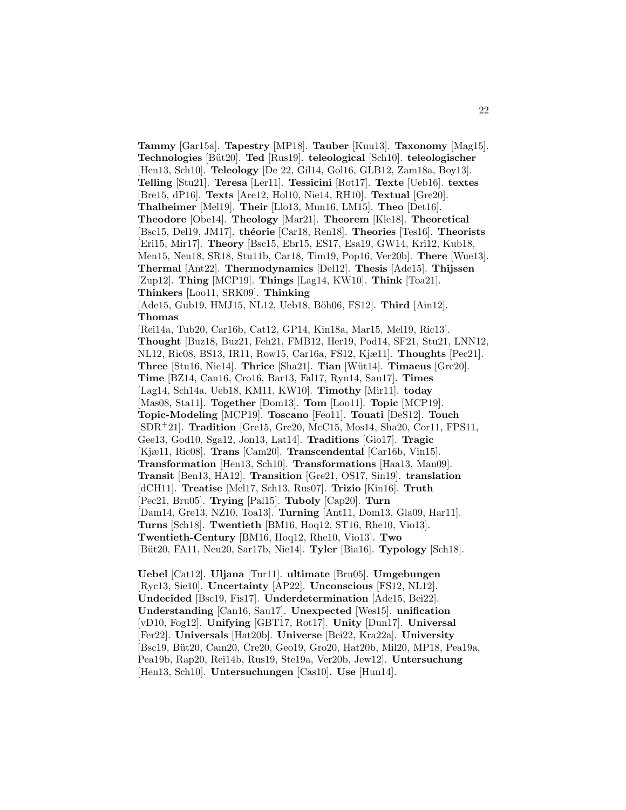**Tammy** [Gar15a]. **Tapestry** [MP18]. **Tauber** [Kuu13]. **Taxonomy** [Mag15]. **Technologies** [B¨ut20]. **Ted** [Rus19]. **teleological** [Sch10]. **teleologischer** [Hen13, Sch10]. **Teleology** [De 22, Gil14, Gol16, GLB12, Zam18a, Boy13]. **Telling** [Stu21]. **Teresa** [Ler11]. **Tessicini** [Rot17]. **Texte** [Ueb16]. **textes** [Bre15, dP16]. **Texts** [Are12, Hol10, Nie14, RH10]. **Textual** [Gre20]. **Thalheimer** [Mel19]. **Their** [Llo13, Mun16, LM15]. **Theo** [Det16]. **Theodore** [Obe14]. **Theology** [Mar21]. **Theorem** [Kle18]. **Theoretical** [Bsc15, Del19, JM17]. **th´eorie** [Car18, Ren18]. **Theories** [Tes16]. **Theorists** [Eri15, Mir17]. **Theory** [Bsc15, Ebr15, ES17, Esa19, GW14, Kri12, Kub18, Men15, Neu18, SR18, Stu11b, Car18, Tim19, Pop16, Ver20b]. **There** [Wue13]. **Thermal** [Ant22]. **Thermodynamics** [Del12]. **Thesis** [Ade15]. **Thijssen** [Zup12]. **Thing** [MCP19]. **Things** [Lag14, KW10]. **Think** [Toa21]. **Thinkers** [Loo11, SRK09]. **Thinking** [Ade15, Gub19, HMJ15, NL12, Ueb18, Böh06, FS12]. **Third** [Ain12]. **Thomas** [Rei14a, Tub20, Car16b, Cat12, GP14, Kin18a, Mar15, Mel19, Ric13]. **Thought** [Buz18, Buz21, Feh21, FMB12, Her19, Pod14, SF21, Stu21, LNN12, NL12, Ric08, BS13, IR11, Row15, Car16a, FS12, Kjæ11]. **Thoughts** [Pec21]. **Three** [Stu16, Nie14]. **Thrice** [Sha21]. **Tian** [W¨ut14]. **Timaeus** [Gre20]. **Time** [BZ14, Can16, Cro16, Bar13, Fal17, Ryn14, Sau17]. **Times** [Lag14, Sch14a, Ueb18, KM11, KW10]. **Timothy** [Mir11]. **today** [Mas08, Sta11]. **Together** [Dom13]. **Tom** [Loo11]. **Topic** [MCP19]. **Topic-Modeling** [MCP19]. **Toscano** [Feo11]. **Touati** [DeS12]. **Touch** [SDR<sup>+</sup>21]. **Tradition** [Gre15, Gre20, McC15, Mos14, Sha20, Cor11, FPS11, Gee13, God10, Sga12, Jon13, Lat14]. **Traditions** [Gio17]. **Tragic** [Kjæ11, Ric08]. **Trans** [Cam20]. **Transcendental** [Car16b, Vin15]. **Transformation** [Hen13, Sch10]. **Transformations** [Haa13, Man09]. **Transit** [Ben13, HA12]. **Transition** [Gre21, OS17, Sin19]. **translation** [dCH11]. **Treatise** [Mel17, Sch13, Rus07]. **Trizio** [Kin16]. **Truth** [Pec21, Bru05]. **Trying** [Pal15]. **Tuboly** [Cap20]. **Turn** [Dam14, Gre13, NZ10, Toa13]. **Turning** [Ant11, Dom13, Gla09, Har11]. **Turns** [Sch18]. **Twentieth** [BM16, Hoq12, ST16, Rhe10, Vio13]. **Twentieth-Century** [BM16, Hoq12, Rhe10, Vio13]. **Two** [B¨ut20, FA11, Neu20, Sar17b, Nie14]. **Tyler** [Bia16]. **Typology** [Sch18].

**Uebel** [Cat12]. **Uljana** [Tur11]. **ultimate** [Bru05]. **Umgebungen** [Ryc13, Sie10]. **Uncertainty** [AP22]. **Unconscious** [FS12, NL12]. **Undecided** [Bsc19, Fis17]. **Underdetermination** [Ade15, Bei22]. **Understanding** [Can16, Sau17]. **Unexpected** [Wes15]. **unification** [vD10, Fog12]. **Unifying** [GBT17, Rot17]. **Unity** [Dun17]. **Universal** [Fer22]. **Universals** [Hat20b]. **Universe** [Bei22, Kra22a]. **University** [Bsc19, Büt20, Cam20, Cre20, Geo19, Gro20, Hat20b, Mil20, MP18, Pea19a, Pea19b, Rap20, Rei14b, Rus19, Ste19a, Ver20b, Jew12]. **Untersuchung** [Hen13, Sch10]. **Untersuchungen** [Cas10]. **Use** [Hun14].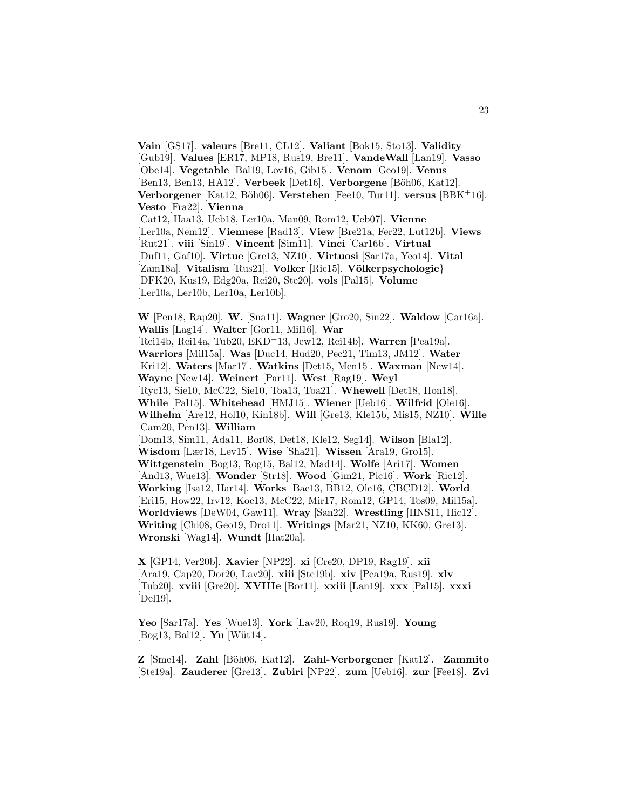**Vain** [GS17]. **valeurs** [Bre11, CL12]. **Valiant** [Bok15, Sto13]. **Validity** [Gub19]. **Values** [ER17, MP18, Rus19, Bre11]. **VandeWall** [Lan19]. **Vasso** [Obe14]. **Vegetable** [Bal19, Lov16, Gib15]. **Venom** [Geo19]. **Venus** [Ben13, Ben13, HA12]. **Verbeek** [Det16]. **Verborgene** [Böh06, Kat12]. **Verborgener** [Kat12, Böh06]. **Verstehen** [Fee10, Tur11]. **versus** [BBK+16]. **Vesto** [Fra22]. **Vienna** [Cat12, Haa13, Ueb18, Ler10a, Man09, Rom12, Ueb07]. **Vienne** [Ler10a, Nem12]. **Viennese** [Rad13]. **View** [Bre21a, Fer22, Lut12b]. **Views** [Rut21]. **viii** [Sin19]. **Vincent** [Sim11]. **Vinci** [Car16b]. **Virtual** [Duf11, Gaf10]. **Virtue** [Gre13, NZ10]. **Virtuosi** [Sar17a, Yeo14]. **Vital** [Zam18a]. **Vitalism** [Rus21]. **Volker** [Ric15]. **V¨olkerpsychologie**} [DFK20, Kus19, Edg20a, Rei20, Ste20]. **vols** [Pal15]. **Volume** [Ler10a, Ler10b, Ler10a, Ler10b].

**W** [Pen18, Rap20]. **W.** [Sna11]. **Wagner** [Gro20, Sin22]. **Waldow** [Car16a]. **Wallis** [Lag14]. **Walter** [Gor11, Mil16]. **War** [Rei14b, Rei14a, Tub20, EKD<sup>+</sup>13, Jew12, Rei14b]. **Warren** [Pea19a]. **Warriors** [Mil15a]. **Was** [Duc14, Hud20, Pec21, Tim13, JM12]. **Water** [Kri12]. **Waters** [Mar17]. **Watkins** [Det15, Men15]. **Waxman** [New14]. **Wayne** [New14]. **Weinert** [Par11]. **West** [Rag19]. **Weyl** [Ryc13, Sie10, McC22, Sie10, Toa13, Toa21]. **Whewell** [Det18, Hon18]. **While** [Pal15]. **Whitehead** [HMJ15]. **Wiener** [Ueb16]. **Wilfrid** [Ole16]. **Wilhelm** [Are12, Hol10, Kin18b]. **Will** [Gre13, Kle15b, Mis15, NZ10]. **Wille** [Cam20, Pen13]. **William** [Dom13, Sim11, Ada11, Bor08, Det18, Kle12, Seg14]. **Wilson** [Bla12]. **Wisdom** [Lær18, Lev15]. **Wise** [Sha21]. **Wissen** [Ara19, Gro15]. **Wittgenstein** [Bog13, Rog15, Bal12, Mad14]. **Wolfe** [Ari17]. **Women** [And13, Wue13]. **Wonder** [Str18]. **Wood** [Gim21, Pic16]. **Work** [Ric12]. **Working** [Isa12, Har14]. **Works** [Bac13, BB12, Ole16, CBCD12]. **World** [Eri15, How22, Irv12, Koc13, McC22, Mir17, Rom12, GP14, Tos09, Mil15a]. **Worldviews** [DeW04, Gaw11]. **Wray** [San22]. **Wrestling** [HNS11, Hic12]. **Writing** [Chi08, Geo19, Dro11]. **Writings** [Mar21, NZ10, KK60, Gre13]. **Wronski** [Wag14]. **Wundt** [Hat20a].

**X** [GP14, Ver20b]. **Xavier** [NP22]. **xi** [Cre20, DP19, Rag19]. **xii** [Ara19, Cap20, Dor20, Lav20]. **xiii** [Ste19b]. **xiv** [Pea19a, Rus19]. **xlv** [Tub20]. **xviii** [Gre20]. **XVIIIe** [Bor11]. **xxiii** [Lan19]. **xxx** [Pal15]. **xxxi** [Del19].

**Yeo** [Sar17a]. **Yes** [Wue13]. **York** [Lav20, Roq19, Rus19]. **Young** [Bog13, Bal12]. **Yu** [Wüt14].

**Z** [Sme14]. **Zahl** [B¨oh06, Kat12]. **Zahl-Verborgener** [Kat12]. **Zammito** [Ste19a]. **Zauderer** [Gre13]. **Zubiri** [NP22]. **zum** [Ueb16]. **zur** [Fee18]. **Zvi**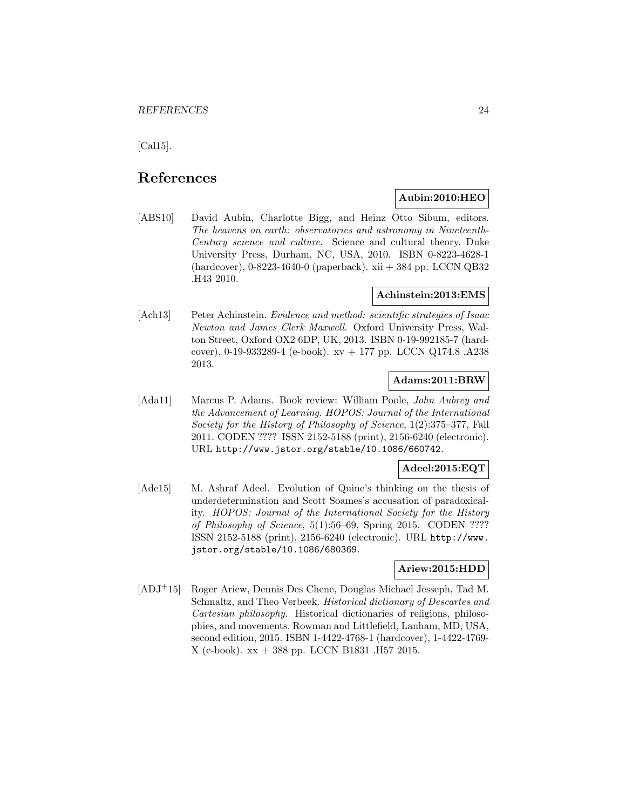[Cal15].

# **References**

# **Aubin:2010:HEO**

[ABS10] David Aubin, Charlotte Bigg, and Heinz Otto Sibum, editors. The heavens on earth: observatories and astronomy in Nineteenth-Century science and culture. Science and cultural theory. Duke University Press, Durham, NC, USA, 2010. ISBN 0-8223-4628-1 (hardcover), 0-8223-4640-0 (paperback). xii + 384 pp. LCCN QB32 .H43 2010.

# **Achinstein:2013:EMS**

[Ach13] Peter Achinstein. Evidence and method: scientific strategies of Isaac Newton and James Clerk Maxwell. Oxford University Press, Walton Street, Oxford OX2 6DP, UK, 2013. ISBN 0-19-992185-7 (hardcover), 0-19-933289-4 (e-book). xv + 177 pp. LCCN Q174.8 .A238 2013.

# **Adams:2011:BRW**

[Ada11] Marcus P. Adams. Book review: William Poole, John Aubrey and the Advancement of Learning. HOPOS: Journal of the International Society for the History of Philosophy of Science, 1(2):375–377, Fall 2011. CODEN ???? ISSN 2152-5188 (print), 2156-6240 (electronic). URL http://www.jstor.org/stable/10.1086/660742.

# **Adeel:2015:EQT**

[Ade15] M. Ashraf Adeel. Evolution of Quine's thinking on the thesis of underdetermination and Scott Soames's accusation of paradoxicality. HOPOS: Journal of the International Society for the History of Philosophy of Science, 5(1):56–69, Spring 2015. CODEN ???? ISSN 2152-5188 (print), 2156-6240 (electronic). URL http://www. jstor.org/stable/10.1086/680369.

#### **Ariew:2015:HDD**

[ADJ<sup>+</sup>15] Roger Ariew, Dennis Des Chene, Douglas Michael Jesseph, Tad M. Schmaltz, and Theo Verbeek. *Historical dictionary of Descartes and* Cartesian philosophy. Historical dictionaries of religions, philosophies, and movements. Rowman and Littlefield, Lanham, MD, USA, second edition, 2015. ISBN 1-4422-4768-1 (hardcover), 1-4422-4769- X (e-book). xx + 388 pp. LCCN B1831 .H57 2015.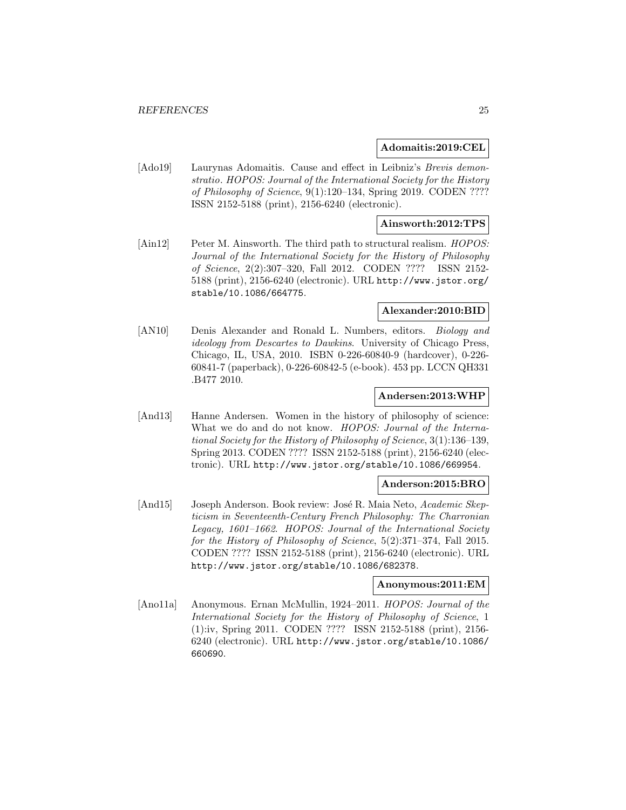#### **Adomaitis:2019:CEL**

[Ado19] Laurynas Adomaitis. Cause and effect in Leibniz's Brevis demonstratio. HOPOS: Journal of the International Society for the History of Philosophy of Science, 9(1):120–134, Spring 2019. CODEN ???? ISSN 2152-5188 (print), 2156-6240 (electronic).

# **Ainsworth:2012:TPS**

[Ain12] Peter M. Ainsworth. The third path to structural realism. HOPOS: Journal of the International Society for the History of Philosophy of Science, 2(2):307–320, Fall 2012. CODEN ???? ISSN 2152- 5188 (print), 2156-6240 (electronic). URL http://www.jstor.org/ stable/10.1086/664775.

#### **Alexander:2010:BID**

[AN10] Denis Alexander and Ronald L. Numbers, editors. Biology and ideology from Descartes to Dawkins. University of Chicago Press, Chicago, IL, USA, 2010. ISBN 0-226-60840-9 (hardcover), 0-226- 60841-7 (paperback), 0-226-60842-5 (e-book). 453 pp. LCCN QH331 .B477 2010.

#### **Andersen:2013:WHP**

[And13] Hanne Andersen. Women in the history of philosophy of science: What we do and do not know. HOPOS: Journal of the International Society for the History of Philosophy of Science, 3(1):136–139, Spring 2013. CODEN ???? ISSN 2152-5188 (print), 2156-6240 (electronic). URL http://www.jstor.org/stable/10.1086/669954.

#### **Anderson:2015:BRO**

[And15] Joseph Anderson. Book review: José R. Maia Neto, Academic Skepticism in Seventeenth-Century French Philosophy: The Charronian Legacy, 1601–1662. HOPOS: Journal of the International Society for the History of Philosophy of Science, 5(2):371–374, Fall 2015. CODEN ???? ISSN 2152-5188 (print), 2156-6240 (electronic). URL http://www.jstor.org/stable/10.1086/682378.

#### **Anonymous:2011:EM**

[Ano11a] Anonymous. Ernan McMullin, 1924–2011. HOPOS: Journal of the International Society for the History of Philosophy of Science, 1 (1):iv, Spring 2011. CODEN ???? ISSN 2152-5188 (print), 2156- 6240 (electronic). URL http://www.jstor.org/stable/10.1086/ 660690.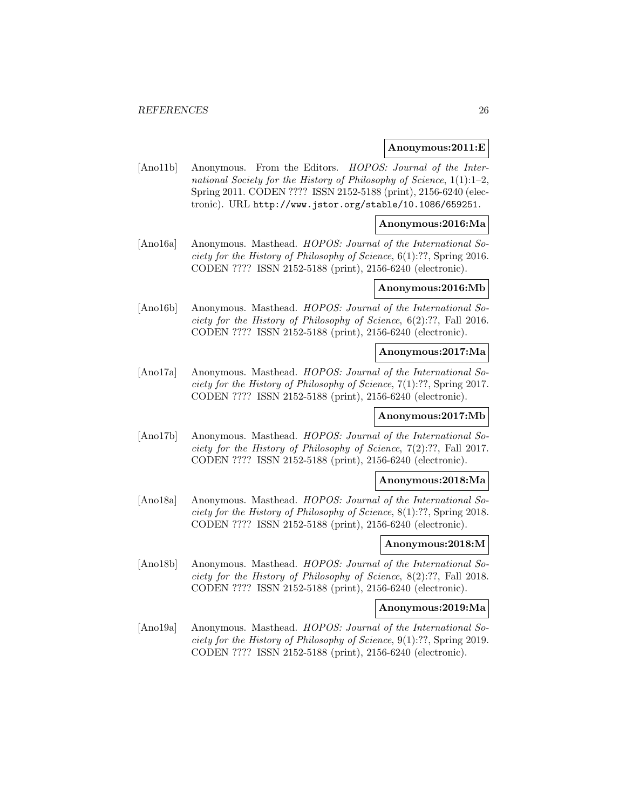#### **Anonymous:2011:E**

[Ano11b] Anonymous. From the Editors. HOPOS: Journal of the International Society for the History of Philosophy of Science, 1(1):1–2, Spring 2011. CODEN ???? ISSN 2152-5188 (print), 2156-6240 (electronic). URL http://www.jstor.org/stable/10.1086/659251.

#### **Anonymous:2016:Ma**

[Ano16a] Anonymous. Masthead. HOPOS: Journal of the International Society for the History of Philosophy of Science, 6(1):??, Spring 2016. CODEN ???? ISSN 2152-5188 (print), 2156-6240 (electronic).

#### **Anonymous:2016:Mb**

[Ano16b] Anonymous. Masthead. HOPOS: Journal of the International Society for the History of Philosophy of Science, 6(2):??, Fall 2016. CODEN ???? ISSN 2152-5188 (print), 2156-6240 (electronic).

#### **Anonymous:2017:Ma**

[Ano17a] Anonymous. Masthead. HOPOS: Journal of the International Society for the History of Philosophy of Science, 7(1):??, Spring 2017. CODEN ???? ISSN 2152-5188 (print), 2156-6240 (electronic).

#### **Anonymous:2017:Mb**

[Ano17b] Anonymous. Masthead. HOPOS: Journal of the International Society for the History of Philosophy of Science, 7(2):??, Fall 2017. CODEN ???? ISSN 2152-5188 (print), 2156-6240 (electronic).

#### **Anonymous:2018:Ma**

[Ano18a] Anonymous. Masthead. HOPOS: Journal of the International Society for the History of Philosophy of Science, 8(1):??, Spring 2018. CODEN ???? ISSN 2152-5188 (print), 2156-6240 (electronic).

#### **Anonymous:2018:M**

[Ano18b] Anonymous. Masthead. HOPOS: Journal of the International Society for the History of Philosophy of Science, 8(2):??, Fall 2018. CODEN ???? ISSN 2152-5188 (print), 2156-6240 (electronic).

# **Anonymous:2019:Ma**

[Ano19a] Anonymous. Masthead. HOPOS: Journal of the International Society for the History of Philosophy of Science, 9(1):??, Spring 2019. CODEN ???? ISSN 2152-5188 (print), 2156-6240 (electronic).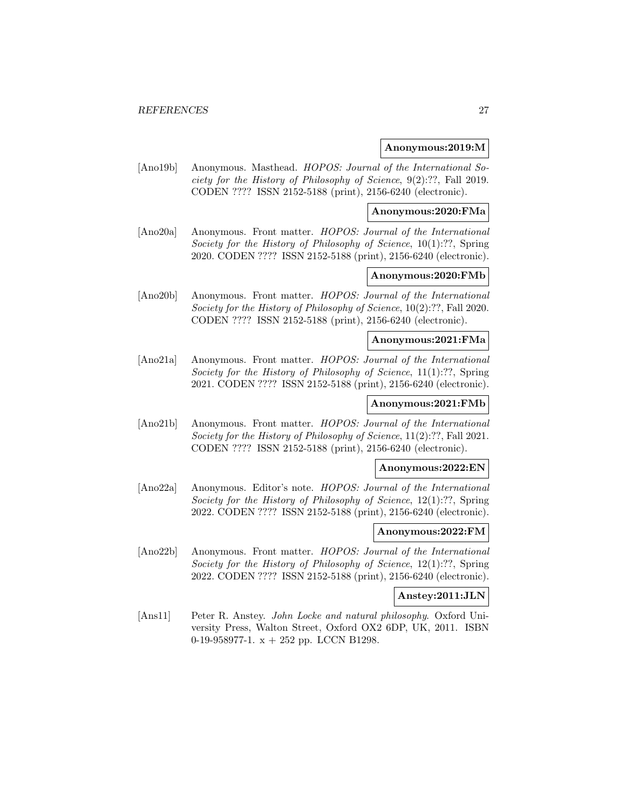#### **Anonymous:2019:M**

[Ano19b] Anonymous. Masthead. HOPOS: Journal of the International Society for the History of Philosophy of Science, 9(2):??, Fall 2019. CODEN ???? ISSN 2152-5188 (print), 2156-6240 (electronic).

#### **Anonymous:2020:FMa**

[Ano20a] Anonymous. Front matter. HOPOS: Journal of the International Society for the History of Philosophy of Science, 10(1):??, Spring 2020. CODEN ???? ISSN 2152-5188 (print), 2156-6240 (electronic).

### **Anonymous:2020:FMb**

[Ano20b] Anonymous. Front matter. HOPOS: Journal of the International Society for the History of Philosophy of Science, 10(2):??, Fall 2020. CODEN ???? ISSN 2152-5188 (print), 2156-6240 (electronic).

#### **Anonymous:2021:FMa**

[Ano21a] Anonymous. Front matter. *HOPOS: Journal of the International* Society for the History of Philosophy of Science, 11(1):??, Spring 2021. CODEN ???? ISSN 2152-5188 (print), 2156-6240 (electronic).

# **Anonymous:2021:FMb**

[Ano21b] Anonymous. Front matter. HOPOS: Journal of the International Society for the History of Philosophy of Science, 11(2):??, Fall 2021. CODEN ???? ISSN 2152-5188 (print), 2156-6240 (electronic).

#### **Anonymous:2022:EN**

[Ano22a] Anonymous. Editor's note. HOPOS: Journal of the International Society for the History of Philosophy of Science, 12(1):??, Spring 2022. CODEN ???? ISSN 2152-5188 (print), 2156-6240 (electronic).

#### **Anonymous:2022:FM**

[Ano22b] Anonymous. Front matter. HOPOS: Journal of the International Society for the History of Philosophy of Science, 12(1):??, Spring 2022. CODEN ???? ISSN 2152-5188 (print), 2156-6240 (electronic).

#### **Anstey:2011:JLN**

[Ans11] Peter R. Anstey. John Locke and natural philosophy. Oxford University Press, Walton Street, Oxford OX2 6DP, UK, 2011. ISBN 0-19-958977-1. x + 252 pp. LCCN B1298.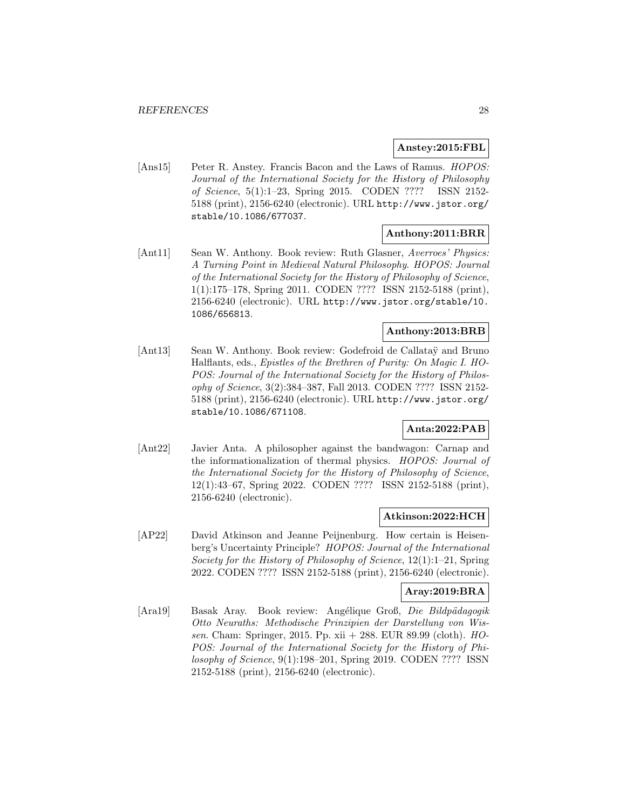# **Anstey:2015:FBL**

[Ans15] Peter R. Anstey. Francis Bacon and the Laws of Ramus. HOPOS: Journal of the International Society for the History of Philosophy of Science, 5(1):1–23, Spring 2015. CODEN ???? ISSN 2152- 5188 (print), 2156-6240 (electronic). URL http://www.jstor.org/ stable/10.1086/677037.

# **Anthony:2011:BRR**

[Ant11] Sean W. Anthony. Book review: Ruth Glasner, Averroes' Physics: A Turning Point in Medieval Natural Philosophy. HOPOS: Journal of the International Society for the History of Philosophy of Science, 1(1):175–178, Spring 2011. CODEN ???? ISSN 2152-5188 (print), 2156-6240 (electronic). URL http://www.jstor.org/stable/10. 1086/656813.

#### **Anthony:2013:BRB**

[Ant13] Sean W. Anthony. Book review: Godefroid de Callatay and Bruno Halflants, eds., Epistles of the Brethren of Purity: On Magic I. HO-POS: Journal of the International Society for the History of Philosophy of Science, 3(2):384–387, Fall 2013. CODEN ???? ISSN 2152- 5188 (print), 2156-6240 (electronic). URL http://www.jstor.org/ stable/10.1086/671108.

#### **Anta:2022:PAB**

[Ant22] Javier Anta. A philosopher against the bandwagon: Carnap and the informationalization of thermal physics. HOPOS: Journal of the International Society for the History of Philosophy of Science, 12(1):43–67, Spring 2022. CODEN ???? ISSN 2152-5188 (print), 2156-6240 (electronic).

#### **Atkinson:2022:HCH**

[AP22] David Atkinson and Jeanne Peijnenburg. How certain is Heisenberg's Uncertainty Principle? HOPOS: Journal of the International Society for the History of Philosophy of Science, 12(1):1–21, Spring 2022. CODEN ???? ISSN 2152-5188 (print), 2156-6240 (electronic).

# **Aray:2019:BRA**

[Ara19] Basak Aray. Book review: Angélique Groß, Die Bildpädagogik Otto Neuraths: Methodische Prinzipien der Darstellung von Wissen. Cham: Springer, 2015. Pp. xii + 288. EUR 89.99 (cloth). HO-POS: Journal of the International Society for the History of Philosophy of Science, 9(1):198–201, Spring 2019. CODEN ???? ISSN 2152-5188 (print), 2156-6240 (electronic).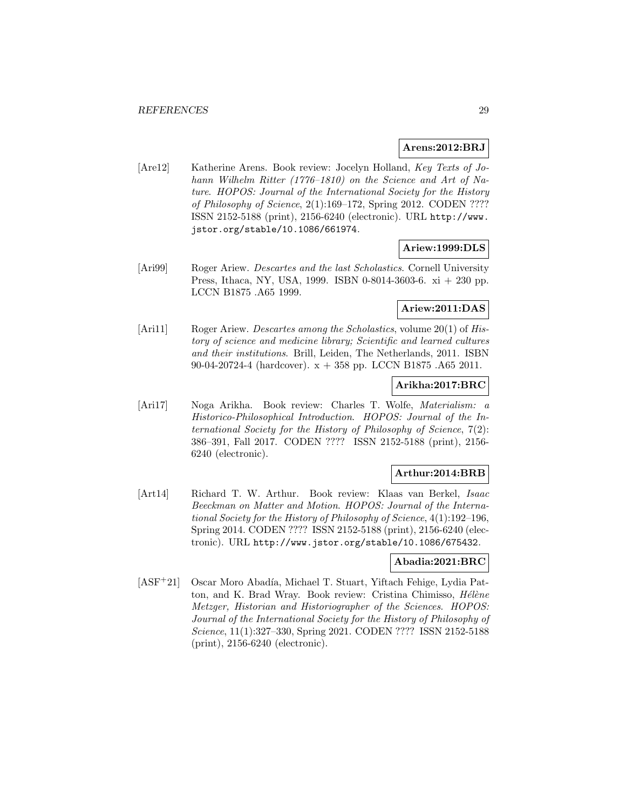## **Arens:2012:BRJ**

[Are12] Katherine Arens. Book review: Jocelyn Holland, Key Texts of Johann Wilhelm Ritter (1776–1810) on the Science and Art of Nature. HOPOS: Journal of the International Society for the History of Philosophy of Science, 2(1):169–172, Spring 2012. CODEN ???? ISSN 2152-5188 (print), 2156-6240 (electronic). URL http://www. jstor.org/stable/10.1086/661974.

# **Ariew:1999:DLS**

[Ari99] Roger Ariew. *Descartes and the last Scholastics*. Cornell University Press, Ithaca, NY, USA, 1999. ISBN 0-8014-3603-6. xi + 230 pp. LCCN B1875 .A65 1999.

# **Ariew:2011:DAS**

[Ari11] Roger Ariew. *Descartes among the Scholastics*, volume 20(1) of *His*tory of science and medicine library; Scientific and learned cultures and their institutions. Brill, Leiden, The Netherlands, 2011. ISBN 90-04-20724-4 (hardcover). x + 358 pp. LCCN B1875 .A65 2011.

#### **Arikha:2017:BRC**

[Ari17] Noga Arikha. Book review: Charles T. Wolfe, Materialism: a Historico-Philosophical Introduction. HOPOS: Journal of the International Society for the History of Philosophy of Science, 7(2): 386–391, Fall 2017. CODEN ???? ISSN 2152-5188 (print), 2156- 6240 (electronic).

#### **Arthur:2014:BRB**

[Art14] Richard T. W. Arthur. Book review: Klaas van Berkel, Isaac Beeckman on Matter and Motion. HOPOS: Journal of the International Society for the History of Philosophy of Science, 4(1):192–196, Spring 2014. CODEN ???? ISSN 2152-5188 (print), 2156-6240 (electronic). URL http://www.jstor.org/stable/10.1086/675432.

#### **Abadia:2021:BRC**

[ASF<sup>+</sup>21] Oscar Moro Abadía, Michael T. Stuart, Yiftach Fehige, Lydia Patton, and K. Brad Wray. Book review: Cristina Chimisso, *Hélène* Metzger, Historian and Historiographer of the Sciences. HOPOS: Journal of the International Society for the History of Philosophy of Science, 11(1):327–330, Spring 2021. CODEN ???? ISSN 2152-5188 (print), 2156-6240 (electronic).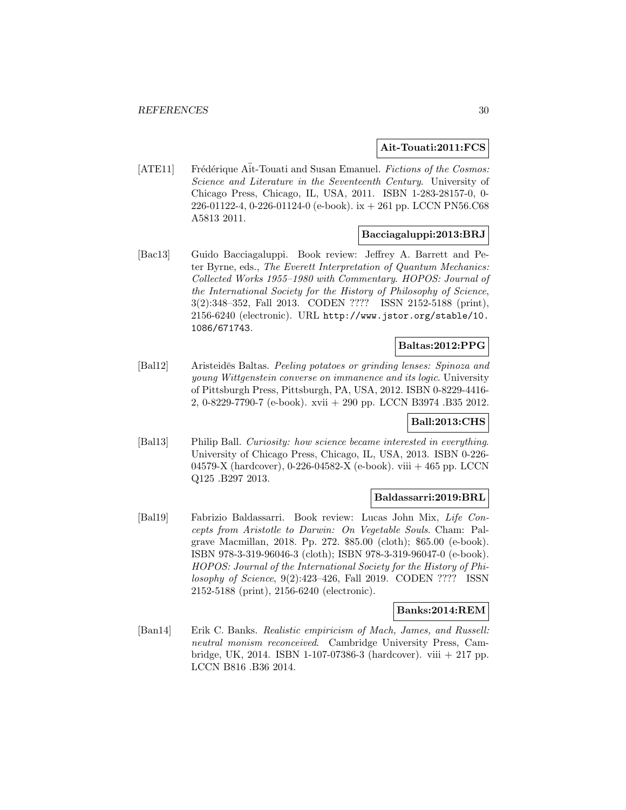#### **Ait-Touati:2011:FCS**

[ATE11] Frédérique Ait-Touati and Susan Emanuel. Fictions of the Cosmos: Science and Literature in the Seventeenth Century. University of Chicago Press, Chicago, IL, USA, 2011. ISBN 1-283-28157-0, 0- 226-01122-4, 0-226-01124-0 (e-book). ix + 261 pp. LCCN PN56.C68 A5813 2011.

# **Bacciagaluppi:2013:BRJ**

[Bac13] Guido Bacciagaluppi. Book review: Jeffrey A. Barrett and Peter Byrne, eds., The Everett Interpretation of Quantum Mechanics: Collected Works 1955–1980 with Commentary. HOPOS: Journal of the International Society for the History of Philosophy of Science, 3(2):348–352, Fall 2013. CODEN ???? ISSN 2152-5188 (print), 2156-6240 (electronic). URL http://www.jstor.org/stable/10. 1086/671743.

### **Baltas:2012:PPG**

[Bal12] Aristeides Baltas. Peeling potatoes or grinding lenses: Spinoza and young Wittgenstein converse on immanence and its logic. University of Pittsburgh Press, Pittsburgh, PA, USA, 2012. ISBN 0-8229-4416- 2, 0-8229-7790-7 (e-book). xvii + 290 pp. LCCN B3974 .B35 2012.

# **Ball:2013:CHS**

[Bal13] Philip Ball. Curiosity: how science became interested in everything. University of Chicago Press, Chicago, IL, USA, 2013. ISBN 0-226- 04579-X (hardcover), 0-226-04582-X (e-book). viii + 465 pp. LCCN Q125 .B297 2013.

#### **Baldassarri:2019:BRL**

[Bal19] Fabrizio Baldassarri. Book review: Lucas John Mix, Life Concepts from Aristotle to Darwin: On Vegetable Souls. Cham: Palgrave Macmillan, 2018. Pp. 272. \$85.00 (cloth); \$65.00 (e-book). ISBN 978-3-319-96046-3 (cloth); ISBN 978-3-319-96047-0 (e-book). HOPOS: Journal of the International Society for the History of Philosophy of Science, 9(2):423–426, Fall 2019. CODEN ???? ISSN 2152-5188 (print), 2156-6240 (electronic).

#### **Banks:2014:REM**

[Ban14] Erik C. Banks. Realistic empiricism of Mach, James, and Russell: neutral monism reconceived. Cambridge University Press, Cambridge, UK, 2014. ISBN 1-107-07386-3 (hardcover). viii  $+217$  pp. LCCN B816 .B36 2014.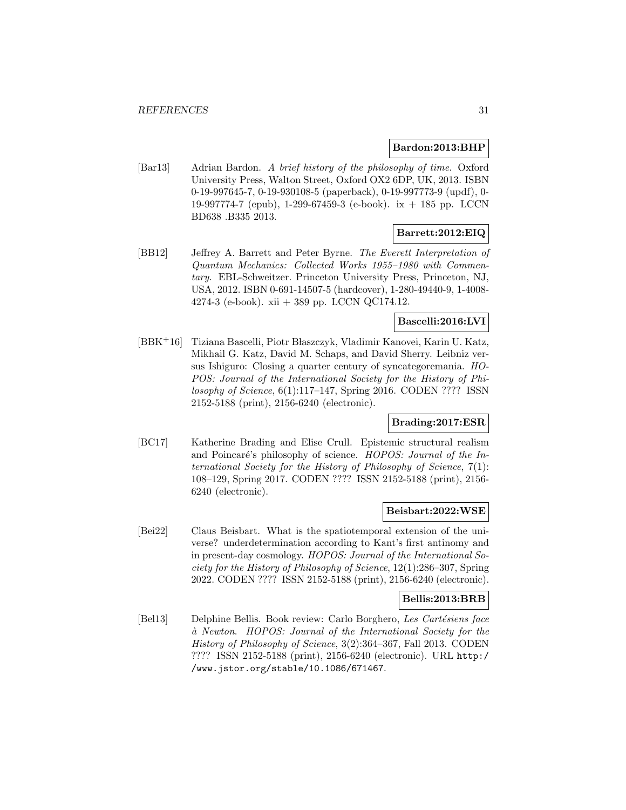#### **Bardon:2013:BHP**

[Bar13] Adrian Bardon. A brief history of the philosophy of time. Oxford University Press, Walton Street, Oxford OX2 6DP, UK, 2013. ISBN 0-19-997645-7, 0-19-930108-5 (paperback), 0-19-997773-9 (updf), 0- 19-997774-7 (epub), 1-299-67459-3 (e-book). ix + 185 pp. LCCN BD638 .B335 2013.

# **Barrett:2012:EIQ**

[BB12] Jeffrey A. Barrett and Peter Byrne. The Everett Interpretation of Quantum Mechanics: Collected Works 1955–1980 with Commentary. EBL-Schweitzer. Princeton University Press, Princeton, NJ, USA, 2012. ISBN 0-691-14507-5 (hardcover), 1-280-49440-9, 1-4008- 4274-3 (e-book). xii + 389 pp. LCCN QC174.12.

# **Bascelli:2016:LVI**

[BBK<sup>+</sup>16] Tiziana Bascelli, Piotr Błaszczyk, Vladimir Kanovei, Karin U. Katz, Mikhail G. Katz, David M. Schaps, and David Sherry. Leibniz versus Ishiguro: Closing a quarter century of syncategoremania. HO-POS: Journal of the International Society for the History of Philosophy of Science, 6(1):117–147, Spring 2016. CODEN ???? ISSN 2152-5188 (print), 2156-6240 (electronic).

# **Brading:2017:ESR**

[BC17] Katherine Brading and Elise Crull. Epistemic structural realism and Poincaré's philosophy of science. HOPOS: Journal of the International Society for the History of Philosophy of Science, 7(1): 108–129, Spring 2017. CODEN ???? ISSN 2152-5188 (print), 2156- 6240 (electronic).

# **Beisbart:2022:WSE**

[Bei22] Claus Beisbart. What is the spatiotemporal extension of the universe? underdetermination according to Kant's first antinomy and in present-day cosmology. HOPOS: Journal of the International Society for the History of Philosophy of Science, 12(1):286–307, Spring 2022. CODEN ???? ISSN 2152-5188 (print), 2156-6240 (electronic).

#### **Bellis:2013:BRB**

[Bel13] Delphine Bellis. Book review: Carlo Borghero, Les Cartésiens face `a Newton. HOPOS: Journal of the International Society for the History of Philosophy of Science, 3(2):364–367, Fall 2013. CODEN ???? ISSN 2152-5188 (print), 2156-6240 (electronic). URL http:/ /www.jstor.org/stable/10.1086/671467.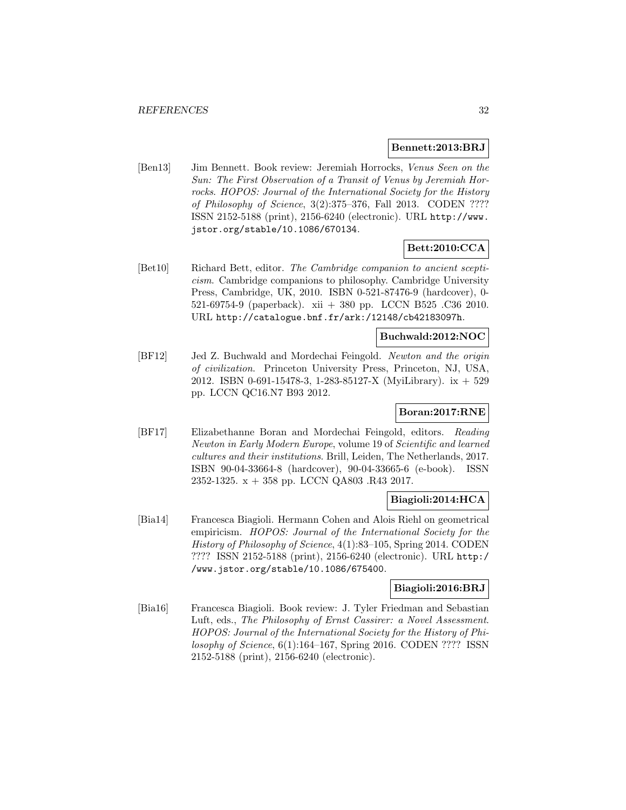#### **Bennett:2013:BRJ**

[Ben13] Jim Bennett. Book review: Jeremiah Horrocks, Venus Seen on the Sun: The First Observation of a Transit of Venus by Jeremiah Horrocks. HOPOS: Journal of the International Society for the History of Philosophy of Science, 3(2):375–376, Fall 2013. CODEN ???? ISSN 2152-5188 (print), 2156-6240 (electronic). URL http://www. jstor.org/stable/10.1086/670134.

# **Bett:2010:CCA**

[Bet10] Richard Bett, editor. The Cambridge companion to ancient scepticism. Cambridge companions to philosophy. Cambridge University Press, Cambridge, UK, 2010. ISBN 0-521-87476-9 (hardcover), 0- 521-69754-9 (paperback). xii + 380 pp. LCCN B525 .C36 2010. URL http://catalogue.bnf.fr/ark:/12148/cb42183097h.

#### **Buchwald:2012:NOC**

[BF12] Jed Z. Buchwald and Mordechai Feingold. Newton and the origin of civilization. Princeton University Press, Princeton, NJ, USA, 2012. ISBN 0-691-15478-3, 1-283-85127-X (MyiLibrary). ix + 529 pp. LCCN QC16.N7 B93 2012.

# **Boran:2017:RNE**

[BF17] Elizabethanne Boran and Mordechai Feingold, editors. Reading Newton in Early Modern Europe, volume 19 of Scientific and learned cultures and their institutions. Brill, Leiden, The Netherlands, 2017. ISBN 90-04-33664-8 (hardcover), 90-04-33665-6 (e-book). ISSN 2352-1325. x + 358 pp. LCCN QA803 .R43 2017.

# **Biagioli:2014:HCA**

[Bia14] Francesca Biagioli. Hermann Cohen and Alois Riehl on geometrical empiricism. HOPOS: Journal of the International Society for the History of Philosophy of Science, 4(1):83–105, Spring 2014. CODEN ???? ISSN 2152-5188 (print), 2156-6240 (electronic). URL http:/ /www.jstor.org/stable/10.1086/675400.

#### **Biagioli:2016:BRJ**

[Bia16] Francesca Biagioli. Book review: J. Tyler Friedman and Sebastian Luft, eds., The Philosophy of Ernst Cassirer: a Novel Assessment. HOPOS: Journal of the International Society for the History of Philosophy of Science, 6(1):164–167, Spring 2016. CODEN ???? ISSN 2152-5188 (print), 2156-6240 (electronic).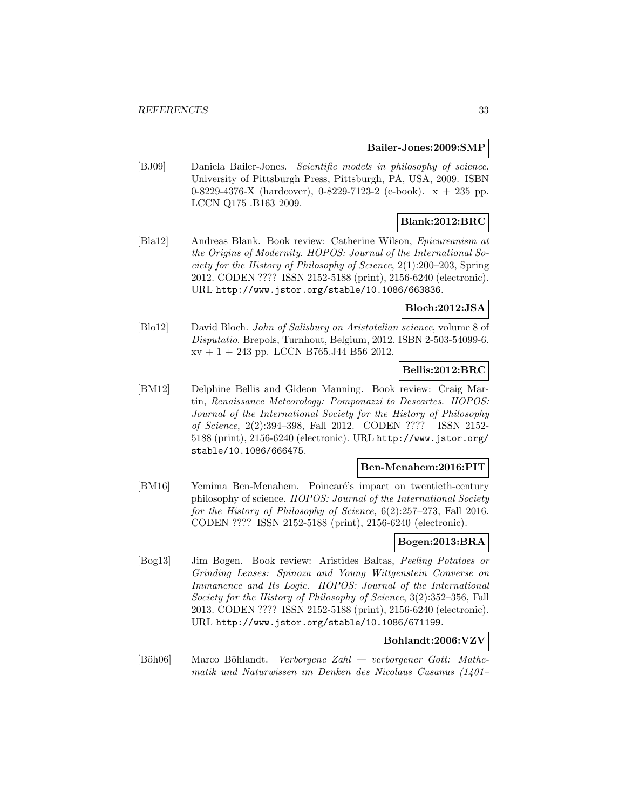#### **Bailer-Jones:2009:SMP**

[BJ09] Daniela Bailer-Jones. Scientific models in philosophy of science. University of Pittsburgh Press, Pittsburgh, PA, USA, 2009. ISBN 0-8229-4376-X (hardcover), 0-8229-7123-2 (e-book). x + 235 pp. LCCN Q175 .B163 2009.

# **Blank:2012:BRC**

[Bla12] Andreas Blank. Book review: Catherine Wilson, Epicureanism at the Origins of Modernity. HOPOS: Journal of the International Society for the History of Philosophy of Science, 2(1):200–203, Spring 2012. CODEN ???? ISSN 2152-5188 (print), 2156-6240 (electronic). URL http://www.jstor.org/stable/10.1086/663836.

# **Bloch:2012:JSA**

[Blo12] David Bloch. John of Salisbury on Aristotelian science, volume 8 of Disputatio. Brepols, Turnhout, Belgium, 2012. ISBN 2-503-54099-6.  $xy + 1 + 243$  pp. LCCN B765.J44 B56 2012.

# **Bellis:2012:BRC**

[BM12] Delphine Bellis and Gideon Manning. Book review: Craig Martin, Renaissance Meteorology: Pomponazzi to Descartes. HOPOS: Journal of the International Society for the History of Philosophy of Science, 2(2):394–398, Fall 2012. CODEN ???? ISSN 2152- 5188 (print), 2156-6240 (electronic). URL http://www.jstor.org/ stable/10.1086/666475.

#### **Ben-Menahem:2016:PIT**

[BM16] Yemima Ben-Menahem. Poincaré's impact on twentieth-century philosophy of science. HOPOS: Journal of the International Society for the History of Philosophy of Science, 6(2):257–273, Fall 2016. CODEN ???? ISSN 2152-5188 (print), 2156-6240 (electronic).

# **Bogen:2013:BRA**

[Bog13] Jim Bogen. Book review: Aristides Baltas, Peeling Potatoes or Grinding Lenses: Spinoza and Young Wittgenstein Converse on Immanence and Its Logic. HOPOS: Journal of the International Society for the History of Philosophy of Science, 3(2):352–356, Fall 2013. CODEN ???? ISSN 2152-5188 (print), 2156-6240 (electronic). URL http://www.jstor.org/stable/10.1086/671199.

# **Bohlandt:2006:VZV**

 $[B\ddot{o}h06]$  Marco Böhlandt. Verborgene Zahl — verborgener Gott: Mathematik und Naturwissen im Denken des Nicolaus Cusanus (1401–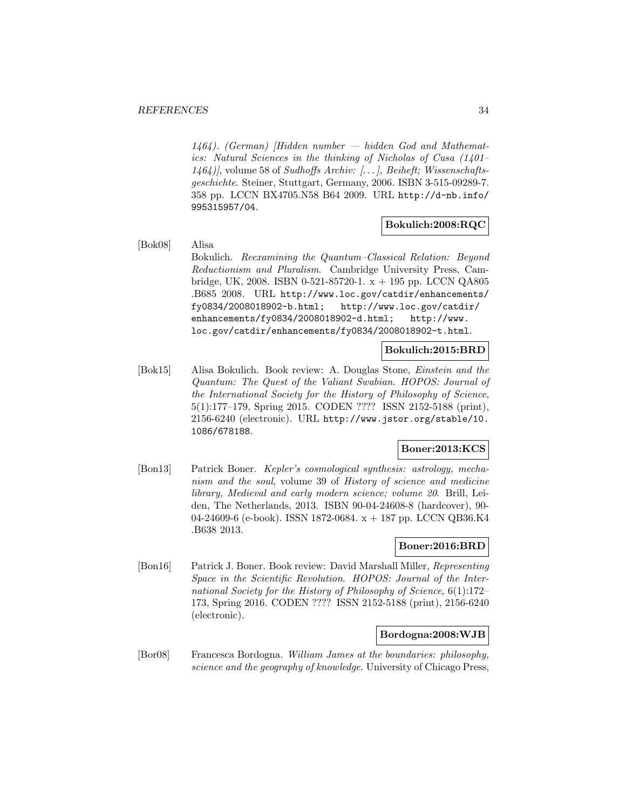$1464$ ). (German) [Hidden number — hidden God and Mathematics: Natural Sciences in the thinking of Nicholas of Cusa (1401– 1464)], volume 58 of Sudhoffs Archiv: [... ], Beiheft; Wissenschaftsgeschichte. Steiner, Stuttgart, Germany, 2006. ISBN 3-515-09289-7. 358 pp. LCCN BX4705.N58 B64 2009. URL http://d-nb.info/ 995315957/04.

### **Bokulich:2008:RQC**

#### [Bok08] Alisa

Bokulich. Reexamining the Quantum–Classical Relation: Beyond Reductionism and Pluralism. Cambridge University Press, Cambridge, UK, 2008. ISBN 0-521-85720-1. x + 195 pp. LCCN QA805 .B685 2008. URL http://www.loc.gov/catdir/enhancements/ fy0834/2008018902-b.html; http://www.loc.gov/catdir/ enhancements/fy0834/2008018902-d.html; http://www. loc.gov/catdir/enhancements/fy0834/2008018902-t.html.

#### **Bokulich:2015:BRD**

[Bok15] Alisa Bokulich. Book review: A. Douglas Stone, Einstein and the Quantum: The Quest of the Valiant Swabian. HOPOS: Journal of the International Society for the History of Philosophy of Science, 5(1):177–179, Spring 2015. CODEN ???? ISSN 2152-5188 (print), 2156-6240 (electronic). URL http://www.jstor.org/stable/10. 1086/678188.

# **Boner:2013:KCS**

[Bon13] Patrick Boner. Kepler's cosmological synthesis: astrology, mechanism and the soul, volume 39 of History of science and medicine library, Medieval and early modern science; volume 20. Brill, Leiden, The Netherlands, 2013. ISBN 90-04-24608-8 (hardcover), 90- 04-24609-6 (e-book). ISSN 1872-0684. x + 187 pp. LCCN QB36.K4 .B638 2013.

#### **Boner:2016:BRD**

[Bon16] Patrick J. Boner. Book review: David Marshall Miller, Representing Space in the Scientific Revolution. HOPOS: Journal of the International Society for the History of Philosophy of Science, 6(1):172– 173, Spring 2016. CODEN ???? ISSN 2152-5188 (print), 2156-6240 (electronic).

# **Bordogna:2008:WJB**

[Bor08] Francesca Bordogna. William James at the boundaries: philosophy, science and the geography of knowledge. University of Chicago Press,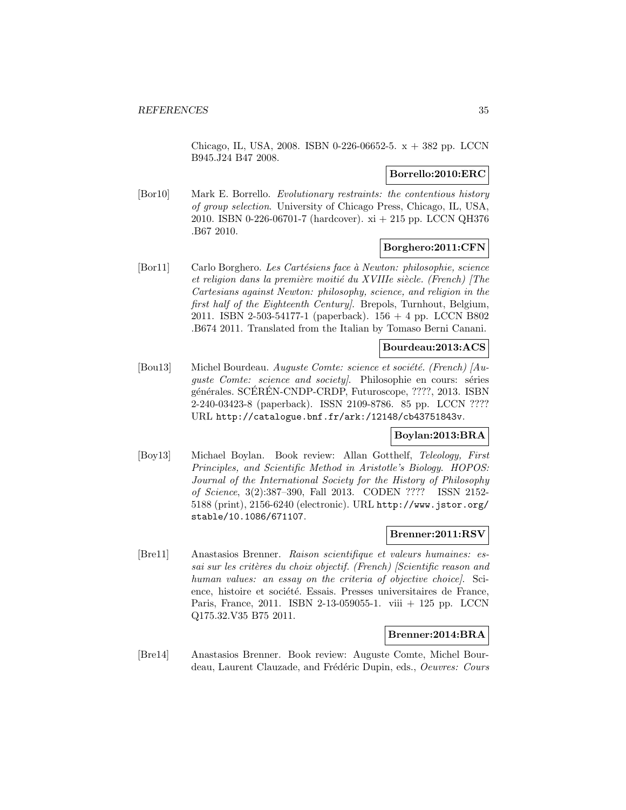Chicago, IL, USA, 2008. ISBN 0-226-06652-5. x + 382 pp. LCCN B945.J24 B47 2008.

## **Borrello:2010:ERC**

[Bor10] Mark E. Borrello. Evolutionary restraints: the contentious history of group selection. University of Chicago Press, Chicago, IL, USA, 2010. ISBN 0-226-06701-7 (hardcover). xi + 215 pp. LCCN QH376 .B67 2010.

# **Borghero:2011:CFN**

[Bor11] Carlo Borghero. Les Cartésiens face à Newton: philosophie, science et religion dans la première moitié du XVIIIe siècle. (French) [The Cartesians against Newton: philosophy, science, and religion in the first half of the Eighteenth Century. Brepols, Turnhout, Belgium, 2011. ISBN 2-503-54177-1 (paperback). 156 + 4 pp. LCCN B802 .B674 2011. Translated from the Italian by Tomaso Berni Canani.

# **Bourdeau:2013:ACS**

[Bou13] Michel Bourdeau. Auguste Comte: science et société. (French)  $\langle Au^{-}$ guste Comte: science and society. Philosophie en cours: séries générales. SCEREN-CNDP-CRDP, Futuroscope, ????, 2013. ISBN 2-240-03423-8 (paperback). ISSN 2109-8786. 85 pp. LCCN ???? URL http://catalogue.bnf.fr/ark:/12148/cb43751843v.

#### **Boylan:2013:BRA**

[Boy13] Michael Boylan. Book review: Allan Gotthelf, Teleology, First Principles, and Scientific Method in Aristotle's Biology. HOPOS: Journal of the International Society for the History of Philosophy of Science, 3(2):387–390, Fall 2013. CODEN ???? ISSN 2152- 5188 (print), 2156-6240 (electronic). URL http://www.jstor.org/ stable/10.1086/671107.

#### **Brenner:2011:RSV**

[Bre11] Anastasios Brenner. Raison scientifique et valeurs humaines: essai sur les critères du choix objectif. (French) [Scientific reason and human values: an essay on the criteria of objective choice. Science, histoire et société. Essais. Presses universitaires de France, Paris, France, 2011. ISBN 2-13-059055-1. viii + 125 pp. LCCN Q175.32.V35 B75 2011.

# **Brenner:2014:BRA**

[Bre14] Anastasios Brenner. Book review: Auguste Comte, Michel Bourdeau, Laurent Clauzade, and Frédéric Dupin, eds., *Oeuvres: Cours*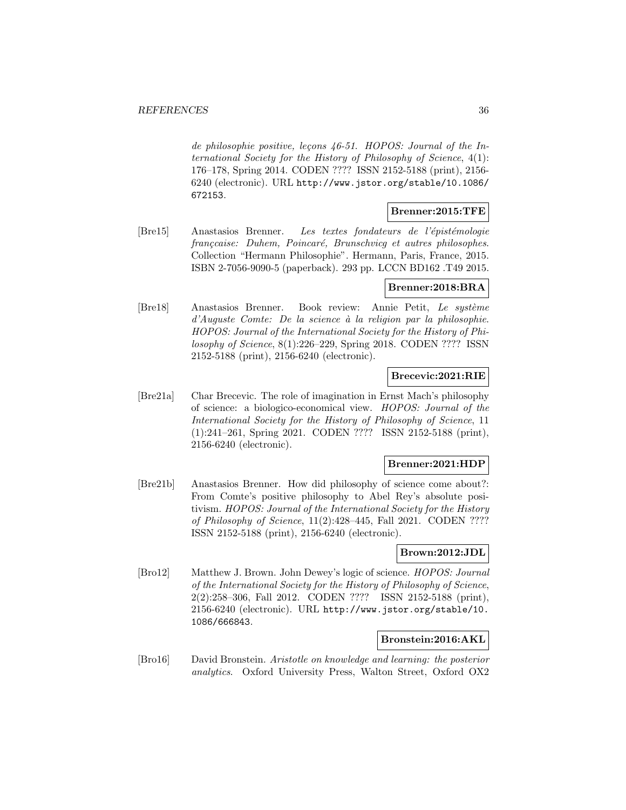de philosophie positive, leçons  $46-51$ . HOPOS: Journal of the International Society for the History of Philosophy of Science, 4(1): 176–178, Spring 2014. CODEN ???? ISSN 2152-5188 (print), 2156- 6240 (electronic). URL http://www.jstor.org/stable/10.1086/ 672153.

#### **Brenner:2015:TFE**

[Bre15] Anastasios Brenner. Les textes fondateurs de l'épistémologie françcaise: Duhem, Poincaré, Brunschvicg et autres philosophes. Collection "Hermann Philosophie". Hermann, Paris, France, 2015. ISBN 2-7056-9090-5 (paperback). 293 pp. LCCN BD162 .T49 2015.

# **Brenner:2018:BRA**

[Bre18] Anastasios Brenner. Book review: Annie Petit, Le système  $d'Auguste$  Comte: De la science à la religion par la philosophie. HOPOS: Journal of the International Society for the History of Philosophy of Science, 8(1):226–229, Spring 2018. CODEN ???? ISSN 2152-5188 (print), 2156-6240 (electronic).

# **Brecevic:2021:RIE**

[Bre21a] Char Brecevic. The role of imagination in Ernst Mach's philosophy of science: a biologico-economical view. HOPOS: Journal of the International Society for the History of Philosophy of Science, 11 (1):241–261, Spring 2021. CODEN ???? ISSN 2152-5188 (print), 2156-6240 (electronic).

#### **Brenner:2021:HDP**

[Bre21b] Anastasios Brenner. How did philosophy of science come about?: From Comte's positive philosophy to Abel Rey's absolute positivism. HOPOS: Journal of the International Society for the History of Philosophy of Science, 11(2):428–445, Fall 2021. CODEN ???? ISSN 2152-5188 (print), 2156-6240 (electronic).

#### **Brown:2012:JDL**

[Bro12] Matthew J. Brown. John Dewey's logic of science. HOPOS: Journal of the International Society for the History of Philosophy of Science, 2(2):258–306, Fall 2012. CODEN ???? ISSN 2152-5188 (print), 2156-6240 (electronic). URL http://www.jstor.org/stable/10. 1086/666843.

#### **Bronstein:2016:AKL**

[Bro16] David Bronstein. Aristotle on knowledge and learning: the posterior analytics. Oxford University Press, Walton Street, Oxford OX2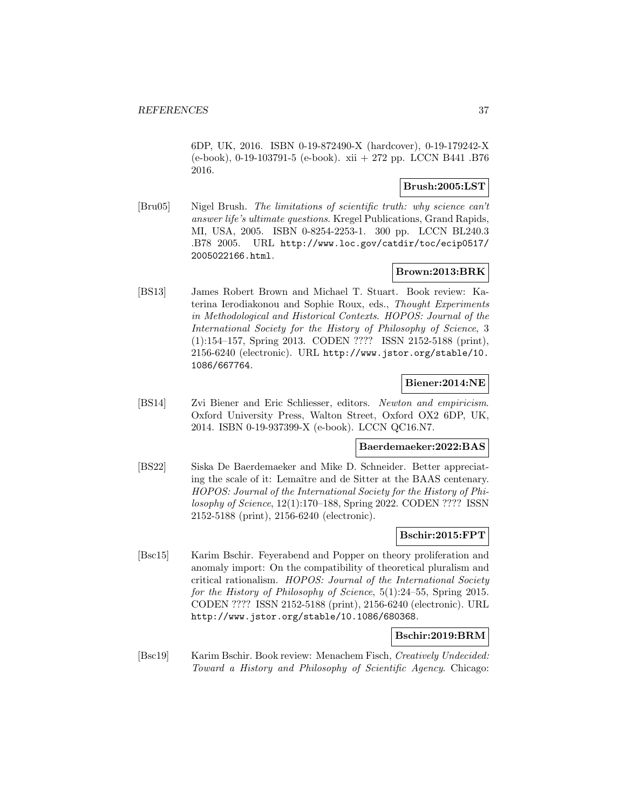6DP, UK, 2016. ISBN 0-19-872490-X (hardcover), 0-19-179242-X (e-book), 0-19-103791-5 (e-book). xii + 272 pp. LCCN B441 .B76 2016.

## **Brush:2005:LST**

[Bru05] Nigel Brush. The limitations of scientific truth: why science can't answer life's ultimate questions. Kregel Publications, Grand Rapids, MI, USA, 2005. ISBN 0-8254-2253-1. 300 pp. LCCN BL240.3 .B78 2005. URL http://www.loc.gov/catdir/toc/ecip0517/ 2005022166.html.

# **Brown:2013:BRK**

[BS13] James Robert Brown and Michael T. Stuart. Book review: Katerina Ierodiakonou and Sophie Roux, eds., Thought Experiments in Methodological and Historical Contexts. HOPOS: Journal of the International Society for the History of Philosophy of Science, 3 (1):154–157, Spring 2013. CODEN ???? ISSN 2152-5188 (print), 2156-6240 (electronic). URL http://www.jstor.org/stable/10. 1086/667764.

## **Biener:2014:NE**

[BS14] Zvi Biener and Eric Schliesser, editors. Newton and empiricism. Oxford University Press, Walton Street, Oxford OX2 6DP, UK, 2014. ISBN 0-19-937399-X (e-book). LCCN QC16.N7.

#### **Baerdemaeker:2022:BAS**

[BS22] Siska De Baerdemaeker and Mike D. Schneider. Better appreciating the scale of it: Lemaître and de Sitter at the BAAS centenary. HOPOS: Journal of the International Society for the History of Philosophy of Science, 12(1):170–188, Spring 2022. CODEN ???? ISSN 2152-5188 (print), 2156-6240 (electronic).

# **Bschir:2015:FPT**

[Bsc15] Karim Bschir. Feyerabend and Popper on theory proliferation and anomaly import: On the compatibility of theoretical pluralism and critical rationalism. HOPOS: Journal of the International Society for the History of Philosophy of Science, 5(1):24–55, Spring 2015. CODEN ???? ISSN 2152-5188 (print), 2156-6240 (electronic). URL http://www.jstor.org/stable/10.1086/680368.

## **Bschir:2019:BRM**

[Bsc19] Karim Bschir. Book review: Menachem Fisch, Creatively Undecided: Toward a History and Philosophy of Scientific Agency. Chicago: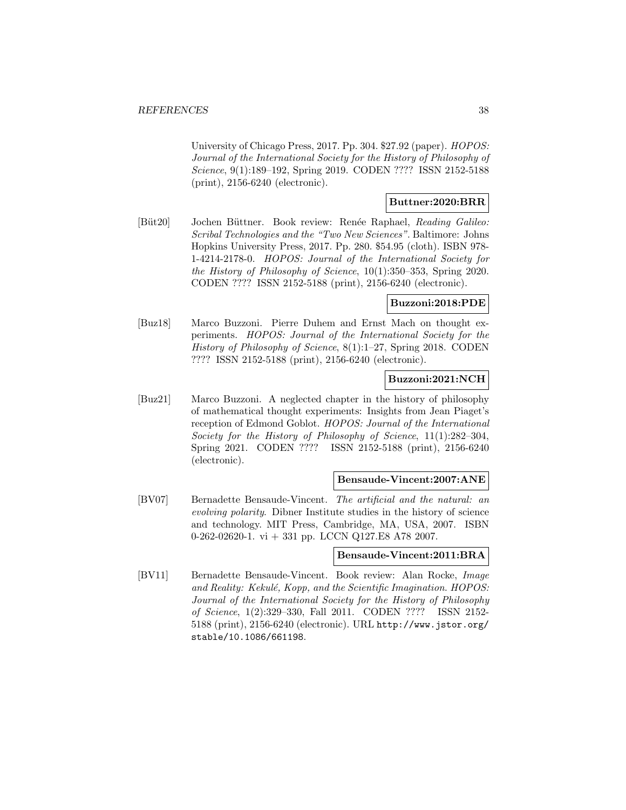University of Chicago Press, 2017. Pp. 304. \$27.92 (paper). HOPOS: Journal of the International Society for the History of Philosophy of Science, 9(1):189–192, Spring 2019. CODEN ???? ISSN 2152-5188 (print), 2156-6240 (electronic).

## **Buttner:2020:BRR**

[Büt20] Jochen Büttner. Book review: Renée Raphael, Reading Galileo: Scribal Technologies and the "Two New Sciences". Baltimore: Johns Hopkins University Press, 2017. Pp. 280. \$54.95 (cloth). ISBN 978- 1-4214-2178-0. HOPOS: Journal of the International Society for the History of Philosophy of Science, 10(1):350–353, Spring 2020. CODEN ???? ISSN 2152-5188 (print), 2156-6240 (electronic).

# **Buzzoni:2018:PDE**

[Buz18] Marco Buzzoni. Pierre Duhem and Ernst Mach on thought experiments. HOPOS: Journal of the International Society for the History of Philosophy of Science, 8(1):1–27, Spring 2018. CODEN ???? ISSN 2152-5188 (print), 2156-6240 (electronic).

# **Buzzoni:2021:NCH**

[Buz21] Marco Buzzoni. A neglected chapter in the history of philosophy of mathematical thought experiments: Insights from Jean Piaget's reception of Edmond Goblot. HOPOS: Journal of the International Society for the History of Philosophy of Science, 11(1):282–304, Spring 2021. CODEN ???? ISSN 2152-5188 (print), 2156-6240 (electronic).

#### **Bensaude-Vincent:2007:ANE**

[BV07] Bernadette Bensaude-Vincent. The artificial and the natural: an evolving polarity. Dibner Institute studies in the history of science and technology. MIT Press, Cambridge, MA, USA, 2007. ISBN 0-262-02620-1. vi  $+$  331 pp. LCCN Q127.E8 A78 2007.

## **Bensaude-Vincent:2011:BRA**

[BV11] Bernadette Bensaude-Vincent. Book review: Alan Rocke, Image and Reality: Kekulé, Kopp, and the Scientific Imagination.  $HOPOS:$ Journal of the International Society for the History of Philosophy of Science, 1(2):329–330, Fall 2011. CODEN ???? ISSN 2152- 5188 (print), 2156-6240 (electronic). URL http://www.jstor.org/ stable/10.1086/661198.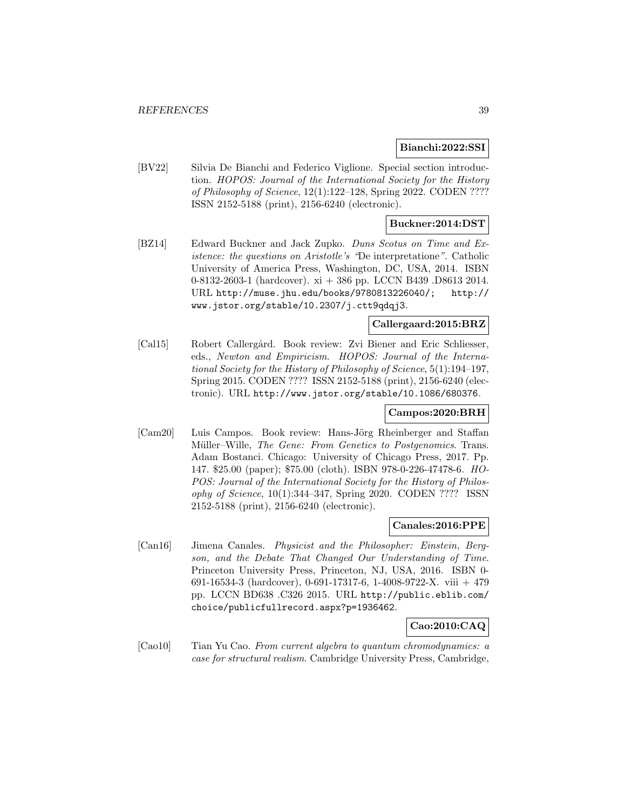### **Bianchi:2022:SSI**

[BV22] Silvia De Bianchi and Federico Viglione. Special section introduction. HOPOS: Journal of the International Society for the History of Philosophy of Science, 12(1):122–128, Spring 2022. CODEN ???? ISSN 2152-5188 (print), 2156-6240 (electronic).

## **Buckner:2014:DST**

[BZ14] Edward Buckner and Jack Zupko. Duns Scotus on Time and Existence: the questions on Aristotle's "De interpretatione". Catholic University of America Press, Washington, DC, USA, 2014. ISBN 0-8132-2603-1 (hardcover). xi + 386 pp. LCCN B439 .D8613 2014. URL http://muse.jhu.edu/books/9780813226040/; http:// www.jstor.org/stable/10.2307/j.ctt9qdqj3.

# **Callergaard:2015:BRZ**

[Cal15] Robert Callergård. Book review: Zvi Biener and Eric Schliesser, eds., Newton and Empiricism. HOPOS: Journal of the International Society for the History of Philosophy of Science, 5(1):194–197, Spring 2015. CODEN ???? ISSN 2152-5188 (print), 2156-6240 (electronic). URL http://www.jstor.org/stable/10.1086/680376.

## **Campos:2020:BRH**

[Cam20] Luis Campos. Book review: Hans-Jörg Rheinberger and Staffan Müller–Wille, The Gene: From Genetics to Postgenomics. Trans. Adam Bostanci. Chicago: University of Chicago Press, 2017. Pp. 147. \$25.00 (paper); \$75.00 (cloth). ISBN 978-0-226-47478-6. HO-POS: Journal of the International Society for the History of Philosophy of Science, 10(1):344–347, Spring 2020. CODEN ???? ISSN 2152-5188 (print), 2156-6240 (electronic).

#### **Canales:2016:PPE**

[Can16] Jimena Canales. Physicist and the Philosopher: Einstein, Bergson, and the Debate That Changed Our Understanding of Time. Princeton University Press, Princeton, NJ, USA, 2016. ISBN 0- 691-16534-3 (hardcover), 0-691-17317-6, 1-4008-9722-X. viii + 479 pp. LCCN BD638 .C326 2015. URL http://public.eblib.com/ choice/publicfullrecord.aspx?p=1936462.

### **Cao:2010:CAQ**

[Cao10] Tian Yu Cao. From current algebra to quantum chromodynamics: a case for structural realism. Cambridge University Press, Cambridge,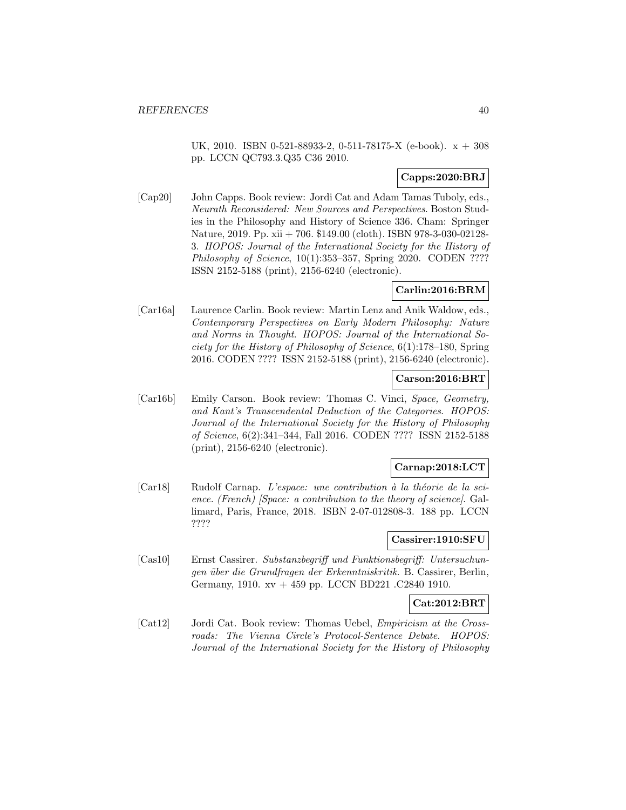UK, 2010. ISBN 0-521-88933-2, 0-511-78175-X (e-book). x + 308 pp. LCCN QC793.3.Q35 C36 2010.

# **Capps:2020:BRJ**

[Cap20] John Capps. Book review: Jordi Cat and Adam Tamas Tuboly, eds., Neurath Reconsidered: New Sources and Perspectives. Boston Studies in the Philosophy and History of Science 336. Cham: Springer Nature, 2019. Pp. xii + 706. \$149.00 (cloth). ISBN 978-3-030-02128- 3. HOPOS: Journal of the International Society for the History of Philosophy of Science, 10(1):353-357, Spring 2020. CODEN ???? ISSN 2152-5188 (print), 2156-6240 (electronic).

## **Carlin:2016:BRM**

[Car16a] Laurence Carlin. Book review: Martin Lenz and Anik Waldow, eds., Contemporary Perspectives on Early Modern Philosophy: Nature and Norms in Thought. HOPOS: Journal of the International Society for the History of Philosophy of Science, 6(1):178–180, Spring 2016. CODEN ???? ISSN 2152-5188 (print), 2156-6240 (electronic).

## **Carson:2016:BRT**

[Car16b] Emily Carson. Book review: Thomas C. Vinci, Space, Geometry, and Kant's Transcendental Deduction of the Categories. HOPOS: Journal of the International Society for the History of Philosophy of Science, 6(2):341–344, Fall 2016. CODEN ???? ISSN 2152-5188 (print), 2156-6240 (electronic).

# **Carnap:2018:LCT**

 $[Car18]$  Rudolf Carnap. L'espace: une contribution à la théorie de la science. (French) [Space: a contribution to the theory of science]. Gallimard, Paris, France, 2018. ISBN 2-07-012808-3. 188 pp. LCCN ????

## **Cassirer:1910:SFU**

[Cas10] Ernst Cassirer. Substanzbegriff und Funktionsbegriff: Untersuchungen über die Grundfragen der Erkenntniskritik. B. Cassirer, Berlin, Germany, 1910. xv + 459 pp. LCCN BD221 .C2840 1910.

## **Cat:2012:BRT**

[Cat12] Jordi Cat. Book review: Thomas Uebel, Empiricism at the Crossroads: The Vienna Circle's Protocol-Sentence Debate. HOPOS: Journal of the International Society for the History of Philosophy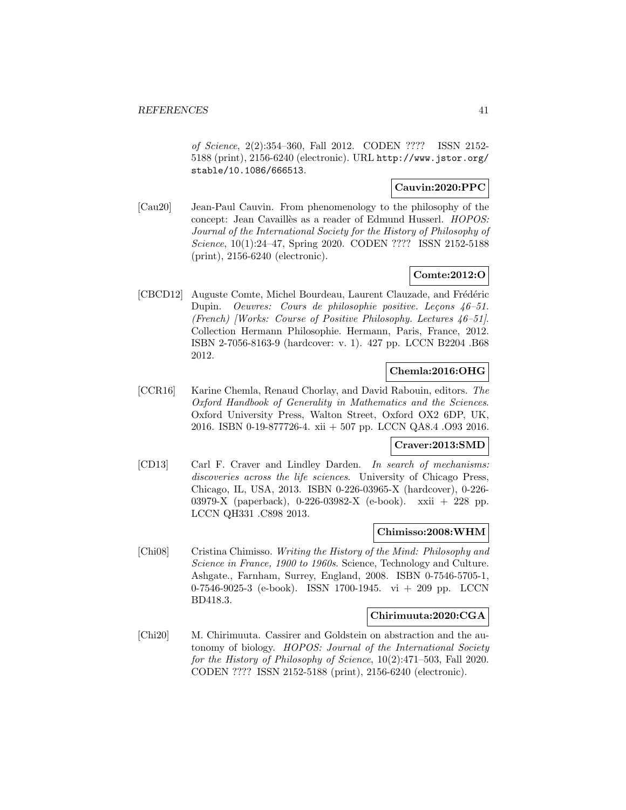of Science, 2(2):354–360, Fall 2012. CODEN ???? ISSN 2152- 5188 (print), 2156-6240 (electronic). URL http://www.jstor.org/ stable/10.1086/666513.

# **Cauvin:2020:PPC**

[Cau20] Jean-Paul Cauvin. From phenomenology to the philosophy of the concept: Jean Cavaillès as a reader of Edmund Husserl. HOPOS: Journal of the International Society for the History of Philosophy of Science, 10(1):24–47, Spring 2020. CODEN ???? ISSN 2152-5188 (print), 2156-6240 (electronic).

# **Comte:2012:O**

[CBCD12] Auguste Comte, Michel Bourdeau, Laurent Clauzade, and Frédéric Dupin. Oeuvres: Cours de philosophie positive. Leçons 46-51. (French) [Works: Course of Positive Philosophy. Lectures 46–51]. Collection Hermann Philosophie. Hermann, Paris, France, 2012. ISBN 2-7056-8163-9 (hardcover: v. 1). 427 pp. LCCN B2204 .B68 2012.

# **Chemla:2016:OHG**

[CCR16] Karine Chemla, Renaud Chorlay, and David Rabouin, editors. The Oxford Handbook of Generality in Mathematics and the Sciences. Oxford University Press, Walton Street, Oxford OX2 6DP, UK, 2016. ISBN 0-19-877726-4. xii + 507 pp. LCCN QA8.4 .O93 2016.

## **Craver:2013:SMD**

[CD13] Carl F. Craver and Lindley Darden. In search of mechanisms: discoveries across the life sciences. University of Chicago Press, Chicago, IL, USA, 2013. ISBN 0-226-03965-X (hardcover), 0-226- 03979-X (paperback), 0-226-03982-X (e-book). xxii + 228 pp. LCCN QH331 .C898 2013.

## **Chimisso:2008:WHM**

[Chi08] Cristina Chimisso. Writing the History of the Mind: Philosophy and Science in France, 1900 to 1960s. Science, Technology and Culture. Ashgate., Farnham, Surrey, England, 2008. ISBN 0-7546-5705-1, 0-7546-9025-3 (e-book). ISSN 1700-1945. vi + 209 pp. LCCN BD418.3.

## **Chirimuuta:2020:CGA**

[Chi20] M. Chirimuuta. Cassirer and Goldstein on abstraction and the autonomy of biology. HOPOS: Journal of the International Society for the History of Philosophy of Science, 10(2):471–503, Fall 2020. CODEN ???? ISSN 2152-5188 (print), 2156-6240 (electronic).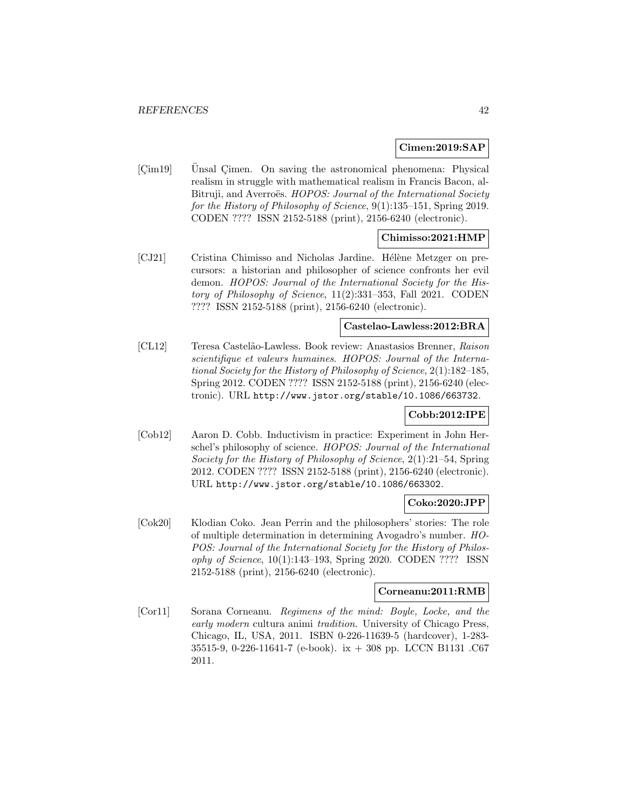## **Cimen:2019:SAP**

[Cim19] Unsal Cimen. On saving the astronomical phenomena: Physical realism in struggle with mathematical realism in Francis Bacon, al-Bitruji, and Averroës. HOPOS: Journal of the International Society for the History of Philosophy of Science, 9(1):135–151, Spring 2019. CODEN ???? ISSN 2152-5188 (print), 2156-6240 (electronic).

## **Chimisso:2021:HMP**

[CJ21] Cristina Chimisso and Nicholas Jardine. Hélène Metzger on precursors: a historian and philosopher of science confronts her evil demon. HOPOS: Journal of the International Society for the History of Philosophy of Science, 11(2):331–353, Fall 2021. CODEN ???? ISSN 2152-5188 (print), 2156-6240 (electronic).

## **Castelao-Lawless:2012:BRA**

[CL12] Teresa Castel˜ao-Lawless. Book review: Anastasios Brenner, Raison scientifique et valeurs humaines. HOPOS: Journal of the International Society for the History of Philosophy of Science, 2(1):182–185, Spring 2012. CODEN ???? ISSN 2152-5188 (print), 2156-6240 (electronic). URL http://www.jstor.org/stable/10.1086/663732.

## **Cobb:2012:IPE**

[Cob12] Aaron D. Cobb. Inductivism in practice: Experiment in John Herschel's philosophy of science. HOPOS: Journal of the International Society for the History of Philosophy of Science, 2(1):21–54, Spring 2012. CODEN ???? ISSN 2152-5188 (print), 2156-6240 (electronic). URL http://www.jstor.org/stable/10.1086/663302.

#### **Coko:2020:JPP**

[Cok20] Klodian Coko. Jean Perrin and the philosophers' stories: The role of multiple determination in determining Avogadro's number. HO-POS: Journal of the International Society for the History of Philosophy of Science, 10(1):143–193, Spring 2020. CODEN ???? ISSN 2152-5188 (print), 2156-6240 (electronic).

## **Corneanu:2011:RMB**

[Cor11] Sorana Corneanu. Regimens of the mind: Boyle, Locke, and the early modern cultura animi tradition. University of Chicago Press, Chicago, IL, USA, 2011. ISBN 0-226-11639-5 (hardcover), 1-283- 35515-9, 0-226-11641-7 (e-book). ix + 308 pp. LCCN B1131 .C67 2011.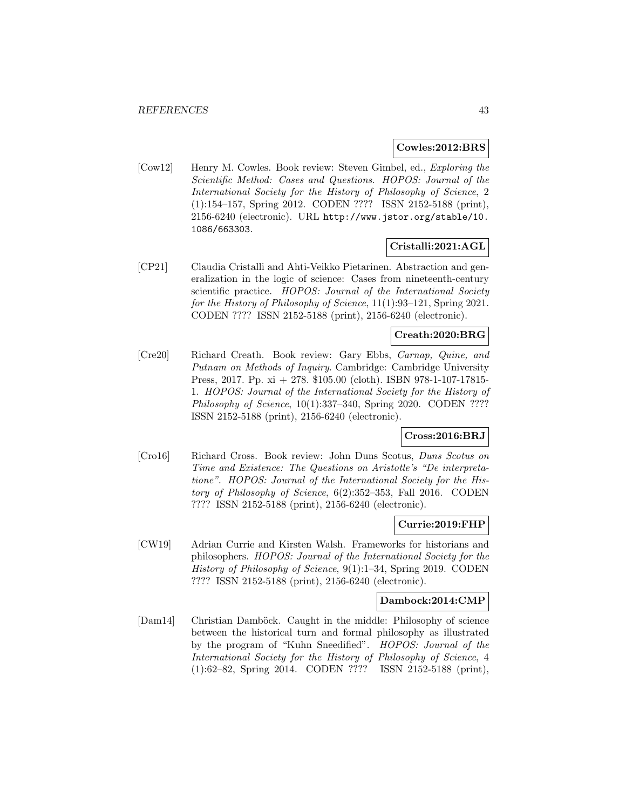### **Cowles:2012:BRS**

[Cow12] Henry M. Cowles. Book review: Steven Gimbel, ed., Exploring the Scientific Method: Cases and Questions. HOPOS: Journal of the International Society for the History of Philosophy of Science, 2 (1):154–157, Spring 2012. CODEN ???? ISSN 2152-5188 (print), 2156-6240 (electronic). URL http://www.jstor.org/stable/10. 1086/663303.

## **Cristalli:2021:AGL**

[CP21] Claudia Cristalli and Ahti-Veikko Pietarinen. Abstraction and generalization in the logic of science: Cases from nineteenth-century scientific practice. HOPOS: Journal of the International Society for the History of Philosophy of Science, 11(1):93–121, Spring 2021. CODEN ???? ISSN 2152-5188 (print), 2156-6240 (electronic).

## **Creath:2020:BRG**

[Cre20] Richard Creath. Book review: Gary Ebbs, Carnap, Quine, and Putnam on Methods of Inquiry. Cambridge: Cambridge University Press, 2017. Pp. xi + 278. \$105.00 (cloth). ISBN 978-1-107-17815- 1. HOPOS: Journal of the International Society for the History of Philosophy of Science, 10(1):337–340, Spring 2020. CODEN ???? ISSN 2152-5188 (print), 2156-6240 (electronic).

## **Cross:2016:BRJ**

[Cro16] Richard Cross. Book review: John Duns Scotus, Duns Scotus on Time and Existence: The Questions on Aristotle's "De interpretatione". HOPOS: Journal of the International Society for the History of Philosophy of Science, 6(2):352–353, Fall 2016. CODEN ???? ISSN 2152-5188 (print), 2156-6240 (electronic).

### **Currie:2019:FHP**

[CW19] Adrian Currie and Kirsten Walsh. Frameworks for historians and philosophers. HOPOS: Journal of the International Society for the History of Philosophy of Science, 9(1):1–34, Spring 2019. CODEN ???? ISSN 2152-5188 (print), 2156-6240 (electronic).

### **Dambock:2014:CMP**

[Dam14] Christian Damböck. Caught in the middle: Philosophy of science between the historical turn and formal philosophy as illustrated by the program of "Kuhn Sneedified". HOPOS: Journal of the International Society for the History of Philosophy of Science, 4 (1):62–82, Spring 2014. CODEN ???? ISSN 2152-5188 (print),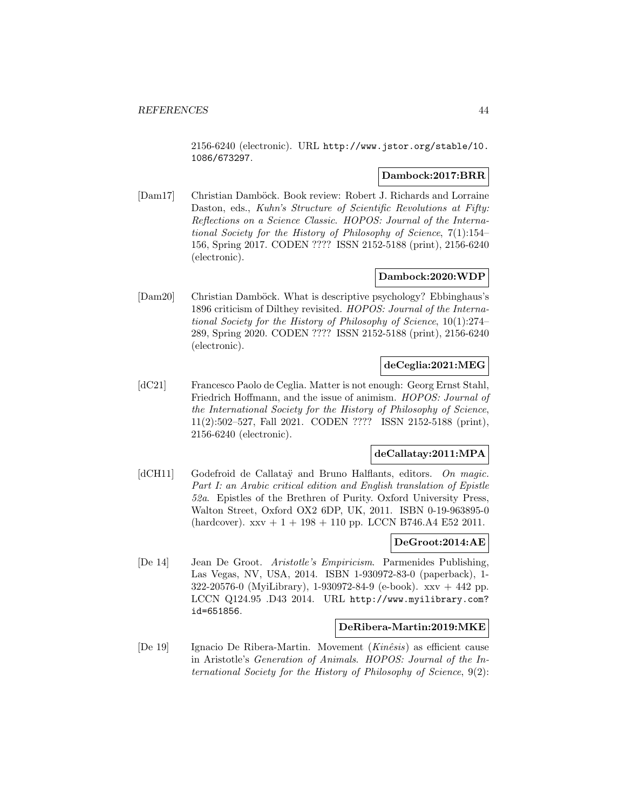2156-6240 (electronic). URL http://www.jstor.org/stable/10. 1086/673297.

## **Dambock:2017:BRR**

[Dam17] Christian Damböck. Book review: Robert J. Richards and Lorraine Daston, eds., Kuhn's Structure of Scientific Revolutions at Fifty: Reflections on a Science Classic. HOPOS: Journal of the International Society for the History of Philosophy of Science, 7(1):154– 156, Spring 2017. CODEN ???? ISSN 2152-5188 (print), 2156-6240 (electronic).

# **Dambock:2020:WDP**

[Dam20] Christian Damböck. What is descriptive psychology? Ebbinghaus's 1896 criticism of Dilthey revisited. HOPOS: Journal of the International Society for the History of Philosophy of Science, 10(1):274– 289, Spring 2020. CODEN ???? ISSN 2152-5188 (print), 2156-6240 (electronic).

# **deCeglia:2021:MEG**

[dC21] Francesco Paolo de Ceglia. Matter is not enough: Georg Ernst Stahl, Friedrich Hoffmann, and the issue of animism. HOPOS: Journal of the International Society for the History of Philosophy of Science, 11(2):502–527, Fall 2021. CODEN ???? ISSN 2152-5188 (print), 2156-6240 (electronic).

## **deCallatay:2011:MPA**

[dCH11] Godefroid de Callataÿ and Bruno Halflants, editors. On magic. Part I: an Arabic critical edition and English translation of Epistle 52a. Epistles of the Brethren of Purity. Oxford University Press, Walton Street, Oxford OX2 6DP, UK, 2011. ISBN 0-19-963895-0  $(hardcover)$ .  $xxv + 1 + 198 + 110$  pp. LCCN B746.A4 E52 2011.

# **DeGroot:2014:AE**

[De 14] Jean De Groot. Aristotle's Empiricism. Parmenides Publishing, Las Vegas, NV, USA, 2014. ISBN 1-930972-83-0 (paperback), 1- 322-20576-0 (MyiLibrary), 1-930972-84-9 (e-book). xxv + 442 pp. LCCN Q124.95 .D43 2014. URL http://www.myilibrary.com? id=651856.

# **DeRibera-Martin:2019:MKE**

[De 19] Ignacio De Ribera-Martin. Movement  $(Kin\hat{e}sis)$  as efficient cause in Aristotle's Generation of Animals. HOPOS: Journal of the International Society for the History of Philosophy of Science, 9(2):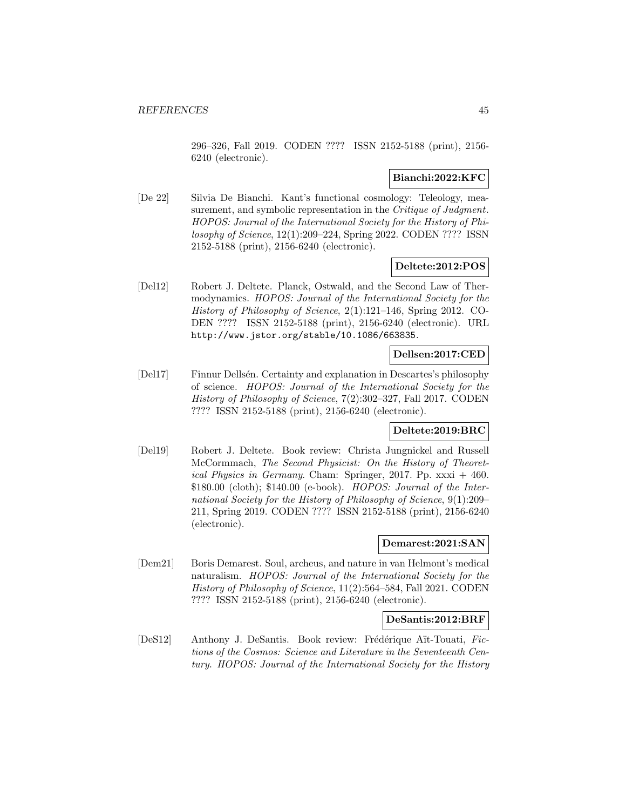296–326, Fall 2019. CODEN ???? ISSN 2152-5188 (print), 2156- 6240 (electronic).

## **Bianchi:2022:KFC**

[De 22] Silvia De Bianchi. Kant's functional cosmology: Teleology, measurement, and symbolic representation in the *Critique of Judgment*. HOPOS: Journal of the International Society for the History of Philosophy of Science, 12(1):209–224, Spring 2022. CODEN ???? ISSN 2152-5188 (print), 2156-6240 (electronic).

### **Deltete:2012:POS**

[Del12] Robert J. Deltete. Planck, Ostwald, and the Second Law of Thermodynamics. HOPOS: Journal of the International Society for the History of Philosophy of Science, 2(1):121–146, Spring 2012. CO-DEN ???? ISSN 2152-5188 (print), 2156-6240 (electronic). URL http://www.jstor.org/stable/10.1086/663835.

# **Dellsen:2017:CED**

[Del17] Finnur Dells´en. Certainty and explanation in Descartes's philosophy of science. HOPOS: Journal of the International Society for the History of Philosophy of Science, 7(2):302–327, Fall 2017. CODEN ???? ISSN 2152-5188 (print), 2156-6240 (electronic).

## **Deltete:2019:BRC**

[Del19] Robert J. Deltete. Book review: Christa Jungnickel and Russell McCormmach, The Second Physicist: On the History of Theoretical Physics in Germany. Cham: Springer, 2017. Pp.  $xxxi + 460$ . \$180.00 (cloth); \$140.00 (e-book). HOPOS: Journal of the International Society for the History of Philosophy of Science, 9(1):209– 211, Spring 2019. CODEN ???? ISSN 2152-5188 (print), 2156-6240 (electronic).

## **Demarest:2021:SAN**

[Dem21] Boris Demarest. Soul, archeus, and nature in van Helmont's medical naturalism. HOPOS: Journal of the International Society for the History of Philosophy of Science, 11(2):564–584, Fall 2021. CODEN ???? ISSN 2152-5188 (print), 2156-6240 (electronic).

#### **DeSantis:2012:BRF**

[DeS12] Anthony J. DeSantis. Book review: Frédérique Aït-Touati, Fictions of the Cosmos: Science and Literature in the Seventeenth Century. HOPOS: Journal of the International Society for the History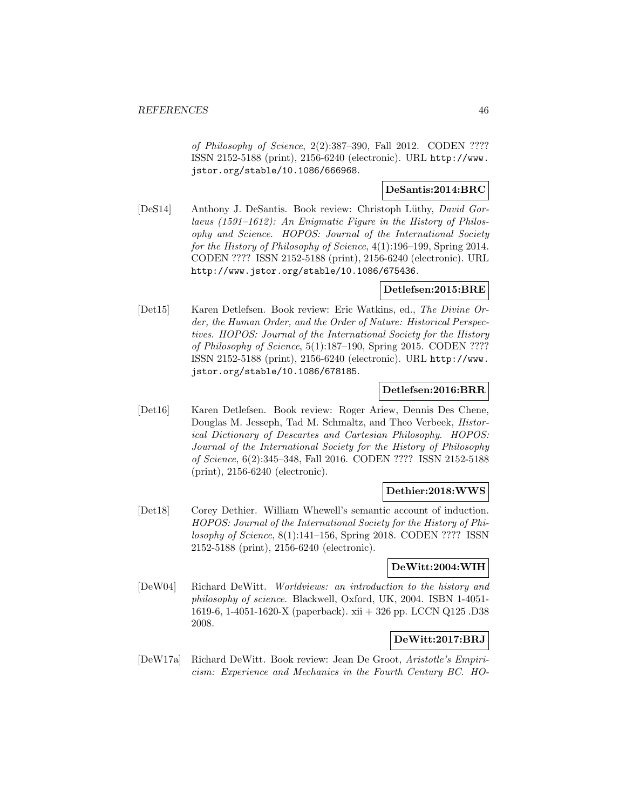of Philosophy of Science, 2(2):387–390, Fall 2012. CODEN ???? ISSN 2152-5188 (print), 2156-6240 (electronic). URL http://www. jstor.org/stable/10.1086/666968.

# **DeSantis:2014:BRC**

[DeS14] Anthony J. DeSantis. Book review: Christoph Lüthy, *David Gor*laeus (1591–1612): An Enigmatic Figure in the History of Philosophy and Science. HOPOS: Journal of the International Society for the History of Philosophy of Science, 4(1):196–199, Spring 2014. CODEN ???? ISSN 2152-5188 (print), 2156-6240 (electronic). URL http://www.jstor.org/stable/10.1086/675436.

## **Detlefsen:2015:BRE**

[Det15] Karen Detlefsen. Book review: Eric Watkins, ed., The Divine Order, the Human Order, and the Order of Nature: Historical Perspectives. HOPOS: Journal of the International Society for the History of Philosophy of Science, 5(1):187–190, Spring 2015. CODEN ???? ISSN 2152-5188 (print), 2156-6240 (electronic). URL http://www. jstor.org/stable/10.1086/678185.

## **Detlefsen:2016:BRR**

[Det16] Karen Detlefsen. Book review: Roger Ariew, Dennis Des Chene, Douglas M. Jesseph, Tad M. Schmaltz, and Theo Verbeek, Historical Dictionary of Descartes and Cartesian Philosophy. HOPOS: Journal of the International Society for the History of Philosophy of Science, 6(2):345–348, Fall 2016. CODEN ???? ISSN 2152-5188 (print), 2156-6240 (electronic).

## **Dethier:2018:WWS**

[Det18] Corey Dethier. William Whewell's semantic account of induction. HOPOS: Journal of the International Society for the History of Philosophy of Science, 8(1):141–156, Spring 2018. CODEN ???? ISSN 2152-5188 (print), 2156-6240 (electronic).

## **DeWitt:2004:WIH**

[DeW04] Richard DeWitt. Worldviews: an introduction to the history and philosophy of science. Blackwell, Oxford, UK, 2004. ISBN 1-4051- 1619-6, 1-4051-1620-X (paperback). xii + 326 pp. LCCN Q125 .D38 2008.

## **DeWitt:2017:BRJ**

[DeW17a] Richard DeWitt. Book review: Jean De Groot, Aristotle's Empiricism: Experience and Mechanics in the Fourth Century BC. HO-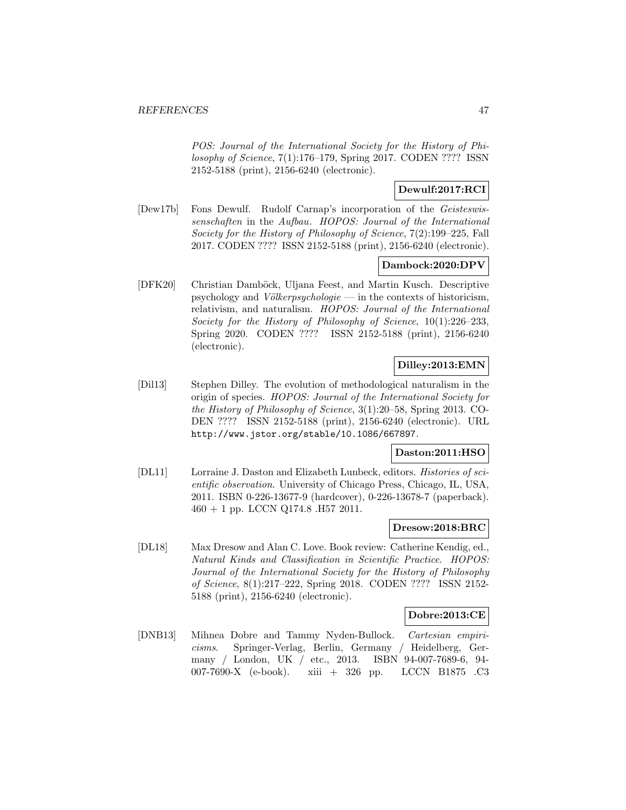POS: Journal of the International Society for the History of Philosophy of Science, 7(1):176–179, Spring 2017. CODEN ???? ISSN 2152-5188 (print), 2156-6240 (electronic).

# **Dewulf:2017:RCI**

[Dew17b] Fons Dewulf. Rudolf Carnap's incorporation of the Geisteswissenschaften in the Aufbau. HOPOS: Journal of the International Society for the History of Philosophy of Science, 7(2):199–225, Fall 2017. CODEN ???? ISSN 2152-5188 (print), 2156-6240 (electronic).

# **Dambock:2020:DPV**

[DFK20] Christian Damböck, Uljana Feest, and Martin Kusch. Descriptive psychology and Völkerpsychologie — in the contexts of historicism, relativism, and naturalism. HOPOS: Journal of the International Society for the History of Philosophy of Science, 10(1):226–233, Spring 2020. CODEN ???? ISSN 2152-5188 (print), 2156-6240 (electronic).

# **Dilley:2013:EMN**

[Dil13] Stephen Dilley. The evolution of methodological naturalism in the origin of species. HOPOS: Journal of the International Society for the History of Philosophy of Science, 3(1):20–58, Spring 2013. CO-DEN ???? ISSN 2152-5188 (print), 2156-6240 (electronic). URL http://www.jstor.org/stable/10.1086/667897.

## **Daston:2011:HSO**

[DL11] Lorraine J. Daston and Elizabeth Lunbeck, editors. Histories of scientific observation. University of Chicago Press, Chicago, IL, USA, 2011. ISBN 0-226-13677-9 (hardcover), 0-226-13678-7 (paperback).  $460 + 1$  pp. LCCN Q174.8 .H57 2011.

## **Dresow:2018:BRC**

[DL18] Max Dresow and Alan C. Love. Book review: Catherine Kendig, ed., Natural Kinds and Classification in Scientific Practice. HOPOS: Journal of the International Society for the History of Philosophy of Science, 8(1):217–222, Spring 2018. CODEN ???? ISSN 2152- 5188 (print), 2156-6240 (electronic).

## **Dobre:2013:CE**

[DNB13] Mihnea Dobre and Tammy Nyden-Bullock. Cartesian empiricisms. Springer-Verlag, Berlin, Germany / Heidelberg, Germany / London, UK / etc., 2013. ISBN 94-007-7689-6, 94- 007-7690-X (e-book). xiii + 326 pp. LCCN B1875 .C3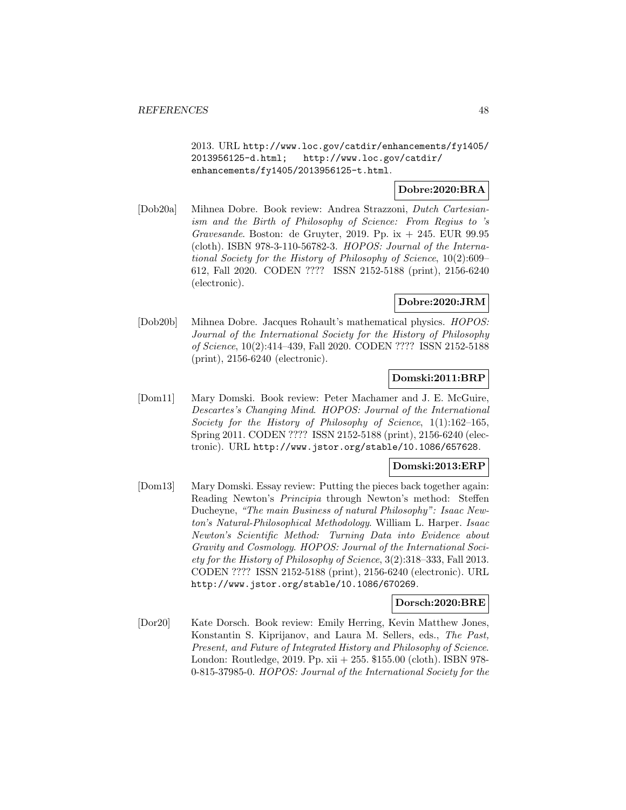2013. URL http://www.loc.gov/catdir/enhancements/fy1405/ 2013956125-d.html; http://www.loc.gov/catdir/ enhancements/fy1405/2013956125-t.html.

# **Dobre:2020:BRA**

[Dob20a] Mihnea Dobre. Book review: Andrea Strazzoni, Dutch Cartesianism and the Birth of Philosophy of Science: From Regius to 's Gravesande. Boston: de Gruyter, 2019. Pp. ix  $+$  245. EUR 99.95 (cloth). ISBN 978-3-110-56782-3. HOPOS: Journal of the International Society for the History of Philosophy of Science, 10(2):609– 612, Fall 2020. CODEN ???? ISSN 2152-5188 (print), 2156-6240 (electronic).

## **Dobre:2020:JRM**

[Dob20b] Mihnea Dobre. Jacques Rohault's mathematical physics. HOPOS: Journal of the International Society for the History of Philosophy of Science, 10(2):414–439, Fall 2020. CODEN ???? ISSN 2152-5188 (print), 2156-6240 (electronic).

## **Domski:2011:BRP**

[Dom11] Mary Domski. Book review: Peter Machamer and J. E. McGuire, Descartes's Changing Mind. HOPOS: Journal of the International Society for the History of Philosophy of Science, 1(1):162–165, Spring 2011. CODEN ???? ISSN 2152-5188 (print), 2156-6240 (electronic). URL http://www.jstor.org/stable/10.1086/657628.

### **Domski:2013:ERP**

[Dom13] Mary Domski. Essay review: Putting the pieces back together again: Reading Newton's Principia through Newton's method: Steffen Ducheyne, "The main Business of natural Philosophy": Isaac Newton's Natural-Philosophical Methodology. William L. Harper. Isaac Newton's Scientific Method: Turning Data into Evidence about Gravity and Cosmology. HOPOS: Journal of the International Society for the History of Philosophy of Science, 3(2):318–333, Fall 2013. CODEN ???? ISSN 2152-5188 (print), 2156-6240 (electronic). URL http://www.jstor.org/stable/10.1086/670269.

#### **Dorsch:2020:BRE**

[Dor20] Kate Dorsch. Book review: Emily Herring, Kevin Matthew Jones, Konstantin S. Kiprijanov, and Laura M. Sellers, eds., The Past, Present, and Future of Integrated History and Philosophy of Science. London: Routledge, 2019. Pp. xii + 255. \$155.00 (cloth). ISBN 978- 0-815-37985-0. HOPOS: Journal of the International Society for the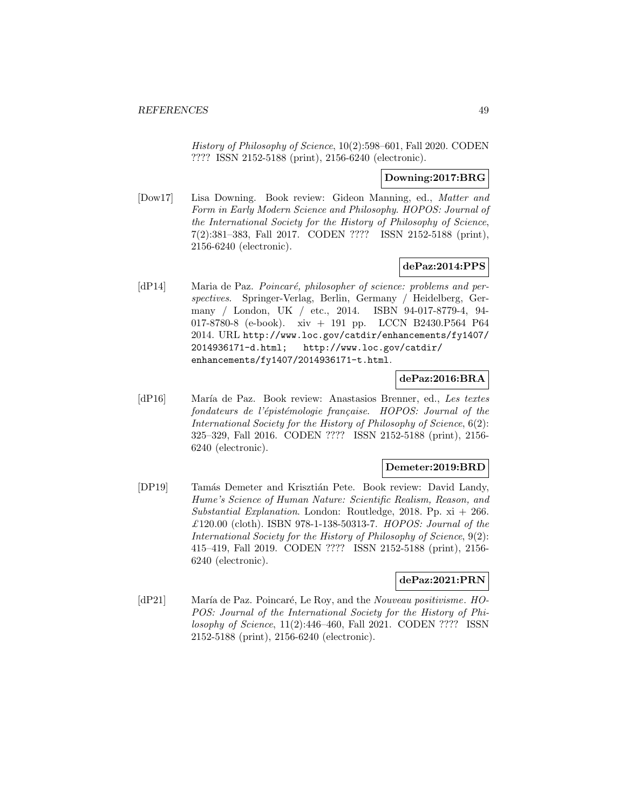History of Philosophy of Science, 10(2):598–601, Fall 2020. CODEN ???? ISSN 2152-5188 (print), 2156-6240 (electronic).

### **Downing:2017:BRG**

[Dow17] Lisa Downing. Book review: Gideon Manning, ed., Matter and Form in Early Modern Science and Philosophy. HOPOS: Journal of the International Society for the History of Philosophy of Science, 7(2):381–383, Fall 2017. CODEN ???? ISSN 2152-5188 (print), 2156-6240 (electronic).

# **dePaz:2014:PPS**

[dP14] Maria de Paz. Poincaré, philosopher of science: problems and perspectives. Springer-Verlag, Berlin, Germany / Heidelberg, Germany / London, UK / etc., 2014. ISBN 94-017-8779-4, 94- 017-8780-8 (e-book). xiv + 191 pp. LCCN B2430.P564 P64 2014. URL http://www.loc.gov/catdir/enhancements/fy1407/ 2014936171-d.html; http://www.loc.gov/catdir/ enhancements/fy1407/2014936171-t.html.

# **dePaz:2016:BRA**

[dP16] María de Paz. Book review: Anastasios Brenner, ed., Les textes fondateurs de l'épistémologie française. HOPOS: Journal of the International Society for the History of Philosophy of Science, 6(2): 325–329, Fall 2016. CODEN ???? ISSN 2152-5188 (print), 2156- 6240 (electronic).

## **Demeter:2019:BRD**

[DP19] Tamás Demeter and Krisztián Pete. Book review: David Landy, Hume's Science of Human Nature: Scientific Realism, Reason, and Substantial Explanation. London: Routledge, 2018. Pp.  $xi + 266$ . £120.00 (cloth). ISBN 978-1-138-50313-7. HOPOS: Journal of the International Society for the History of Philosophy of Science, 9(2): 415–419, Fall 2019. CODEN ???? ISSN 2152-5188 (print), 2156- 6240 (electronic).

## **dePaz:2021:PRN**

[dP21] María de Paz. Poincaré, Le Roy, and the Nouveau positivisme. HO-POS: Journal of the International Society for the History of Philosophy of Science, 11(2):446–460, Fall 2021. CODEN ???? ISSN 2152-5188 (print), 2156-6240 (electronic).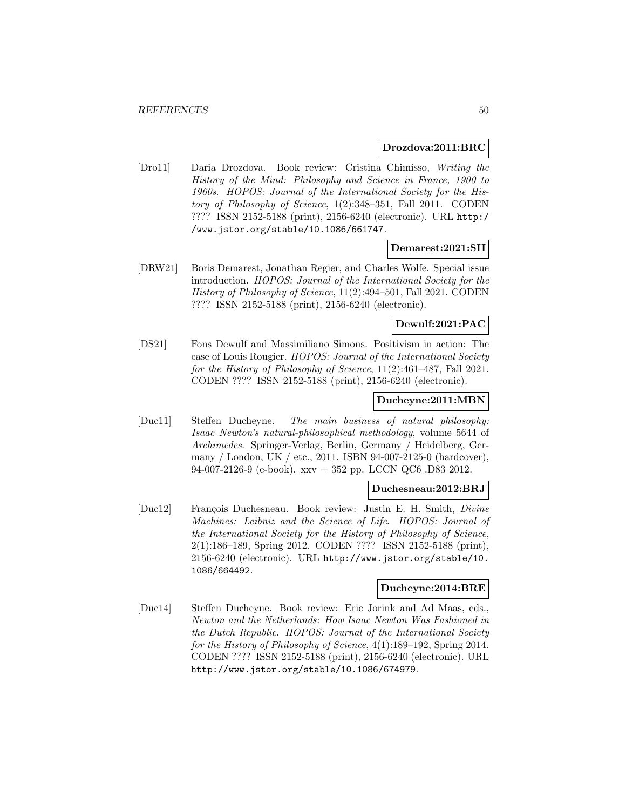### **Drozdova:2011:BRC**

[Dro11] Daria Drozdova. Book review: Cristina Chimisso, Writing the History of the Mind: Philosophy and Science in France, 1900 to 1960s. HOPOS: Journal of the International Society for the History of Philosophy of Science, 1(2):348–351, Fall 2011. CODEN ???? ISSN 2152-5188 (print), 2156-6240 (electronic). URL http:/ /www.jstor.org/stable/10.1086/661747.

### **Demarest:2021:SII**

[DRW21] Boris Demarest, Jonathan Regier, and Charles Wolfe. Special issue introduction. HOPOS: Journal of the International Society for the History of Philosophy of Science, 11(2):494–501, Fall 2021. CODEN ???? ISSN 2152-5188 (print), 2156-6240 (electronic).

## **Dewulf:2021:PAC**

[DS21] Fons Dewulf and Massimiliano Simons. Positivism in action: The case of Louis Rougier. HOPOS: Journal of the International Society for the History of Philosophy of Science, 11(2):461–487, Fall 2021. CODEN ???? ISSN 2152-5188 (print), 2156-6240 (electronic).

### **Ducheyne:2011:MBN**

[Duc11] Steffen Ducheyne. The main business of natural philosophy: Isaac Newton's natural-philosophical methodology, volume 5644 of Archimedes. Springer-Verlag, Berlin, Germany / Heidelberg, Germany / London, UK / etc., 2011. ISBN 94-007-2125-0 (hardcover), 94-007-2126-9 (e-book). xxv + 352 pp. LCCN QC6 .D83 2012.

# **Duchesneau:2012:BRJ**

[Duc12] François Duchesneau. Book review: Justin E. H. Smith, *Divine* Machines: Leibniz and the Science of Life. HOPOS: Journal of the International Society for the History of Philosophy of Science, 2(1):186–189, Spring 2012. CODEN ???? ISSN 2152-5188 (print), 2156-6240 (electronic). URL http://www.jstor.org/stable/10. 1086/664492.

#### **Ducheyne:2014:BRE**

[Duc14] Steffen Ducheyne. Book review: Eric Jorink and Ad Maas, eds., Newton and the Netherlands: How Isaac Newton Was Fashioned in the Dutch Republic. HOPOS: Journal of the International Society for the History of Philosophy of Science, 4(1):189–192, Spring 2014. CODEN ???? ISSN 2152-5188 (print), 2156-6240 (electronic). URL http://www.jstor.org/stable/10.1086/674979.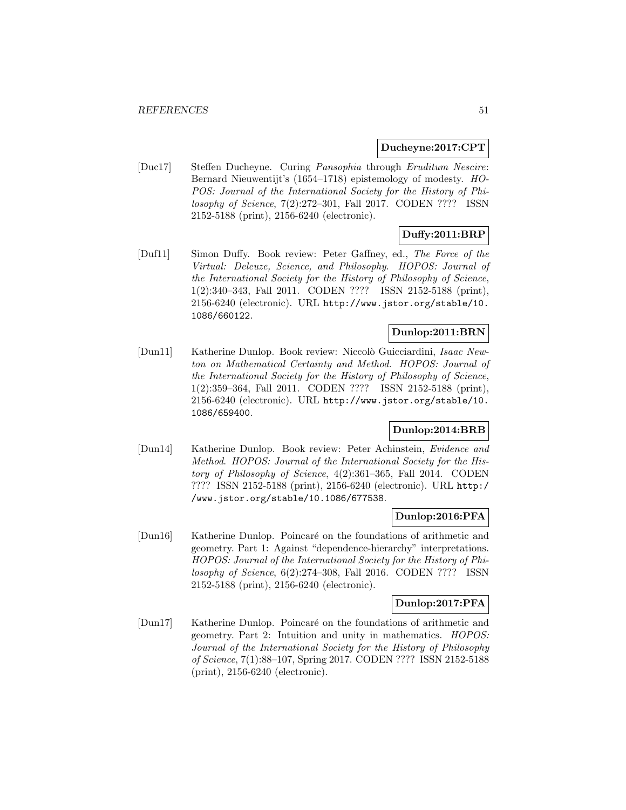### **Ducheyne:2017:CPT**

[Duc17] Steffen Ducheyne. Curing Pansophia through Eruditum Nescire: Bernard Nieuwentijt's (1654–1718) epistemology of modesty. HO-POS: Journal of the International Society for the History of Philosophy of Science, 7(2):272–301, Fall 2017. CODEN ???? ISSN 2152-5188 (print), 2156-6240 (electronic).

# **Duffy:2011:BRP**

[Duf11] Simon Duffy. Book review: Peter Gaffney, ed., The Force of the Virtual: Deleuze, Science, and Philosophy. HOPOS: Journal of the International Society for the History of Philosophy of Science, 1(2):340–343, Fall 2011. CODEN ???? ISSN 2152-5188 (print), 2156-6240 (electronic). URL http://www.jstor.org/stable/10. 1086/660122.

# **Dunlop:2011:BRN**

[Dun11] Katherine Dunlop. Book review: Niccolò Guicciardini, Isaac Newton on Mathematical Certainty and Method. HOPOS: Journal of the International Society for the History of Philosophy of Science, 1(2):359–364, Fall 2011. CODEN ???? ISSN 2152-5188 (print), 2156-6240 (electronic). URL http://www.jstor.org/stable/10. 1086/659400.

# **Dunlop:2014:BRB**

[Dun14] Katherine Dunlop. Book review: Peter Achinstein, Evidence and Method. HOPOS: Journal of the International Society for the History of Philosophy of Science, 4(2):361–365, Fall 2014. CODEN ???? ISSN 2152-5188 (print), 2156-6240 (electronic). URL http:/ /www.jstor.org/stable/10.1086/677538.

## **Dunlop:2016:PFA**

[Dun16] Katherine Dunlop. Poincar´e on the foundations of arithmetic and geometry. Part 1: Against "dependence-hierarchy" interpretations. HOPOS: Journal of the International Society for the History of Philosophy of Science, 6(2):274–308, Fall 2016. CODEN ???? ISSN 2152-5188 (print), 2156-6240 (electronic).

## **Dunlop:2017:PFA**

[Dun17] Katherine Dunlop. Poincaré on the foundations of arithmetic and geometry. Part 2: Intuition and unity in mathematics. HOPOS: Journal of the International Society for the History of Philosophy of Science, 7(1):88–107, Spring 2017. CODEN ???? ISSN 2152-5188 (print), 2156-6240 (electronic).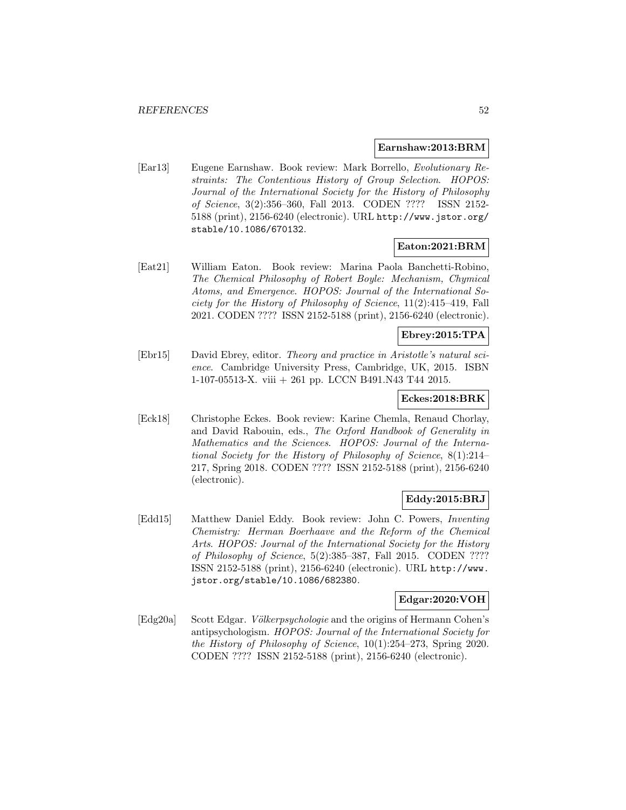### **Earnshaw:2013:BRM**

[Ear13] Eugene Earnshaw. Book review: Mark Borrello, Evolutionary Restraints: The Contentious History of Group Selection. HOPOS: Journal of the International Society for the History of Philosophy of Science, 3(2):356–360, Fall 2013. CODEN ???? ISSN 2152- 5188 (print), 2156-6240 (electronic). URL http://www.jstor.org/ stable/10.1086/670132.

## **Eaton:2021:BRM**

[Eat21] William Eaton. Book review: Marina Paola Banchetti-Robino, The Chemical Philosophy of Robert Boyle: Mechanism, Chymical Atoms, and Emergence. HOPOS: Journal of the International Society for the History of Philosophy of Science, 11(2):415–419, Fall 2021. CODEN ???? ISSN 2152-5188 (print), 2156-6240 (electronic).

## **Ebrey:2015:TPA**

[Ebr15] David Ebrey, editor. Theory and practice in Aristotle's natural science. Cambridge University Press, Cambridge, UK, 2015. ISBN 1-107-05513-X. viii + 261 pp. LCCN B491.N43 T44 2015.

### **Eckes:2018:BRK**

[Eck18] Christophe Eckes. Book review: Karine Chemla, Renaud Chorlay, and David Rabouin, eds., The Oxford Handbook of Generality in Mathematics and the Sciences. HOPOS: Journal of the International Society for the History of Philosophy of Science, 8(1):214– 217, Spring 2018. CODEN ???? ISSN 2152-5188 (print), 2156-6240 (electronic).

# **Eddy:2015:BRJ**

[Edd15] Matthew Daniel Eddy. Book review: John C. Powers, Inventing Chemistry: Herman Boerhaave and the Reform of the Chemical Arts. HOPOS: Journal of the International Society for the History of Philosophy of Science, 5(2):385–387, Fall 2015. CODEN ???? ISSN 2152-5188 (print), 2156-6240 (electronic). URL http://www. jstor.org/stable/10.1086/682380.

## **Edgar:2020:VOH**

[Edg20a] Scott Edgar. Völkerpsychologie and the origins of Hermann Cohen's antipsychologism. HOPOS: Journal of the International Society for the History of Philosophy of Science, 10(1):254–273, Spring 2020. CODEN ???? ISSN 2152-5188 (print), 2156-6240 (electronic).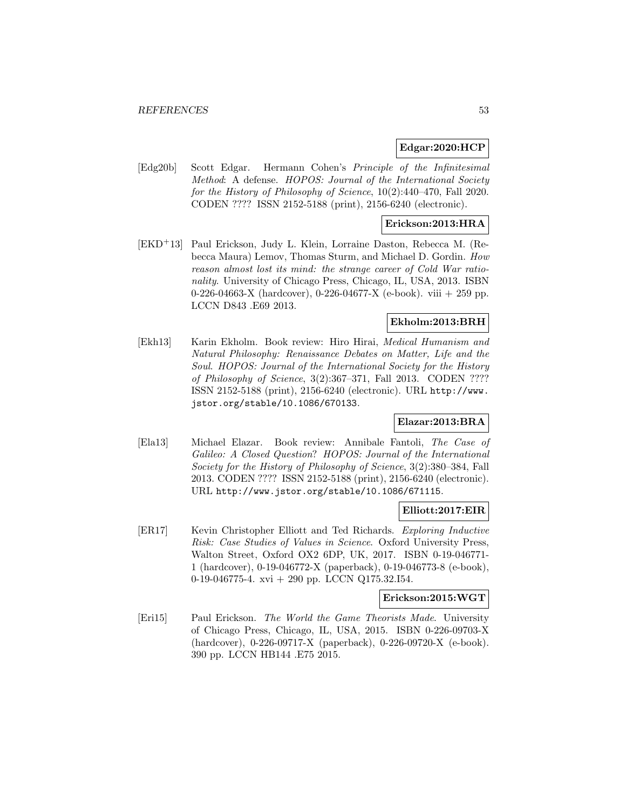## **Edgar:2020:HCP**

[Edg20b] Scott Edgar. Hermann Cohen's Principle of the Infinitesimal Method: A defense. HOPOS: Journal of the International Society for the History of Philosophy of Science, 10(2):440–470, Fall 2020. CODEN ???? ISSN 2152-5188 (print), 2156-6240 (electronic).

## **Erickson:2013:HRA**

[EKD<sup>+</sup>13] Paul Erickson, Judy L. Klein, Lorraine Daston, Rebecca M. (Rebecca Maura) Lemov, Thomas Sturm, and Michael D. Gordin. How reason almost lost its mind: the strange career of Cold War rationality. University of Chicago Press, Chicago, IL, USA, 2013. ISBN 0-226-04663-X (hardcover), 0-226-04677-X (e-book). viii  $+259$  pp. LCCN D843 .E69 2013.

## **Ekholm:2013:BRH**

[Ekh13] Karin Ekholm. Book review: Hiro Hirai, Medical Humanism and Natural Philosophy: Renaissance Debates on Matter, Life and the Soul. HOPOS: Journal of the International Society for the History of Philosophy of Science, 3(2):367–371, Fall 2013. CODEN ???? ISSN 2152-5188 (print), 2156-6240 (electronic). URL http://www. jstor.org/stable/10.1086/670133.

# **Elazar:2013:BRA**

[Ela13] Michael Elazar. Book review: Annibale Fantoli, The Case of Galileo: A Closed Question? HOPOS: Journal of the International Society for the History of Philosophy of Science, 3(2):380–384, Fall 2013. CODEN ???? ISSN 2152-5188 (print), 2156-6240 (electronic). URL http://www.jstor.org/stable/10.1086/671115.

## **Elliott:2017:EIR**

[ER17] Kevin Christopher Elliott and Ted Richards. Exploring Inductive Risk: Case Studies of Values in Science. Oxford University Press, Walton Street, Oxford OX2 6DP, UK, 2017. ISBN 0-19-046771- 1 (hardcover), 0-19-046772-X (paperback), 0-19-046773-8 (e-book), 0-19-046775-4. xvi + 290 pp. LCCN Q175.32.I54.

### **Erickson:2015:WGT**

[Eri15] Paul Erickson. The World the Game Theorists Made. University of Chicago Press, Chicago, IL, USA, 2015. ISBN 0-226-09703-X (hardcover), 0-226-09717-X (paperback), 0-226-09720-X (e-book). 390 pp. LCCN HB144 .E75 2015.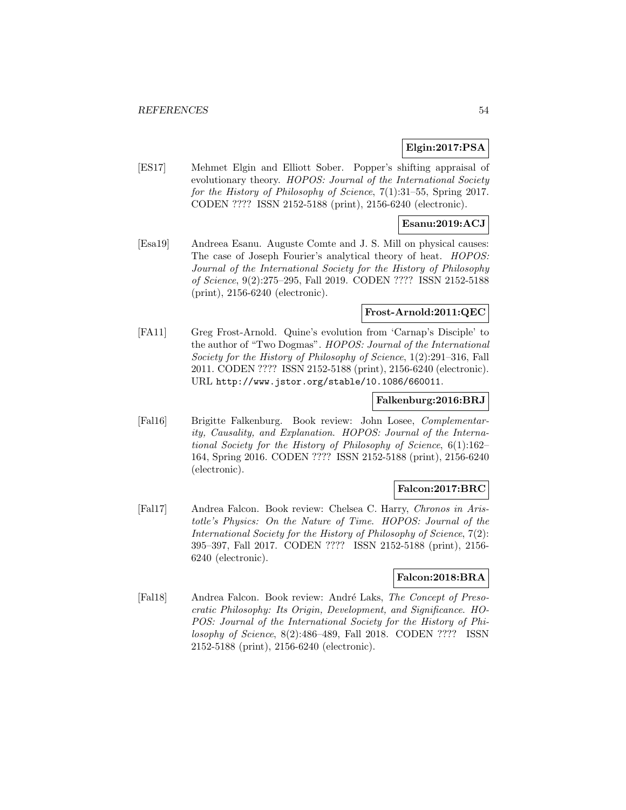## **Elgin:2017:PSA**

[ES17] Mehmet Elgin and Elliott Sober. Popper's shifting appraisal of evolutionary theory. HOPOS: Journal of the International Society for the History of Philosophy of Science, 7(1):31–55, Spring 2017. CODEN ???? ISSN 2152-5188 (print), 2156-6240 (electronic).

## **Esanu:2019:ACJ**

[Esa19] Andreea Esanu. Auguste Comte and J. S. Mill on physical causes: The case of Joseph Fourier's analytical theory of heat. HOPOS: Journal of the International Society for the History of Philosophy of Science, 9(2):275–295, Fall 2019. CODEN ???? ISSN 2152-5188 (print), 2156-6240 (electronic).

### **Frost-Arnold:2011:QEC**

[FA11] Greg Frost-Arnold. Quine's evolution from 'Carnap's Disciple' to the author of "Two Dogmas". HOPOS: Journal of the International Society for the History of Philosophy of Science, 1(2):291–316, Fall 2011. CODEN ???? ISSN 2152-5188 (print), 2156-6240 (electronic). URL http://www.jstor.org/stable/10.1086/660011.

## **Falkenburg:2016:BRJ**

[Fal16] Brigitte Falkenburg. Book review: John Losee, Complementarity, Causality, and Explanation. HOPOS: Journal of the International Society for the History of Philosophy of Science, 6(1):162– 164, Spring 2016. CODEN ???? ISSN 2152-5188 (print), 2156-6240 (electronic).

# **Falcon:2017:BRC**

[Fal17] Andrea Falcon. Book review: Chelsea C. Harry, Chronos in Aristotle's Physics: On the Nature of Time. HOPOS: Journal of the International Society for the History of Philosophy of Science, 7(2): 395–397, Fall 2017. CODEN ???? ISSN 2152-5188 (print), 2156- 6240 (electronic).

## **Falcon:2018:BRA**

[Fal18] Andrea Falcon. Book review: André Laks, The Concept of Presocratic Philosophy: Its Origin, Development, and Significance. HO-POS: Journal of the International Society for the History of Philosophy of Science, 8(2):486–489, Fall 2018. CODEN ???? ISSN 2152-5188 (print), 2156-6240 (electronic).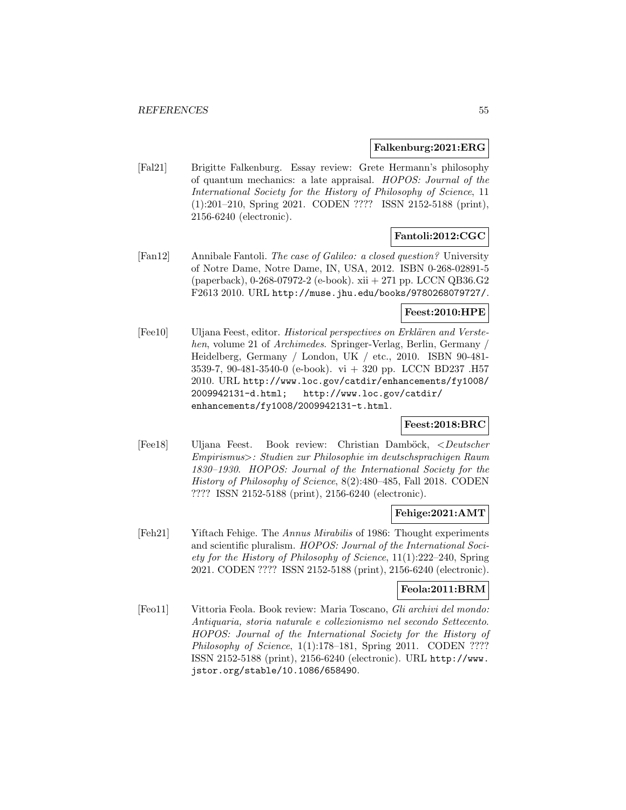### **Falkenburg:2021:ERG**

[Fal21] Brigitte Falkenburg. Essay review: Grete Hermann's philosophy of quantum mechanics: a late appraisal. HOPOS: Journal of the International Society for the History of Philosophy of Science, 11 (1):201–210, Spring 2021. CODEN ???? ISSN 2152-5188 (print), 2156-6240 (electronic).

# **Fantoli:2012:CGC**

[Fan12] Annibale Fantoli. The case of Galileo: a closed question? University of Notre Dame, Notre Dame, IN, USA, 2012. ISBN 0-268-02891-5 (paperback), 0-268-07972-2 (e-book). xii + 271 pp. LCCN QB36.G2 F2613 2010. URL http://muse.jhu.edu/books/9780268079727/.

## **Feest:2010:HPE**

[Fee10] Uljana Feest, editor. Historical perspectives on Erklären and Verstehen, volume 21 of Archimedes. Springer-Verlag, Berlin, Germany / Heidelberg, Germany / London, UK / etc., 2010. ISBN 90-481- 3539-7, 90-481-3540-0 (e-book). vi + 320 pp. LCCN BD237 .H57 2010. URL http://www.loc.gov/catdir/enhancements/fy1008/ 2009942131-d.html; http://www.loc.gov/catdir/ enhancements/fy1008/2009942131-t.html.

# **Feest:2018:BRC**

[Fee18] Uljana Feest. Book review: Christian Damböck, <Deutscher Empirismus>: Studien zur Philosophie im deutschsprachigen Raum 1830–1930. HOPOS: Journal of the International Society for the History of Philosophy of Science, 8(2):480–485, Fall 2018. CODEN ???? ISSN 2152-5188 (print), 2156-6240 (electronic).

## **Fehige:2021:AMT**

[Feh21] Yiftach Fehige. The Annus Mirabilis of 1986: Thought experiments and scientific pluralism. HOPOS: Journal of the International Society for the History of Philosophy of Science, 11(1):222–240, Spring 2021. CODEN ???? ISSN 2152-5188 (print), 2156-6240 (electronic).

# **Feola:2011:BRM**

[Feo11] Vittoria Feola. Book review: Maria Toscano, Gli archivi del mondo: Antiquaria, storia naturale e collezionismo nel secondo Settecento. HOPOS: Journal of the International Society for the History of Philosophy of Science, 1(1):178-181, Spring 2011. CODEN ???? ISSN 2152-5188 (print), 2156-6240 (electronic). URL http://www. jstor.org/stable/10.1086/658490.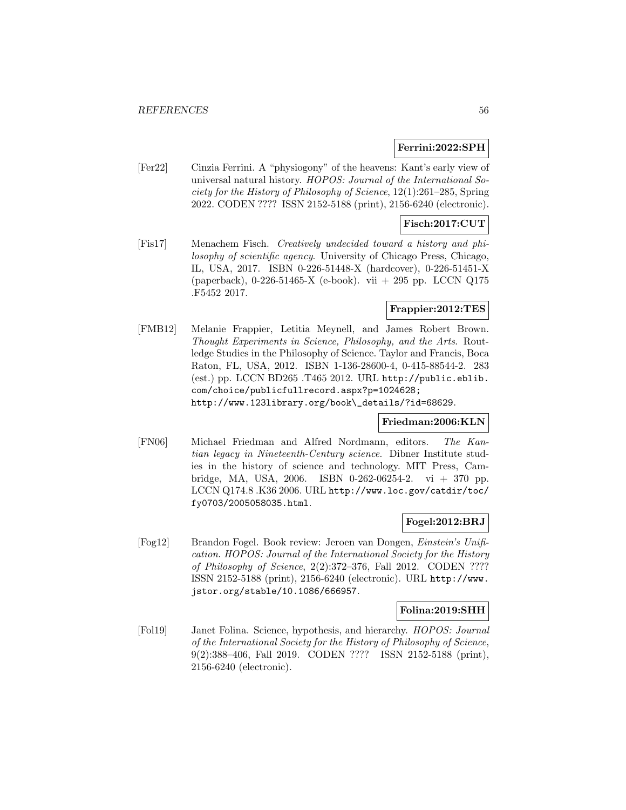### **Ferrini:2022:SPH**

[Fer22] Cinzia Ferrini. A "physiogony" of the heavens: Kant's early view of universal natural history. HOPOS: Journal of the International Society for the History of Philosophy of Science, 12(1):261–285, Spring 2022. CODEN ???? ISSN 2152-5188 (print), 2156-6240 (electronic).

## **Fisch:2017:CUT**

[Fis17] Menachem Fisch. Creatively undecided toward a history and philosophy of scientific agency. University of Chicago Press, Chicago, IL, USA, 2017. ISBN 0-226-51448-X (hardcover), 0-226-51451-X (paperback), 0-226-51465-X (e-book). vii + 295 pp. LCCN Q175 .F5452 2017.

# **Frappier:2012:TES**

[FMB12] Melanie Frappier, Letitia Meynell, and James Robert Brown. Thought Experiments in Science, Philosophy, and the Arts. Routledge Studies in the Philosophy of Science. Taylor and Francis, Boca Raton, FL, USA, 2012. ISBN 1-136-28600-4, 0-415-88544-2. 283 (est.) pp. LCCN BD265 .T465 2012. URL http://public.eblib. com/choice/publicfullrecord.aspx?p=1024628; http://www.123library.org/book\\_details/?id=68629.

## **Friedman:2006:KLN**

[FN06] Michael Friedman and Alfred Nordmann, editors. The Kantian legacy in Nineteenth-Century science. Dibner Institute studies in the history of science and technology. MIT Press, Cambridge, MA, USA, 2006. ISBN 0-262-06254-2. vi + 370 pp. LCCN Q174.8 .K36 2006. URL http://www.loc.gov/catdir/toc/ fy0703/2005058035.html.

# **Fogel:2012:BRJ**

[Fog12] Brandon Fogel. Book review: Jeroen van Dongen, Einstein's Unification. HOPOS: Journal of the International Society for the History of Philosophy of Science, 2(2):372–376, Fall 2012. CODEN ???? ISSN 2152-5188 (print), 2156-6240 (electronic). URL http://www. jstor.org/stable/10.1086/666957.

## **Folina:2019:SHH**

[Fol19] Janet Folina. Science, hypothesis, and hierarchy. HOPOS: Journal of the International Society for the History of Philosophy of Science, 9(2):388–406, Fall 2019. CODEN ???? ISSN 2152-5188 (print), 2156-6240 (electronic).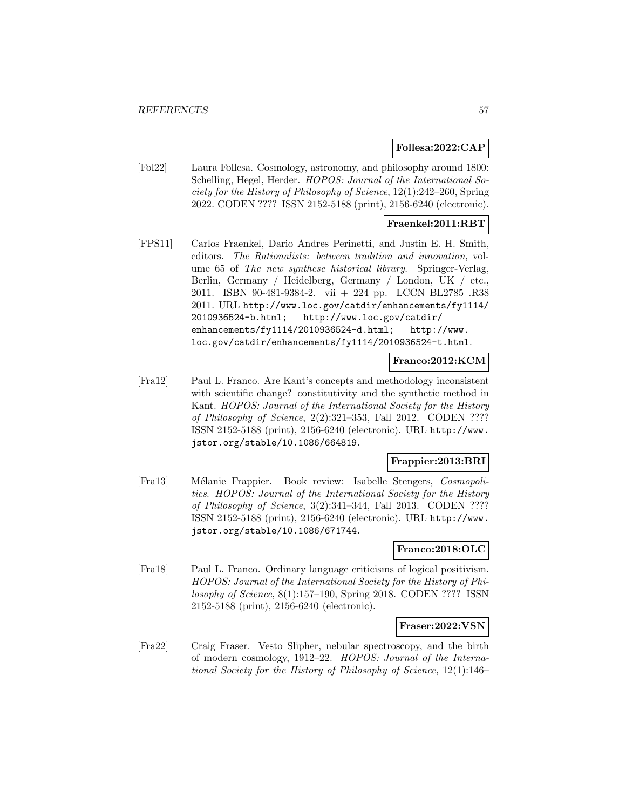### **Follesa:2022:CAP**

[Fol22] Laura Follesa. Cosmology, astronomy, and philosophy around 1800: Schelling, Hegel, Herder. HOPOS: Journal of the International Society for the History of Philosophy of Science, 12(1):242–260, Spring 2022. CODEN ???? ISSN 2152-5188 (print), 2156-6240 (electronic).

## **Fraenkel:2011:RBT**

[FPS11] Carlos Fraenkel, Dario Andres Perinetti, and Justin E. H. Smith, editors. The Rationalists: between tradition and innovation, volume 65 of The new synthese historical library. Springer-Verlag, Berlin, Germany / Heidelberg, Germany / London, UK / etc., 2011. ISBN 90-481-9384-2. vii + 224 pp. LCCN BL2785 .R38 2011. URL http://www.loc.gov/catdir/enhancements/fy1114/ 2010936524-b.html; http://www.loc.gov/catdir/ enhancements/fy1114/2010936524-d.html; http://www. loc.gov/catdir/enhancements/fy1114/2010936524-t.html.

#### **Franco:2012:KCM**

[Fra12] Paul L. Franco. Are Kant's concepts and methodology inconsistent with scientific change? constitutivity and the synthetic method in Kant. HOPOS: Journal of the International Society for the History of Philosophy of Science,  $2(2):321-353$ , Fall 2012. CODEN ???? ISSN 2152-5188 (print), 2156-6240 (electronic). URL http://www. jstor.org/stable/10.1086/664819.

### **Frappier:2013:BRI**

[Fra13] Mélanie Frappier. Book review: Isabelle Stengers, Cosmopolitics. HOPOS: Journal of the International Society for the History of Philosophy of Science, 3(2):341–344, Fall 2013. CODEN ???? ISSN 2152-5188 (print), 2156-6240 (electronic). URL http://www. jstor.org/stable/10.1086/671744.

## **Franco:2018:OLC**

[Fra18] Paul L. Franco. Ordinary language criticisms of logical positivism. HOPOS: Journal of the International Society for the History of Philosophy of Science, 8(1):157–190, Spring 2018. CODEN ???? ISSN 2152-5188 (print), 2156-6240 (electronic).

#### **Fraser:2022:VSN**

[Fra22] Craig Fraser. Vesto Slipher, nebular spectroscopy, and the birth of modern cosmology, 1912–22. HOPOS: Journal of the International Society for the History of Philosophy of Science, 12(1):146–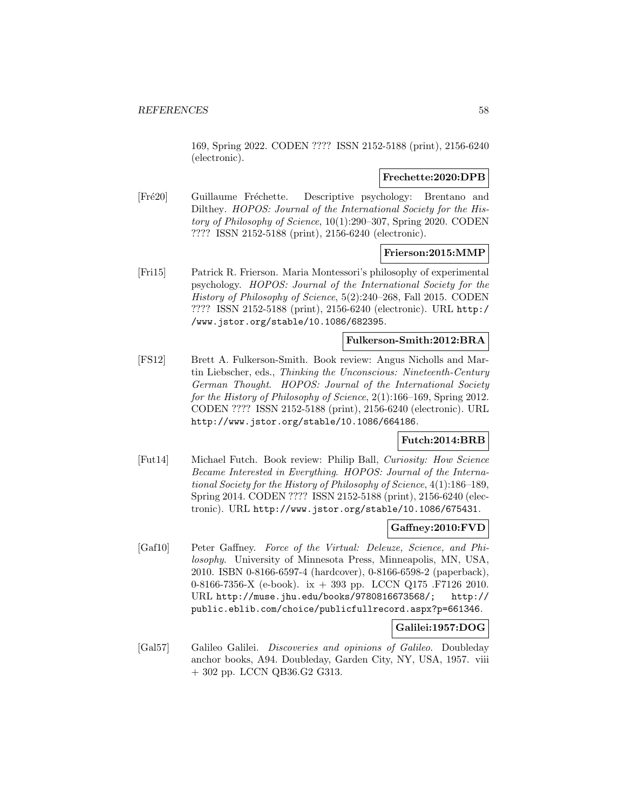169, Spring 2022. CODEN ???? ISSN 2152-5188 (print), 2156-6240 (electronic).

### **Frechette:2020:DPB**

[Fré20] Guillaume Fréchette. Descriptive psychology: Brentano and Dilthey. HOPOS: Journal of the International Society for the History of Philosophy of Science, 10(1):290–307, Spring 2020. CODEN ???? ISSN 2152-5188 (print), 2156-6240 (electronic).

### **Frierson:2015:MMP**

[Fri15] Patrick R. Frierson. Maria Montessori's philosophy of experimental psychology. HOPOS: Journal of the International Society for the History of Philosophy of Science, 5(2):240–268, Fall 2015. CODEN ???? ISSN 2152-5188 (print), 2156-6240 (electronic). URL http:/ /www.jstor.org/stable/10.1086/682395.

## **Fulkerson-Smith:2012:BRA**

[FS12] Brett A. Fulkerson-Smith. Book review: Angus Nicholls and Martin Liebscher, eds., Thinking the Unconscious: Nineteenth-Century German Thought. HOPOS: Journal of the International Society for the History of Philosophy of Science, 2(1):166–169, Spring 2012. CODEN ???? ISSN 2152-5188 (print), 2156-6240 (electronic). URL http://www.jstor.org/stable/10.1086/664186.

# **Futch:2014:BRB**

[Fut14] Michael Futch. Book review: Philip Ball, Curiosity: How Science Became Interested in Everything. HOPOS: Journal of the International Society for the History of Philosophy of Science, 4(1):186–189, Spring 2014. CODEN ???? ISSN 2152-5188 (print), 2156-6240 (electronic). URL http://www.jstor.org/stable/10.1086/675431.

## **Gaffney:2010:FVD**

[Gaf10] Peter Gaffney. Force of the Virtual: Deleuze, Science, and Philosophy. University of Minnesota Press, Minneapolis, MN, USA, 2010. ISBN 0-8166-6597-4 (hardcover), 0-8166-6598-2 (paperback), 0-8166-7356-X (e-book). ix + 393 pp. LCCN Q175 .F7126 2010. URL http://muse.jhu.edu/books/9780816673568/; http:// public.eblib.com/choice/publicfullrecord.aspx?p=661346.

## **Galilei:1957:DOG**

[Gal57] Galileo Galilei. Discoveries and opinions of Galileo. Doubleday anchor books, A94. Doubleday, Garden City, NY, USA, 1957. viii + 302 pp. LCCN QB36.G2 G313.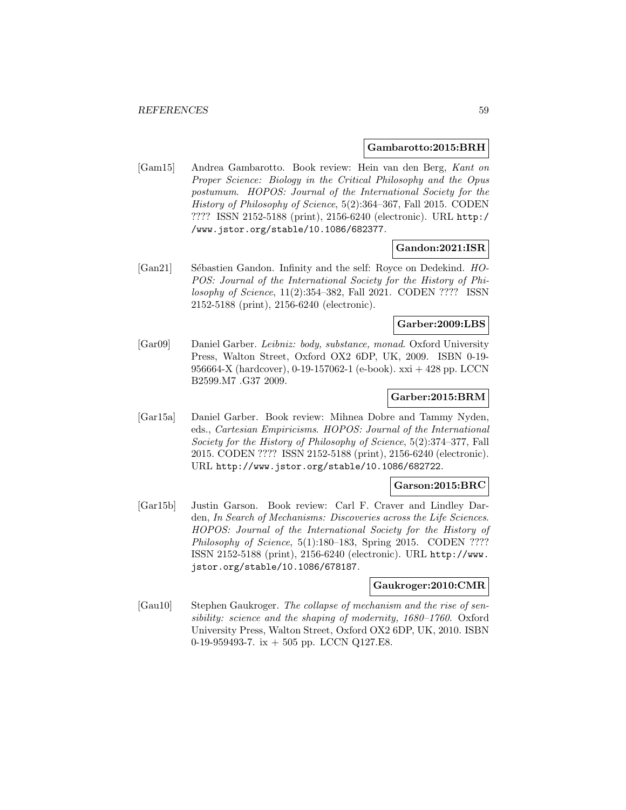### **Gambarotto:2015:BRH**

[Gam15] Andrea Gambarotto. Book review: Hein van den Berg, Kant on Proper Science: Biology in the Critical Philosophy and the Opus postumum. HOPOS: Journal of the International Society for the History of Philosophy of Science, 5(2):364–367, Fall 2015. CODEN ???? ISSN 2152-5188 (print), 2156-6240 (electronic). URL http:/ /www.jstor.org/stable/10.1086/682377.

## **Gandon:2021:ISR**

[Gan21] Sébastien Gandon. Infinity and the self: Royce on Dedekind. HO-POS: Journal of the International Society for the History of Philosophy of Science, 11(2):354–382, Fall 2021. CODEN ???? ISSN 2152-5188 (print), 2156-6240 (electronic).

# **Garber:2009:LBS**

[Gar09] Daniel Garber. Leibniz: body, substance, monad. Oxford University Press, Walton Street, Oxford OX2 6DP, UK, 2009. ISBN 0-19- 956664-X (hardcover), 0-19-157062-1 (e-book). xxi + 428 pp. LCCN B2599.M7 .G37 2009.

## **Garber:2015:BRM**

[Gar15a] Daniel Garber. Book review: Mihnea Dobre and Tammy Nyden, eds., Cartesian Empiricisms. HOPOS: Journal of the International Society for the History of Philosophy of Science, 5(2):374–377, Fall 2015. CODEN ???? ISSN 2152-5188 (print), 2156-6240 (electronic). URL http://www.jstor.org/stable/10.1086/682722.

## **Garson:2015:BRC**

[Gar15b] Justin Garson. Book review: Carl F. Craver and Lindley Darden, In Search of Mechanisms: Discoveries across the Life Sciences. HOPOS: Journal of the International Society for the History of Philosophy of Science,  $5(1):180-183$ , Spring 2015. CODEN ???? ISSN 2152-5188 (print), 2156-6240 (electronic). URL http://www. jstor.org/stable/10.1086/678187.

### **Gaukroger:2010:CMR**

[Gau10] Stephen Gaukroger. The collapse of mechanism and the rise of sensibility: science and the shaping of modernity, 1680–1760. Oxford University Press, Walton Street, Oxford OX2 6DP, UK, 2010. ISBN 0-19-959493-7. ix  $+$  505 pp. LCCN Q127.E8.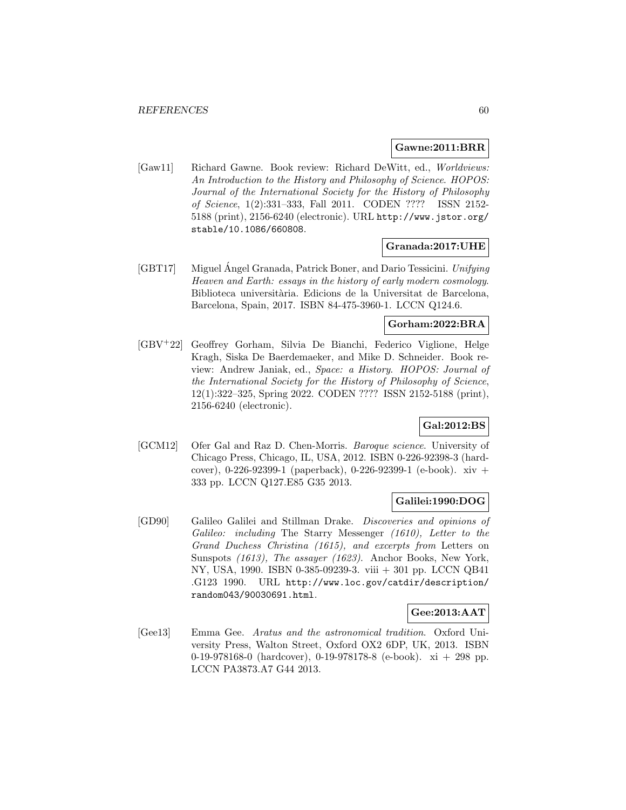### **Gawne:2011:BRR**

[Gaw11] Richard Gawne. Book review: Richard DeWitt, ed., Worldviews: An Introduction to the History and Philosophy of Science. HOPOS: Journal of the International Society for the History of Philosophy of Science, 1(2):331–333, Fall 2011. CODEN ???? ISSN 2152- 5188 (print), 2156-6240 (electronic). URL http://www.jstor.org/ stable/10.1086/660808.

### **Granada:2017:UHE**

[GBT17] Miguel Angel Granada, Patrick Boner, and Dario Tessicini. Unifying Heaven and Earth: essays in the history of early modern cosmology. Biblioteca universitària. Edicions de la Universitat de Barcelona, Barcelona, Spain, 2017. ISBN 84-475-3960-1. LCCN Q124.6.

## **Gorham:2022:BRA**

[GBV<sup>+</sup>22] Geoffrey Gorham, Silvia De Bianchi, Federico Viglione, Helge Kragh, Siska De Baerdemaeker, and Mike D. Schneider. Book review: Andrew Janiak, ed., Space: a History. HOPOS: Journal of the International Society for the History of Philosophy of Science, 12(1):322–325, Spring 2022. CODEN ???? ISSN 2152-5188 (print), 2156-6240 (electronic).

# **Gal:2012:BS**

[GCM12] Ofer Gal and Raz D. Chen-Morris. Baroque science. University of Chicago Press, Chicago, IL, USA, 2012. ISBN 0-226-92398-3 (hardcover), 0-226-92399-1 (paperback), 0-226-92399-1 (e-book). xiv + 333 pp. LCCN Q127.E85 G35 2013.

### **Galilei:1990:DOG**

[GD90] Galileo Galilei and Stillman Drake. Discoveries and opinions of Galileo: including The Starry Messenger (1610), Letter to the Grand Duchess Christina (1615), and excerpts from Letters on Sunspots (1613), The assayer (1623). Anchor Books, New York, NY, USA, 1990. ISBN 0-385-09239-3. viii + 301 pp. LCCN QB41 .G123 1990. URL http://www.loc.gov/catdir/description/ random043/90030691.html.

# **Gee:2013:AAT**

[Gee13] Emma Gee. Aratus and the astronomical tradition. Oxford University Press, Walton Street, Oxford OX2 6DP, UK, 2013. ISBN 0-19-978168-0 (hardcover), 0-19-978178-8 (e-book). xi + 298 pp. LCCN PA3873.A7 G44 2013.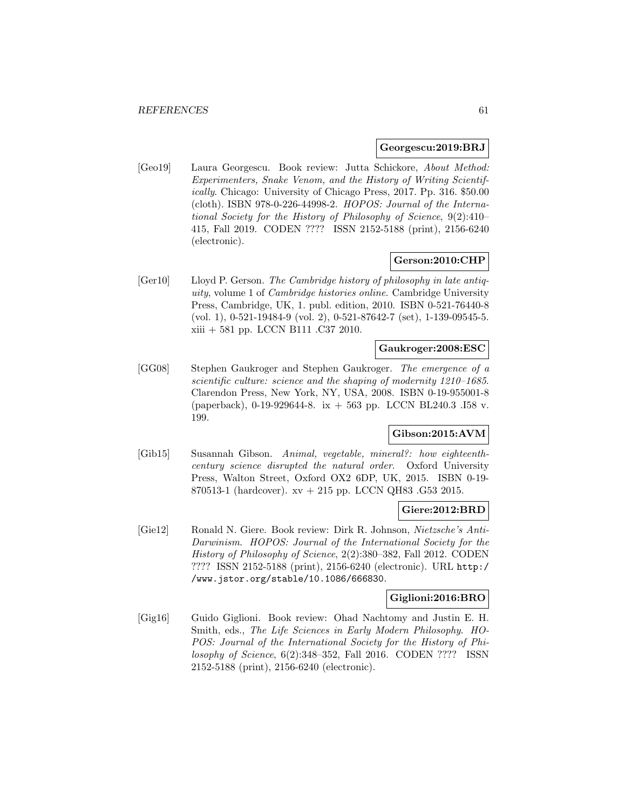### **Georgescu:2019:BRJ**

[Geo19] Laura Georgescu. Book review: Jutta Schickore, About Method: Experimenters, Snake Venom, and the History of Writing Scientifically. Chicago: University of Chicago Press, 2017. Pp. 316. \$50.00 (cloth). ISBN 978-0-226-44998-2. HOPOS: Journal of the International Society for the History of Philosophy of Science, 9(2):410– 415, Fall 2019. CODEN ???? ISSN 2152-5188 (print), 2156-6240 (electronic).

### **Gerson:2010:CHP**

[Ger10] Lloyd P. Gerson. The Cambridge history of philosophy in late antiquity, volume 1 of Cambridge histories online. Cambridge University Press, Cambridge, UK, 1. publ. edition, 2010. ISBN 0-521-76440-8 (vol. 1), 0-521-19484-9 (vol. 2), 0-521-87642-7 (set), 1-139-09545-5. xiii + 581 pp. LCCN B111 .C37 2010.

### **Gaukroger:2008:ESC**

[GG08] Stephen Gaukroger and Stephen Gaukroger. The emergence of a scientific culture: science and the shaping of modernity 1210–1685. Clarendon Press, New York, NY, USA, 2008. ISBN 0-19-955001-8 (paperback), 0-19-929644-8. ix + 563 pp. LCCN BL240.3 .I58 v. 199.

## **Gibson:2015:AVM**

[Gib15] Susannah Gibson. Animal, vegetable, mineral?: how eighteenthcentury science disrupted the natural order. Oxford University Press, Walton Street, Oxford OX2 6DP, UK, 2015. ISBN 0-19- 870513-1 (hardcover). xv + 215 pp. LCCN QH83 .G53 2015.

## **Giere:2012:BRD**

[Gie12] Ronald N. Giere. Book review: Dirk R. Johnson, Nietzsche's Anti-Darwinism. HOPOS: Journal of the International Society for the History of Philosophy of Science, 2(2):380–382, Fall 2012. CODEN ???? ISSN 2152-5188 (print), 2156-6240 (electronic). URL http:/ /www.jstor.org/stable/10.1086/666830.

## **Giglioni:2016:BRO**

[Gig16] Guido Giglioni. Book review: Ohad Nachtomy and Justin E. H. Smith, eds., The Life Sciences in Early Modern Philosophy. HO-POS: Journal of the International Society for the History of Philosophy of Science, 6(2):348–352, Fall 2016. CODEN ???? ISSN 2152-5188 (print), 2156-6240 (electronic).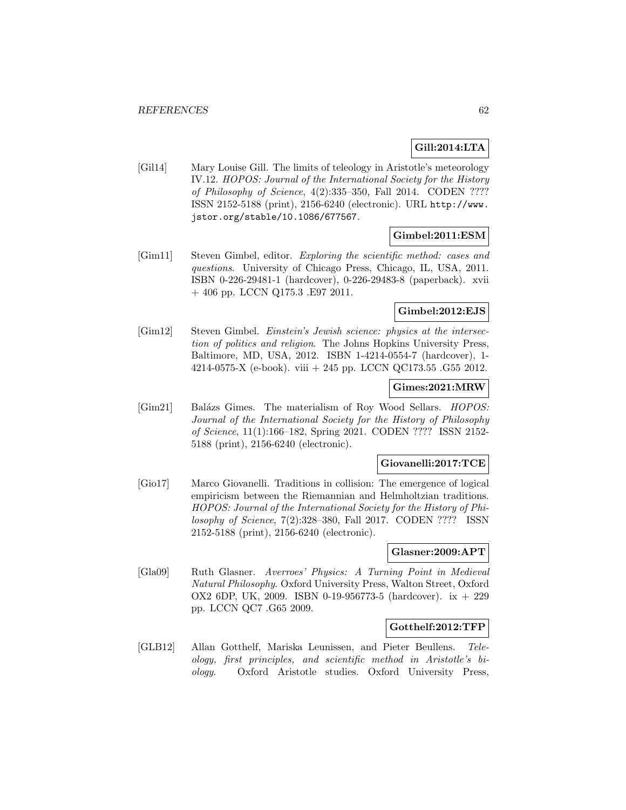# **Gill:2014:LTA**

[Gil14] Mary Louise Gill. The limits of teleology in Aristotle's meteorology IV.12. HOPOS: Journal of the International Society for the History of Philosophy of Science, 4(2):335–350, Fall 2014. CODEN ???? ISSN 2152-5188 (print), 2156-6240 (electronic). URL http://www. jstor.org/stable/10.1086/677567.

## **Gimbel:2011:ESM**

[Gim11] Steven Gimbel, editor. Exploring the scientific method: cases and questions. University of Chicago Press, Chicago, IL, USA, 2011. ISBN 0-226-29481-1 (hardcover), 0-226-29483-8 (paperback). xvii + 406 pp. LCCN Q175.3 .E97 2011.

## **Gimbel:2012:EJS**

[Gim12] Steven Gimbel. Einstein's Jewish science: physics at the intersection of politics and religion. The Johns Hopkins University Press, Baltimore, MD, USA, 2012. ISBN 1-4214-0554-7 (hardcover), 1- 4214-0575-X (e-book). viii + 245 pp. LCCN QC173.55 .G55 2012.

# **Gimes:2021:MRW**

[Gim21] Balázs Gimes. The materialism of Roy Wood Sellars. *HOPOS*: Journal of the International Society for the History of Philosophy of Science, 11(1):166–182, Spring 2021. CODEN ???? ISSN 2152- 5188 (print), 2156-6240 (electronic).

#### **Giovanelli:2017:TCE**

[Gio17] Marco Giovanelli. Traditions in collision: The emergence of logical empiricism between the Riemannian and Helmholtzian traditions. HOPOS: Journal of the International Society for the History of Philosophy of Science, 7(2):328–380, Fall 2017. CODEN ???? ISSN 2152-5188 (print), 2156-6240 (electronic).

### **Glasner:2009:APT**

[Gla09] Ruth Glasner. Averroes' Physics: A Turning Point in Medieval Natural Philosophy. Oxford University Press, Walton Street, Oxford OX2 6DP, UK, 2009. ISBN 0-19-956773-5 (hardcover). ix + 229 pp. LCCN QC7 .G65 2009.

## **Gotthelf:2012:TFP**

[GLB12] Allan Gotthelf, Mariska Leunissen, and Pieter Beullens. Teleology, first principles, and scientific method in Aristotle's biology. Oxford Aristotle studies. Oxford University Press,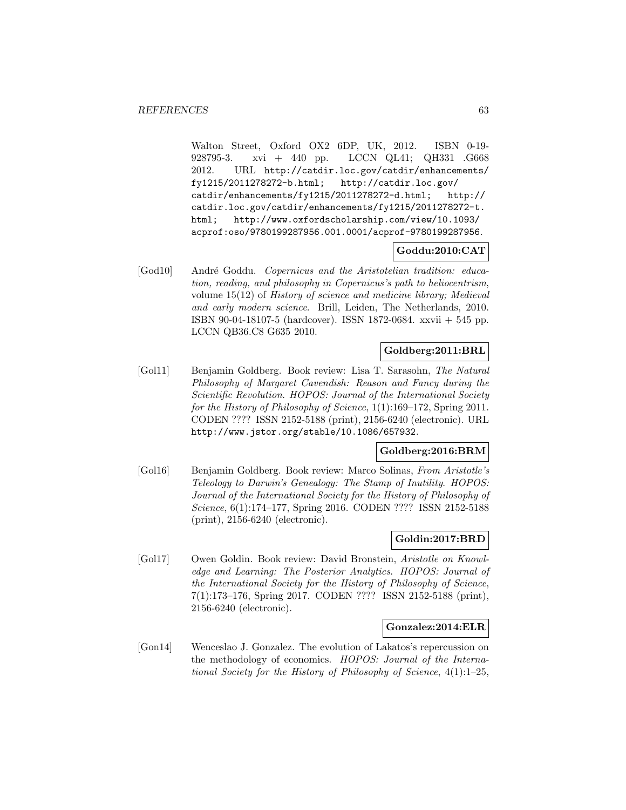Walton Street, Oxford OX2 6DP, UK, 2012. ISBN 0-19- 928795-3. xvi + 440 pp. LCCN QL41; QH331 .G668 2012. URL http://catdir.loc.gov/catdir/enhancements/ fy1215/2011278272-b.html; http://catdir.loc.gov/ catdir/enhancements/fy1215/2011278272-d.html; http:// catdir.loc.gov/catdir/enhancements/fy1215/2011278272-t. html; http://www.oxfordscholarship.com/view/10.1093/ acprof:oso/9780199287956.001.0001/acprof-9780199287956.

## **Goddu:2010:CAT**

[God10] André Goddu. Copernicus and the Aristotelian tradition: education, reading, and philosophy in Copernicus's path to heliocentrism, volume 15(12) of History of science and medicine library; Medieval and early modern science. Brill, Leiden, The Netherlands, 2010. ISBN 90-04-18107-5 (hardcover). ISSN 1872-0684. xxvii + 545 pp. LCCN QB36.C8 G635 2010.

# **Goldberg:2011:BRL**

[Gol11] Benjamin Goldberg. Book review: Lisa T. Sarasohn, The Natural Philosophy of Margaret Cavendish: Reason and Fancy during the Scientific Revolution. HOPOS: Journal of the International Society for the History of Philosophy of Science, 1(1):169–172, Spring 2011. CODEN ???? ISSN 2152-5188 (print), 2156-6240 (electronic). URL http://www.jstor.org/stable/10.1086/657932.

## **Goldberg:2016:BRM**

[Gol16] Benjamin Goldberg. Book review: Marco Solinas, From Aristotle's Teleology to Darwin's Genealogy: The Stamp of Inutility. HOPOS: Journal of the International Society for the History of Philosophy of Science, 6(1):174–177, Spring 2016. CODEN ???? ISSN 2152-5188 (print), 2156-6240 (electronic).

# **Goldin:2017:BRD**

[Gol17] Owen Goldin. Book review: David Bronstein, Aristotle on Knowledge and Learning: The Posterior Analytics. HOPOS: Journal of the International Society for the History of Philosophy of Science, 7(1):173–176, Spring 2017. CODEN ???? ISSN 2152-5188 (print), 2156-6240 (electronic).

## **Gonzalez:2014:ELR**

[Gon14] Wenceslao J. Gonzalez. The evolution of Lakatos's repercussion on the methodology of economics. HOPOS: Journal of the International Society for the History of Philosophy of Science, 4(1):1–25,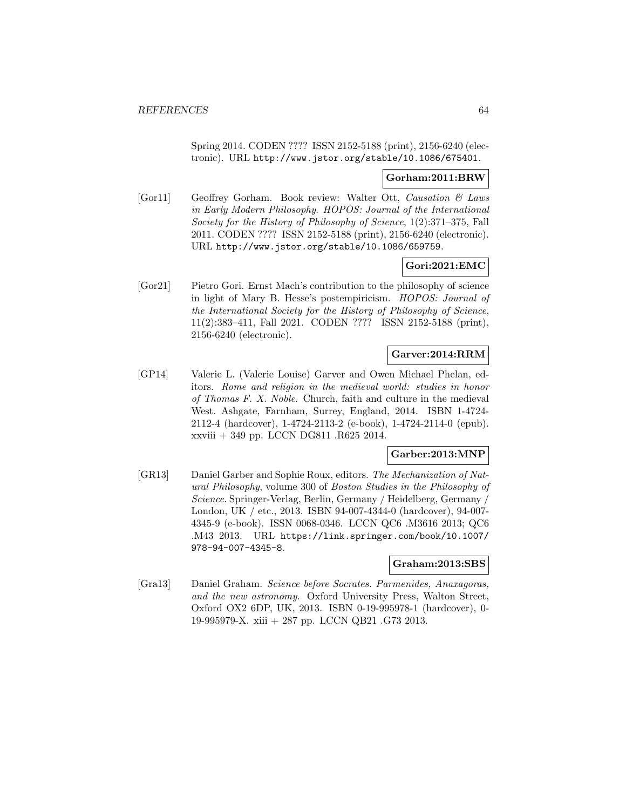Spring 2014. CODEN ???? ISSN 2152-5188 (print), 2156-6240 (electronic). URL http://www.jstor.org/stable/10.1086/675401.

### **Gorham:2011:BRW**

[Gor11] Geoffrey Gorham. Book review: Walter Ott, Causation & Laws in Early Modern Philosophy. HOPOS: Journal of the International Society for the History of Philosophy of Science, 1(2):371–375, Fall 2011. CODEN ???? ISSN 2152-5188 (print), 2156-6240 (electronic). URL http://www.jstor.org/stable/10.1086/659759.

# **Gori:2021:EMC**

[Gor21] Pietro Gori. Ernst Mach's contribution to the philosophy of science in light of Mary B. Hesse's postempiricism. HOPOS: Journal of the International Society for the History of Philosophy of Science, 11(2):383–411, Fall 2021. CODEN ???? ISSN 2152-5188 (print), 2156-6240 (electronic).

## **Garver:2014:RRM**

[GP14] Valerie L. (Valerie Louise) Garver and Owen Michael Phelan, editors. Rome and religion in the medieval world: studies in honor of Thomas F. X. Noble. Church, faith and culture in the medieval West. Ashgate, Farnham, Surrey, England, 2014. ISBN 1-4724- 2112-4 (hardcover), 1-4724-2113-2 (e-book), 1-4724-2114-0 (epub). xxviii + 349 pp. LCCN DG811 .R625 2014.

# **Garber:2013:MNP**

[GR13] Daniel Garber and Sophie Roux, editors. The Mechanization of Natural Philosophy, volume 300 of Boston Studies in the Philosophy of Science. Springer-Verlag, Berlin, Germany / Heidelberg, Germany / London, UK / etc., 2013. ISBN 94-007-4344-0 (hardcover), 94-007- 4345-9 (e-book). ISSN 0068-0346. LCCN QC6 .M3616 2013; QC6 .M43 2013. URL https://link.springer.com/book/10.1007/ 978-94-007-4345-8.

#### **Graham:2013:SBS**

[Gra13] Daniel Graham. Science before Socrates. Parmenides, Anaxagoras, and the new astronomy. Oxford University Press, Walton Street, Oxford OX2 6DP, UK, 2013. ISBN 0-19-995978-1 (hardcover), 0- 19-995979-X. xiii + 287 pp. LCCN QB21 .G73 2013.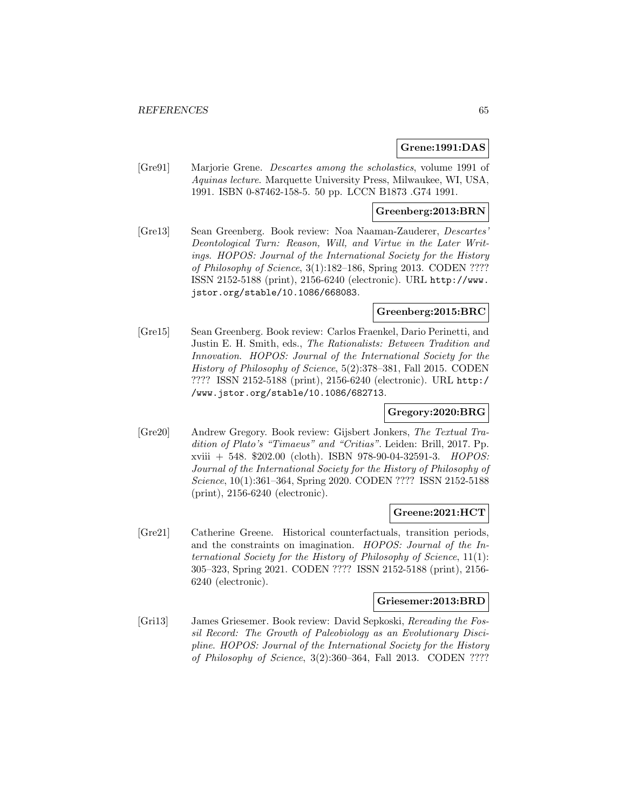### **Grene:1991:DAS**

[Gre91] Marjorie Grene. Descartes among the scholastics, volume 1991 of Aquinas lecture. Marquette University Press, Milwaukee, WI, USA, 1991. ISBN 0-87462-158-5. 50 pp. LCCN B1873 .G74 1991.

### **Greenberg:2013:BRN**

[Gre13] Sean Greenberg. Book review: Noa Naaman-Zauderer, Descartes' Deontological Turn: Reason, Will, and Virtue in the Later Writings. HOPOS: Journal of the International Society for the History of Philosophy of Science, 3(1):182–186, Spring 2013. CODEN ???? ISSN 2152-5188 (print), 2156-6240 (electronic). URL http://www. jstor.org/stable/10.1086/668083.

### **Greenberg:2015:BRC**

[Gre15] Sean Greenberg. Book review: Carlos Fraenkel, Dario Perinetti, and Justin E. H. Smith, eds., The Rationalists: Between Tradition and Innovation. HOPOS: Journal of the International Society for the History of Philosophy of Science, 5(2):378–381, Fall 2015. CODEN ???? ISSN 2152-5188 (print), 2156-6240 (electronic). URL http:/ /www.jstor.org/stable/10.1086/682713.

## **Gregory:2020:BRG**

[Gre20] Andrew Gregory. Book review: Gijsbert Jonkers, The Textual Tradition of Plato's "Timaeus" and "Critias". Leiden: Brill, 2017. Pp. xviii + 548. \$202.00 (cloth). ISBN 978-90-04-32591-3. HOPOS: Journal of the International Society for the History of Philosophy of Science, 10(1):361–364, Spring 2020. CODEN ???? ISSN 2152-5188 (print), 2156-6240 (electronic).

#### **Greene:2021:HCT**

[Gre21] Catherine Greene. Historical counterfactuals, transition periods, and the constraints on imagination. HOPOS: Journal of the International Society for the History of Philosophy of Science, 11(1): 305–323, Spring 2021. CODEN ???? ISSN 2152-5188 (print), 2156- 6240 (electronic).

#### **Griesemer:2013:BRD**

[Gri13] James Griesemer. Book review: David Sepkoski, Rereading the Fossil Record: The Growth of Paleobiology as an Evolutionary Discipline. HOPOS: Journal of the International Society for the History of Philosophy of Science, 3(2):360–364, Fall 2013. CODEN ????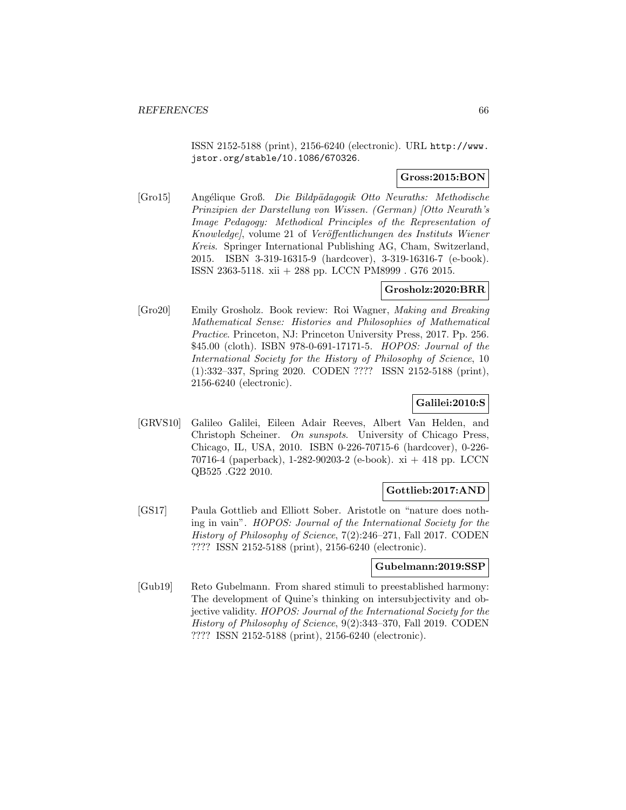ISSN 2152-5188 (print), 2156-6240 (electronic). URL http://www. jstor.org/stable/10.1086/670326.

## **Gross:2015:BON**

[Gro15] Angélique Groß. Die Bildpädagogik Otto Neuraths: Methodische Prinzipien der Darstellung von Wissen. (German) [Otto Neurath's Image Pedagogy: Methodical Principles of the Representation of Knowledge), volume 21 of Veröffentlichungen des Instituts Wiener Kreis. Springer International Publishing AG, Cham, Switzerland, 2015. ISBN 3-319-16315-9 (hardcover), 3-319-16316-7 (e-book). ISSN 2363-5118. xii + 288 pp. LCCN PM8999 . G76 2015.

## **Grosholz:2020:BRR**

[Gro20] Emily Grosholz. Book review: Roi Wagner, Making and Breaking Mathematical Sense: Histories and Philosophies of Mathematical Practice. Princeton, NJ: Princeton University Press, 2017. Pp. 256. \$45.00 (cloth). ISBN 978-0-691-17171-5. HOPOS: Journal of the International Society for the History of Philosophy of Science, 10 (1):332–337, Spring 2020. CODEN ???? ISSN 2152-5188 (print), 2156-6240 (electronic).

## **Galilei:2010:S**

[GRVS10] Galileo Galilei, Eileen Adair Reeves, Albert Van Helden, and Christoph Scheiner. On sunspots. University of Chicago Press, Chicago, IL, USA, 2010. ISBN 0-226-70715-6 (hardcover), 0-226- 70716-4 (paperback), 1-282-90203-2 (e-book). xi + 418 pp. LCCN QB525 .G22 2010.

## **Gottlieb:2017:AND**

[GS17] Paula Gottlieb and Elliott Sober. Aristotle on "nature does nothing in vain". HOPOS: Journal of the International Society for the History of Philosophy of Science, 7(2):246–271, Fall 2017. CODEN ???? ISSN 2152-5188 (print), 2156-6240 (electronic).

## **Gubelmann:2019:SSP**

[Gub19] Reto Gubelmann. From shared stimuli to preestablished harmony: The development of Quine's thinking on intersubjectivity and objective validity. HOPOS: Journal of the International Society for the History of Philosophy of Science, 9(2):343–370, Fall 2019. CODEN ???? ISSN 2152-5188 (print), 2156-6240 (electronic).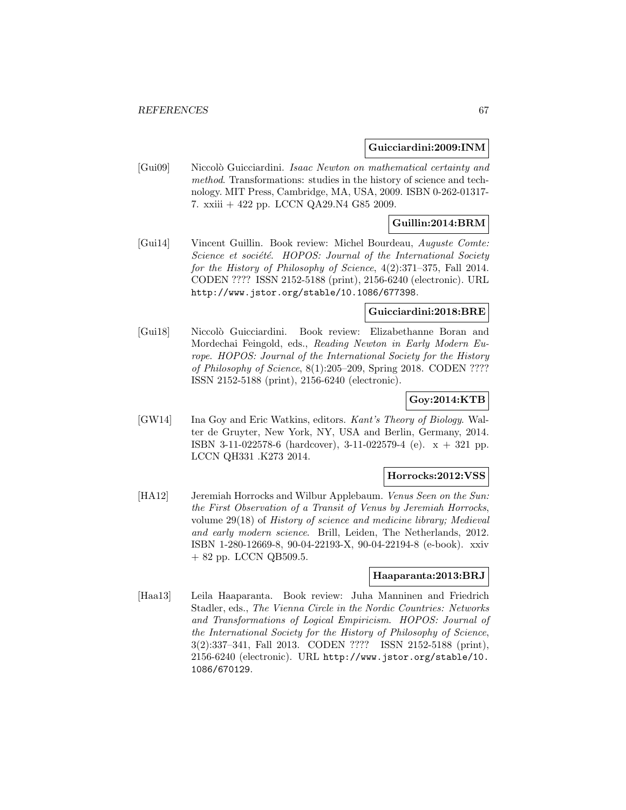### **Guicciardini:2009:INM**

[Gui09] Niccolò Guicciardini. Isaac Newton on mathematical certainty and method. Transformations: studies in the history of science and technology. MIT Press, Cambridge, MA, USA, 2009. ISBN 0-262-01317- 7. xxiii + 422 pp. LCCN QA29.N4 G85 2009.

## **Guillin:2014:BRM**

[Gui14] Vincent Guillin. Book review: Michel Bourdeau, Auguste Comte: Science et société. HOPOS: Journal of the International Society for the History of Philosophy of Science, 4(2):371–375, Fall 2014. CODEN ???? ISSN 2152-5188 (print), 2156-6240 (electronic). URL http://www.jstor.org/stable/10.1086/677398.

### **Guicciardini:2018:BRE**

[Gui18] Niccolò Guicciardini. Book review: Elizabethanne Boran and Mordechai Feingold, eds., Reading Newton in Early Modern Europe. HOPOS: Journal of the International Society for the History of Philosophy of Science, 8(1):205–209, Spring 2018. CODEN ???? ISSN 2152-5188 (print), 2156-6240 (electronic).

# **Goy:2014:KTB**

[GW14] Ina Goy and Eric Watkins, editors. Kant's Theory of Biology. Walter de Gruyter, New York, NY, USA and Berlin, Germany, 2014. ISBN 3-11-022578-6 (hardcover), 3-11-022579-4 (e). x + 321 pp. LCCN QH331 .K273 2014.

## **Horrocks:2012:VSS**

[HA12] Jeremiah Horrocks and Wilbur Applebaum. Venus Seen on the Sun: the First Observation of a Transit of Venus by Jeremiah Horrocks, volume 29(18) of History of science and medicine library; Medieval and early modern science. Brill, Leiden, The Netherlands, 2012. ISBN 1-280-12669-8, 90-04-22193-X, 90-04-22194-8 (e-book). xxiv + 82 pp. LCCN QB509.5.

# **Haaparanta:2013:BRJ**

[Haa13] Leila Haaparanta. Book review: Juha Manninen and Friedrich Stadler, eds., The Vienna Circle in the Nordic Countries: Networks and Transformations of Logical Empiricism. HOPOS: Journal of the International Society for the History of Philosophy of Science, 3(2):337–341, Fall 2013. CODEN ???? ISSN 2152-5188 (print), 2156-6240 (electronic). URL http://www.jstor.org/stable/10. 1086/670129.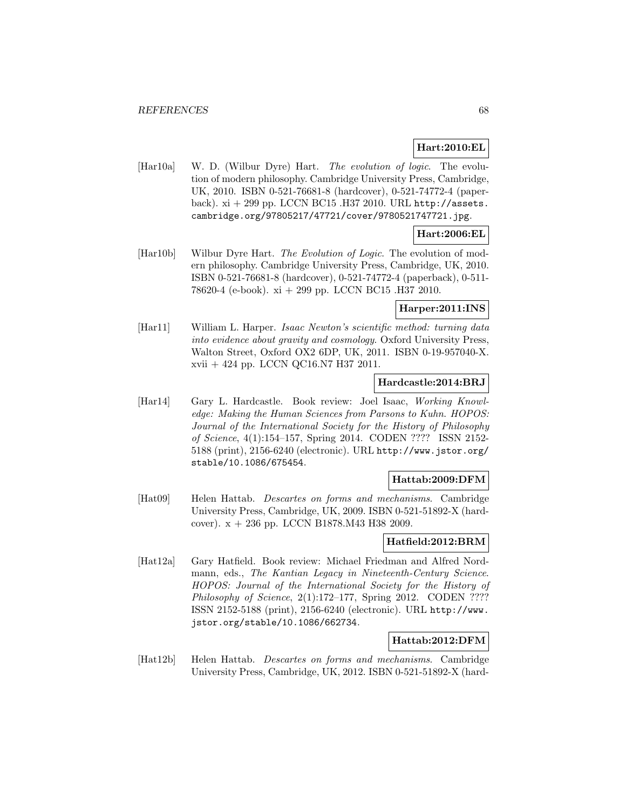# **Hart:2010:EL**

[Har10a] W. D. (Wilbur Dyre) Hart. The evolution of logic. The evolution of modern philosophy. Cambridge University Press, Cambridge, UK, 2010. ISBN 0-521-76681-8 (hardcover), 0-521-74772-4 (paperback).  $xi + 299$  pp. LCCN BC15 .H37 2010. URL http://assets. cambridge.org/97805217/47721/cover/9780521747721.jpg.

# **Hart:2006:EL**

[Har10b] Wilbur Dyre Hart. The Evolution of Logic. The evolution of modern philosophy. Cambridge University Press, Cambridge, UK, 2010. ISBN 0-521-76681-8 (hardcover), 0-521-74772-4 (paperback), 0-511- 78620-4 (e-book). xi + 299 pp. LCCN BC15 .H37 2010.

# **Harper:2011:INS**

[Har11] William L. Harper. Isaac Newton's scientific method: turning data into evidence about gravity and cosmology. Oxford University Press, Walton Street, Oxford OX2 6DP, UK, 2011. ISBN 0-19-957040-X. xvii + 424 pp. LCCN QC16.N7 H37 2011.

## **Hardcastle:2014:BRJ**

[Har14] Gary L. Hardcastle. Book review: Joel Isaac, Working Knowledge: Making the Human Sciences from Parsons to Kuhn. HOPOS: Journal of the International Society for the History of Philosophy of Science, 4(1):154–157, Spring 2014. CODEN ???? ISSN 2152- 5188 (print), 2156-6240 (electronic). URL http://www.jstor.org/ stable/10.1086/675454.

## **Hattab:2009:DFM**

[Hat09] Helen Hattab. Descartes on forms and mechanisms. Cambridge University Press, Cambridge, UK, 2009. ISBN 0-521-51892-X (hardcover). x + 236 pp. LCCN B1878.M43 H38 2009.

# **Hatfield:2012:BRM**

[Hat12a] Gary Hatfield. Book review: Michael Friedman and Alfred Nordmann, eds., The Kantian Legacy in Nineteenth-Century Science. HOPOS: Journal of the International Society for the History of Philosophy of Science, 2(1):172–177, Spring 2012. CODEN ???? ISSN 2152-5188 (print), 2156-6240 (electronic). URL http://www. jstor.org/stable/10.1086/662734.

## **Hattab:2012:DFM**

[Hat12b] Helen Hattab. Descartes on forms and mechanisms. Cambridge University Press, Cambridge, UK, 2012. ISBN 0-521-51892-X (hard-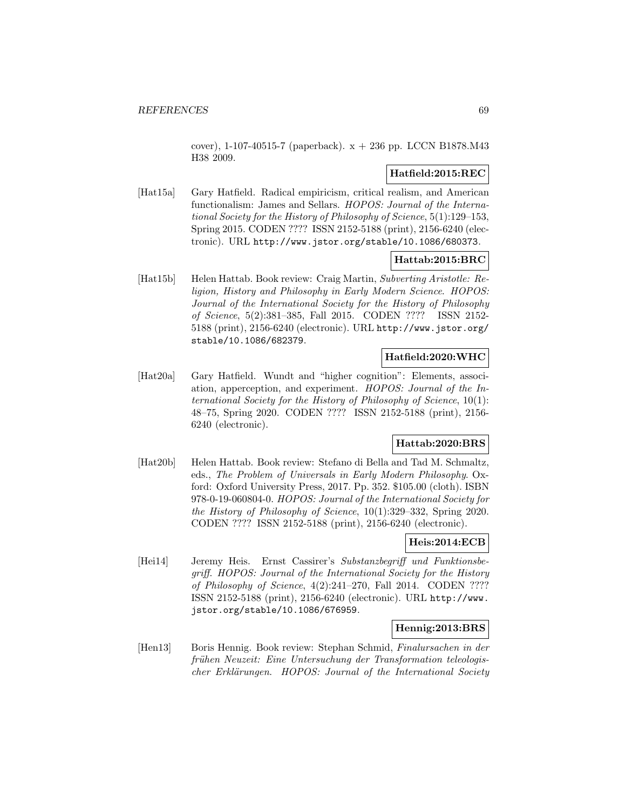cover), 1-107-40515-7 (paperback). x + 236 pp. LCCN B1878.M43 H38 2009.

# **Hatfield:2015:REC**

[Hat15a] Gary Hatfield. Radical empiricism, critical realism, and American functionalism: James and Sellars. HOPOS: Journal of the International Society for the History of Philosophy of Science, 5(1):129–153, Spring 2015. CODEN ???? ISSN 2152-5188 (print), 2156-6240 (electronic). URL http://www.jstor.org/stable/10.1086/680373.

## **Hattab:2015:BRC**

[Hat15b] Helen Hattab. Book review: Craig Martin, Subverting Aristotle: Religion, History and Philosophy in Early Modern Science. HOPOS: Journal of the International Society for the History of Philosophy of Science, 5(2):381–385, Fall 2015. CODEN ???? ISSN 2152- 5188 (print), 2156-6240 (electronic). URL http://www.jstor.org/ stable/10.1086/682379.

## **Hatfield:2020:WHC**

[Hat20a] Gary Hatfield. Wundt and "higher cognition": Elements, association, apperception, and experiment. HOPOS: Journal of the International Society for the History of Philosophy of Science, 10(1): 48–75, Spring 2020. CODEN ???? ISSN 2152-5188 (print), 2156- 6240 (electronic).

## **Hattab:2020:BRS**

[Hat20b] Helen Hattab. Book review: Stefano di Bella and Tad M. Schmaltz, eds., The Problem of Universals in Early Modern Philosophy. Oxford: Oxford University Press, 2017. Pp. 352. \$105.00 (cloth). ISBN 978-0-19-060804-0. HOPOS: Journal of the International Society for the History of Philosophy of Science, 10(1):329–332, Spring 2020. CODEN ???? ISSN 2152-5188 (print), 2156-6240 (electronic).

# **Heis:2014:ECB**

[Hei14] Jeremy Heis. Ernst Cassirer's Substanzbegriff und Funktionsbegriff. HOPOS: Journal of the International Society for the History of Philosophy of Science, 4(2):241–270, Fall 2014. CODEN ???? ISSN 2152-5188 (print), 2156-6240 (electronic). URL http://www. jstor.org/stable/10.1086/676959.

## **Hennig:2013:BRS**

[Hen13] Boris Hennig. Book review: Stephan Schmid, Finalursachen in der frühen Neuzeit: Eine Untersuchung der Transformation teleologischer Erklärungen. HOPOS: Journal of the International Society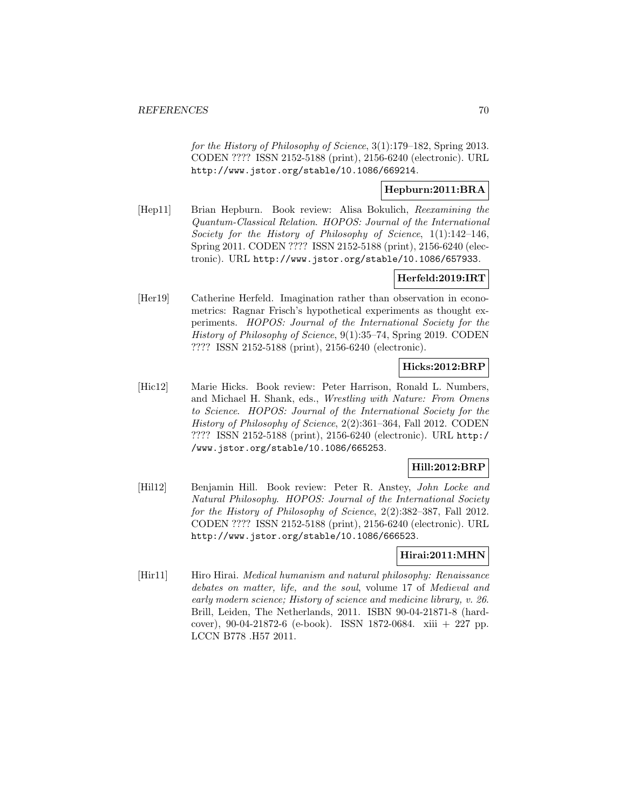for the History of Philosophy of Science, 3(1):179–182, Spring 2013. CODEN ???? ISSN 2152-5188 (print), 2156-6240 (electronic). URL http://www.jstor.org/stable/10.1086/669214.

# **Hepburn:2011:BRA**

[Hep11] Brian Hepburn. Book review: Alisa Bokulich, Reexamining the Quantum-Classical Relation. HOPOS: Journal of the International Society for the History of Philosophy of Science, 1(1):142–146, Spring 2011. CODEN ???? ISSN 2152-5188 (print), 2156-6240 (electronic). URL http://www.jstor.org/stable/10.1086/657933.

# **Herfeld:2019:IRT**

[Her19] Catherine Herfeld. Imagination rather than observation in econometrics: Ragnar Frisch's hypothetical experiments as thought experiments. HOPOS: Journal of the International Society for the History of Philosophy of Science, 9(1):35–74, Spring 2019. CODEN ???? ISSN 2152-5188 (print), 2156-6240 (electronic).

## **Hicks:2012:BRP**

[Hic12] Marie Hicks. Book review: Peter Harrison, Ronald L. Numbers, and Michael H. Shank, eds., Wrestling with Nature: From Omens to Science. HOPOS: Journal of the International Society for the History of Philosophy of Science, 2(2):361–364, Fall 2012. CODEN ???? ISSN 2152-5188 (print), 2156-6240 (electronic). URL http:/ /www.jstor.org/stable/10.1086/665253.

# **Hill:2012:BRP**

[Hil12] Benjamin Hill. Book review: Peter R. Anstey, John Locke and Natural Philosophy. HOPOS: Journal of the International Society for the History of Philosophy of Science, 2(2):382–387, Fall 2012. CODEN ???? ISSN 2152-5188 (print), 2156-6240 (electronic). URL http://www.jstor.org/stable/10.1086/666523.

# **Hirai:2011:MHN**

[Hir11] Hiro Hirai. *Medical humanism and natural philosophy: Renaissance* debates on matter, life, and the soul, volume 17 of Medieval and early modern science; History of science and medicine library, v. 26. Brill, Leiden, The Netherlands, 2011. ISBN 90-04-21871-8 (hardcover), 90-04-21872-6 (e-book). ISSN 1872-0684. xiii + 227 pp. LCCN B778 .H57 2011.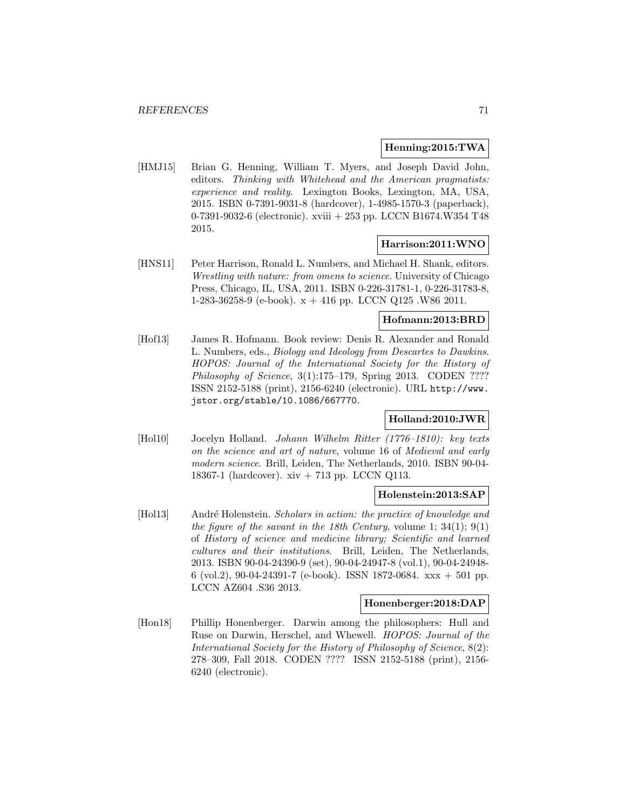### **Henning:2015:TWA**

[HMJ15] Brian G. Henning, William T. Myers, and Joseph David John, editors. Thinking with Whitehead and the American pragmatists: experience and reality. Lexington Books, Lexington, MA, USA, 2015. ISBN 0-7391-9031-8 (hardcover), 1-4985-1570-3 (paperback), 0-7391-9032-6 (electronic). xviii + 253 pp. LCCN B1674.W354 T48 2015.

### **Harrison:2011:WNO**

[HNS11] Peter Harrison, Ronald L. Numbers, and Michael H. Shank, editors. Wrestling with nature: from omens to science. University of Chicago Press, Chicago, IL, USA, 2011. ISBN 0-226-31781-1, 0-226-31783-8, 1-283-36258-9 (e-book). x + 416 pp. LCCN Q125 .W86 2011.

# **Hofmann:2013:BRD**

[Hof13] James R. Hofmann. Book review: Denis R. Alexander and Ronald L. Numbers, eds., Biology and Ideology from Descartes to Dawkins. HOPOS: Journal of the International Society for the History of Philosophy of Science, 3(1):175-179, Spring 2013. CODEN ???? ISSN 2152-5188 (print), 2156-6240 (electronic). URL http://www. jstor.org/stable/10.1086/667770.

## **Holland:2010:JWR**

[Hol10] Jocelyn Holland. Johann Wilhelm Ritter (1776–1810): key texts on the science and art of nature, volume 16 of Medieval and early modern science. Brill, Leiden, The Netherlands, 2010. ISBN 90-04- 18367-1 (hardcover). xiv + 713 pp. LCCN Q113.

#### **Holenstein:2013:SAP**

[Hol13] André Holenstein. Scholars in action: the practice of knowledge and the figure of the savant in the 18th Century, volume 1;  $34(1)$ ;  $9(1)$ of History of science and medicine library; Scientific and learned cultures and their institutions. Brill, Leiden, The Netherlands, 2013. ISBN 90-04-24390-9 (set), 90-04-24947-8 (vol.1), 90-04-24948- 6 (vol.2), 90-04-24391-7 (e-book). ISSN 1872-0684.  $xxx + 501$  pp. LCCN AZ604 .S36 2013.

## **Honenberger:2018:DAP**

[Hon18] Phillip Honenberger. Darwin among the philosophers: Hull and Ruse on Darwin, Herschel, and Whewell. HOPOS: Journal of the International Society for the History of Philosophy of Science, 8(2): 278–309, Fall 2018. CODEN ???? ISSN 2152-5188 (print), 2156- 6240 (electronic).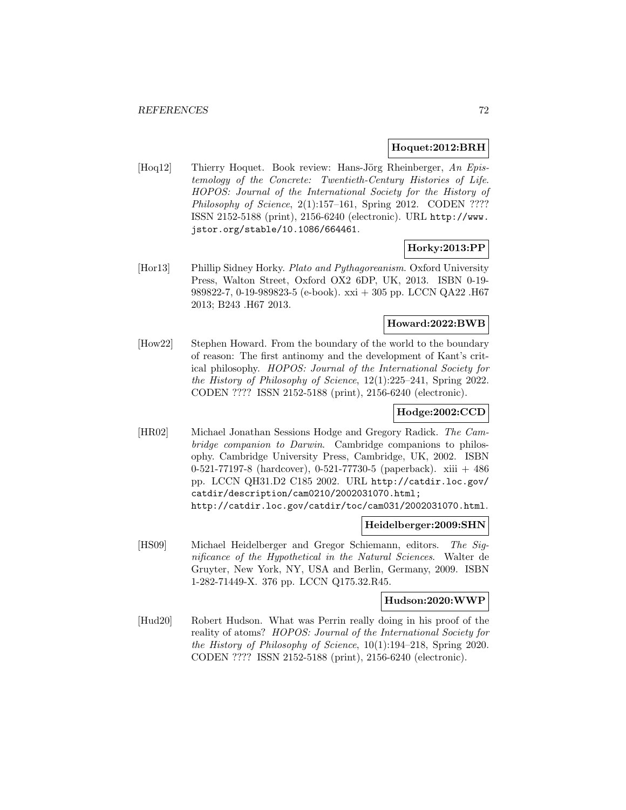### **Hoquet:2012:BRH**

[Hoq12] Thierry Hoquet. Book review: Hans-Jörg Rheinberger, An Epistemology of the Concrete: Twentieth-Century Histories of Life. HOPOS: Journal of the International Society for the History of Philosophy of Science,  $2(1):157-161$ , Spring 2012. CODEN ???? ISSN 2152-5188 (print), 2156-6240 (electronic). URL http://www. jstor.org/stable/10.1086/664461.

## **Horky:2013:PP**

[Hor13] Phillip Sidney Horky. Plato and Pythagoreanism. Oxford University Press, Walton Street, Oxford OX2 6DP, UK, 2013. ISBN 0-19- 989822-7, 0-19-989823-5 (e-book). xxi + 305 pp. LCCN QA22 .H67 2013; B243 .H67 2013.

# **Howard:2022:BWB**

[How22] Stephen Howard. From the boundary of the world to the boundary of reason: The first antinomy and the development of Kant's critical philosophy. HOPOS: Journal of the International Society for the History of Philosophy of Science, 12(1):225–241, Spring 2022. CODEN ???? ISSN 2152-5188 (print), 2156-6240 (electronic).

# **Hodge:2002:CCD**

[HR02] Michael Jonathan Sessions Hodge and Gregory Radick. The Cambridge companion to Darwin. Cambridge companions to philosophy. Cambridge University Press, Cambridge, UK, 2002. ISBN 0-521-77197-8 (hardcover), 0-521-77730-5 (paperback). xiii + 486 pp. LCCN QH31.D2 C185 2002. URL http://catdir.loc.gov/ catdir/description/cam0210/2002031070.html; http://catdir.loc.gov/catdir/toc/cam031/2002031070.html.

**Heidelberger:2009:SHN**

[HS09] Michael Heidelberger and Gregor Schiemann, editors. The Significance of the Hypothetical in the Natural Sciences. Walter de Gruyter, New York, NY, USA and Berlin, Germany, 2009. ISBN 1-282-71449-X. 376 pp. LCCN Q175.32.R45.

### **Hudson:2020:WWP**

[Hud20] Robert Hudson. What was Perrin really doing in his proof of the reality of atoms? HOPOS: Journal of the International Society for the History of Philosophy of Science, 10(1):194–218, Spring 2020. CODEN ???? ISSN 2152-5188 (print), 2156-6240 (electronic).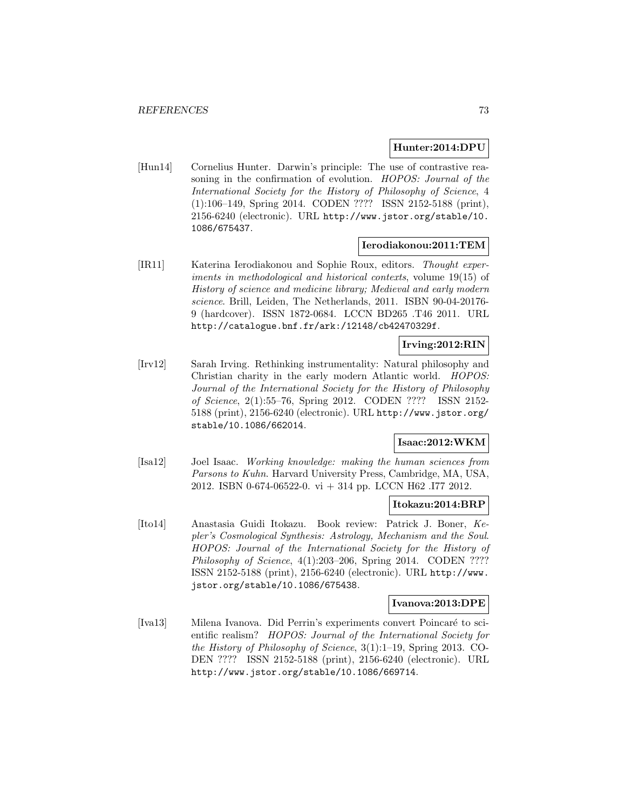### **Hunter:2014:DPU**

[Hun14] Cornelius Hunter. Darwin's principle: The use of contrastive reasoning in the confirmation of evolution. HOPOS: Journal of the International Society for the History of Philosophy of Science, 4 (1):106–149, Spring 2014. CODEN ???? ISSN 2152-5188 (print), 2156-6240 (electronic). URL http://www.jstor.org/stable/10. 1086/675437.

### **Ierodiakonou:2011:TEM**

[IR11] Katerina Ierodiakonou and Sophie Roux, editors. Thought experiments in methodological and historical contexts, volume 19(15) of History of science and medicine library; Medieval and early modern science. Brill, Leiden, The Netherlands, 2011. ISBN 90-04-20176- 9 (hardcover). ISSN 1872-0684. LCCN BD265 .T46 2011. URL http://catalogue.bnf.fr/ark:/12148/cb42470329f.

### **Irving:2012:RIN**

[Irv12] Sarah Irving. Rethinking instrumentality: Natural philosophy and Christian charity in the early modern Atlantic world. HOPOS: Journal of the International Society for the History of Philosophy of Science, 2(1):55–76, Spring 2012. CODEN ???? ISSN 2152- 5188 (print), 2156-6240 (electronic). URL http://www.jstor.org/ stable/10.1086/662014.

### **Isaac:2012:WKM**

[Isa12] Joel Isaac. Working knowledge: making the human sciences from Parsons to Kuhn. Harvard University Press, Cambridge, MA, USA, 2012. ISBN 0-674-06522-0. vi + 314 pp. LCCN H62 .I77 2012.

## **Itokazu:2014:BRP**

[Ito14] Anastasia Guidi Itokazu. Book review: Patrick J. Boner, Kepler's Cosmological Synthesis: Astrology, Mechanism and the Soul. HOPOS: Journal of the International Society for the History of Philosophy of Science, 4(1):203–206, Spring 2014. CODEN ???? ISSN 2152-5188 (print), 2156-6240 (electronic). URL http://www. jstor.org/stable/10.1086/675438.

#### **Ivanova:2013:DPE**

[Iva13] Milena Ivanova. Did Perrin's experiments convert Poincaré to scientific realism? HOPOS: Journal of the International Society for the History of Philosophy of Science, 3(1):1–19, Spring 2013. CO-DEN ???? ISSN 2152-5188 (print), 2156-6240 (electronic). URL http://www.jstor.org/stable/10.1086/669714.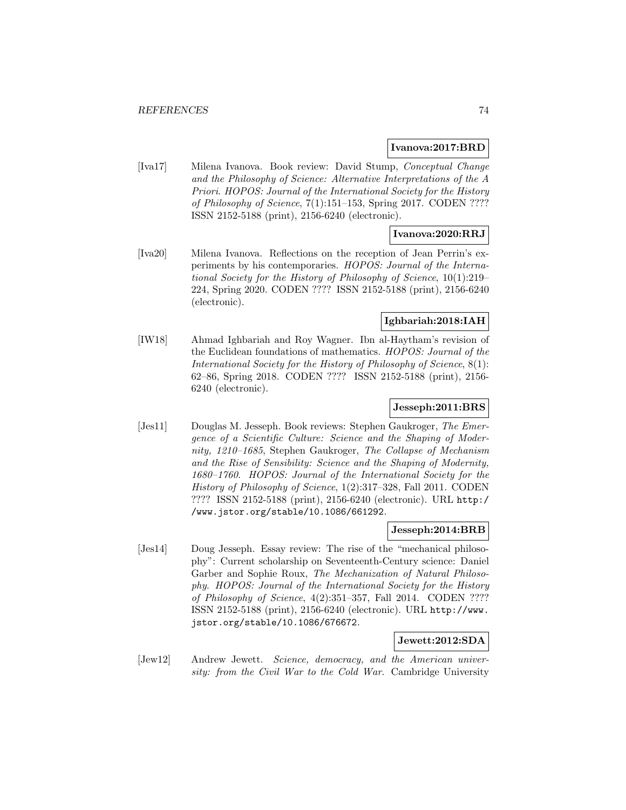### **Ivanova:2017:BRD**

[Iva17] Milena Ivanova. Book review: David Stump, Conceptual Change and the Philosophy of Science: Alternative Interpretations of the A Priori. HOPOS: Journal of the International Society for the History of Philosophy of Science, 7(1):151–153, Spring 2017. CODEN ???? ISSN 2152-5188 (print), 2156-6240 (electronic).

### **Ivanova:2020:RRJ**

[Iva20] Milena Ivanova. Reflections on the reception of Jean Perrin's experiments by his contemporaries. HOPOS: Journal of the International Society for the History of Philosophy of Science, 10(1):219– 224, Spring 2020. CODEN ???? ISSN 2152-5188 (print), 2156-6240 (electronic).

## **Ighbariah:2018:IAH**

[IW18] Ahmad Ighbariah and Roy Wagner. Ibn al-Haytham's revision of the Euclidean foundations of mathematics. HOPOS: Journal of the International Society for the History of Philosophy of Science, 8(1): 62–86, Spring 2018. CODEN ???? ISSN 2152-5188 (print), 2156- 6240 (electronic).

## **Jesseph:2011:BRS**

[Jes11] Douglas M. Jesseph. Book reviews: Stephen Gaukroger, The Emergence of a Scientific Culture: Science and the Shaping of Modernity, 1210–1685, Stephen Gaukroger, The Collapse of Mechanism and the Rise of Sensibility: Science and the Shaping of Modernity, 1680–1760. HOPOS: Journal of the International Society for the History of Philosophy of Science, 1(2):317–328, Fall 2011. CODEN ???? ISSN 2152-5188 (print), 2156-6240 (electronic). URL http:/ /www.jstor.org/stable/10.1086/661292.

### **Jesseph:2014:BRB**

[Jes14] Doug Jesseph. Essay review: The rise of the "mechanical philosophy": Current scholarship on Seventeenth-Century science: Daniel Garber and Sophie Roux, The Mechanization of Natural Philosophy. HOPOS: Journal of the International Society for the History of Philosophy of Science, 4(2):351–357, Fall 2014. CODEN ???? ISSN 2152-5188 (print), 2156-6240 (electronic). URL http://www. jstor.org/stable/10.1086/676672.

## **Jewett:2012:SDA**

[Jew12] Andrew Jewett. Science, democracy, and the American university: from the Civil War to the Cold War. Cambridge University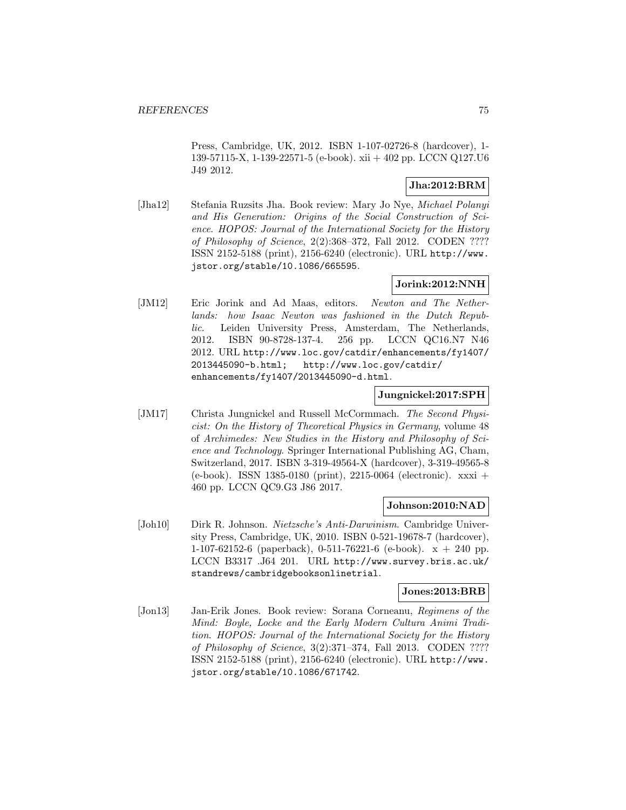Press, Cambridge, UK, 2012. ISBN 1-107-02726-8 (hardcover), 1- 139-57115-X, 1-139-22571-5 (e-book). xii + 402 pp. LCCN Q127.U6 J49 2012.

# **Jha:2012:BRM**

[Jha12] Stefania Ruzsits Jha. Book review: Mary Jo Nye, Michael Polanyi and His Generation: Origins of the Social Construction of Science. HOPOS: Journal of the International Society for the History of Philosophy of Science, 2(2):368–372, Fall 2012. CODEN ???? ISSN 2152-5188 (print), 2156-6240 (electronic). URL http://www. jstor.org/stable/10.1086/665595.

# **Jorink:2012:NNH**

[JM12] Eric Jorink and Ad Maas, editors. Newton and The Netherlands: how Isaac Newton was fashioned in the Dutch Republic. Leiden University Press, Amsterdam, The Netherlands, 2012. ISBN 90-8728-137-4. 256 pp. LCCN QC16.N7 N46 2012. URL http://www.loc.gov/catdir/enhancements/fy1407/ 2013445090-b.html; http://www.loc.gov/catdir/ enhancements/fy1407/2013445090-d.html.

## **Jungnickel:2017:SPH**

[JM17] Christa Jungnickel and Russell McCormmach. The Second Physicist: On the History of Theoretical Physics in Germany, volume 48 of Archimedes: New Studies in the History and Philosophy of Science and Technology. Springer International Publishing AG, Cham, Switzerland, 2017. ISBN 3-319-49564-X (hardcover), 3-319-49565-8 (e-book). ISSN 1385-0180 (print), 2215-0064 (electronic). xxxi + 460 pp. LCCN QC9.G3 J86 2017.

## **Johnson:2010:NAD**

[Joh10] Dirk R. Johnson. Nietzsche's Anti-Darwinism. Cambridge University Press, Cambridge, UK, 2010. ISBN 0-521-19678-7 (hardcover), 1-107-62152-6 (paperback), 0-511-76221-6 (e-book).  $x + 240$  pp. LCCN B3317 .J64 201. URL http://www.survey.bris.ac.uk/ standrews/cambridgebooksonlinetrial.

### **Jones:2013:BRB**

[Jon13] Jan-Erik Jones. Book review: Sorana Corneanu, Regimens of the Mind: Boyle, Locke and the Early Modern Cultura Animi Tradition. HOPOS: Journal of the International Society for the History of Philosophy of Science, 3(2):371–374, Fall 2013. CODEN ???? ISSN 2152-5188 (print), 2156-6240 (electronic). URL http://www. jstor.org/stable/10.1086/671742.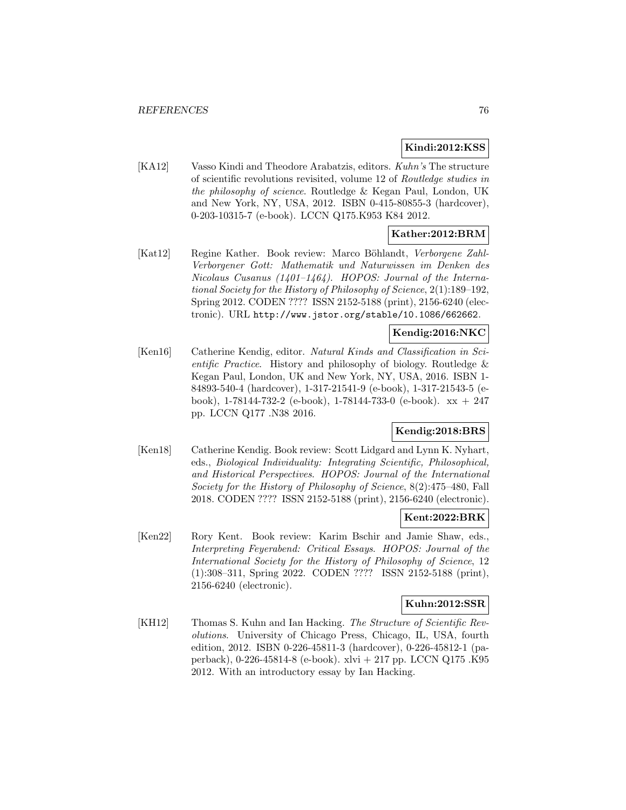## **Kindi:2012:KSS**

[KA12] Vasso Kindi and Theodore Arabatzis, editors. Kuhn's The structure of scientific revolutions revisited, volume 12 of Routledge studies in the philosophy of science. Routledge & Kegan Paul, London, UK and New York, NY, USA, 2012. ISBN 0-415-80855-3 (hardcover), 0-203-10315-7 (e-book). LCCN Q175.K953 K84 2012.

## **Kather:2012:BRM**

[Kat12] Regine Kather. Book review: Marco Böhlandt, Verborgene Zahl-Verborgener Gott: Mathematik und Naturwissen im Denken des Nicolaus Cusanus (1401–1464). HOPOS: Journal of the International Society for the History of Philosophy of Science, 2(1):189–192, Spring 2012. CODEN ???? ISSN 2152-5188 (print), 2156-6240 (electronic). URL http://www.jstor.org/stable/10.1086/662662.

# **Kendig:2016:NKC**

[Ken16] Catherine Kendig, editor. Natural Kinds and Classification in Scientific Practice. History and philosophy of biology. Routledge & Kegan Paul, London, UK and New York, NY, USA, 2016. ISBN 1- 84893-540-4 (hardcover), 1-317-21541-9 (e-book), 1-317-21543-5 (ebook), 1-78144-732-2 (e-book), 1-78144-733-0 (e-book). xx + 247 pp. LCCN Q177 .N38 2016.

### **Kendig:2018:BRS**

[Ken18] Catherine Kendig. Book review: Scott Lidgard and Lynn K. Nyhart, eds., Biological Individuality: Integrating Scientific, Philosophical, and Historical Perspectives. HOPOS: Journal of the International Society for the History of Philosophy of Science, 8(2):475–480, Fall 2018. CODEN ???? ISSN 2152-5188 (print), 2156-6240 (electronic).

### **Kent:2022:BRK**

[Ken22] Rory Kent. Book review: Karim Bschir and Jamie Shaw, eds., Interpreting Feyerabend: Critical Essays. HOPOS: Journal of the International Society for the History of Philosophy of Science, 12 (1):308–311, Spring 2022. CODEN ???? ISSN 2152-5188 (print), 2156-6240 (electronic).

### **Kuhn:2012:SSR**

[KH12] Thomas S. Kuhn and Ian Hacking. The Structure of Scientific Revolutions. University of Chicago Press, Chicago, IL, USA, fourth edition, 2012. ISBN 0-226-45811-3 (hardcover), 0-226-45812-1 (paperback), 0-226-45814-8 (e-book). xlvi + 217 pp. LCCN Q175 .K95 2012. With an introductory essay by Ian Hacking.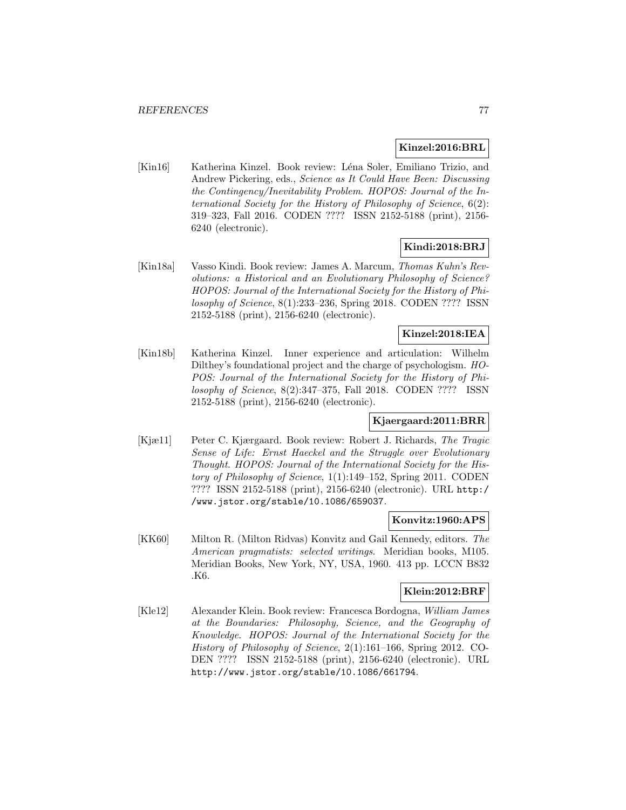### **Kinzel:2016:BRL**

[Kin16] Katherina Kinzel. Book review: Léna Soler, Emiliano Trizio, and Andrew Pickering, eds., Science as It Could Have Been: Discussing the Contingency/Inevitability Problem. HOPOS: Journal of the International Society for the History of Philosophy of Science, 6(2): 319–323, Fall 2016. CODEN ???? ISSN 2152-5188 (print), 2156- 6240 (electronic).

# **Kindi:2018:BRJ**

[Kin18a] Vasso Kindi. Book review: James A. Marcum, Thomas Kuhn's Revolutions: a Historical and an Evolutionary Philosophy of Science? HOPOS: Journal of the International Society for the History of Philosophy of Science, 8(1):233–236, Spring 2018. CODEN ???? ISSN 2152-5188 (print), 2156-6240 (electronic).

### **Kinzel:2018:IEA**

[Kin18b] Katherina Kinzel. Inner experience and articulation: Wilhelm Dilthey's foundational project and the charge of psychologism. HO-POS: Journal of the International Society for the History of Philosophy of Science, 8(2):347–375, Fall 2018. CODEN ???? ISSN 2152-5188 (print), 2156-6240 (electronic).

## **Kjaergaard:2011:BRR**

[Kjæ11] Peter C. Kjærgaard. Book review: Robert J. Richards, The Tragic Sense of Life: Ernst Haeckel and the Struggle over Evolutionary Thought. HOPOS: Journal of the International Society for the History of Philosophy of Science, 1(1):149–152, Spring 2011. CODEN ???? ISSN 2152-5188 (print), 2156-6240 (electronic). URL http:/ /www.jstor.org/stable/10.1086/659037.

### **Konvitz:1960:APS**

[KK60] Milton R. (Milton Ridvas) Konvitz and Gail Kennedy, editors. The American pragmatists: selected writings. Meridian books, M105. Meridian Books, New York, NY, USA, 1960. 413 pp. LCCN B832 .K6.

## **Klein:2012:BRF**

[Kle12] Alexander Klein. Book review: Francesca Bordogna, William James at the Boundaries: Philosophy, Science, and the Geography of Knowledge. HOPOS: Journal of the International Society for the History of Philosophy of Science, 2(1):161–166, Spring 2012. CO-DEN ???? ISSN 2152-5188 (print), 2156-6240 (electronic). URL http://www.jstor.org/stable/10.1086/661794.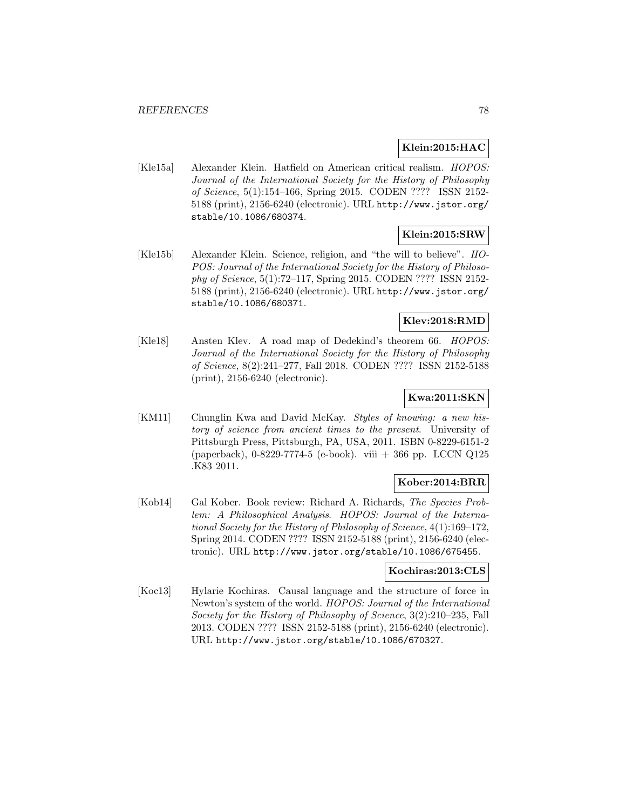## **Klein:2015:HAC**

[Kle15a] Alexander Klein. Hatfield on American critical realism. HOPOS: Journal of the International Society for the History of Philosophy of Science, 5(1):154–166, Spring 2015. CODEN ???? ISSN 2152- 5188 (print), 2156-6240 (electronic). URL http://www.jstor.org/ stable/10.1086/680374.

# **Klein:2015:SRW**

[Kle15b] Alexander Klein. Science, religion, and "the will to believe". HO-POS: Journal of the International Society for the History of Philosophy of Science, 5(1):72–117, Spring 2015. CODEN ???? ISSN 2152- 5188 (print), 2156-6240 (electronic). URL http://www.jstor.org/ stable/10.1086/680371.

# **Klev:2018:RMD**

[Kle18] Ansten Klev. A road map of Dedekind's theorem 66. HOPOS: Journal of the International Society for the History of Philosophy of Science, 8(2):241–277, Fall 2018. CODEN ???? ISSN 2152-5188 (print), 2156-6240 (electronic).

## **Kwa:2011:SKN**

[KM11] Chunglin Kwa and David McKay. Styles of knowing: a new history of science from ancient times to the present. University of Pittsburgh Press, Pittsburgh, PA, USA, 2011. ISBN 0-8229-6151-2 (paperback), 0-8229-7774-5 (e-book). viii + 366 pp. LCCN Q125 .K83 2011.

## **Kober:2014:BRR**

[Kob14] Gal Kober. Book review: Richard A. Richards, The Species Problem: A Philosophical Analysis. HOPOS: Journal of the International Society for the History of Philosophy of Science, 4(1):169–172, Spring 2014. CODEN ???? ISSN 2152-5188 (print), 2156-6240 (electronic). URL http://www.jstor.org/stable/10.1086/675455.

### **Kochiras:2013:CLS**

[Koc13] Hylarie Kochiras. Causal language and the structure of force in Newton's system of the world. HOPOS: Journal of the International Society for the History of Philosophy of Science, 3(2):210–235, Fall 2013. CODEN ???? ISSN 2152-5188 (print), 2156-6240 (electronic). URL http://www.jstor.org/stable/10.1086/670327.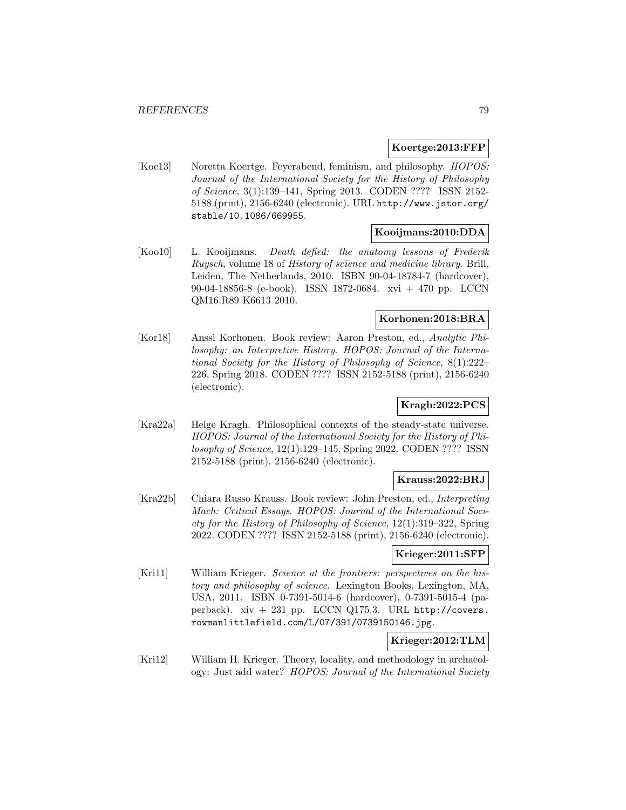## **Koertge:2013:FFP**

[Koe13] Noretta Koertge. Feyerabend, feminism, and philosophy. HOPOS: Journal of the International Society for the History of Philosophy of Science, 3(1):139–141, Spring 2013. CODEN ???? ISSN 2152- 5188 (print), 2156-6240 (electronic). URL http://www.jstor.org/ stable/10.1086/669955.

## **Kooijmans:2010:DDA**

[Koo10] L. Kooijmans. Death defied: the anatomy lessons of Frederik Ruysch, volume 18 of History of science and medicine library. Brill, Leiden, The Netherlands, 2010. ISBN 90-04-18784-7 (hardcover), 90-04-18856-8 (e-book). ISSN 1872-0684. xvi + 470 pp. LCCN QM16.R89 K6613 2010.

## **Korhonen:2018:BRA**

[Kor18] Anssi Korhonen. Book review: Aaron Preston, ed., Analytic Philosophy: an Interpretive History. HOPOS: Journal of the International Society for the History of Philosophy of Science, 8(1):222– 226, Spring 2018. CODEN ???? ISSN 2152-5188 (print), 2156-6240 (electronic).

# **Kragh:2022:PCS**

[Kra22a] Helge Kragh. Philosophical contexts of the steady-state universe. HOPOS: Journal of the International Society for the History of Philosophy of Science, 12(1):129–145, Spring 2022. CODEN ???? ISSN 2152-5188 (print), 2156-6240 (electronic).

### **Krauss:2022:BRJ**

[Kra22b] Chiara Russo Krauss. Book review: John Preston, ed., Interpreting Mach: Critical Essays. HOPOS: Journal of the International Society for the History of Philosophy of Science, 12(1):319–322, Spring 2022. CODEN ???? ISSN 2152-5188 (print), 2156-6240 (electronic).

## **Krieger:2011:SFP**

[Kri11] William Krieger. Science at the frontiers: perspectives on the history and philosophy of science. Lexington Books, Lexington, MA, USA, 2011. ISBN 0-7391-5014-6 (hardcover), 0-7391-5015-4 (paperback). xiv + 231 pp. LCCN Q175.3. URL http://covers. rowmanlittlefield.com/L/07/391/0739150146.jpg.

# **Krieger:2012:TLM**

[Kri12] William H. Krieger. Theory, locality, and methodology in archaeology: Just add water? HOPOS: Journal of the International Society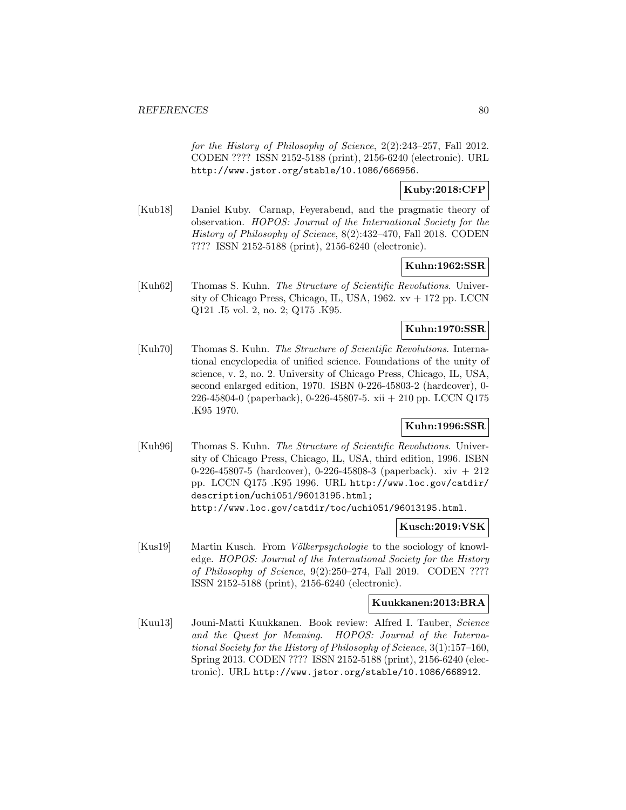for the History of Philosophy of Science, 2(2):243–257, Fall 2012. CODEN ???? ISSN 2152-5188 (print), 2156-6240 (electronic). URL http://www.jstor.org/stable/10.1086/666956.

# **Kuby:2018:CFP**

[Kub18] Daniel Kuby. Carnap, Feyerabend, and the pragmatic theory of observation. HOPOS: Journal of the International Society for the History of Philosophy of Science, 8(2):432–470, Fall 2018. CODEN ???? ISSN 2152-5188 (print), 2156-6240 (electronic).

## **Kuhn:1962:SSR**

[Kuh62] Thomas S. Kuhn. The Structure of Scientific Revolutions. University of Chicago Press, Chicago, IL, USA, 1962. xv + 172 pp. LCCN Q121 .I5 vol. 2, no. 2; Q175 .K95.

## **Kuhn:1970:SSR**

[Kuh70] Thomas S. Kuhn. The Structure of Scientific Revolutions. International encyclopedia of unified science. Foundations of the unity of science, v. 2, no. 2. University of Chicago Press, Chicago, IL, USA, second enlarged edition, 1970. ISBN 0-226-45803-2 (hardcover), 0- 226-45804-0 (paperback), 0-226-45807-5. xii + 210 pp. LCCN Q175 .K95 1970.

## **Kuhn:1996:SSR**

[Kuh96] Thomas S. Kuhn. The Structure of Scientific Revolutions. University of Chicago Press, Chicago, IL, USA, third edition, 1996. ISBN 0-226-45807-5 (hardcover), 0-226-45808-3 (paperback). xiv + 212 pp. LCCN Q175 .K95 1996. URL http://www.loc.gov/catdir/ description/uchi051/96013195.html; http://www.loc.gov/catdir/toc/uchi051/96013195.html.

#### **Kusch:2019:VSK**

 $[Kus19]$  Martin Kusch. From *Völkerpsychologie* to the sociology of knowledge. HOPOS: Journal of the International Society for the History of Philosophy of Science, 9(2):250–274, Fall 2019. CODEN ???? ISSN 2152-5188 (print), 2156-6240 (electronic).

#### **Kuukkanen:2013:BRA**

[Kuu13] Jouni-Matti Kuukkanen. Book review: Alfred I. Tauber, Science and the Quest for Meaning. HOPOS: Journal of the International Society for the History of Philosophy of Science, 3(1):157–160, Spring 2013. CODEN ???? ISSN 2152-5188 (print), 2156-6240 (electronic). URL http://www.jstor.org/stable/10.1086/668912.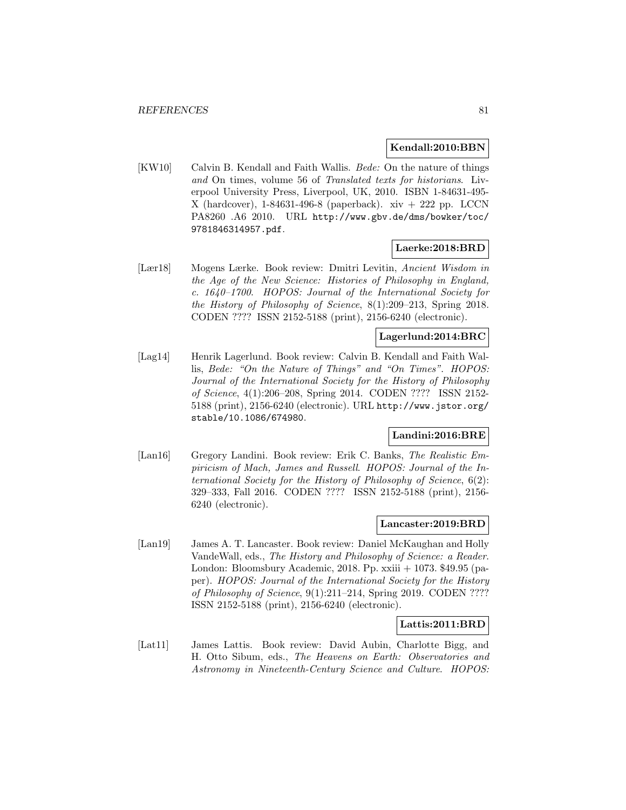### **Kendall:2010:BBN**

[KW10] Calvin B. Kendall and Faith Wallis. *Bede:* On the nature of things and On times, volume 56 of Translated texts for historians. Liverpool University Press, Liverpool, UK, 2010. ISBN 1-84631-495- X (hardcover),  $1-84631-496-8$  (paperback).  $xiv + 222$  pp. LCCN PA8260 .A6 2010. URL http://www.gbv.de/dms/bowker/toc/ 9781846314957.pdf.

### **Laerke:2018:BRD**

[Lær18] Mogens Lærke. Book review: Dmitri Levitin, Ancient Wisdom in the Age of the New Science: Histories of Philosophy in England, c. 1640–1700. HOPOS: Journal of the International Society for the History of Philosophy of Science, 8(1):209–213, Spring 2018. CODEN ???? ISSN 2152-5188 (print), 2156-6240 (electronic).

# **Lagerlund:2014:BRC**

[Lag14] Henrik Lagerlund. Book review: Calvin B. Kendall and Faith Wallis, Bede: "On the Nature of Things" and "On Times". HOPOS: Journal of the International Society for the History of Philosophy of Science, 4(1):206–208, Spring 2014. CODEN ???? ISSN 2152- 5188 (print), 2156-6240 (electronic). URL http://www.jstor.org/ stable/10.1086/674980.

### **Landini:2016:BRE**

[Lan16] Gregory Landini. Book review: Erik C. Banks, The Realistic Empiricism of Mach, James and Russell. HOPOS: Journal of the International Society for the History of Philosophy of Science, 6(2): 329–333, Fall 2016. CODEN ???? ISSN 2152-5188 (print), 2156- 6240 (electronic).

### **Lancaster:2019:BRD**

[Lan19] James A. T. Lancaster. Book review: Daniel McKaughan and Holly VandeWall, eds., The History and Philosophy of Science: a Reader. London: Bloomsbury Academic, 2018. Pp. xxiii + 1073. \$49.95 (paper). HOPOS: Journal of the International Society for the History of Philosophy of Science, 9(1):211–214, Spring 2019. CODEN ???? ISSN 2152-5188 (print), 2156-6240 (electronic).

#### **Lattis:2011:BRD**

[Lat11] James Lattis. Book review: David Aubin, Charlotte Bigg, and H. Otto Sibum, eds., The Heavens on Earth: Observatories and Astronomy in Nineteenth-Century Science and Culture. HOPOS: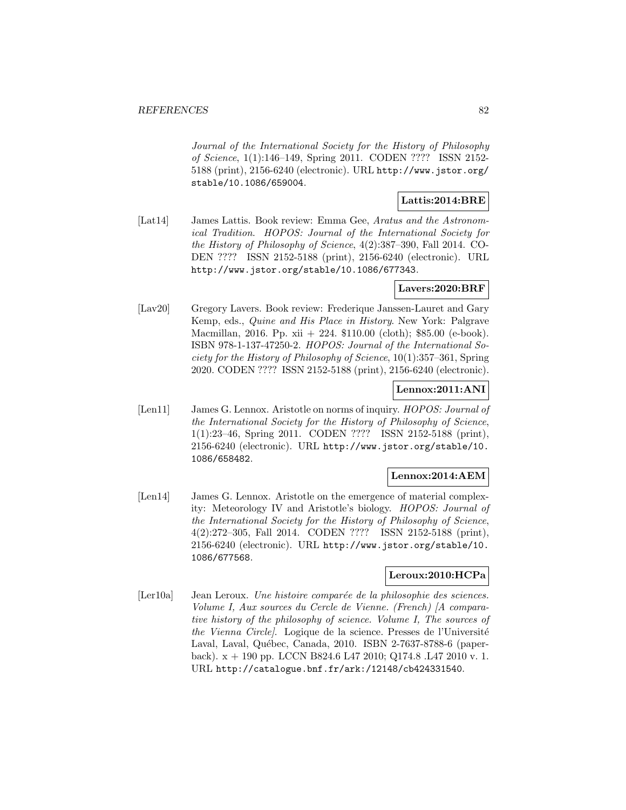Journal of the International Society for the History of Philosophy of Science, 1(1):146–149, Spring 2011. CODEN ???? ISSN 2152- 5188 (print), 2156-6240 (electronic). URL http://www.jstor.org/ stable/10.1086/659004.

## **Lattis:2014:BRE**

[Lat14] James Lattis. Book review: Emma Gee, Aratus and the Astronomical Tradition. HOPOS: Journal of the International Society for the History of Philosophy of Science, 4(2):387–390, Fall 2014. CO-DEN ???? ISSN 2152-5188 (print), 2156-6240 (electronic). URL http://www.jstor.org/stable/10.1086/677343.

## **Lavers:2020:BRF**

[Lav20] Gregory Lavers. Book review: Frederique Janssen-Lauret and Gary Kemp, eds., Quine and His Place in History. New York: Palgrave Macmillan, 2016. Pp. xii + 224. \$110.00 (cloth); \$85.00 (e-book). ISBN 978-1-137-47250-2. HOPOS: Journal of the International Society for the History of Philosophy of Science, 10(1):357–361, Spring 2020. CODEN ???? ISSN 2152-5188 (print), 2156-6240 (electronic).

## **Lennox:2011:ANI**

[Len11] James G. Lennox. Aristotle on norms of inquiry. *HOPOS: Journal of* the International Society for the History of Philosophy of Science, 1(1):23–46, Spring 2011. CODEN ???? ISSN 2152-5188 (print), 2156-6240 (electronic). URL http://www.jstor.org/stable/10. 1086/658482.

### **Lennox:2014:AEM**

[Len14] James G. Lennox. Aristotle on the emergence of material complexity: Meteorology IV and Aristotle's biology. HOPOS: Journal of the International Society for the History of Philosophy of Science, 4(2):272–305, Fall 2014. CODEN ???? ISSN 2152-5188 (print), 2156-6240 (electronic). URL http://www.jstor.org/stable/10. 1086/677568.

## **Leroux:2010:HCPa**

[Ler10a] Jean Leroux. Une histoire comparée de la philosophie des sciences. Volume I, Aux sources du Cercle de Vienne. (French) [A comparative history of the philosophy of science. Volume I, The sources of the Vienna Circle. Logique de la science. Presses de l'Université Laval, Laval, Québec, Canada, 2010. ISBN 2-7637-8788-6 (paperback). x + 190 pp. LCCN B824.6 L47 2010; Q174.8 .L47 2010 v. 1. URL http://catalogue.bnf.fr/ark:/12148/cb424331540.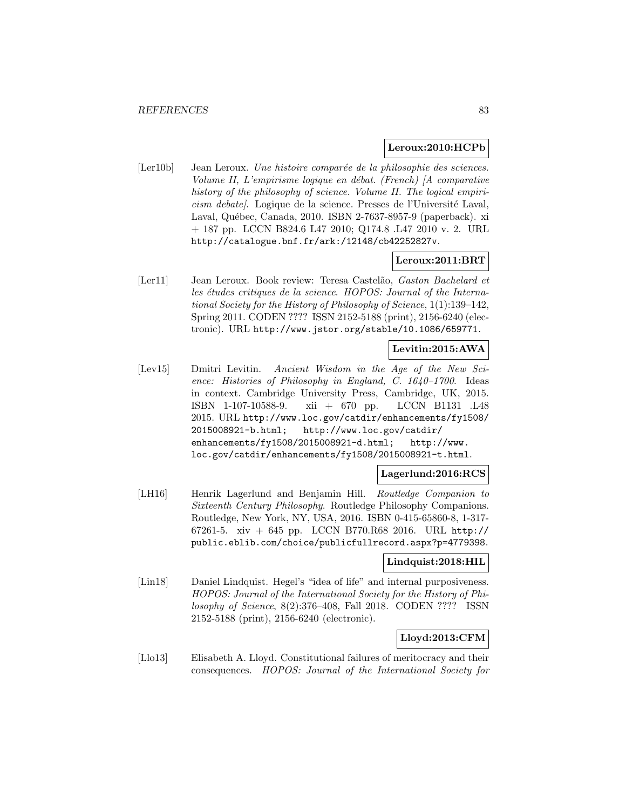### **Leroux:2010:HCPb**

[Ler10b] Jean Leroux. Une histoire comparée de la philosophie des sciences. Volume II, L'empirisme logique en débat. (French)  $\vert A \rangle$  comparative history of the philosophy of science. Volume II. The logical empiricism debate. Logique de la science. Presses de l'Université Laval, Laval, Québec, Canada, 2010. ISBN 2-7637-8957-9 (paperback). xi + 187 pp. LCCN B824.6 L47 2010; Q174.8 .L47 2010 v. 2. URL http://catalogue.bnf.fr/ark:/12148/cb42252827v.

### **Leroux:2011:BRT**

[Ler11] Jean Leroux. Book review: Teresa Castel˜ao, Gaston Bachelard et les études critiques de la science. HOPOS: Journal of the International Society for the History of Philosophy of Science, 1(1):139–142, Spring 2011. CODEN ???? ISSN 2152-5188 (print), 2156-6240 (electronic). URL http://www.jstor.org/stable/10.1086/659771.

## **Levitin:2015:AWA**

[Lev15] Dmitri Levitin. Ancient Wisdom in the Age of the New Science: Histories of Philosophy in England, C. 1640–1700. Ideas in context. Cambridge University Press, Cambridge, UK, 2015. ISBN 1-107-10588-9. xii + 670 pp. LCCN B1131 .L48 2015. URL http://www.loc.gov/catdir/enhancements/fy1508/ 2015008921-b.html; http://www.loc.gov/catdir/ enhancements/fy1508/2015008921-d.html; http://www. loc.gov/catdir/enhancements/fy1508/2015008921-t.html.

### **Lagerlund:2016:RCS**

[LH16] Henrik Lagerlund and Benjamin Hill. Routledge Companion to Sixteenth Century Philosophy. Routledge Philosophy Companions. Routledge, New York, NY, USA, 2016. ISBN 0-415-65860-8, 1-317- 67261-5. xiv + 645 pp. LCCN B770.R68 2016. URL http:// public.eblib.com/choice/publicfullrecord.aspx?p=4779398.

### **Lindquist:2018:HIL**

[Lin18] Daniel Lindquist. Hegel's "idea of life" and internal purposiveness. HOPOS: Journal of the International Society for the History of Philosophy of Science, 8(2):376–408, Fall 2018. CODEN ???? ISSN 2152-5188 (print), 2156-6240 (electronic).

### **Lloyd:2013:CFM**

[Llo13] Elisabeth A. Lloyd. Constitutional failures of meritocracy and their consequences. HOPOS: Journal of the International Society for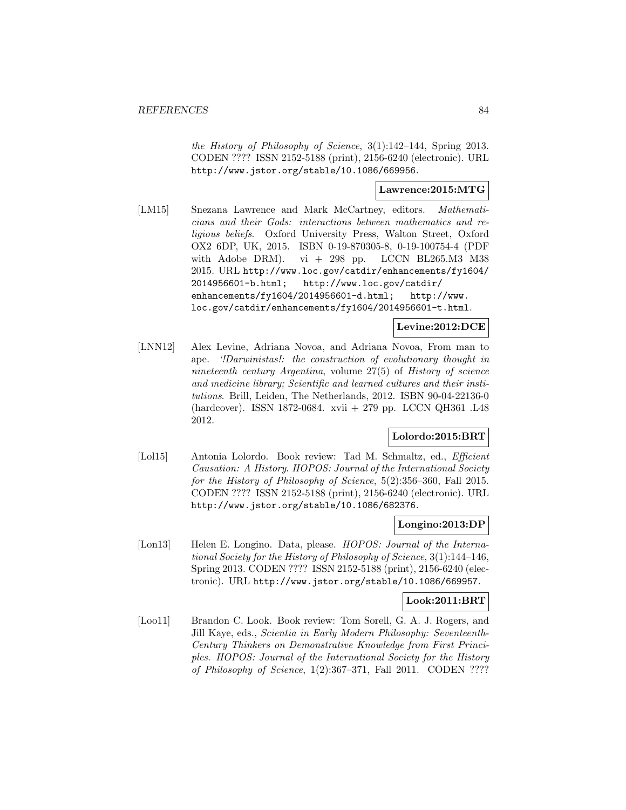the History of Philosophy of Science, 3(1):142–144, Spring 2013. CODEN ???? ISSN 2152-5188 (print), 2156-6240 (electronic). URL http://www.jstor.org/stable/10.1086/669956.

## **Lawrence:2015:MTG**

[LM15] Snezana Lawrence and Mark McCartney, editors. Mathematicians and their Gods: interactions between mathematics and religious beliefs. Oxford University Press, Walton Street, Oxford OX2 6DP, UK, 2015. ISBN 0-19-870305-8, 0-19-100754-4 (PDF with Adobe DRM). vi + 298 pp. LCCN BL265.M3 M38 2015. URL http://www.loc.gov/catdir/enhancements/fy1604/ 2014956601-b.html; http://www.loc.gov/catdir/ enhancements/fy1604/2014956601-d.html; http://www. loc.gov/catdir/enhancements/fy1604/2014956601-t.html.

### **Levine:2012:DCE**

[LNN12] Alex Levine, Adriana Novoa, and Adriana Novoa, From man to ape. '!Darwinistas!: the construction of evolutionary thought in nineteenth century Argentina, volume 27(5) of History of science and medicine library; Scientific and learned cultures and their institutions. Brill, Leiden, The Netherlands, 2012. ISBN 90-04-22136-0 (hardcover). ISSN 1872-0684. xvii + 279 pp. LCCN QH361 .L48 2012.

### **Lolordo:2015:BRT**

[Lol15] Antonia Lolordo. Book review: Tad M. Schmaltz, ed., *Efficient* Causation: A History. HOPOS: Journal of the International Society for the History of Philosophy of Science, 5(2):356–360, Fall 2015. CODEN ???? ISSN 2152-5188 (print), 2156-6240 (electronic). URL http://www.jstor.org/stable/10.1086/682376.

#### **Longino:2013:DP**

[Lon13] Helen E. Longino. Data, please. *HOPOS: Journal of the Interna*tional Society for the History of Philosophy of Science, 3(1):144–146, Spring 2013. CODEN ???? ISSN 2152-5188 (print), 2156-6240 (electronic). URL http://www.jstor.org/stable/10.1086/669957.

### **Look:2011:BRT**

[Loo11] Brandon C. Look. Book review: Tom Sorell, G. A. J. Rogers, and Jill Kaye, eds., Scientia in Early Modern Philosophy: Seventeenth-Century Thinkers on Demonstrative Knowledge from First Principles. HOPOS: Journal of the International Society for the History of Philosophy of Science, 1(2):367–371, Fall 2011. CODEN ????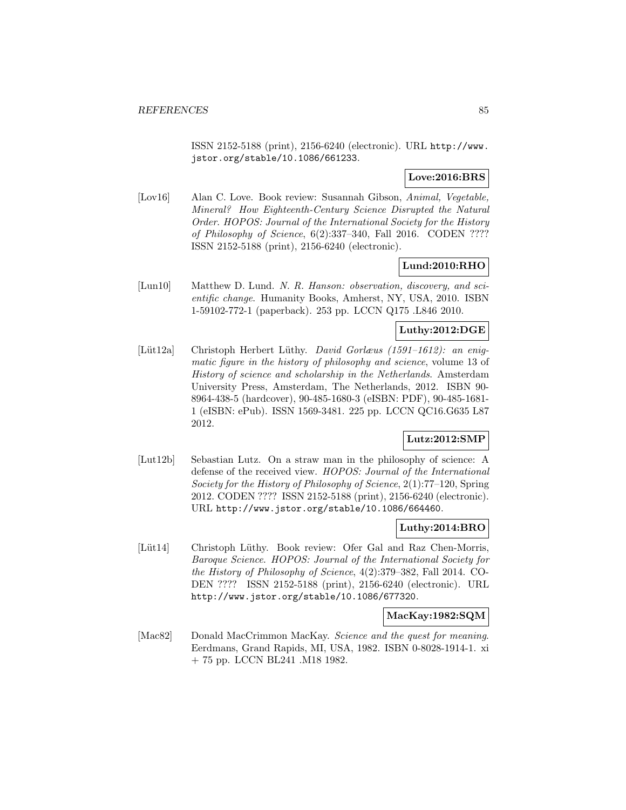ISSN 2152-5188 (print), 2156-6240 (electronic). URL http://www. jstor.org/stable/10.1086/661233.

## **Love:2016:BRS**

[Lov16] Alan C. Love. Book review: Susannah Gibson, Animal, Vegetable, Mineral? How Eighteenth-Century Science Disrupted the Natural Order. HOPOS: Journal of the International Society for the History of Philosophy of Science, 6(2):337–340, Fall 2016. CODEN ???? ISSN 2152-5188 (print), 2156-6240 (electronic).

## **Lund:2010:RHO**

[Lun10] Matthew D. Lund. N. R. Hanson: observation, discovery, and scientific change. Humanity Books, Amherst, NY, USA, 2010. ISBN 1-59102-772-1 (paperback). 253 pp. LCCN Q175 .L846 2010.

### **Luthy:2012:DGE**

[Lüt12a] Christoph Herbert Lüthy. David Gorlæus (1591–1612): an enigmatic figure in the history of philosophy and science, volume 13 of History of science and scholarship in the Netherlands. Amsterdam University Press, Amsterdam, The Netherlands, 2012. ISBN 90- 8964-438-5 (hardcover), 90-485-1680-3 (eISBN: PDF), 90-485-1681- 1 (eISBN: ePub). ISSN 1569-3481. 225 pp. LCCN QC16.G635 L87 2012.

## **Lutz:2012:SMP**

[Lut12b] Sebastian Lutz. On a straw man in the philosophy of science: A defense of the received view. HOPOS: Journal of the International Society for the History of Philosophy of Science, 2(1):77–120, Spring 2012. CODEN ???? ISSN 2152-5188 (print), 2156-6240 (electronic). URL http://www.jstor.org/stable/10.1086/664460.

# **Luthy:2014:BRO**

[Lüt14] Christoph Lüthy. Book review: Ofer Gal and Raz Chen-Morris, Baroque Science. HOPOS: Journal of the International Society for the History of Philosophy of Science, 4(2):379–382, Fall 2014. CO-DEN ???? ISSN 2152-5188 (print), 2156-6240 (electronic). URL http://www.jstor.org/stable/10.1086/677320.

#### **MacKay:1982:SQM**

[Mac82] Donald MacCrimmon MacKay. Science and the quest for meaning. Eerdmans, Grand Rapids, MI, USA, 1982. ISBN 0-8028-1914-1. xi + 75 pp. LCCN BL241 .M18 1982.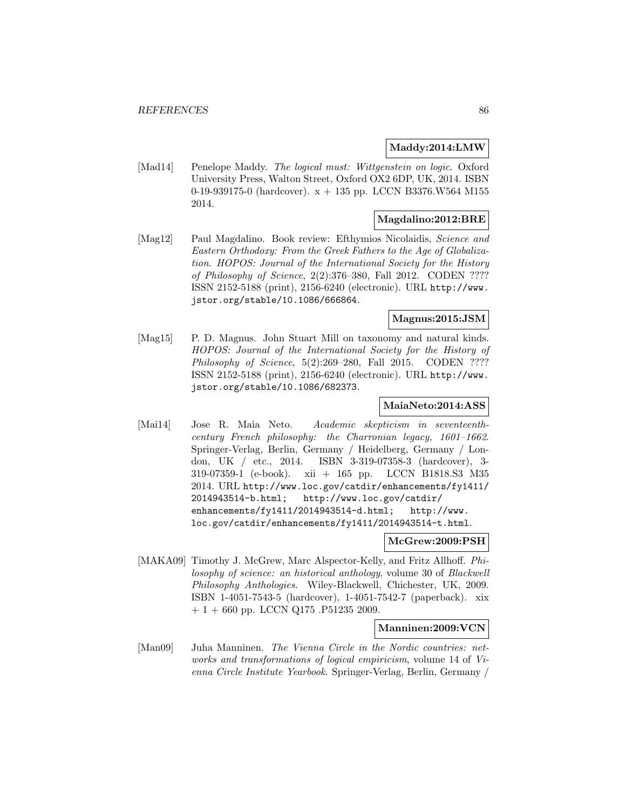### **Maddy:2014:LMW**

[Mad14] Penelope Maddy. The logical must: Wittgenstein on logic. Oxford University Press, Walton Street, Oxford OX2 6DP, UK, 2014. ISBN 0-19-939175-0 (hardcover). x + 135 pp. LCCN B3376.W564 M155 2014.

## **Magdalino:2012:BRE**

[Mag12] Paul Magdalino. Book review: Efthymios Nicolaidis, Science and Eastern Orthodoxy: From the Greek Fathers to the Age of Globalization. HOPOS: Journal of the International Society for the History of Philosophy of Science, 2(2):376–380, Fall 2012. CODEN ???? ISSN 2152-5188 (print), 2156-6240 (electronic). URL http://www. jstor.org/stable/10.1086/666864.

# **Magnus:2015:JSM**

[Mag15] P. D. Magnus. John Stuart Mill on taxonomy and natural kinds. HOPOS: Journal of the International Society for the History of Philosophy of Science, 5(2):269–280, Fall 2015. CODEN ???? ISSN 2152-5188 (print), 2156-6240 (electronic). URL http://www. jstor.org/stable/10.1086/682373.

## **MaiaNeto:2014:ASS**

[Mai14] Jose R. Maia Neto. Academic skepticism in seventeenthcentury French philosophy: the Charronian legacy, 1601–1662. Springer-Verlag, Berlin, Germany / Heidelberg, Germany / London, UK / etc., 2014. ISBN 3-319-07358-3 (hardcover), 3- 319-07359-1 (e-book). xii + 165 pp. LCCN B1818.S3 M35 2014. URL http://www.loc.gov/catdir/enhancements/fy1411/ 2014943514-b.html; http://www.loc.gov/catdir/ enhancements/fy1411/2014943514-d.html; http://www. loc.gov/catdir/enhancements/fy1411/2014943514-t.html.

## **McGrew:2009:PSH**

[MAKA09] Timothy J. McGrew, Marc Alspector-Kelly, and Fritz Allhoff. Philosophy of science: an historical anthology, volume 30 of Blackwell Philosophy Anthologies. Wiley-Blackwell, Chichester, UK, 2009. ISBN 1-4051-7543-5 (hardcover), 1-4051-7542-7 (paperback). xix  $+ 1 + 660$  pp. LCCN Q175 .P51235 2009.

### **Manninen:2009:VCN**

[Man09] Juha Manninen. The Vienna Circle in the Nordic countries: networks and transformations of logical empiricism, volume 14 of Vienna Circle Institute Yearbook. Springer-Verlag, Berlin, Germany /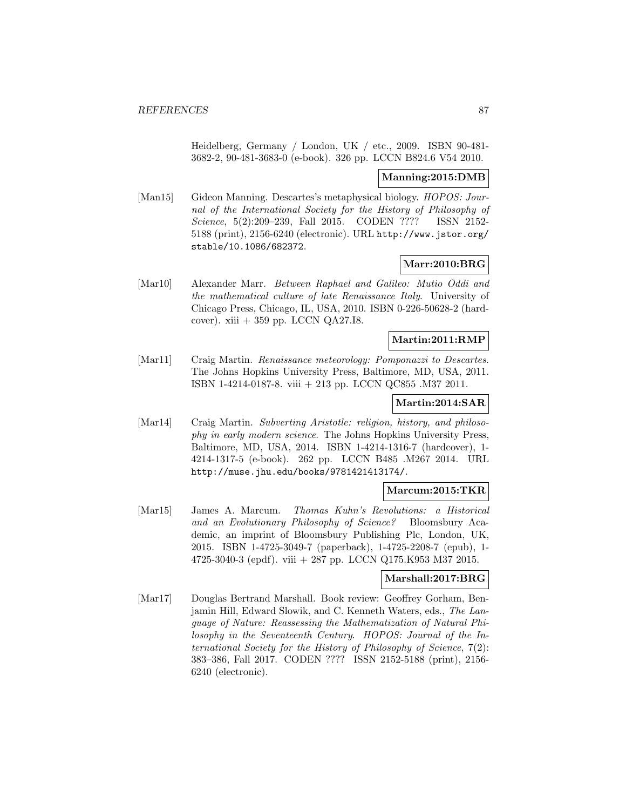Heidelberg, Germany / London, UK / etc., 2009. ISBN 90-481- 3682-2, 90-481-3683-0 (e-book). 326 pp. LCCN B824.6 V54 2010.

### **Manning:2015:DMB**

[Man15] Gideon Manning. Descartes's metaphysical biology. HOPOS: Journal of the International Society for the History of Philosophy of Science, 5(2):209–239, Fall 2015. CODEN ???? ISSN 2152-5188 (print), 2156-6240 (electronic). URL http://www.jstor.org/ stable/10.1086/682372.

## **Marr:2010:BRG**

[Mar10] Alexander Marr. Between Raphael and Galileo: Mutio Oddi and the mathematical culture of late Renaissance Italy. University of Chicago Press, Chicago, IL, USA, 2010. ISBN 0-226-50628-2 (hardcover). xiii  $+359$  pp. LCCN QA27.I8.

## **Martin:2011:RMP**

[Mar11] Craig Martin. Renaissance meteorology: Pomponazzi to Descartes. The Johns Hopkins University Press, Baltimore, MD, USA, 2011. ISBN 1-4214-0187-8. viii + 213 pp. LCCN QC855 .M37 2011.

## **Martin:2014:SAR**

[Mar14] Craig Martin. Subverting Aristotle: religion, history, and philosophy in early modern science. The Johns Hopkins University Press, Baltimore, MD, USA, 2014. ISBN 1-4214-1316-7 (hardcover), 1- 4214-1317-5 (e-book). 262 pp. LCCN B485 .M267 2014. URL http://muse.jhu.edu/books/9781421413174/.

#### **Marcum:2015:TKR**

[Mar15] James A. Marcum. Thomas Kuhn's Revolutions: a Historical and an Evolutionary Philosophy of Science? Bloomsbury Academic, an imprint of Bloomsbury Publishing Plc, London, UK, 2015. ISBN 1-4725-3049-7 (paperback), 1-4725-2208-7 (epub), 1- 4725-3040-3 (epdf). viii + 287 pp. LCCN Q175.K953 M37 2015.

### **Marshall:2017:BRG**

[Mar17] Douglas Bertrand Marshall. Book review: Geoffrey Gorham, Benjamin Hill, Edward Slowik, and C. Kenneth Waters, eds., The Language of Nature: Reassessing the Mathematization of Natural Philosophy in the Seventeenth Century. HOPOS: Journal of the International Society for the History of Philosophy of Science, 7(2): 383–386, Fall 2017. CODEN ???? ISSN 2152-5188 (print), 2156- 6240 (electronic).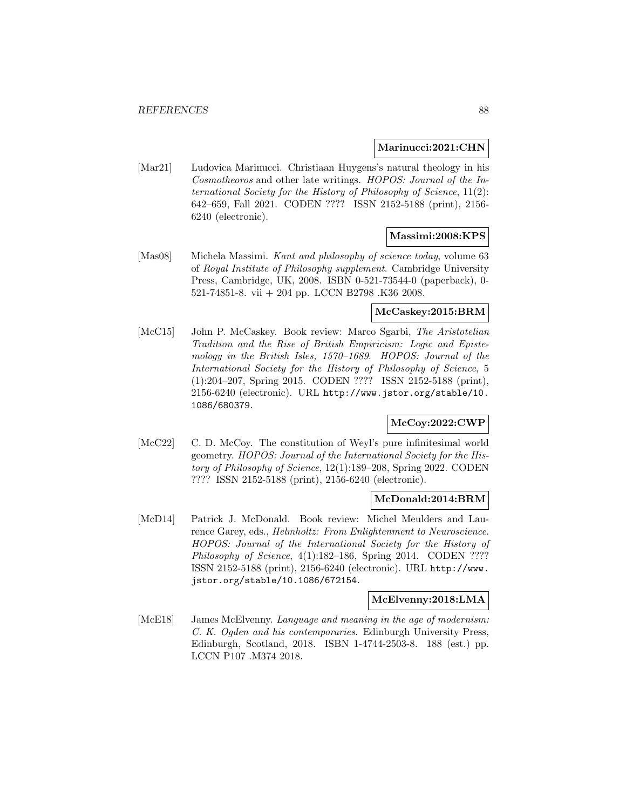### **Marinucci:2021:CHN**

[Mar21] Ludovica Marinucci. Christiaan Huygens's natural theology in his Cosmotheoros and other late writings. HOPOS: Journal of the International Society for the History of Philosophy of Science, 11(2): 642–659, Fall 2021. CODEN ???? ISSN 2152-5188 (print), 2156- 6240 (electronic).

## **Massimi:2008:KPS**

[Mas08] Michela Massimi. Kant and philosophy of science today, volume 63 of Royal Institute of Philosophy supplement. Cambridge University Press, Cambridge, UK, 2008. ISBN 0-521-73544-0 (paperback), 0- 521-74851-8. vii + 204 pp. LCCN B2798 .K36 2008.

### **McCaskey:2015:BRM**

[McC15] John P. McCaskey. Book review: Marco Sgarbi, The Aristotelian Tradition and the Rise of British Empiricism: Logic and Epistemology in the British Isles, 1570–1689. HOPOS: Journal of the International Society for the History of Philosophy of Science, 5 (1):204–207, Spring 2015. CODEN ???? ISSN 2152-5188 (print), 2156-6240 (electronic). URL http://www.jstor.org/stable/10. 1086/680379.

## **McCoy:2022:CWP**

[McC22] C. D. McCoy. The constitution of Weyl's pure infinitesimal world geometry. HOPOS: Journal of the International Society for the History of Philosophy of Science, 12(1):189–208, Spring 2022. CODEN ???? ISSN 2152-5188 (print), 2156-6240 (electronic).

### **McDonald:2014:BRM**

[McD14] Patrick J. McDonald. Book review: Michel Meulders and Laurence Garey, eds., Helmholtz: From Enlightenment to Neuroscience. HOPOS: Journal of the International Society for the History of Philosophy of Science, 4(1):182-186, Spring 2014. CODEN ???? ISSN 2152-5188 (print), 2156-6240 (electronic). URL http://www. jstor.org/stable/10.1086/672154.

#### **McElvenny:2018:LMA**

[McE18] James McElvenny. Language and meaning in the age of modernism: C. K. Ogden and his contemporaries. Edinburgh University Press, Edinburgh, Scotland, 2018. ISBN 1-4744-2503-8. 188 (est.) pp. LCCN P107 .M374 2018.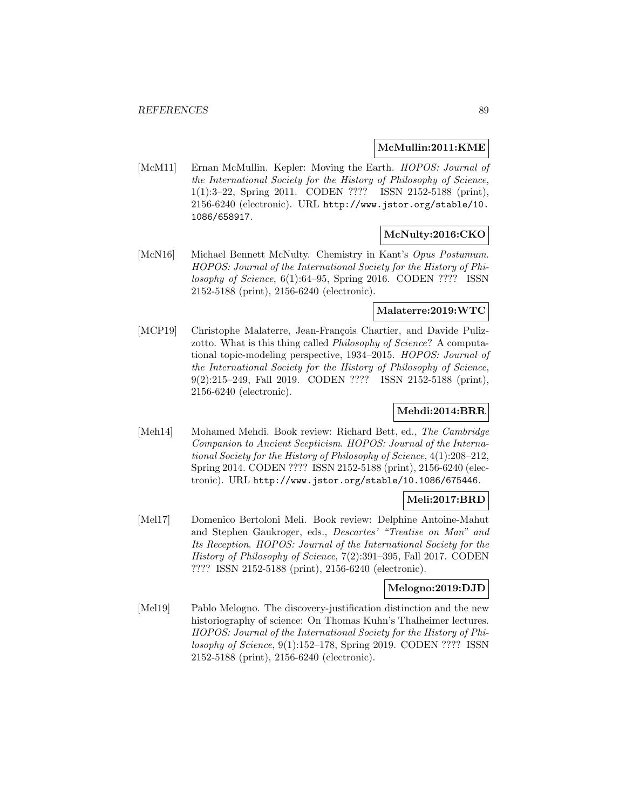### **McMullin:2011:KME**

[McM11] Ernan McMullin. Kepler: Moving the Earth. *HOPOS: Journal of* the International Society for the History of Philosophy of Science, 1(1):3–22, Spring 2011. CODEN ???? ISSN 2152-5188 (print), 2156-6240 (electronic). URL http://www.jstor.org/stable/10. 1086/658917.

### **McNulty:2016:CKO**

[McN16] Michael Bennett McNulty. Chemistry in Kant's Opus Postumum. HOPOS: Journal of the International Society for the History of Philosophy of Science, 6(1):64–95, Spring 2016. CODEN ???? ISSN 2152-5188 (print), 2156-6240 (electronic).

## **Malaterre:2019:WTC**

[MCP19] Christophe Malaterre, Jean-François Chartier, and Davide Pulizzotto. What is this thing called *Philosophy of Science*? A computational topic-modeling perspective, 1934–2015. HOPOS: Journal of the International Society for the History of Philosophy of Science, 9(2):215–249, Fall 2019. CODEN ???? ISSN 2152-5188 (print), 2156-6240 (electronic).

### **Mehdi:2014:BRR**

[Meh14] Mohamed Mehdi. Book review: Richard Bett, ed., The Cambridge Companion to Ancient Scepticism. HOPOS: Journal of the International Society for the History of Philosophy of Science, 4(1):208–212, Spring 2014. CODEN ???? ISSN 2152-5188 (print), 2156-6240 (electronic). URL http://www.jstor.org/stable/10.1086/675446.

### **Meli:2017:BRD**

[Mel17] Domenico Bertoloni Meli. Book review: Delphine Antoine-Mahut and Stephen Gaukroger, eds., Descartes' "Treatise on Man" and Its Reception. HOPOS: Journal of the International Society for the History of Philosophy of Science, 7(2):391–395, Fall 2017. CODEN ???? ISSN 2152-5188 (print), 2156-6240 (electronic).

### **Melogno:2019:DJD**

[Mel19] Pablo Melogno. The discovery-justification distinction and the new historiography of science: On Thomas Kuhn's Thalheimer lectures. HOPOS: Journal of the International Society for the History of Philosophy of Science, 9(1):152–178, Spring 2019. CODEN ???? ISSN 2152-5188 (print), 2156-6240 (electronic).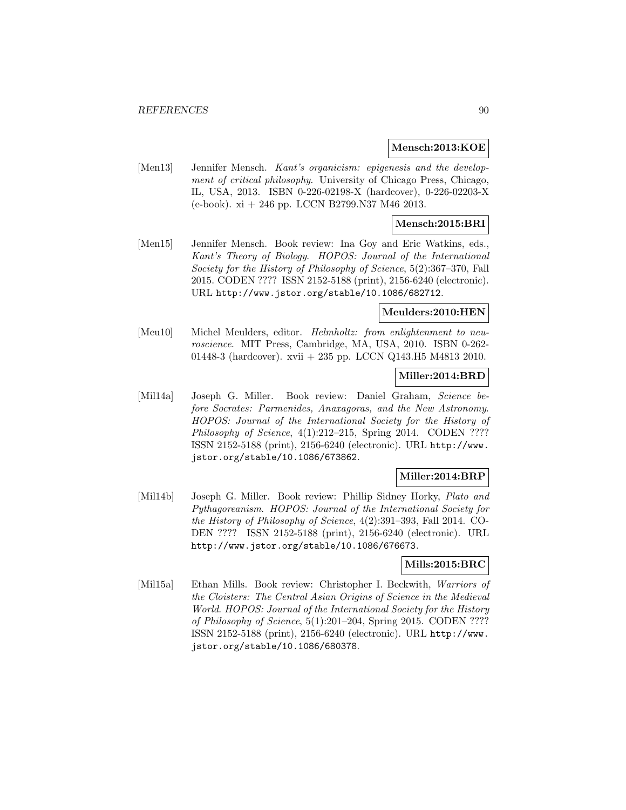### **Mensch:2013:KOE**

[Men13] Jennifer Mensch. Kant's organicism: epigenesis and the development of critical philosophy. University of Chicago Press, Chicago, IL, USA, 2013. ISBN 0-226-02198-X (hardcover), 0-226-02203-X (e-book). xi + 246 pp. LCCN B2799.N37 M46 2013.

## **Mensch:2015:BRI**

[Men15] Jennifer Mensch. Book review: Ina Goy and Eric Watkins, eds., Kant's Theory of Biology. HOPOS: Journal of the International Society for the History of Philosophy of Science, 5(2):367–370, Fall 2015. CODEN ???? ISSN 2152-5188 (print), 2156-6240 (electronic). URL http://www.jstor.org/stable/10.1086/682712.

### **Meulders:2010:HEN**

[Meu10] Michel Meulders, editor. Helmholtz: from enlightenment to neuroscience. MIT Press, Cambridge, MA, USA, 2010. ISBN 0-262- 01448-3 (hardcover). xvii + 235 pp. LCCN Q143.H5 M4813 2010.

### **Miller:2014:BRD**

[Mil14a] Joseph G. Miller. Book review: Daniel Graham, Science before Socrates: Parmenides, Anaxagoras, and the New Astronomy. HOPOS: Journal of the International Society for the History of Philosophy of Science, 4(1):212-215, Spring 2014. CODEN ???? ISSN 2152-5188 (print), 2156-6240 (electronic). URL http://www. jstor.org/stable/10.1086/673862.

### **Miller:2014:BRP**

[Mil14b] Joseph G. Miller. Book review: Phillip Sidney Horky, Plato and Pythagoreanism. HOPOS: Journal of the International Society for the History of Philosophy of Science, 4(2):391–393, Fall 2014. CO-DEN ???? ISSN 2152-5188 (print), 2156-6240 (electronic). URL http://www.jstor.org/stable/10.1086/676673.

### **Mills:2015:BRC**

[Mil15a] Ethan Mills. Book review: Christopher I. Beckwith, Warriors of the Cloisters: The Central Asian Origins of Science in the Medieval World. HOPOS: Journal of the International Society for the History of Philosophy of Science, 5(1):201–204, Spring 2015. CODEN ???? ISSN 2152-5188 (print), 2156-6240 (electronic). URL http://www. jstor.org/stable/10.1086/680378.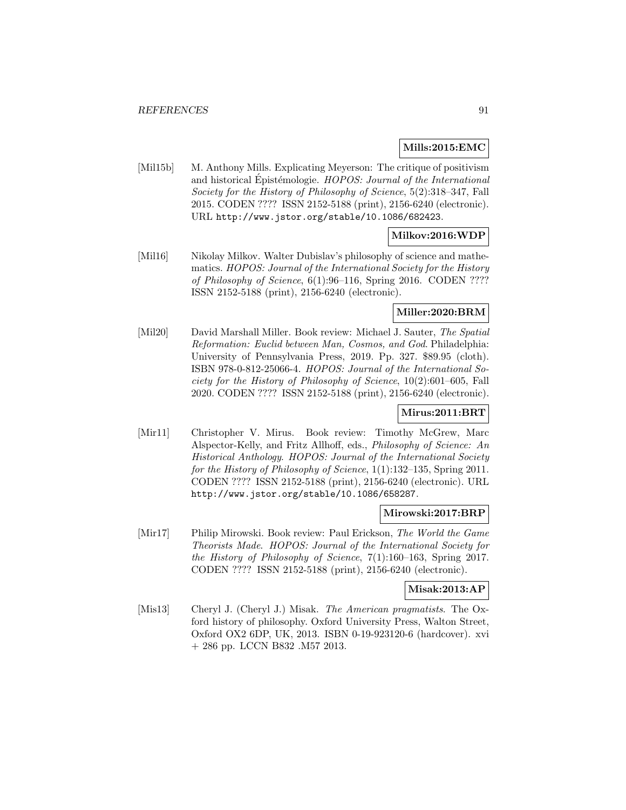## **Mills:2015:EMC**

[Mil15b] M. Anthony Mills. Explicating Meyerson: The critique of positivism and historical Epistémologie. HOPOS: Journal of the International Society for the History of Philosophy of Science, 5(2):318–347, Fall 2015. CODEN ???? ISSN 2152-5188 (print), 2156-6240 (electronic). URL http://www.jstor.org/stable/10.1086/682423.

## **Milkov:2016:WDP**

[Mil16] Nikolay Milkov. Walter Dubislav's philosophy of science and mathematics. HOPOS: Journal of the International Society for the History of Philosophy of Science, 6(1):96–116, Spring 2016. CODEN ???? ISSN 2152-5188 (print), 2156-6240 (electronic).

## **Miller:2020:BRM**

[Mil20] David Marshall Miller. Book review: Michael J. Sauter, The Spatial Reformation: Euclid between Man, Cosmos, and God. Philadelphia: University of Pennsylvania Press, 2019. Pp. 327. \$89.95 (cloth). ISBN 978-0-812-25066-4. HOPOS: Journal of the International Society for the History of Philosophy of Science, 10(2):601–605, Fall 2020. CODEN ???? ISSN 2152-5188 (print), 2156-6240 (electronic).

## **Mirus:2011:BRT**

[Mir11] Christopher V. Mirus. Book review: Timothy McGrew, Marc Alspector-Kelly, and Fritz Allhoff, eds., Philosophy of Science: An Historical Anthology. HOPOS: Journal of the International Society for the History of Philosophy of Science, 1(1):132–135, Spring 2011. CODEN ???? ISSN 2152-5188 (print), 2156-6240 (electronic). URL http://www.jstor.org/stable/10.1086/658287.

### **Mirowski:2017:BRP**

[Mir17] Philip Mirowski. Book review: Paul Erickson, The World the Game Theorists Made. HOPOS: Journal of the International Society for the History of Philosophy of Science, 7(1):160–163, Spring 2017. CODEN ???? ISSN 2152-5188 (print), 2156-6240 (electronic).

## **Misak:2013:AP**

[Mis13] Cheryl J. (Cheryl J.) Misak. The American pragmatists. The Oxford history of philosophy. Oxford University Press, Walton Street, Oxford OX2 6DP, UK, 2013. ISBN 0-19-923120-6 (hardcover). xvi + 286 pp. LCCN B832 .M57 2013.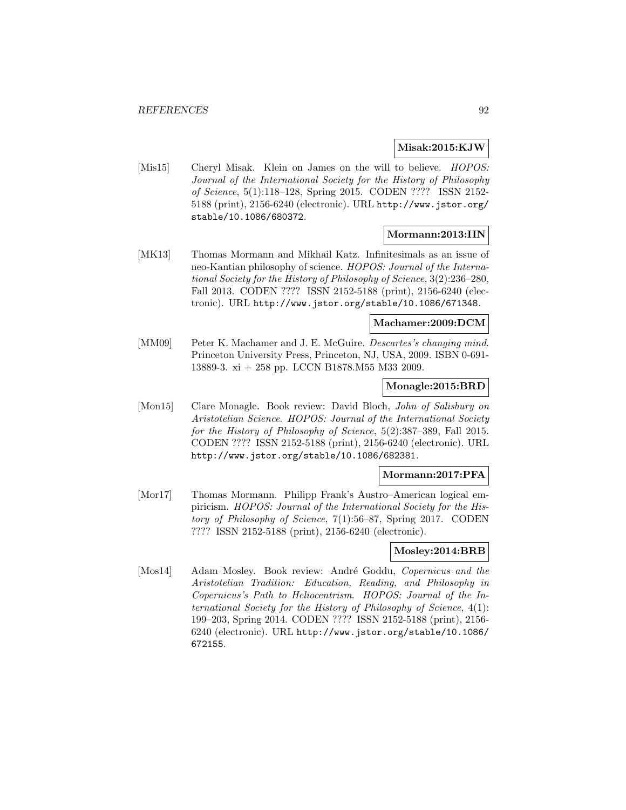### **Misak:2015:KJW**

[Mis15] Cheryl Misak. Klein on James on the will to believe. *HOPOS*: Journal of the International Society for the History of Philosophy of Science, 5(1):118–128, Spring 2015. CODEN ???? ISSN 2152- 5188 (print), 2156-6240 (electronic). URL http://www.jstor.org/ stable/10.1086/680372.

### **Mormann:2013:IIN**

[MK13] Thomas Mormann and Mikhail Katz. Infinitesimals as an issue of neo-Kantian philosophy of science. HOPOS: Journal of the International Society for the History of Philosophy of Science, 3(2):236–280, Fall 2013. CODEN ???? ISSN 2152-5188 (print), 2156-6240 (electronic). URL http://www.jstor.org/stable/10.1086/671348.

#### **Machamer:2009:DCM**

[MM09] Peter K. Machamer and J. E. McGuire. *Descartes's changing mind.* Princeton University Press, Princeton, NJ, USA, 2009. ISBN 0-691- 13889-3. xi + 258 pp. LCCN B1878.M55 M33 2009.

## **Monagle:2015:BRD**

[Mon15] Clare Monagle. Book review: David Bloch, John of Salisbury on Aristotelian Science. HOPOS: Journal of the International Society for the History of Philosophy of Science, 5(2):387–389, Fall 2015. CODEN ???? ISSN 2152-5188 (print), 2156-6240 (electronic). URL http://www.jstor.org/stable/10.1086/682381.

#### **Mormann:2017:PFA**

[Mor17] Thomas Mormann. Philipp Frank's Austro–American logical empiricism. HOPOS: Journal of the International Society for the History of Philosophy of Science, 7(1):56–87, Spring 2017. CODEN ???? ISSN 2152-5188 (print), 2156-6240 (electronic).

#### **Mosley:2014:BRB**

[Mos14] Adam Mosley. Book review: André Goddu, Copernicus and the Aristotelian Tradition: Education, Reading, and Philosophy in Copernicus's Path to Heliocentrism. HOPOS: Journal of the International Society for the History of Philosophy of Science, 4(1): 199–203, Spring 2014. CODEN ???? ISSN 2152-5188 (print), 2156- 6240 (electronic). URL http://www.jstor.org/stable/10.1086/ 672155.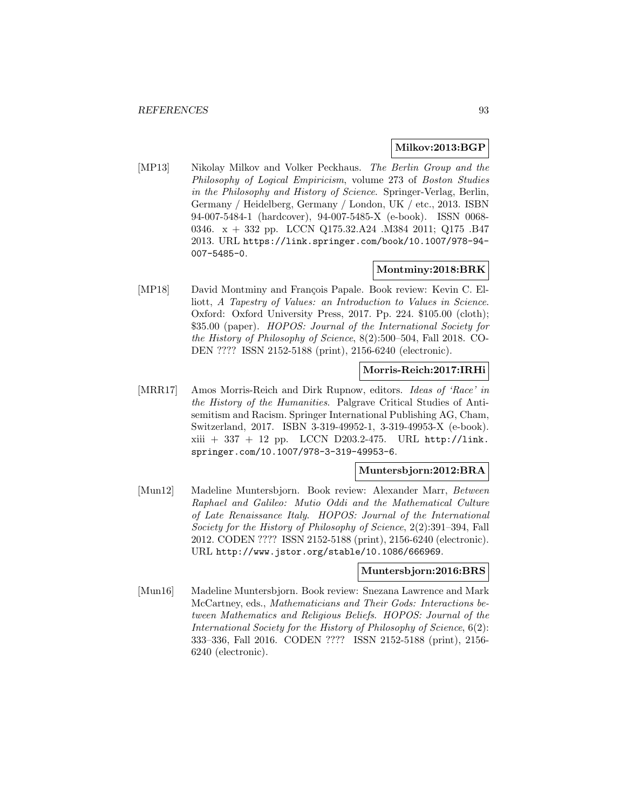### **Milkov:2013:BGP**

[MP13] Nikolay Milkov and Volker Peckhaus. The Berlin Group and the Philosophy of Logical Empiricism, volume 273 of Boston Studies in the Philosophy and History of Science. Springer-Verlag, Berlin, Germany / Heidelberg, Germany / London, UK / etc., 2013. ISBN 94-007-5484-1 (hardcover), 94-007-5485-X (e-book). ISSN 0068- 0346. x + 332 pp. LCCN Q175.32.A24 .M384 2011; Q175 .B47 2013. URL https://link.springer.com/book/10.1007/978-94- 007-5485-0.

# **Montminy:2018:BRK**

[MP18] David Montminy and François Papale. Book review: Kevin C. Elliott, A Tapestry of Values: an Introduction to Values in Science. Oxford: Oxford University Press, 2017. Pp. 224. \$105.00 (cloth); \$35.00 (paper). HOPOS: Journal of the International Society for the History of Philosophy of Science, 8(2):500–504, Fall 2018. CO-DEN ???? ISSN 2152-5188 (print), 2156-6240 (electronic).

# **Morris-Reich:2017:IRHi**

[MRR17] Amos Morris-Reich and Dirk Rupnow, editors. Ideas of 'Race' in the History of the Humanities. Palgrave Critical Studies of Antisemitism and Racism. Springer International Publishing AG, Cham, Switzerland, 2017. ISBN 3-319-49952-1, 3-319-49953-X (e-book).  $xiii + 337 + 12$  pp. LCCN D203.2-475. URL http://link. springer.com/10.1007/978-3-319-49953-6.

## **Muntersbjorn:2012:BRA**

[Mun12] Madeline Muntersbjorn. Book review: Alexander Marr, Between Raphael and Galileo: Mutio Oddi and the Mathematical Culture of Late Renaissance Italy. HOPOS: Journal of the International Society for the History of Philosophy of Science, 2(2):391–394, Fall 2012. CODEN ???? ISSN 2152-5188 (print), 2156-6240 (electronic). URL http://www.jstor.org/stable/10.1086/666969.

#### **Muntersbjorn:2016:BRS**

[Mun16] Madeline Muntersbjorn. Book review: Snezana Lawrence and Mark McCartney, eds., Mathematicians and Their Gods: Interactions between Mathematics and Religious Beliefs. HOPOS: Journal of the International Society for the History of Philosophy of Science, 6(2): 333–336, Fall 2016. CODEN ???? ISSN 2152-5188 (print), 2156- 6240 (electronic).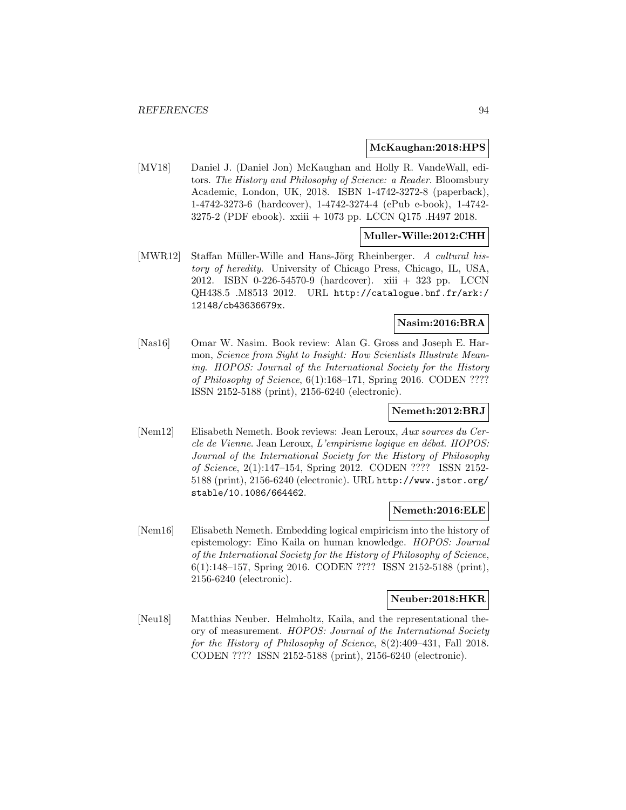### **McKaughan:2018:HPS**

[MV18] Daniel J. (Daniel Jon) McKaughan and Holly R. VandeWall, editors. The History and Philosophy of Science: a Reader. Bloomsbury Academic, London, UK, 2018. ISBN 1-4742-3272-8 (paperback), 1-4742-3273-6 (hardcover), 1-4742-3274-4 (ePub e-book), 1-4742- 3275-2 (PDF ebook). xxiii + 1073 pp. LCCN Q175 .H497 2018.

# **Muller-Wille:2012:CHH**

[MWR12] Staffan Müller-Wille and Hans-Jörg Rheinberger. A cultural history of heredity. University of Chicago Press, Chicago, IL, USA, 2012. ISBN 0-226-54570-9 (hardcover). xiii + 323 pp. LCCN QH438.5 .M8513 2012. URL http://catalogue.bnf.fr/ark:/ 12148/cb43636679x.

### **Nasim:2016:BRA**

[Nas16] Omar W. Nasim. Book review: Alan G. Gross and Joseph E. Harmon, Science from Sight to Insight: How Scientists Illustrate Meaning. HOPOS: Journal of the International Society for the History of Philosophy of Science, 6(1):168–171, Spring 2016. CODEN ???? ISSN 2152-5188 (print), 2156-6240 (electronic).

### **Nemeth:2012:BRJ**

[Nem12] Elisabeth Nemeth. Book reviews: Jean Leroux, Aux sources du Cercle de Vienne. Jean Leroux, L'empirisme logique en débat. HOPOS: Journal of the International Society for the History of Philosophy of Science, 2(1):147–154, Spring 2012. CODEN ???? ISSN 2152- 5188 (print), 2156-6240 (electronic). URL http://www.jstor.org/ stable/10.1086/664462.

## **Nemeth:2016:ELE**

[Nem16] Elisabeth Nemeth. Embedding logical empiricism into the history of epistemology: Eino Kaila on human knowledge. HOPOS: Journal of the International Society for the History of Philosophy of Science, 6(1):148–157, Spring 2016. CODEN ???? ISSN 2152-5188 (print), 2156-6240 (electronic).

#### **Neuber:2018:HKR**

[Neu18] Matthias Neuber. Helmholtz, Kaila, and the representational theory of measurement. HOPOS: Journal of the International Society for the History of Philosophy of Science, 8(2):409–431, Fall 2018. CODEN ???? ISSN 2152-5188 (print), 2156-6240 (electronic).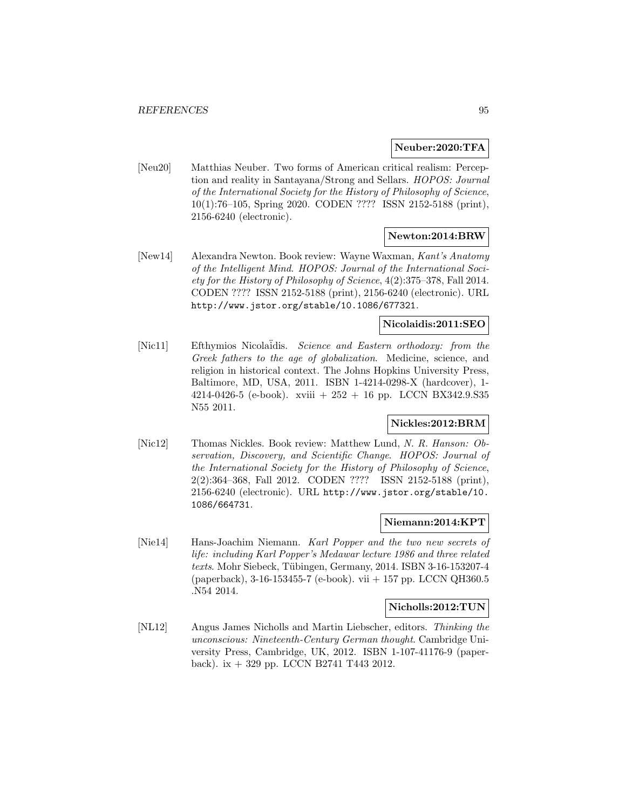#### **Neuber:2020:TFA**

[Neu20] Matthias Neuber. Two forms of American critical realism: Perception and reality in Santayana/Strong and Sellars. HOPOS: Journal of the International Society for the History of Philosophy of Science, 10(1):76–105, Spring 2020. CODEN ???? ISSN 2152-5188 (print), 2156-6240 (electronic).

## **Newton:2014:BRW**

[New14] Alexandra Newton. Book review: Wayne Waxman, Kant's Anatomy of the Intelligent Mind. HOPOS: Journal of the International Society for the History of Philosophy of Science, 4(2):375–378, Fall 2014. CODEN ???? ISSN 2152-5188 (print), 2156-6240 (electronic). URL http://www.jstor.org/stable/10.1086/677321.

## **Nicolaidis:2011:SEO**

[Nic11] Efthymios Nicolaidis. Science and Eastern orthodoxy: from the Greek fathers to the age of globalization. Medicine, science, and religion in historical context. The Johns Hopkins University Press, Baltimore, MD, USA, 2011. ISBN 1-4214-0298-X (hardcover), 1- 4214-0426-5 (e-book). xviii  $+ 252 + 16$  pp. LCCN BX342.9.S35 N55 2011.

## **Nickles:2012:BRM**

[Nic12] Thomas Nickles. Book review: Matthew Lund, N. R. Hanson: Observation, Discovery, and Scientific Change. HOPOS: Journal of the International Society for the History of Philosophy of Science, 2(2):364–368, Fall 2012. CODEN ???? ISSN 2152-5188 (print), 2156-6240 (electronic). URL http://www.jstor.org/stable/10. 1086/664731.

## **Niemann:2014:KPT**

[Nie14] Hans-Joachim Niemann. Karl Popper and the two new secrets of life: including Karl Popper's Medawar lecture 1986 and three related  $texts$ . Mohr Siebeck, Tübingen, Germany, 2014. ISBN 3-16-153207-4 (paperback), 3-16-153455-7 (e-book). vii + 157 pp. LCCN QH360.5 .N54 2014.

### **Nicholls:2012:TUN**

[NL12] Angus James Nicholls and Martin Liebscher, editors. Thinking the unconscious: Nineteenth-Century German thought. Cambridge University Press, Cambridge, UK, 2012. ISBN 1-107-41176-9 (paperback). ix  $+329$  pp. LCCN B2741 T443 2012.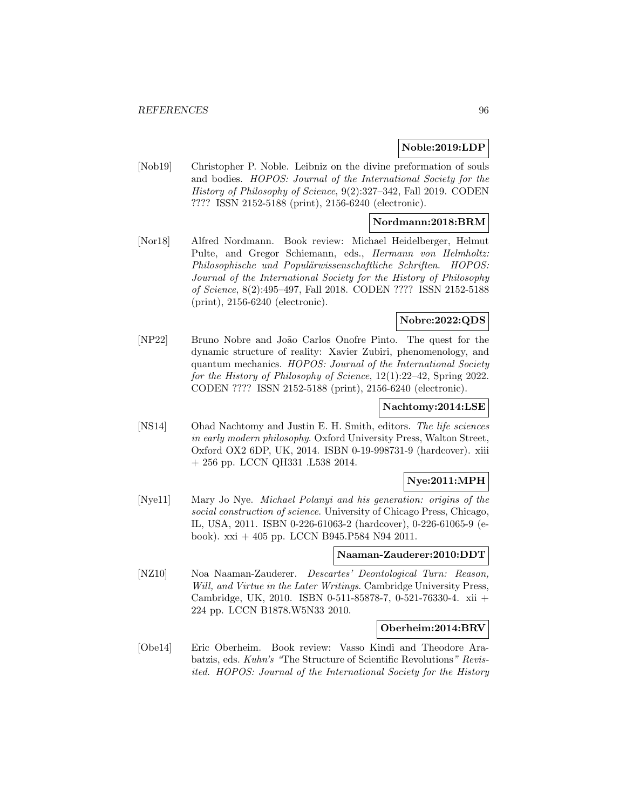## **Noble:2019:LDP**

[Nob19] Christopher P. Noble. Leibniz on the divine preformation of souls and bodies. HOPOS: Journal of the International Society for the History of Philosophy of Science, 9(2):327–342, Fall 2019. CODEN ???? ISSN 2152-5188 (print), 2156-6240 (electronic).

## **Nordmann:2018:BRM**

[Nor18] Alfred Nordmann. Book review: Michael Heidelberger, Helmut Pulte, and Gregor Schiemann, eds., Hermann von Helmholtz: Philosophische und Populärwissenschaftliche Schriften. HOPOS: Journal of the International Society for the History of Philosophy of Science, 8(2):495–497, Fall 2018. CODEN ???? ISSN 2152-5188 (print), 2156-6240 (electronic).

## **Nobre:2022:QDS**

[NP22] Bruno Nobre and Jo˜ao Carlos Onofre Pinto. The quest for the dynamic structure of reality: Xavier Zubiri, phenomenology, and quantum mechanics. HOPOS: Journal of the International Society for the History of Philosophy of Science, 12(1):22–42, Spring 2022. CODEN ???? ISSN 2152-5188 (print), 2156-6240 (electronic).

### **Nachtomy:2014:LSE**

[NS14] Ohad Nachtomy and Justin E. H. Smith, editors. The life sciences in early modern philosophy. Oxford University Press, Walton Street, Oxford OX2 6DP, UK, 2014. ISBN 0-19-998731-9 (hardcover). xiii + 256 pp. LCCN QH331 .L538 2014.

### **Nye:2011:MPH**

[Nye11] Mary Jo Nye. Michael Polanyi and his generation: origins of the social construction of science. University of Chicago Press, Chicago, IL, USA, 2011. ISBN 0-226-61063-2 (hardcover), 0-226-61065-9 (ebook). xxi + 405 pp. LCCN B945.P584 N94 2011.

## **Naaman-Zauderer:2010:DDT**

[NZ10] Noa Naaman-Zauderer. Descartes' Deontological Turn: Reason, Will, and Virtue in the Later Writings. Cambridge University Press, Cambridge, UK, 2010. ISBN 0-511-85878-7, 0-521-76330-4. xii + 224 pp. LCCN B1878.W5N33 2010.

### **Oberheim:2014:BRV**

[Obe14] Eric Oberheim. Book review: Vasso Kindi and Theodore Arabatzis, eds. Kuhn's "The Structure of Scientific Revolutions" Revisited. HOPOS: Journal of the International Society for the History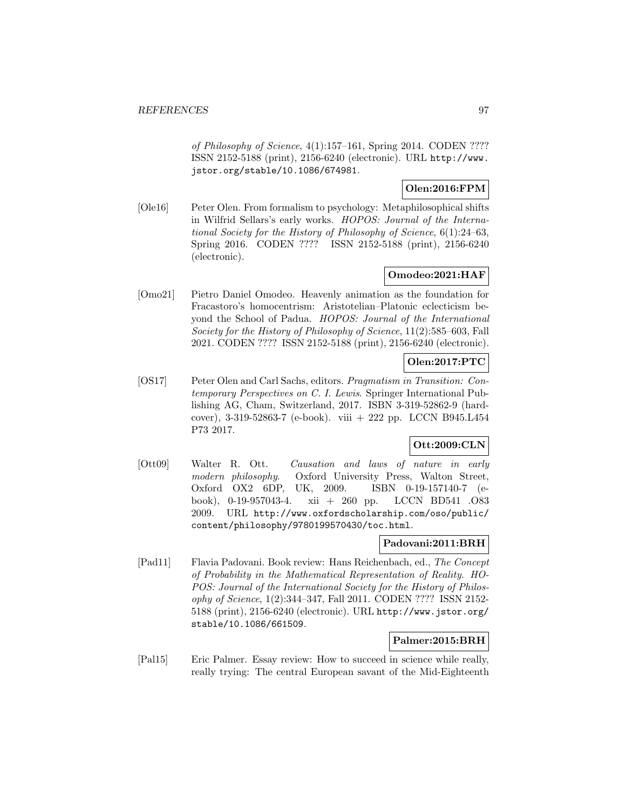of Philosophy of Science, 4(1):157–161, Spring 2014. CODEN ???? ISSN 2152-5188 (print), 2156-6240 (electronic). URL http://www. jstor.org/stable/10.1086/674981.

## **Olen:2016:FPM**

[Ole16] Peter Olen. From formalism to psychology: Metaphilosophical shifts in Wilfrid Sellars's early works. HOPOS: Journal of the International Society for the History of Philosophy of Science, 6(1):24–63, Spring 2016. CODEN ???? ISSN 2152-5188 (print), 2156-6240 (electronic).

# **Omodeo:2021:HAF**

[Omo21] Pietro Daniel Omodeo. Heavenly animation as the foundation for Fracastoro's homocentrism: Aristotelian–Platonic eclecticism beyond the School of Padua. HOPOS: Journal of the International Society for the History of Philosophy of Science, 11(2):585–603, Fall 2021. CODEN ???? ISSN 2152-5188 (print), 2156-6240 (electronic).

## **Olen:2017:PTC**

[OS17] Peter Olen and Carl Sachs, editors. Pragmatism in Transition: Contemporary Perspectives on C. I. Lewis. Springer International Publishing AG, Cham, Switzerland, 2017. ISBN 3-319-52862-9 (hardcover), 3-319-52863-7 (e-book). viii + 222 pp. LCCN B945.L454 P73 2017.

# **Ott:2009:CLN**

[Ott09] Walter R. Ott. Causation and laws of nature in early modern philosophy. Oxford University Press, Walton Street, Oxford OX2 6DP, UK, 2009. ISBN 0-19-157140-7 (ebook), 0-19-957043-4. xii + 260 pp. LCCN BD541 .O83 2009. URL http://www.oxfordscholarship.com/oso/public/ content/philosophy/9780199570430/toc.html.

## **Padovani:2011:BRH**

[Pad11] Flavia Padovani. Book review: Hans Reichenbach, ed., The Concept of Probability in the Mathematical Representation of Reality. HO-POS: Journal of the International Society for the History of Philosophy of Science, 1(2):344–347, Fall 2011. CODEN ???? ISSN 2152- 5188 (print), 2156-6240 (electronic). URL http://www.jstor.org/ stable/10.1086/661509.

## **Palmer:2015:BRH**

[Pal15] Eric Palmer. Essay review: How to succeed in science while really, really trying: The central European savant of the Mid-Eighteenth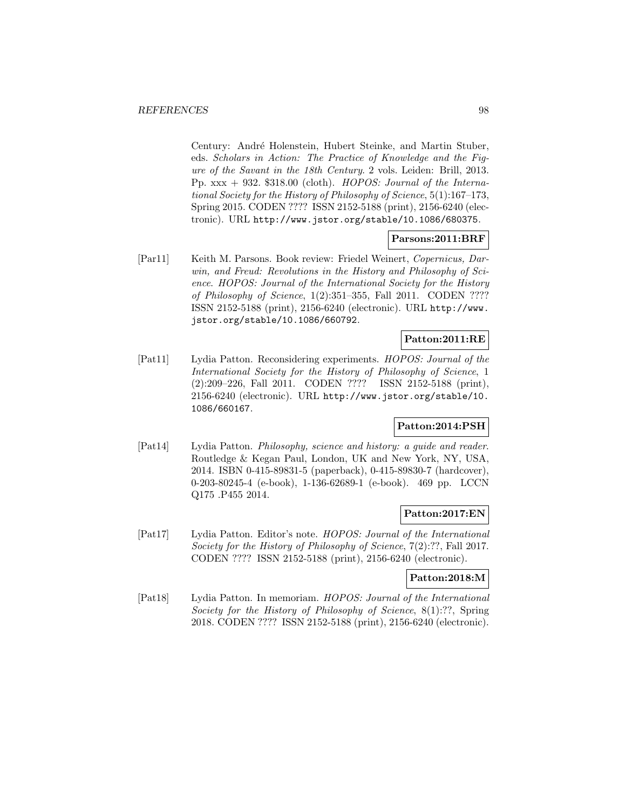Century: André Holenstein, Hubert Steinke, and Martin Stuber, eds. Scholars in Action: The Practice of Knowledge and the Figure of the Savant in the 18th Century. 2 vols. Leiden: Brill, 2013. Pp.  $xxx + 932.$  \$318.00 (cloth). HOPOS: Journal of the International Society for the History of Philosophy of Science, 5(1):167–173, Spring 2015. CODEN ???? ISSN 2152-5188 (print), 2156-6240 (electronic). URL http://www.jstor.org/stable/10.1086/680375.

## **Parsons:2011:BRF**

[Par11] Keith M. Parsons. Book review: Friedel Weinert, Copernicus, Darwin, and Freud: Revolutions in the History and Philosophy of Science. HOPOS: Journal of the International Society for the History of Philosophy of Science, 1(2):351–355, Fall 2011. CODEN ???? ISSN 2152-5188 (print), 2156-6240 (electronic). URL http://www. jstor.org/stable/10.1086/660792.

## **Patton:2011:RE**

[Pat11] Lydia Patton. Reconsidering experiments. HOPOS: Journal of the International Society for the History of Philosophy of Science, 1 (2):209–226, Fall 2011. CODEN ???? ISSN 2152-5188 (print), 2156-6240 (electronic). URL http://www.jstor.org/stable/10. 1086/660167.

### **Patton:2014:PSH**

[Pat14] Lydia Patton. Philosophy, science and history: a guide and reader. Routledge & Kegan Paul, London, UK and New York, NY, USA, 2014. ISBN 0-415-89831-5 (paperback), 0-415-89830-7 (hardcover), 0-203-80245-4 (e-book), 1-136-62689-1 (e-book). 469 pp. LCCN Q175 .P455 2014.

## **Patton:2017:EN**

[Pat17] Lydia Patton. Editor's note. HOPOS: Journal of the International Society for the History of Philosophy of Science, 7(2):??, Fall 2017. CODEN ???? ISSN 2152-5188 (print), 2156-6240 (electronic).

## **Patton:2018:M**

[Pat18] Lydia Patton. In memoriam. HOPOS: Journal of the International Society for the History of Philosophy of Science, 8(1):??, Spring 2018. CODEN ???? ISSN 2152-5188 (print), 2156-6240 (electronic).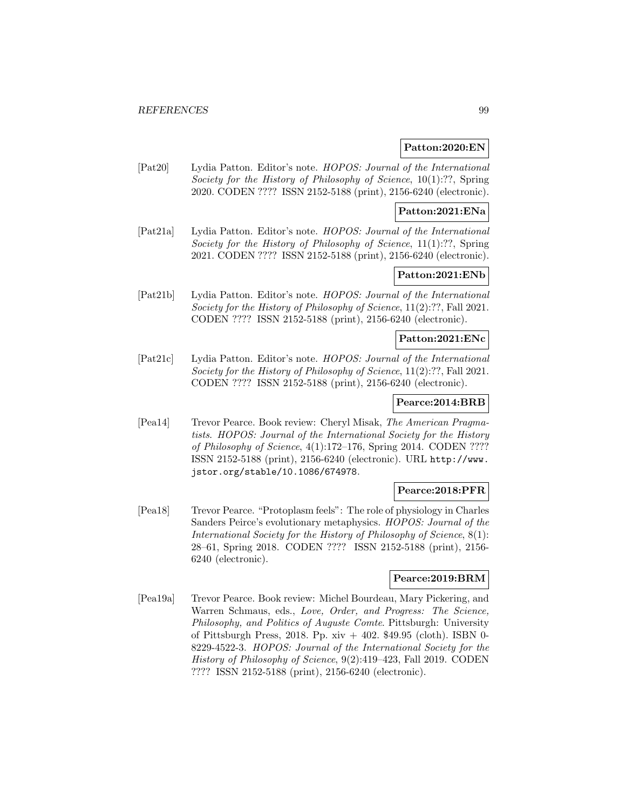### **Patton:2020:EN**

[Pat20] Lydia Patton. Editor's note. HOPOS: Journal of the International Society for the History of Philosophy of Science, 10(1):??, Spring 2020. CODEN ???? ISSN 2152-5188 (print), 2156-6240 (electronic).

### **Patton:2021:ENa**

[Pat21a] Lydia Patton. Editor's note. HOPOS: Journal of the International Society for the History of Philosophy of Science, 11(1):??, Spring 2021. CODEN ???? ISSN 2152-5188 (print), 2156-6240 (electronic).

## **Patton:2021:ENb**

[Pat21b] Lydia Patton. Editor's note. HOPOS: Journal of the International Society for the History of Philosophy of Science, 11(2):??, Fall 2021. CODEN ???? ISSN 2152-5188 (print), 2156-6240 (electronic).

## **Patton:2021:ENc**

[Pat21c] Lydia Patton. Editor's note. HOPOS: Journal of the International Society for the History of Philosophy of Science, 11(2):??, Fall 2021. CODEN ???? ISSN 2152-5188 (print), 2156-6240 (electronic).

## **Pearce:2014:BRB**

[Pea14] Trevor Pearce. Book review: Cheryl Misak, The American Pragmatists. HOPOS: Journal of the International Society for the History of Philosophy of Science, 4(1):172–176, Spring 2014. CODEN ???? ISSN 2152-5188 (print), 2156-6240 (electronic). URL http://www. jstor.org/stable/10.1086/674978.

### **Pearce:2018:PFR**

[Pea18] Trevor Pearce. "Protoplasm feels": The role of physiology in Charles Sanders Peirce's evolutionary metaphysics. HOPOS: Journal of the International Society for the History of Philosophy of Science, 8(1): 28–61, Spring 2018. CODEN ???? ISSN 2152-5188 (print), 2156- 6240 (electronic).

# **Pearce:2019:BRM**

[Pea19a] Trevor Pearce. Book review: Michel Bourdeau, Mary Pickering, and Warren Schmaus, eds., Love, Order, and Progress: The Science, Philosophy, and Politics of Auguste Comte. Pittsburgh: University of Pittsburgh Press, 2018. Pp. xiv + 402. \$49.95 (cloth). ISBN 0- 8229-4522-3. HOPOS: Journal of the International Society for the History of Philosophy of Science, 9(2):419–423, Fall 2019. CODEN ???? ISSN 2152-5188 (print), 2156-6240 (electronic).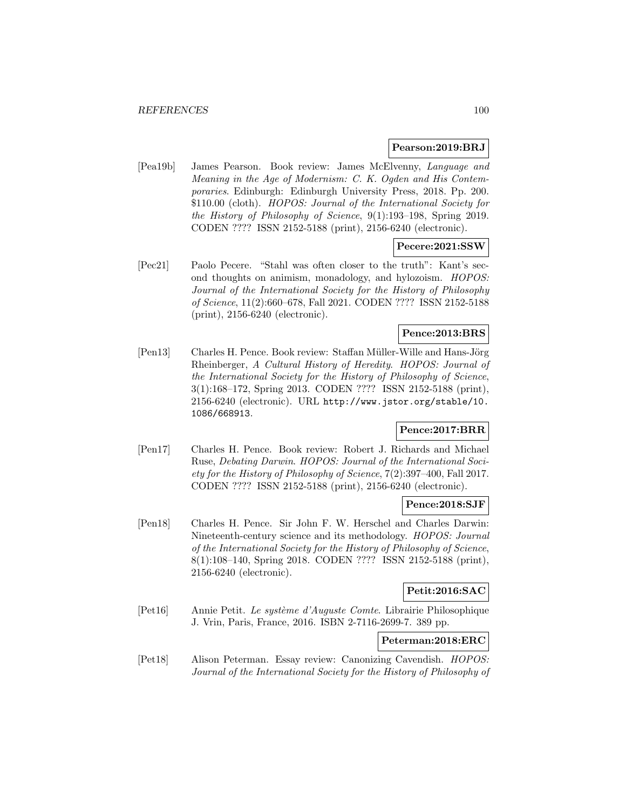### **Pearson:2019:BRJ**

[Pea19b] James Pearson. Book review: James McElvenny, Language and Meaning in the Age of Modernism: C. K. Ogden and His Contemporaries. Edinburgh: Edinburgh University Press, 2018. Pp. 200. \$110.00 (cloth). HOPOS: Journal of the International Society for the History of Philosophy of Science, 9(1):193–198, Spring 2019. CODEN ???? ISSN 2152-5188 (print), 2156-6240 (electronic).

### **Pecere:2021:SSW**

[Pec21] Paolo Pecere. "Stahl was often closer to the truth": Kant's second thoughts on animism, monadology, and hylozoism. HOPOS: Journal of the International Society for the History of Philosophy of Science, 11(2):660–678, Fall 2021. CODEN ???? ISSN 2152-5188 (print), 2156-6240 (electronic).

## **Pence:2013:BRS**

[Pen13] Charles H. Pence. Book review: Staffan Müller-Wille and Hans-Jörg Rheinberger, A Cultural History of Heredity. HOPOS: Journal of the International Society for the History of Philosophy of Science, 3(1):168–172, Spring 2013. CODEN ???? ISSN 2152-5188 (print), 2156-6240 (electronic). URL http://www.jstor.org/stable/10. 1086/668913.

### **Pence:2017:BRR**

[Pen17] Charles H. Pence. Book review: Robert J. Richards and Michael Ruse, Debating Darwin. HOPOS: Journal of the International Society for the History of Philosophy of Science, 7(2):397–400, Fall 2017. CODEN ???? ISSN 2152-5188 (print), 2156-6240 (electronic).

# **Pence:2018:SJF**

[Pen18] Charles H. Pence. Sir John F. W. Herschel and Charles Darwin: Nineteenth-century science and its methodology. HOPOS: Journal of the International Society for the History of Philosophy of Science, 8(1):108–140, Spring 2018. CODEN ???? ISSN 2152-5188 (print), 2156-6240 (electronic).

## **Petit:2016:SAC**

[Pet16] Annie Petit. Le système d'Auguste Comte. Librairie Philosophique J. Vrin, Paris, France, 2016. ISBN 2-7116-2699-7. 389 pp.

# **Peterman:2018:ERC**

[Pet18] Alison Peterman. Essay review: Canonizing Cavendish. HOPOS: Journal of the International Society for the History of Philosophy of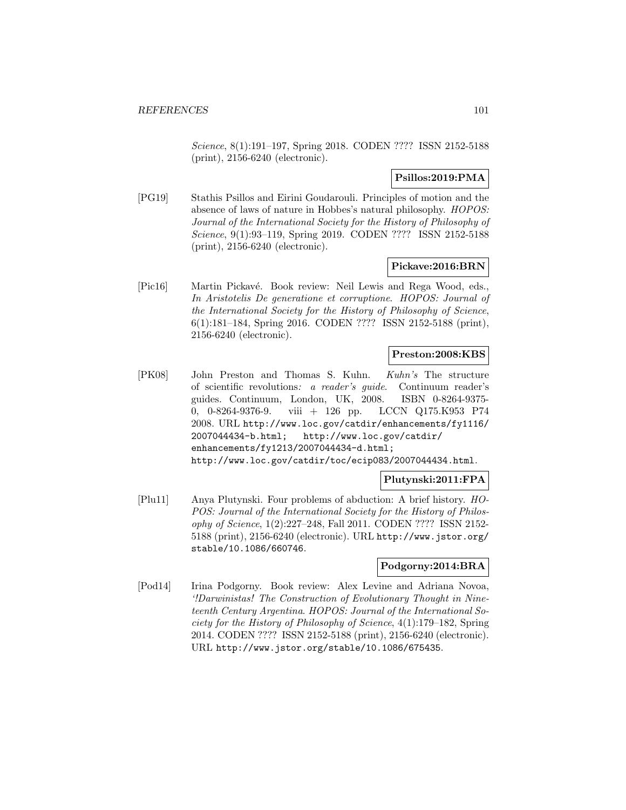Science, 8(1):191–197, Spring 2018. CODEN ???? ISSN 2152-5188 (print), 2156-6240 (electronic).

# **Psillos:2019:PMA**

[PG19] Stathis Psillos and Eirini Goudarouli. Principles of motion and the absence of laws of nature in Hobbes's natural philosophy. HOPOS: Journal of the International Society for the History of Philosophy of Science, 9(1):93–119, Spring 2019. CODEN ???? ISSN 2152-5188 (print), 2156-6240 (electronic).

### **Pickave:2016:BRN**

[Pic16] Martin Pickavé. Book review: Neil Lewis and Rega Wood, eds., In Aristotelis De generatione et corruptione. HOPOS: Journal of the International Society for the History of Philosophy of Science, 6(1):181–184, Spring 2016. CODEN ???? ISSN 2152-5188 (print), 2156-6240 (electronic).

## **Preston:2008:KBS**

[PK08] John Preston and Thomas S. Kuhn. Kuhn's The structure of scientific revolutions: a reader's guide. Continuum reader's guides. Continuum, London, UK, 2008. ISBN 0-8264-9375- 0, 0-8264-9376-9. viii + 126 pp. LCCN Q175.K953 P74 2008. URL http://www.loc.gov/catdir/enhancements/fy1116/ 2007044434-b.html; http://www.loc.gov/catdir/ enhancements/fy1213/2007044434-d.html; http://www.loc.gov/catdir/toc/ecip083/2007044434.html.

### **Plutynski:2011:FPA**

[Plu11] Anya Plutynski. Four problems of abduction: A brief history. HO-POS: Journal of the International Society for the History of Philosophy of Science, 1(2):227–248, Fall 2011. CODEN ???? ISSN 2152- 5188 (print), 2156-6240 (electronic). URL http://www.jstor.org/ stable/10.1086/660746.

### **Podgorny:2014:BRA**

[Pod14] Irina Podgorny. Book review: Alex Levine and Adriana Novoa, '!Darwinistas! The Construction of Evolutionary Thought in Nineteenth Century Argentina. HOPOS: Journal of the International Society for the History of Philosophy of Science, 4(1):179–182, Spring 2014. CODEN ???? ISSN 2152-5188 (print), 2156-6240 (electronic). URL http://www.jstor.org/stable/10.1086/675435.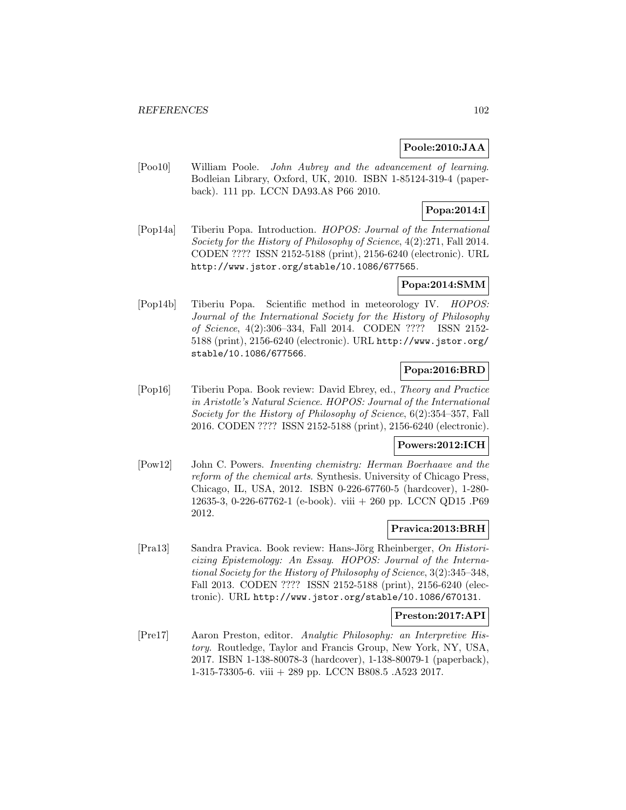## **Poole:2010:JAA**

[Poo10] William Poole. John Aubrey and the advancement of learning. Bodleian Library, Oxford, UK, 2010. ISBN 1-85124-319-4 (paperback). 111 pp. LCCN DA93.A8 P66 2010.

## **Popa:2014:I**

[Pop14a] Tiberiu Popa. Introduction. HOPOS: Journal of the International Society for the History of Philosophy of Science, 4(2):271, Fall 2014. CODEN ???? ISSN 2152-5188 (print), 2156-6240 (electronic). URL http://www.jstor.org/stable/10.1086/677565.

# **Popa:2014:SMM**

[Pop14b] Tiberiu Popa. Scientific method in meteorology IV. HOPOS: Journal of the International Society for the History of Philosophy of Science, 4(2):306–334, Fall 2014. CODEN ???? ISSN 2152- 5188 (print), 2156-6240 (electronic). URL http://www.jstor.org/ stable/10.1086/677566.

# **Popa:2016:BRD**

[Pop16] Tiberiu Popa. Book review: David Ebrey, ed., Theory and Practice in Aristotle's Natural Science. HOPOS: Journal of the International Society for the History of Philosophy of Science, 6(2):354–357, Fall 2016. CODEN ???? ISSN 2152-5188 (print), 2156-6240 (electronic).

## **Powers:2012:ICH**

[Pow12] John C. Powers. Inventing chemistry: Herman Boerhaave and the reform of the chemical arts. Synthesis. University of Chicago Press, Chicago, IL, USA, 2012. ISBN 0-226-67760-5 (hardcover), 1-280- 12635-3, 0-226-67762-1 (e-book). viii + 260 pp. LCCN QD15 .P69 2012.

### **Pravica:2013:BRH**

[Pra13] Sandra Pravica. Book review: Hans-Jörg Rheinberger, On Historicizing Epistemology: An Essay. HOPOS: Journal of the International Society for the History of Philosophy of Science, 3(2):345–348, Fall 2013. CODEN ???? ISSN 2152-5188 (print), 2156-6240 (electronic). URL http://www.jstor.org/stable/10.1086/670131.

## **Preston:2017:API**

[Pre17] Aaron Preston, editor. Analytic Philosophy: an Interpretive History. Routledge, Taylor and Francis Group, New York, NY, USA, 2017. ISBN 1-138-80078-3 (hardcover), 1-138-80079-1 (paperback), 1-315-73305-6. viii + 289 pp. LCCN B808.5 .A523 2017.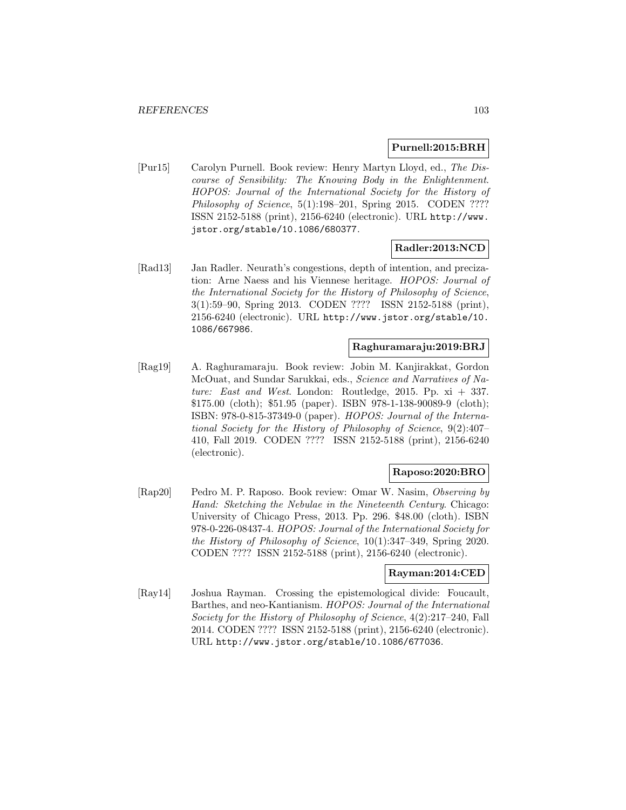### **Purnell:2015:BRH**

[Pur15] Carolyn Purnell. Book review: Henry Martyn Lloyd, ed., The Discourse of Sensibility: The Knowing Body in the Enlightenment. HOPOS: Journal of the International Society for the History of Philosophy of Science, 5(1):198–201, Spring 2015. CODEN ???? ISSN 2152-5188 (print), 2156-6240 (electronic). URL http://www. jstor.org/stable/10.1086/680377.

## **Radler:2013:NCD**

[Rad13] Jan Radler. Neurath's congestions, depth of intention, and precization: Arne Naess and his Viennese heritage. HOPOS: Journal of the International Society for the History of Philosophy of Science, 3(1):59–90, Spring 2013. CODEN ???? ISSN 2152-5188 (print), 2156-6240 (electronic). URL http://www.jstor.org/stable/10. 1086/667986.

## **Raghuramaraju:2019:BRJ**

[Rag19] A. Raghuramaraju. Book review: Jobin M. Kanjirakkat, Gordon McOuat, and Sundar Sarukkai, eds., Science and Narratives of Nature: East and West. London: Routledge, 2015. Pp.  $xi + 337$ . \$175.00 (cloth); \$51.95 (paper). ISBN 978-1-138-90089-9 (cloth); ISBN: 978-0-815-37349-0 (paper). HOPOS: Journal of the International Society for the History of Philosophy of Science, 9(2):407– 410, Fall 2019. CODEN ???? ISSN 2152-5188 (print), 2156-6240 (electronic).

## **Raposo:2020:BRO**

[Rap20] Pedro M. P. Raposo. Book review: Omar W. Nasim, Observing by Hand: Sketching the Nebulae in the Nineteenth Century. Chicago: University of Chicago Press, 2013. Pp. 296. \$48.00 (cloth). ISBN 978-0-226-08437-4. HOPOS: Journal of the International Society for the History of Philosophy of Science, 10(1):347–349, Spring 2020. CODEN ???? ISSN 2152-5188 (print), 2156-6240 (electronic).

# **Rayman:2014:CED**

[Ray14] Joshua Rayman. Crossing the epistemological divide: Foucault, Barthes, and neo-Kantianism. HOPOS: Journal of the International Society for the History of Philosophy of Science, 4(2):217–240, Fall 2014. CODEN ???? ISSN 2152-5188 (print), 2156-6240 (electronic). URL http://www.jstor.org/stable/10.1086/677036.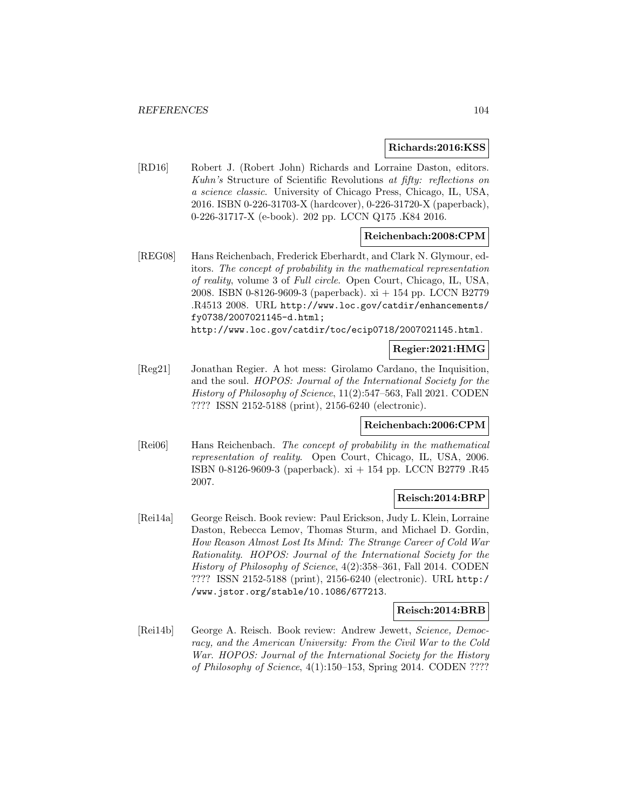### **Richards:2016:KSS**

[RD16] Robert J. (Robert John) Richards and Lorraine Daston, editors. Kuhn's Structure of Scientific Revolutions at fifty: reflections on a science classic. University of Chicago Press, Chicago, IL, USA, 2016. ISBN 0-226-31703-X (hardcover), 0-226-31720-X (paperback), 0-226-31717-X (e-book). 202 pp. LCCN Q175 .K84 2016.

## **Reichenbach:2008:CPM**

[REG08] Hans Reichenbach, Frederick Eberhardt, and Clark N. Glymour, editors. The concept of probability in the mathematical representation of reality, volume 3 of Full circle. Open Court, Chicago, IL, USA, 2008. ISBN 0-8126-9609-3 (paperback). xi + 154 pp. LCCN B2779 .R4513 2008. URL http://www.loc.gov/catdir/enhancements/ fy0738/2007021145-d.html;

http://www.loc.gov/catdir/toc/ecip0718/2007021145.html.

## **Regier:2021:HMG**

[Reg21] Jonathan Regier. A hot mess: Girolamo Cardano, the Inquisition, and the soul. HOPOS: Journal of the International Society for the History of Philosophy of Science, 11(2):547–563, Fall 2021. CODEN ???? ISSN 2152-5188 (print), 2156-6240 (electronic).

## **Reichenbach:2006:CPM**

[Rei06] Hans Reichenbach. The concept of probability in the mathematical representation of reality. Open Court, Chicago, IL, USA, 2006. ISBN 0-8126-9609-3 (paperback). xi + 154 pp. LCCN B2779 .R45 2007.

### **Reisch:2014:BRP**

[Rei14a] George Reisch. Book review: Paul Erickson, Judy L. Klein, Lorraine Daston, Rebecca Lemov, Thomas Sturm, and Michael D. Gordin, How Reason Almost Lost Its Mind: The Strange Career of Cold War Rationality. HOPOS: Journal of the International Society for the History of Philosophy of Science, 4(2):358–361, Fall 2014. CODEN ???? ISSN 2152-5188 (print), 2156-6240 (electronic). URL http:/ /www.jstor.org/stable/10.1086/677213.

## **Reisch:2014:BRB**

[Rei14b] George A. Reisch. Book review: Andrew Jewett, Science, Democracy, and the American University: From the Civil War to the Cold War. HOPOS: Journal of the International Society for the History of Philosophy of Science, 4(1):150–153, Spring 2014. CODEN ????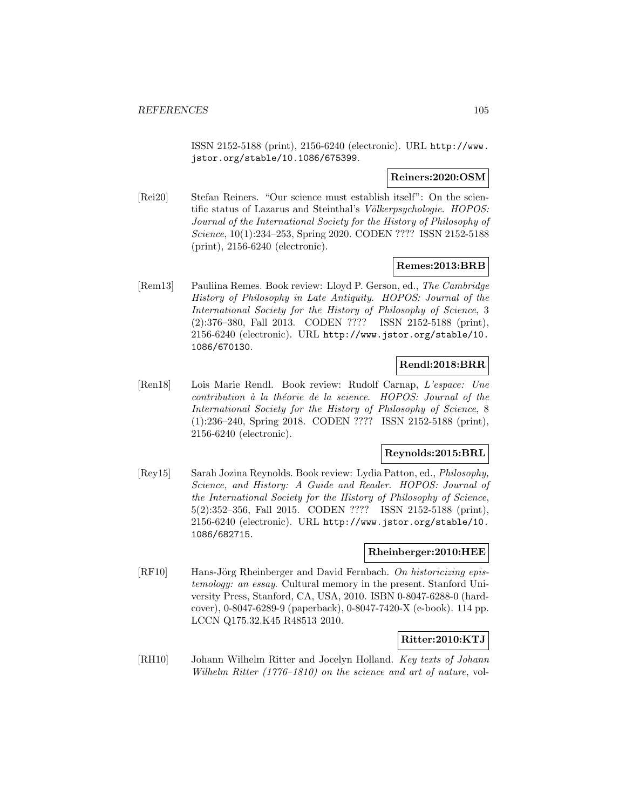ISSN 2152-5188 (print), 2156-6240 (electronic). URL http://www. jstor.org/stable/10.1086/675399.

### **Reiners:2020:OSM**

[Rei20] Stefan Reiners. "Our science must establish itself": On the scientific status of Lazarus and Steinthal's Völkerpsychologie. HOPOS: Journal of the International Society for the History of Philosophy of Science, 10(1):234–253, Spring 2020. CODEN ???? ISSN 2152-5188 (print), 2156-6240 (electronic).

## **Remes:2013:BRB**

[Rem13] Pauliina Remes. Book review: Lloyd P. Gerson, ed., The Cambridge History of Philosophy in Late Antiquity. HOPOS: Journal of the International Society for the History of Philosophy of Science, 3 (2):376–380, Fall 2013. CODEN ???? ISSN 2152-5188 (print), 2156-6240 (electronic). URL http://www.jstor.org/stable/10. 1086/670130.

# **Rendl:2018:BRR**

[Ren18] Lois Marie Rendl. Book review: Rudolf Carnap, L'espace: Une contribution à la théorie de la science. HOPOS: Journal of the International Society for the History of Philosophy of Science, 8 (1):236–240, Spring 2018. CODEN ???? ISSN 2152-5188 (print), 2156-6240 (electronic).

### **Reynolds:2015:BRL**

[Rey15] Sarah Jozina Reynolds. Book review: Lydia Patton, ed., Philosophy, Science, and History: A Guide and Reader. HOPOS: Journal of the International Society for the History of Philosophy of Science, 5(2):352–356, Fall 2015. CODEN ???? ISSN 2152-5188 (print), 2156-6240 (electronic). URL http://www.jstor.org/stable/10. 1086/682715.

### **Rheinberger:2010:HEE**

 $[RF10]$  Hans-Jörg Rheinberger and David Fernbach. On historicizing epistemology: an essay. Cultural memory in the present. Stanford University Press, Stanford, CA, USA, 2010. ISBN 0-8047-6288-0 (hardcover), 0-8047-6289-9 (paperback), 0-8047-7420-X (e-book). 114 pp. LCCN Q175.32.K45 R48513 2010.

## **Ritter:2010:KTJ**

[RH10] Johann Wilhelm Ritter and Jocelyn Holland. Key texts of Johann Wilhelm Ritter (1776–1810) on the science and art of nature, vol-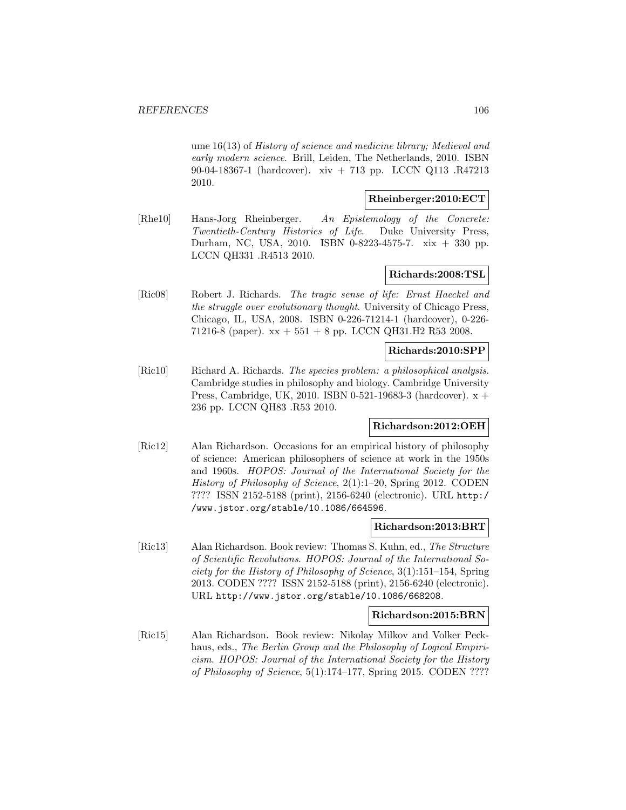ume 16(13) of History of science and medicine library; Medieval and early modern science. Brill, Leiden, The Netherlands, 2010. ISBN 90-04-18367-1 (hardcover). xiv + 713 pp. LCCN Q113 .R47213 2010.

### **Rheinberger:2010:ECT**

[Rhe10] Hans-Jorg Rheinberger. An Epistemology of the Concrete: Twentieth-Century Histories of Life. Duke University Press, Durham, NC, USA, 2010. ISBN 0-8223-4575-7. xix + 330 pp. LCCN QH331 .R4513 2010.

# **Richards:2008:TSL**

[Ric08] Robert J. Richards. The tragic sense of life: Ernst Haeckel and the struggle over evolutionary thought. University of Chicago Press, Chicago, IL, USA, 2008. ISBN 0-226-71214-1 (hardcover), 0-226- 71216-8 (paper).  $xx + 551 + 8$  pp. LCCN QH31.H2 R53 2008.

### **Richards:2010:SPP**

[Ric10] Richard A. Richards. The species problem: a philosophical analysis. Cambridge studies in philosophy and biology. Cambridge University Press, Cambridge, UK, 2010. ISBN 0-521-19683-3 (hardcover). x + 236 pp. LCCN QH83 .R53 2010.

## **Richardson:2012:OEH**

[Ric12] Alan Richardson. Occasions for an empirical history of philosophy of science: American philosophers of science at work in the 1950s and 1960s. HOPOS: Journal of the International Society for the History of Philosophy of Science, 2(1):1–20, Spring 2012. CODEN ???? ISSN 2152-5188 (print), 2156-6240 (electronic). URL http:/ /www.jstor.org/stable/10.1086/664596.

### **Richardson:2013:BRT**

[Ric13] Alan Richardson. Book review: Thomas S. Kuhn, ed., The Structure of Scientific Revolutions. HOPOS: Journal of the International Society for the History of Philosophy of Science, 3(1):151–154, Spring 2013. CODEN ???? ISSN 2152-5188 (print), 2156-6240 (electronic). URL http://www.jstor.org/stable/10.1086/668208.

#### **Richardson:2015:BRN**

[Ric15] Alan Richardson. Book review: Nikolay Milkov and Volker Peckhaus, eds., The Berlin Group and the Philosophy of Logical Empiricism. HOPOS: Journal of the International Society for the History of Philosophy of Science,  $5(1):174-177$ , Spring 2015. CODEN ????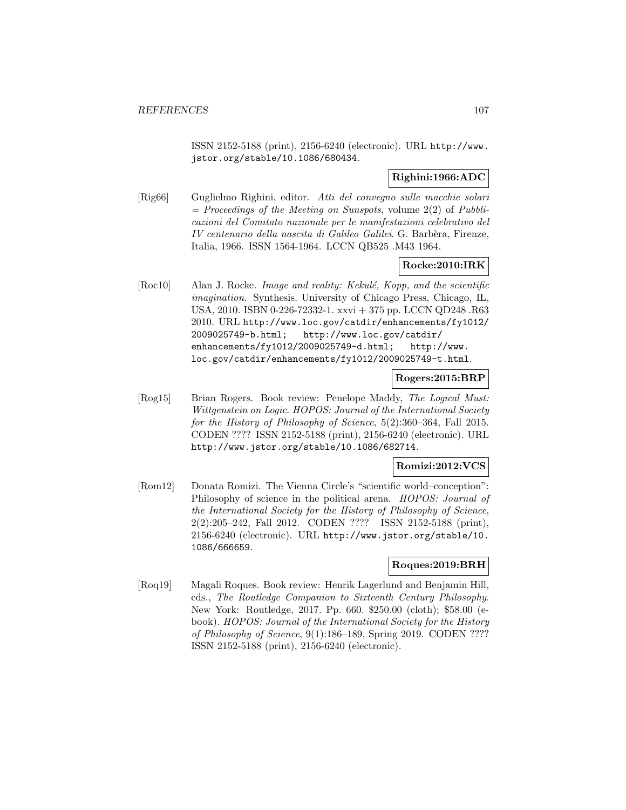ISSN 2152-5188 (print), 2156-6240 (electronic). URL http://www. jstor.org/stable/10.1086/680434.

## **Righini:1966:ADC**

[Rig66] Guglielmo Righini, editor. Atti del convegno sulle macchie solari  $=$  Proceedings of the Meeting on Sunspots, volume 2(2) of Pubblicazioni del Comitato nazionale per le manifestazioni celebrativo del IV centenario della nascita di Galileo Galilei. G. Barbèra, Firenze, Italia, 1966. ISSN 1564-1964. LCCN QB525 .M43 1964.

# **Rocke:2010:IRK**

 $[Roc10]$  Alan J. Rocke. *Image and reality: Kekulé, Kopp, and the scientific* imagination. Synthesis. University of Chicago Press, Chicago, IL, USA, 2010. ISBN 0-226-72332-1. xxvi + 375 pp. LCCN QD248 .R63 2010. URL http://www.loc.gov/catdir/enhancements/fy1012/ 2009025749-b.html; http://www.loc.gov/catdir/ enhancements/fy1012/2009025749-d.html; http://www. loc.gov/catdir/enhancements/fy1012/2009025749-t.html.

### **Rogers:2015:BRP**

[Rog15] Brian Rogers. Book review: Penelope Maddy, The Logical Must: Wittgenstein on Logic. HOPOS: Journal of the International Society for the History of Philosophy of Science, 5(2):360–364, Fall 2015. CODEN ???? ISSN 2152-5188 (print), 2156-6240 (electronic). URL http://www.jstor.org/stable/10.1086/682714.

### **Romizi:2012:VCS**

[Rom12] Donata Romizi. The Vienna Circle's "scientific world–conception": Philosophy of science in the political arena. HOPOS: Journal of the International Society for the History of Philosophy of Science, 2(2):205–242, Fall 2012. CODEN ???? ISSN 2152-5188 (print), 2156-6240 (electronic). URL http://www.jstor.org/stable/10. 1086/666659.

## **Roques:2019:BRH**

[Roq19] Magali Roques. Book review: Henrik Lagerlund and Benjamin Hill, eds., The Routledge Companion to Sixteenth Century Philosophy. New York: Routledge, 2017. Pp. 660. \$250.00 (cloth); \$58.00 (ebook). HOPOS: Journal of the International Society for the History of Philosophy of Science, 9(1):186–189, Spring 2019. CODEN ???? ISSN 2152-5188 (print), 2156-6240 (electronic).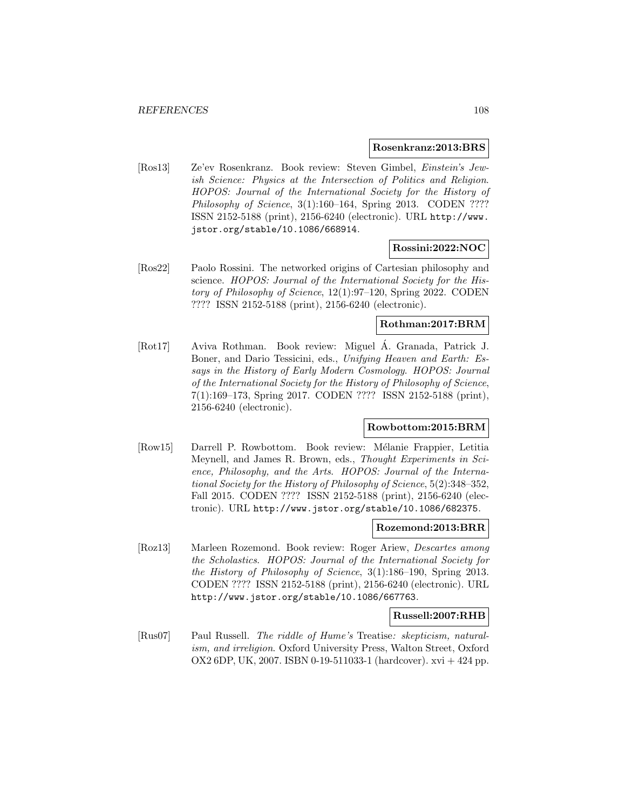#### **Rosenkranz:2013:BRS**

[Ros13] Ze'ev Rosenkranz. Book review: Steven Gimbel, Einstein's Jewish Science: Physics at the Intersection of Politics and Religion. HOPOS: Journal of the International Society for the History of Philosophy of Science, 3(1):160–164, Spring 2013. CODEN ???? ISSN 2152-5188 (print), 2156-6240 (electronic). URL http://www. jstor.org/stable/10.1086/668914.

### **Rossini:2022:NOC**

[Ros22] Paolo Rossini. The networked origins of Cartesian philosophy and science. HOPOS: Journal of the International Society for the History of Philosophy of Science, 12(1):97–120, Spring 2022. CODEN ???? ISSN 2152-5188 (print), 2156-6240 (electronic).

## **Rothman:2017:BRM**

[Rot17] Aviva Rothman. Book review: Miguel A. Granada, Patrick J. ´ Boner, and Dario Tessicini, eds., Unifying Heaven and Earth: Essays in the History of Early Modern Cosmology. HOPOS: Journal of the International Society for the History of Philosophy of Science, 7(1):169–173, Spring 2017. CODEN ???? ISSN 2152-5188 (print), 2156-6240 (electronic).

## **Rowbottom:2015:BRM**

[Row15] Darrell P. Rowbottom. Book review: M´elanie Frappier, Letitia Meynell, and James R. Brown, eds., Thought Experiments in Science, Philosophy, and the Arts. HOPOS: Journal of the International Society for the History of Philosophy of Science, 5(2):348–352, Fall 2015. CODEN ???? ISSN 2152-5188 (print), 2156-6240 (electronic). URL http://www.jstor.org/stable/10.1086/682375.

### **Rozemond:2013:BRR**

[Roz13] Marleen Rozemond. Book review: Roger Ariew, Descartes among the Scholastics. HOPOS: Journal of the International Society for the History of Philosophy of Science, 3(1):186–190, Spring 2013. CODEN ???? ISSN 2152-5188 (print), 2156-6240 (electronic). URL http://www.jstor.org/stable/10.1086/667763.

#### **Russell:2007:RHB**

[Rus07] Paul Russell. The riddle of Hume's Treatise: skepticism, naturalism, and irreligion. Oxford University Press, Walton Street, Oxford OX2 6DP, UK, 2007. ISBN 0-19-511033-1 (hardcover). xvi + 424 pp.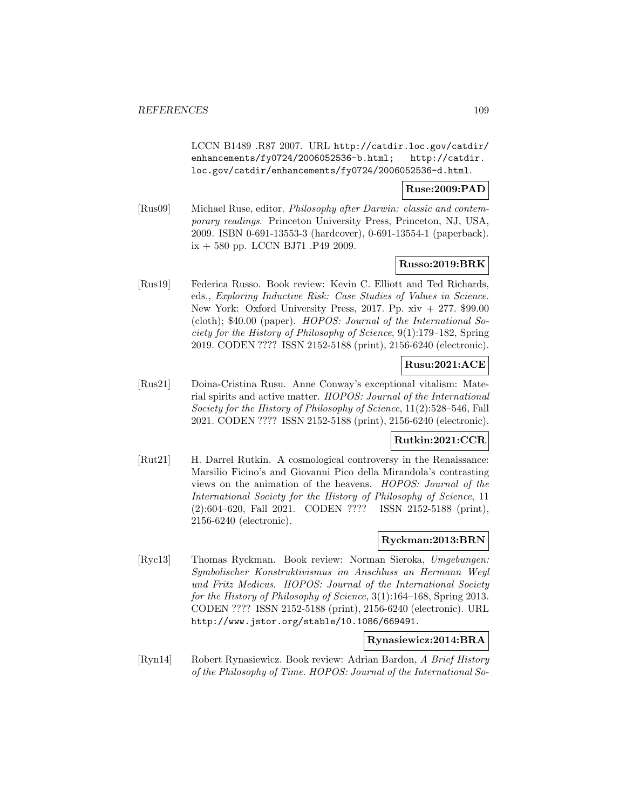LCCN B1489 .R87 2007. URL http://catdir.loc.gov/catdir/ enhancements/fy0724/2006052536-b.html; http://catdir. loc.gov/catdir/enhancements/fy0724/2006052536-d.html.

#### **Ruse:2009:PAD**

[Rus09] Michael Ruse, editor. Philosophy after Darwin: classic and contemporary readings. Princeton University Press, Princeton, NJ, USA, 2009. ISBN 0-691-13553-3 (hardcover), 0-691-13554-1 (paperback). ix + 580 pp. LCCN BJ71 .P49 2009.

### **Russo:2019:BRK**

[Rus19] Federica Russo. Book review: Kevin C. Elliott and Ted Richards, eds., Exploring Inductive Risk: Case Studies of Values in Science. New York: Oxford University Press, 2017. Pp.  $xiv + 277$ . \$99.00 (cloth); \$40.00 (paper). HOPOS: Journal of the International Society for the History of Philosophy of Science, 9(1):179–182, Spring 2019. CODEN ???? ISSN 2152-5188 (print), 2156-6240 (electronic).

# **Rusu:2021:ACE**

[Rus21] Doina-Cristina Rusu. Anne Conway's exceptional vitalism: Material spirits and active matter. HOPOS: Journal of the International Society for the History of Philosophy of Science, 11(2):528–546, Fall 2021. CODEN ???? ISSN 2152-5188 (print), 2156-6240 (electronic).

## **Rutkin:2021:CCR**

[Rut21] H. Darrel Rutkin. A cosmological controversy in the Renaissance: Marsilio Ficino's and Giovanni Pico della Mirandola's contrasting views on the animation of the heavens. HOPOS: Journal of the International Society for the History of Philosophy of Science, 11 (2):604–620, Fall 2021. CODEN ???? ISSN 2152-5188 (print), 2156-6240 (electronic).

### **Ryckman:2013:BRN**

[Ryc13] Thomas Ryckman. Book review: Norman Sieroka, Umgebungen: Symbolischer Konstruktivismus im Anschluss an Hermann Weyl und Fritz Medicus. HOPOS: Journal of the International Society for the History of Philosophy of Science, 3(1):164–168, Spring 2013. CODEN ???? ISSN 2152-5188 (print), 2156-6240 (electronic). URL http://www.jstor.org/stable/10.1086/669491.

#### **Rynasiewicz:2014:BRA**

[Ryn14] Robert Rynasiewicz. Book review: Adrian Bardon, A Brief History of the Philosophy of Time. HOPOS: Journal of the International So-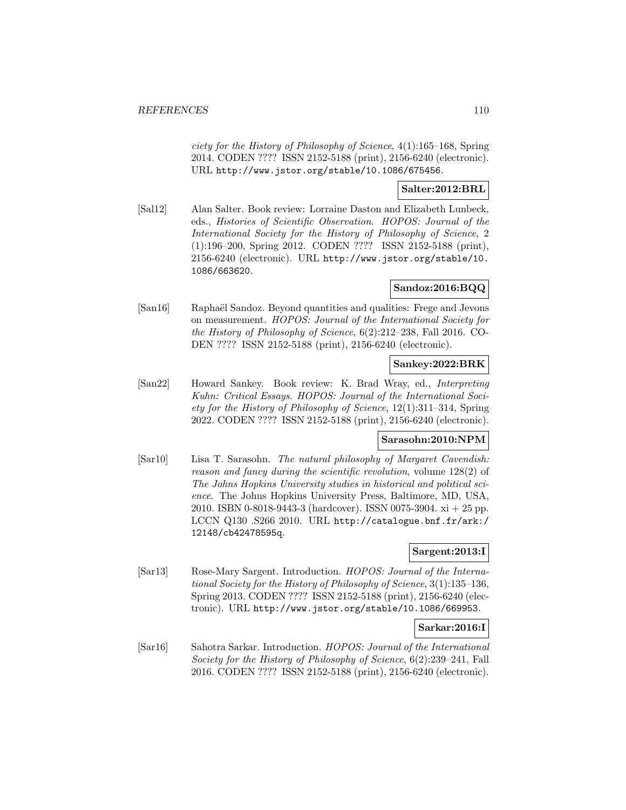ciety for the History of Philosophy of Science, 4(1):165–168, Spring 2014. CODEN ???? ISSN 2152-5188 (print), 2156-6240 (electronic). URL http://www.jstor.org/stable/10.1086/675456.

### **Salter:2012:BRL**

[Sal12] Alan Salter. Book review: Lorraine Daston and Elizabeth Lunbeck, eds., Histories of Scientific Observation. HOPOS: Journal of the International Society for the History of Philosophy of Science, 2 (1):196–200, Spring 2012. CODEN ???? ISSN 2152-5188 (print), 2156-6240 (electronic). URL http://www.jstor.org/stable/10. 1086/663620.

### **Sandoz:2016:BQQ**

[San16] Raphaël Sandoz. Beyond quantities and qualities: Frege and Jevons on measurement. HOPOS: Journal of the International Society for the History of Philosophy of Science, 6(2):212–238, Fall 2016. CO-DEN ???? ISSN 2152-5188 (print), 2156-6240 (electronic).

### **Sankey:2022:BRK**

[San22] Howard Sankey. Book review: K. Brad Wray, ed., Interpreting Kuhn: Critical Essays. HOPOS: Journal of the International Society for the History of Philosophy of Science, 12(1):311–314, Spring 2022. CODEN ???? ISSN 2152-5188 (print), 2156-6240 (electronic).

# **Sarasohn:2010:NPM**

[Sar10] Lisa T. Sarasohn. The natural philosophy of Margaret Cavendish: reason and fancy during the scientific revolution, volume 128(2) of The Johns Hopkins University studies in historical and political science. The Johns Hopkins University Press, Baltimore, MD, USA, 2010. ISBN 0-8018-9443-3 (hardcover). ISSN 0075-3904. xi + 25 pp. LCCN Q130 .S266 2010. URL http://catalogue.bnf.fr/ark:/ 12148/cb42478595q.

# **Sargent:2013:I**

[Sar13] Rose-Mary Sargent. Introduction. HOPOS: Journal of the International Society for the History of Philosophy of Science, 3(1):135–136, Spring 2013. CODEN ???? ISSN 2152-5188 (print), 2156-6240 (electronic). URL http://www.jstor.org/stable/10.1086/669953.

### **Sarkar:2016:I**

[Sar16] Sahotra Sarkar. Introduction. HOPOS: Journal of the International Society for the History of Philosophy of Science, 6(2):239–241, Fall 2016. CODEN ???? ISSN 2152-5188 (print), 2156-6240 (electronic).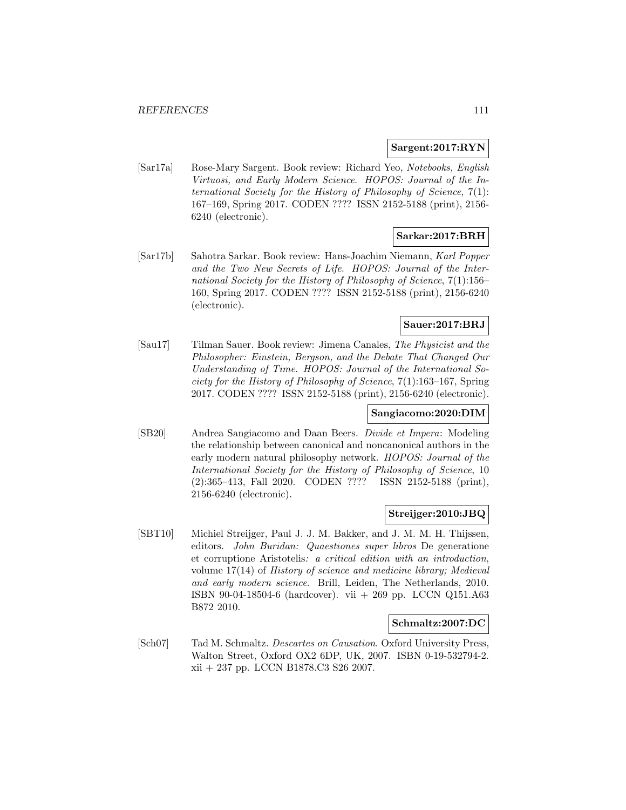### **Sargent:2017:RYN**

[Sar17a] Rose-Mary Sargent. Book review: Richard Yeo, Notebooks, English Virtuosi, and Early Modern Science. HOPOS: Journal of the International Society for the History of Philosophy of Science, 7(1): 167–169, Spring 2017. CODEN ???? ISSN 2152-5188 (print), 2156- 6240 (electronic).

# **Sarkar:2017:BRH**

[Sar17b] Sahotra Sarkar. Book review: Hans-Joachim Niemann, Karl Popper and the Two New Secrets of Life. HOPOS: Journal of the International Society for the History of Philosophy of Science, 7(1):156– 160, Spring 2017. CODEN ???? ISSN 2152-5188 (print), 2156-6240 (electronic).

# **Sauer:2017:BRJ**

[Sau17] Tilman Sauer. Book review: Jimena Canales, The Physicist and the Philosopher: Einstein, Bergson, and the Debate That Changed Our Understanding of Time. HOPOS: Journal of the International Society for the History of Philosophy of Science, 7(1):163–167, Spring 2017. CODEN ???? ISSN 2152-5188 (print), 2156-6240 (electronic).

### **Sangiacomo:2020:DIM**

[SB20] Andrea Sangiacomo and Daan Beers. Divide et Impera: Modeling the relationship between canonical and noncanonical authors in the early modern natural philosophy network. HOPOS: Journal of the International Society for the History of Philosophy of Science, 10 (2):365–413, Fall 2020. CODEN ???? ISSN 2152-5188 (print), 2156-6240 (electronic).

#### **Streijger:2010:JBQ**

[SBT10] Michiel Streijger, Paul J. J. M. Bakker, and J. M. M. H. Thijssen, editors. John Buridan: Quaestiones super libros De generatione et corruptione Aristotelis: a critical edition with an introduction, volume 17(14) of History of science and medicine library; Medieval and early modern science. Brill, Leiden, The Netherlands, 2010. ISBN 90-04-18504-6 (hardcover). vii + 269 pp. LCCN Q151.A63 B872 2010.

#### **Schmaltz:2007:DC**

[Sch07] Tad M. Schmaltz. Descartes on Causation. Oxford University Press, Walton Street, Oxford OX2 6DP, UK, 2007. ISBN 0-19-532794-2. xii + 237 pp. LCCN B1878.C3 S26 2007.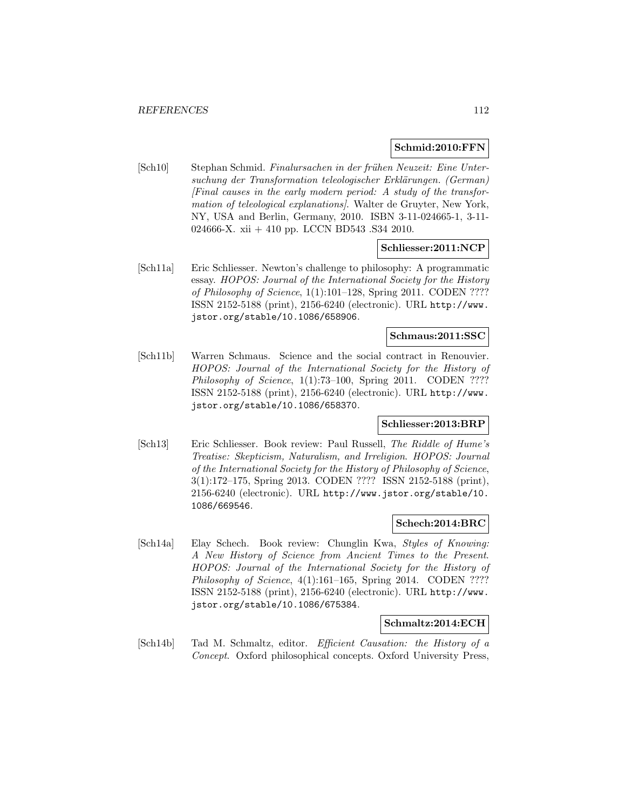#### **Schmid:2010:FFN**

[Sch10] Stephan Schmid. Finalursachen in der frühen Neuzeit: Eine Untersuchung der Transformation teleologischer Erklärungen. (German)  $[Final\ causes\ in\ the\ early\ modern\ period: A\ study\ of\ the\ transform$ mation of teleological explanations. Walter de Gruyter, New York, NY, USA and Berlin, Germany, 2010. ISBN 3-11-024665-1, 3-11- 024666-X. xii + 410 pp. LCCN BD543 .S34 2010.

#### **Schliesser:2011:NCP**

[Sch11a] Eric Schliesser. Newton's challenge to philosophy: A programmatic essay. HOPOS: Journal of the International Society for the History of Philosophy of Science, 1(1):101–128, Spring 2011. CODEN ???? ISSN 2152-5188 (print), 2156-6240 (electronic). URL http://www. jstor.org/stable/10.1086/658906.

# **Schmaus:2011:SSC**

[Sch11b] Warren Schmaus. Science and the social contract in Renouvier. HOPOS: Journal of the International Society for the History of Philosophy of Science,  $1(1)$ :73-100, Spring 2011. CODEN ???? ISSN 2152-5188 (print), 2156-6240 (electronic). URL http://www. jstor.org/stable/10.1086/658370.

### **Schliesser:2013:BRP**

[Sch13] Eric Schliesser. Book review: Paul Russell, The Riddle of Hume's Treatise: Skepticism, Naturalism, and Irreligion. HOPOS: Journal of the International Society for the History of Philosophy of Science, 3(1):172–175, Spring 2013. CODEN ???? ISSN 2152-5188 (print), 2156-6240 (electronic). URL http://www.jstor.org/stable/10. 1086/669546.

### **Schech:2014:BRC**

[Sch14a] Elay Schech. Book review: Chunglin Kwa, Styles of Knowing: A New History of Science from Ancient Times to the Present. HOPOS: Journal of the International Society for the History of Philosophy of Science, 4(1):161-165, Spring 2014. CODEN ???? ISSN 2152-5188 (print), 2156-6240 (electronic). URL http://www. jstor.org/stable/10.1086/675384.

#### **Schmaltz:2014:ECH**

[Sch14b] Tad M. Schmaltz, editor. Efficient Causation: the History of a Concept. Oxford philosophical concepts. Oxford University Press,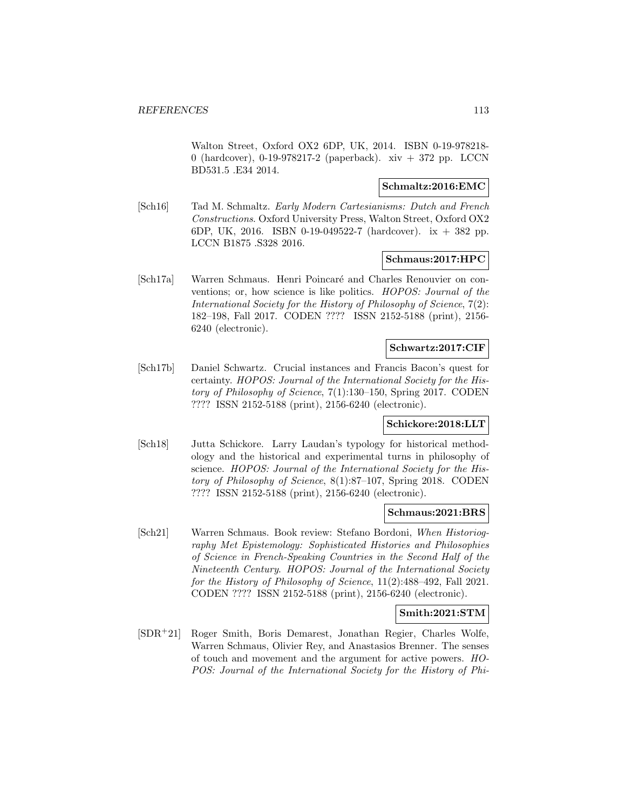Walton Street, Oxford OX2 6DP, UK, 2014. ISBN 0-19-978218- 0 (hardcover), 0-19-978217-2 (paperback). xiv + 372 pp. LCCN BD531.5 .E34 2014.

### **Schmaltz:2016:EMC**

[Sch16] Tad M. Schmaltz. Early Modern Cartesianisms: Dutch and French Constructions. Oxford University Press, Walton Street, Oxford OX2 6DP, UK, 2016. ISBN 0-19-049522-7 (hardcover). ix + 382 pp. LCCN B1875 .S328 2016.

### **Schmaus:2017:HPC**

[Sch17a] Warren Schmaus. Henri Poincaré and Charles Renouvier on conventions; or, how science is like politics. HOPOS: Journal of the International Society for the History of Philosophy of Science, 7(2): 182–198, Fall 2017. CODEN ???? ISSN 2152-5188 (print), 2156- 6240 (electronic).

#### **Schwartz:2017:CIF**

[Sch17b] Daniel Schwartz. Crucial instances and Francis Bacon's quest for certainty. HOPOS: Journal of the International Society for the History of Philosophy of Science, 7(1):130–150, Spring 2017. CODEN ???? ISSN 2152-5188 (print), 2156-6240 (electronic).

### **Schickore:2018:LLT**

[Sch18] Jutta Schickore. Larry Laudan's typology for historical methodology and the historical and experimental turns in philosophy of science. HOPOS: Journal of the International Society for the History of Philosophy of Science, 8(1):87–107, Spring 2018. CODEN ???? ISSN 2152-5188 (print), 2156-6240 (electronic).

#### **Schmaus:2021:BRS**

[Sch21] Warren Schmaus. Book review: Stefano Bordoni, When Historiography Met Epistemology: Sophisticated Histories and Philosophies of Science in French-Speaking Countries in the Second Half of the Nineteenth Century. HOPOS: Journal of the International Society for the History of Philosophy of Science, 11(2):488–492, Fall 2021. CODEN ???? ISSN 2152-5188 (print), 2156-6240 (electronic).

### **Smith:2021:STM**

[SDR<sup>+</sup>21] Roger Smith, Boris Demarest, Jonathan Regier, Charles Wolfe, Warren Schmaus, Olivier Rey, and Anastasios Brenner. The senses of touch and movement and the argument for active powers. HO-POS: Journal of the International Society for the History of Phi-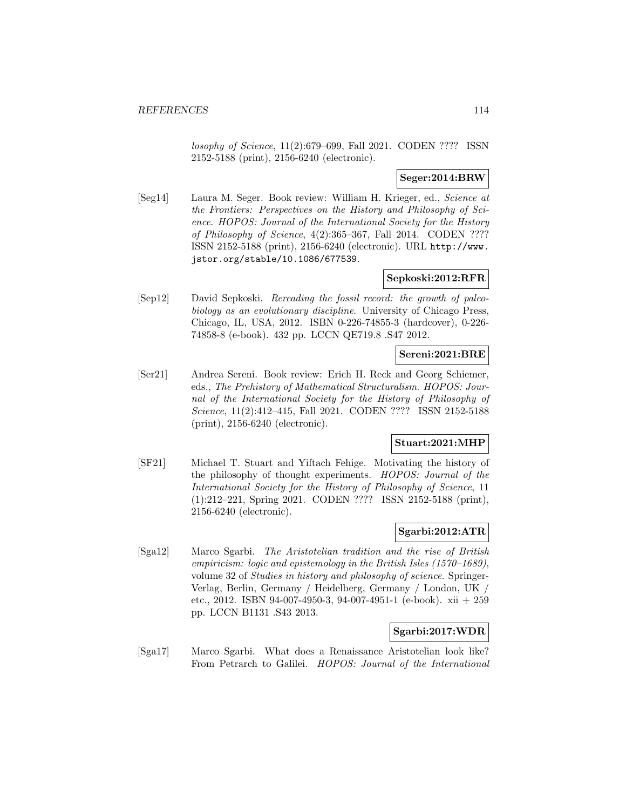losophy of Science, 11(2):679–699, Fall 2021. CODEN ???? ISSN 2152-5188 (print), 2156-6240 (electronic).

### **Seger:2014:BRW**

[Seg14] Laura M. Seger. Book review: William H. Krieger, ed., Science at the Frontiers: Perspectives on the History and Philosophy of Science. HOPOS: Journal of the International Society for the History of Philosophy of Science, 4(2):365–367, Fall 2014. CODEN ???? ISSN 2152-5188 (print), 2156-6240 (electronic). URL http://www. jstor.org/stable/10.1086/677539.

### **Sepkoski:2012:RFR**

[Sep12] David Sepkoski. Rereading the fossil record: the growth of paleobiology as an evolutionary discipline. University of Chicago Press, Chicago, IL, USA, 2012. ISBN 0-226-74855-3 (hardcover), 0-226- 74858-8 (e-book). 432 pp. LCCN QE719.8 .S47 2012.

# **Sereni:2021:BRE**

[Ser21] Andrea Sereni. Book review: Erich H. Reck and Georg Schiemer, eds., The Prehistory of Mathematical Structuralism. HOPOS: Journal of the International Society for the History of Philosophy of Science, 11(2):412–415, Fall 2021. CODEN ???? ISSN 2152-5188 (print), 2156-6240 (electronic).

### **Stuart:2021:MHP**

[SF21] Michael T. Stuart and Yiftach Fehige. Motivating the history of the philosophy of thought experiments. HOPOS: Journal of the International Society for the History of Philosophy of Science, 11 (1):212–221, Spring 2021. CODEN ???? ISSN 2152-5188 (print), 2156-6240 (electronic).

### **Sgarbi:2012:ATR**

[Sga12] Marco Sgarbi. The Aristotelian tradition and the rise of British empiricism: logic and epistemology in the British Isles (1570–1689), volume 32 of Studies in history and philosophy of science. Springer-Verlag, Berlin, Germany / Heidelberg, Germany / London, UK / etc., 2012. ISBN 94-007-4950-3, 94-007-4951-1 (e-book). xii + 259 pp. LCCN B1131 .S43 2013.

### **Sgarbi:2017:WDR**

[Sga17] Marco Sgarbi. What does a Renaissance Aristotelian look like? From Petrarch to Galilei. HOPOS: Journal of the International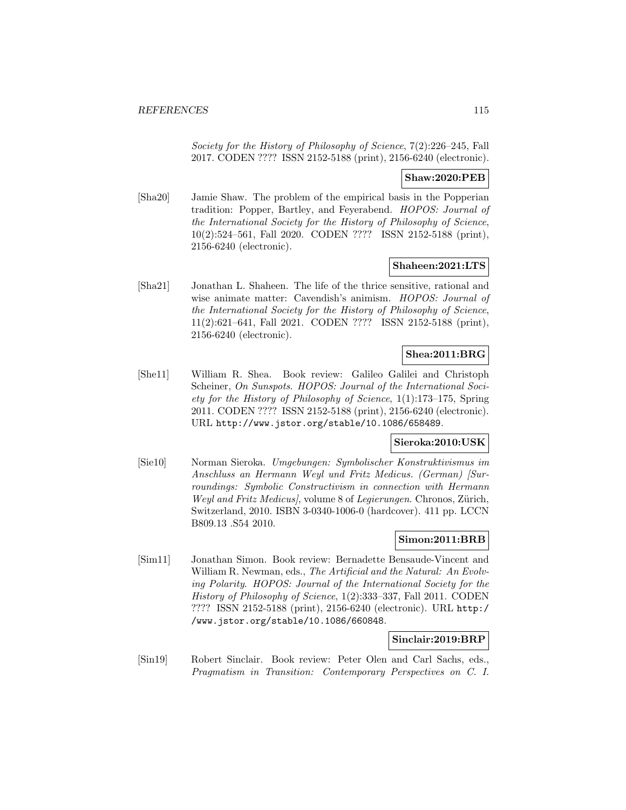Society for the History of Philosophy of Science, 7(2):226–245, Fall 2017. CODEN ???? ISSN 2152-5188 (print), 2156-6240 (electronic).

### **Shaw:2020:PEB**

[Sha20] Jamie Shaw. The problem of the empirical basis in the Popperian tradition: Popper, Bartley, and Feyerabend. HOPOS: Journal of the International Society for the History of Philosophy of Science, 10(2):524–561, Fall 2020. CODEN ???? ISSN 2152-5188 (print), 2156-6240 (electronic).

### **Shaheen:2021:LTS**

[Sha21] Jonathan L. Shaheen. The life of the thrice sensitive, rational and wise animate matter: Cavendish's animism. HOPOS: Journal of the International Society for the History of Philosophy of Science, 11(2):621–641, Fall 2021. CODEN ???? ISSN 2152-5188 (print), 2156-6240 (electronic).

# **Shea:2011:BRG**

[She11] William R. Shea. Book review: Galileo Galilei and Christoph Scheiner, On Sunspots. HOPOS: Journal of the International Society for the History of Philosophy of Science, 1(1):173–175, Spring 2011. CODEN ???? ISSN 2152-5188 (print), 2156-6240 (electronic). URL http://www.jstor.org/stable/10.1086/658489.

### **Sieroka:2010:USK**

[Sie10] Norman Sieroka. Umgebungen: Symbolischer Konstruktivismus im Anschluss an Hermann Weyl und Fritz Medicus. (German) [Surroundings: Symbolic Constructivism in connection with Hermann Weyl and Fritz Medicus, volume 8 of Legierungen. Chronos, Zürich, Switzerland, 2010. ISBN 3-0340-1006-0 (hardcover). 411 pp. LCCN B809.13 .S54 2010.

# **Simon:2011:BRB**

[Sim11] Jonathan Simon. Book review: Bernadette Bensaude-Vincent and William R. Newman, eds., The Artificial and the Natural: An Evolving Polarity. HOPOS: Journal of the International Society for the History of Philosophy of Science, 1(2):333–337, Fall 2011. CODEN ???? ISSN 2152-5188 (print), 2156-6240 (electronic). URL http:/ /www.jstor.org/stable/10.1086/660848.

#### **Sinclair:2019:BRP**

[Sin19] Robert Sinclair. Book review: Peter Olen and Carl Sachs, eds., Pragmatism in Transition: Contemporary Perspectives on C. I.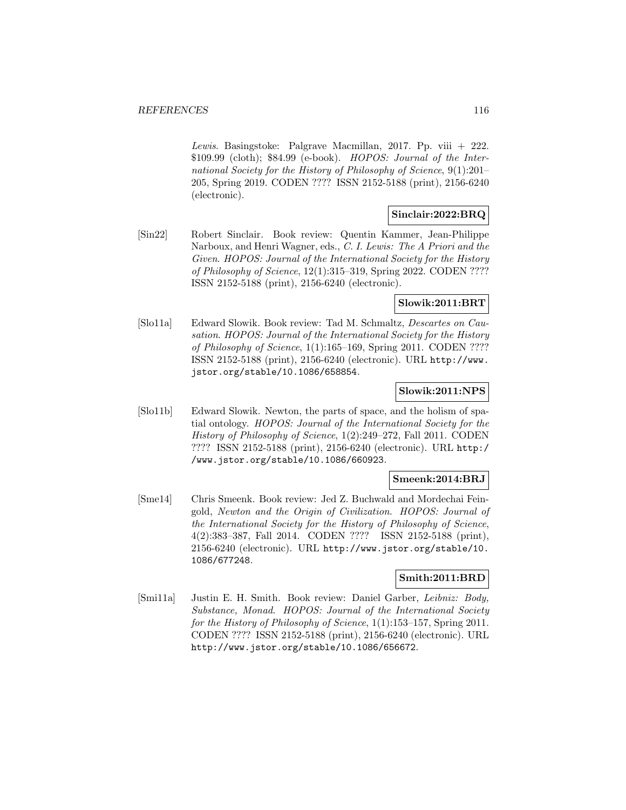Lewis. Basingstoke: Palgrave Macmillan, 2017. Pp. viii  $+222$ . \$109.99 (cloth); \$84.99 (e-book). HOPOS: Journal of the International Society for the History of Philosophy of Science, 9(1):201– 205, Spring 2019. CODEN ???? ISSN 2152-5188 (print), 2156-6240 (electronic).

### **Sinclair:2022:BRQ**

[Sin22] Robert Sinclair. Book review: Quentin Kammer, Jean-Philippe Narboux, and Henri Wagner, eds., C. I. Lewis: The A Priori and the Given. HOPOS: Journal of the International Society for the History of Philosophy of Science, 12(1):315–319, Spring 2022. CODEN ???? ISSN 2152-5188 (print), 2156-6240 (electronic).

# **Slowik:2011:BRT**

[Slo11a] Edward Slowik. Book review: Tad M. Schmaltz, Descartes on Causation. HOPOS: Journal of the International Society for the History of Philosophy of Science, 1(1):165–169, Spring 2011. CODEN ???? ISSN 2152-5188 (print), 2156-6240 (electronic). URL http://www. jstor.org/stable/10.1086/658854.

## **Slowik:2011:NPS**

[Slo11b] Edward Slowik. Newton, the parts of space, and the holism of spatial ontology. HOPOS: Journal of the International Society for the History of Philosophy of Science, 1(2):249–272, Fall 2011. CODEN ???? ISSN 2152-5188 (print), 2156-6240 (electronic). URL http:/ /www.jstor.org/stable/10.1086/660923.

### **Smeenk:2014:BRJ**

[Sme14] Chris Smeenk. Book review: Jed Z. Buchwald and Mordechai Feingold, Newton and the Origin of Civilization. HOPOS: Journal of the International Society for the History of Philosophy of Science, 4(2):383–387, Fall 2014. CODEN ???? ISSN 2152-5188 (print), 2156-6240 (electronic). URL http://www.jstor.org/stable/10. 1086/677248.

# **Smith:2011:BRD**

[Smi11a] Justin E. H. Smith. Book review: Daniel Garber, Leibniz: Body, Substance, Monad. HOPOS: Journal of the International Society for the History of Philosophy of Science, 1(1):153–157, Spring 2011. CODEN ???? ISSN 2152-5188 (print), 2156-6240 (electronic). URL http://www.jstor.org/stable/10.1086/656672.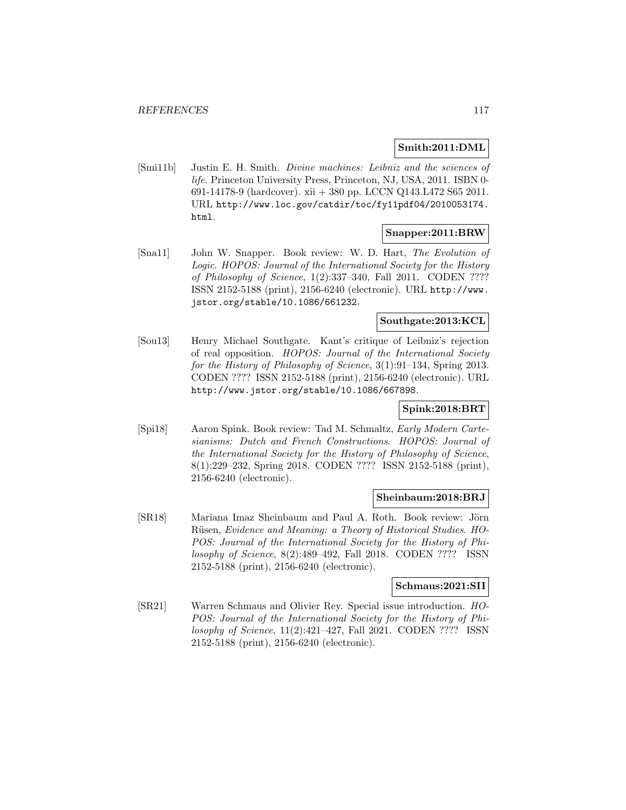### **Smith:2011:DML**

[Smi11b] Justin E. H. Smith. Divine machines: Leibniz and the sciences of life. Princeton University Press, Princeton, NJ, USA, 2011. ISBN 0- 691-14178-9 (hardcover). xii + 380 pp. LCCN Q143.L472 S65 2011. URL http://www.loc.gov/catdir/toc/fy11pdf04/2010053174. html.

### **Snapper:2011:BRW**

[Sna11] John W. Snapper. Book review: W. D. Hart, The Evolution of Logic. HOPOS: Journal of the International Society for the History of Philosophy of Science,  $1(2):337-340$ , Fall 2011. CODEN ???? ISSN 2152-5188 (print), 2156-6240 (electronic). URL http://www. jstor.org/stable/10.1086/661232.

## **Southgate:2013:KCL**

[Sou13] Henry Michael Southgate. Kant's critique of Leibniz's rejection of real opposition. HOPOS: Journal of the International Society for the History of Philosophy of Science, 3(1):91-134, Spring 2013. CODEN ???? ISSN 2152-5188 (print), 2156-6240 (electronic). URL http://www.jstor.org/stable/10.1086/667898.

## **Spink:2018:BRT**

[Spi18] Aaron Spink. Book review: Tad M. Schmaltz, Early Modern Cartesianisms: Dutch and French Constructions. HOPOS: Journal of the International Society for the History of Philosophy of Science, 8(1):229–232, Spring 2018. CODEN ???? ISSN 2152-5188 (print), 2156-6240 (electronic).

### **Sheinbaum:2018:BRJ**

[SR18] Mariana Imaz Sheinbaum and Paul A. Roth. Book review: Jörn Rüsen, Evidence and Meaning: a Theory of Historical Studies. HO-POS: Journal of the International Society for the History of Philosophy of Science, 8(2):489–492, Fall 2018. CODEN ???? ISSN 2152-5188 (print), 2156-6240 (electronic).

#### **Schmaus:2021:SII**

[SR21] Warren Schmaus and Olivier Rey. Special issue introduction. HO-POS: Journal of the International Society for the History of Philosophy of Science, 11(2):421–427, Fall 2021. CODEN ???? ISSN 2152-5188 (print), 2156-6240 (electronic).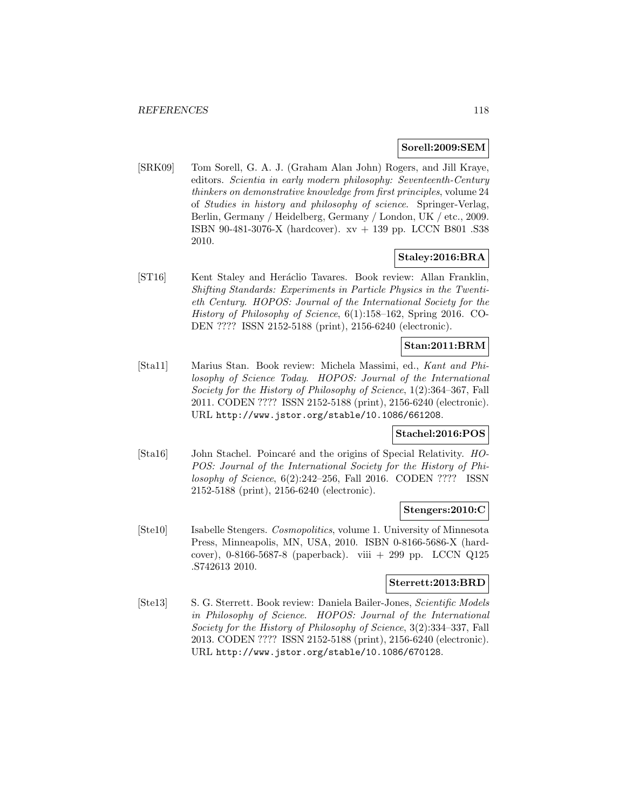### **Sorell:2009:SEM**

[SRK09] Tom Sorell, G. A. J. (Graham Alan John) Rogers, and Jill Kraye, editors. Scientia in early modern philosophy: Seventeenth-Century thinkers on demonstrative knowledge from first principles, volume 24 of Studies in history and philosophy of science. Springer-Verlag, Berlin, Germany / Heidelberg, Germany / London, UK / etc., 2009. ISBN 90-481-3076-X (hardcover). xv + 139 pp. LCCN B801 .S38 2010.

## **Staley:2016:BRA**

[ST16] Kent Staley and Heráclio Tavares. Book review: Allan Franklin, Shifting Standards: Experiments in Particle Physics in the Twentieth Century. HOPOS: Journal of the International Society for the History of Philosophy of Science, 6(1):158–162, Spring 2016. CO-DEN ???? ISSN 2152-5188 (print), 2156-6240 (electronic).

### **Stan:2011:BRM**

[Sta11] Marius Stan. Book review: Michela Massimi, ed., Kant and Philosophy of Science Today. HOPOS: Journal of the International Society for the History of Philosophy of Science, 1(2):364–367, Fall 2011. CODEN ???? ISSN 2152-5188 (print), 2156-6240 (electronic). URL http://www.jstor.org/stable/10.1086/661208.

### **Stachel:2016:POS**

[Sta16] John Stachel. Poincaré and the origins of Special Relativity. HO-POS: Journal of the International Society for the History of Philosophy of Science, 6(2):242–256, Fall 2016. CODEN ???? ISSN 2152-5188 (print), 2156-6240 (electronic).

#### **Stengers:2010:C**

[Ste10] Isabelle Stengers. Cosmopolitics, volume 1. University of Minnesota Press, Minneapolis, MN, USA, 2010. ISBN 0-8166-5686-X (hardcover), 0-8166-5687-8 (paperback). viii + 299 pp. LCCN Q125 .S742613 2010.

#### **Sterrett:2013:BRD**

[Ste13] S. G. Sterrett. Book review: Daniela Bailer-Jones, Scientific Models in Philosophy of Science. HOPOS: Journal of the International Society for the History of Philosophy of Science, 3(2):334–337, Fall 2013. CODEN ???? ISSN 2152-5188 (print), 2156-6240 (electronic). URL http://www.jstor.org/stable/10.1086/670128.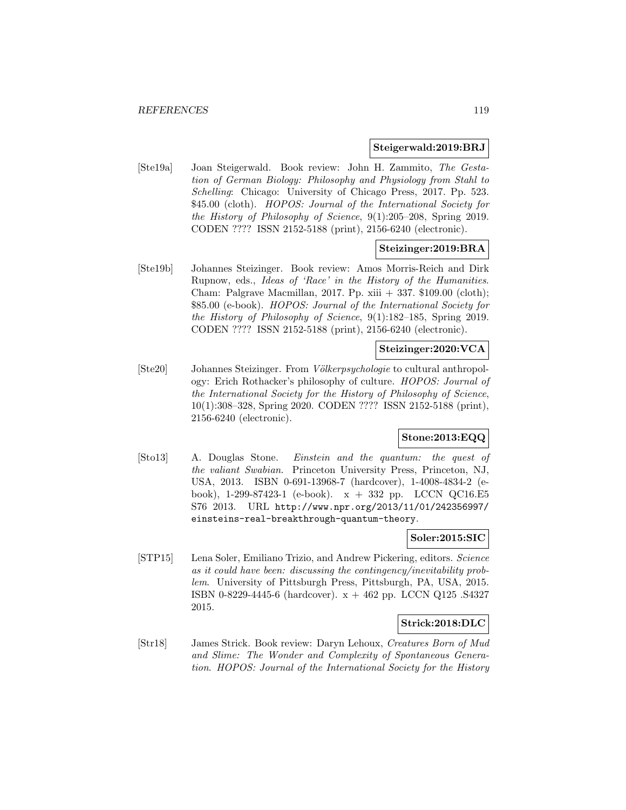#### **Steigerwald:2019:BRJ**

[Ste19a] Joan Steigerwald. Book review: John H. Zammito, The Gestation of German Biology: Philosophy and Physiology from Stahl to Schelling: Chicago: University of Chicago Press, 2017. Pp. 523. \$45.00 (cloth). HOPOS: Journal of the International Society for the History of Philosophy of Science, 9(1):205–208, Spring 2019. CODEN ???? ISSN 2152-5188 (print), 2156-6240 (electronic).

### **Steizinger:2019:BRA**

[Ste19b] Johannes Steizinger. Book review: Amos Morris-Reich and Dirk Rupnow, eds., Ideas of 'Race' in the History of the Humanities. Cham: Palgrave Macmillan, 2017. Pp. xiii + 337. \$109.00 (cloth); \$85.00 (e-book). HOPOS: Journal of the International Society for the History of Philosophy of Science, 9(1):182–185, Spring 2019. CODEN ???? ISSN 2152-5188 (print), 2156-6240 (electronic).

# **Steizinger:2020:VCA**

[Ste20] Johannes Steizinger. From Völkerpsychologie to cultural anthropology: Erich Rothacker's philosophy of culture. HOPOS: Journal of the International Society for the History of Philosophy of Science, 10(1):308–328, Spring 2020. CODEN ???? ISSN 2152-5188 (print), 2156-6240 (electronic).

# **Stone:2013:EQQ**

[Sto13] A. Douglas Stone. Einstein and the quantum: the quest of the valiant Swabian. Princeton University Press, Princeton, NJ, USA, 2013. ISBN 0-691-13968-7 (hardcover), 1-4008-4834-2 (ebook), 1-299-87423-1 (e-book). x + 332 pp. LCCN QC16.E5 S76 2013. URL http://www.npr.org/2013/11/01/242356997/ einsteins-real-breakthrough-quantum-theory.

# **Soler:2015:SIC**

[STP15] Lena Soler, Emiliano Trizio, and Andrew Pickering, editors. Science as it could have been: discussing the contingency/inevitability problem. University of Pittsburgh Press, Pittsburgh, PA, USA, 2015. ISBN 0-8229-4445-6 (hardcover). x + 462 pp. LCCN Q125 .S4327 2015.

### **Strick:2018:DLC**

[Str18] James Strick. Book review: Daryn Lehoux, Creatures Born of Mud and Slime: The Wonder and Complexity of Spontaneous Generation. HOPOS: Journal of the International Society for the History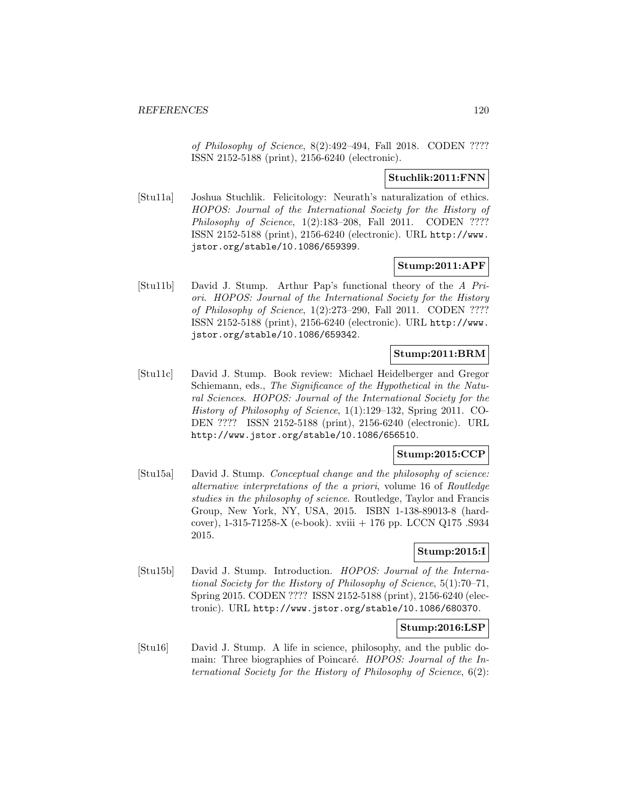of Philosophy of Science, 8(2):492–494, Fall 2018. CODEN ???? ISSN 2152-5188 (print), 2156-6240 (electronic).

### **Stuchlik:2011:FNN**

[Stu11a] Joshua Stuchlik. Felicitology: Neurath's naturalization of ethics. HOPOS: Journal of the International Society for the History of Philosophy of Science, 1(2):183-208, Fall 2011. CODEN ???? ISSN 2152-5188 (print), 2156-6240 (electronic). URL http://www. jstor.org/stable/10.1086/659399.

# **Stump:2011:APF**

[Stu11b] David J. Stump. Arthur Pap's functional theory of the A Priori. HOPOS: Journal of the International Society for the History of Philosophy of Science, 1(2):273–290, Fall 2011. CODEN ???? ISSN 2152-5188 (print), 2156-6240 (electronic). URL http://www. jstor.org/stable/10.1086/659342.

## **Stump:2011:BRM**

[Stu11c] David J. Stump. Book review: Michael Heidelberger and Gregor Schiemann, eds., The Significance of the Hypothetical in the Natural Sciences. HOPOS: Journal of the International Society for the History of Philosophy of Science, 1(1):129–132, Spring 2011. CO-DEN ???? ISSN 2152-5188 (print), 2156-6240 (electronic). URL http://www.jstor.org/stable/10.1086/656510.

## **Stump:2015:CCP**

[Stu15a] David J. Stump. Conceptual change and the philosophy of science: alternative interpretations of the a priori, volume 16 of Routledge studies in the philosophy of science. Routledge, Taylor and Francis Group, New York, NY, USA, 2015. ISBN 1-138-89013-8 (hardcover), 1-315-71258-X (e-book). xviii + 176 pp. LCCN Q175 .S934 2015.

### **Stump:2015:I**

[Stu15b] David J. Stump. Introduction. HOPOS: Journal of the International Society for the History of Philosophy of Science, 5(1):70–71, Spring 2015. CODEN ???? ISSN 2152-5188 (print), 2156-6240 (electronic). URL http://www.jstor.org/stable/10.1086/680370.

### **Stump:2016:LSP**

[Stu16] David J. Stump. A life in science, philosophy, and the public domain: Three biographies of Poincaré. HOPOS: Journal of the International Society for the History of Philosophy of Science, 6(2):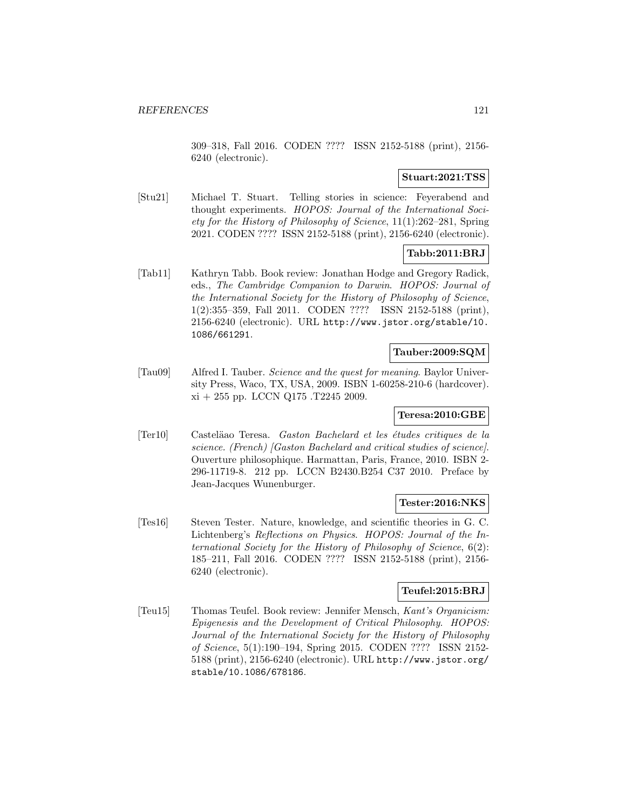309–318, Fall 2016. CODEN ???? ISSN 2152-5188 (print), 2156- 6240 (electronic).

### **Stuart:2021:TSS**

[Stu21] Michael T. Stuart. Telling stories in science: Feyerabend and thought experiments. HOPOS: Journal of the International Society for the History of Philosophy of Science, 11(1):262–281, Spring 2021. CODEN ???? ISSN 2152-5188 (print), 2156-6240 (electronic).

# **Tabb:2011:BRJ**

[Tab11] Kathryn Tabb. Book review: Jonathan Hodge and Gregory Radick, eds., The Cambridge Companion to Darwin. HOPOS: Journal of the International Society for the History of Philosophy of Science, 1(2):355–359, Fall 2011. CODEN ???? ISSN 2152-5188 (print), 2156-6240 (electronic). URL http://www.jstor.org/stable/10. 1086/661291.

### **Tauber:2009:SQM**

[Tau09] Alfred I. Tauber. Science and the quest for meaning. Baylor University Press, Waco, TX, USA, 2009. ISBN 1-60258-210-6 (hardcover).  $xi + 255$  pp. LCCN Q175 .T2245 2009.

### **Teresa:2010:GBE**

[Ter10] Castel¨aao Teresa. Gaston Bachelard et les ´etudes critiques de la science. (French) [Gaston Bachelard and critical studies of science]. Ouverture philosophique. Harmattan, Paris, France, 2010. ISBN 2- 296-11719-8. 212 pp. LCCN B2430.B254 C37 2010. Preface by Jean-Jacques Wunenburger.

### **Tester:2016:NKS**

[Tes16] Steven Tester. Nature, knowledge, and scientific theories in G. C. Lichtenberg's Reflections on Physics. HOPOS: Journal of the International Society for the History of Philosophy of Science, 6(2): 185–211, Fall 2016. CODEN ???? ISSN 2152-5188 (print), 2156- 6240 (electronic).

# **Teufel:2015:BRJ**

[Teu15] Thomas Teufel. Book review: Jennifer Mensch, Kant's Organicism: Epigenesis and the Development of Critical Philosophy. HOPOS: Journal of the International Society for the History of Philosophy of Science, 5(1):190–194, Spring 2015. CODEN ???? ISSN 2152- 5188 (print), 2156-6240 (electronic). URL http://www.jstor.org/ stable/10.1086/678186.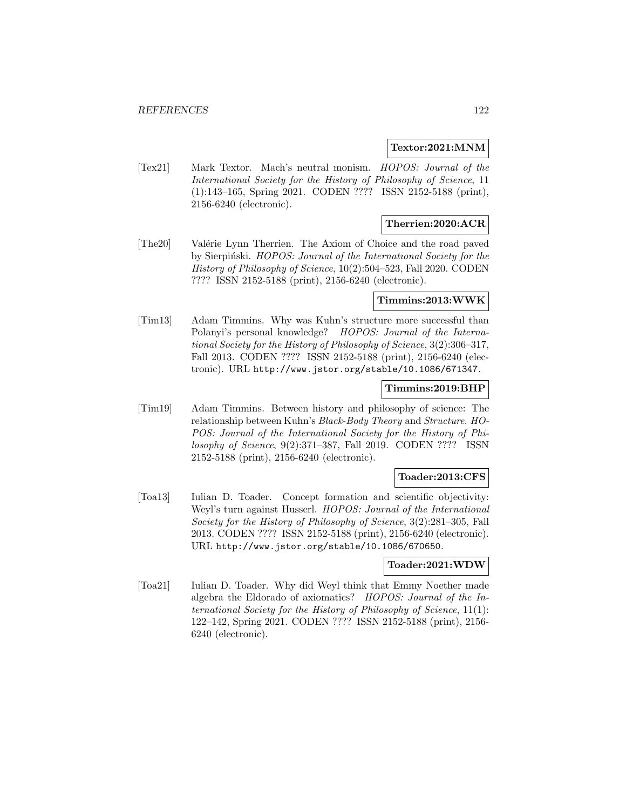#### **Textor:2021:MNM**

[Tex21] Mark Textor. Mach's neutral monism. HOPOS: Journal of the International Society for the History of Philosophy of Science, 11 (1):143–165, Spring 2021. CODEN ???? ISSN 2152-5188 (print), 2156-6240 (electronic).

# **Therrien:2020:ACR**

[The20] Valérie Lynn Therrien. The Axiom of Choice and the road paved by Sierpinski. HOPOS: Journal of the International Society for the History of Philosophy of Science, 10(2):504–523, Fall 2020. CODEN ???? ISSN 2152-5188 (print), 2156-6240 (electronic).

### **Timmins:2013:WWK**

[Tim13] Adam Timmins. Why was Kuhn's structure more successful than Polanyi's personal knowledge? HOPOS: Journal of the International Society for the History of Philosophy of Science, 3(2):306–317, Fall 2013. CODEN ???? ISSN 2152-5188 (print), 2156-6240 (electronic). URL http://www.jstor.org/stable/10.1086/671347.

### **Timmins:2019:BHP**

[Tim19] Adam Timmins. Between history and philosophy of science: The relationship between Kuhn's Black-Body Theory and Structure. HO-POS: Journal of the International Society for the History of Philosophy of Science, 9(2):371–387, Fall 2019. CODEN ???? ISSN 2152-5188 (print), 2156-6240 (electronic).

### **Toader:2013:CFS**

[Toa13] Iulian D. Toader. Concept formation and scientific objectivity: Weyl's turn against Husserl. HOPOS: Journal of the International Society for the History of Philosophy of Science, 3(2):281–305, Fall 2013. CODEN ???? ISSN 2152-5188 (print), 2156-6240 (electronic). URL http://www.jstor.org/stable/10.1086/670650.

### **Toader:2021:WDW**

[Toa21] Iulian D. Toader. Why did Weyl think that Emmy Noether made algebra the Eldorado of axiomatics? HOPOS: Journal of the International Society for the History of Philosophy of Science, 11(1): 122–142, Spring 2021. CODEN ???? ISSN 2152-5188 (print), 2156- 6240 (electronic).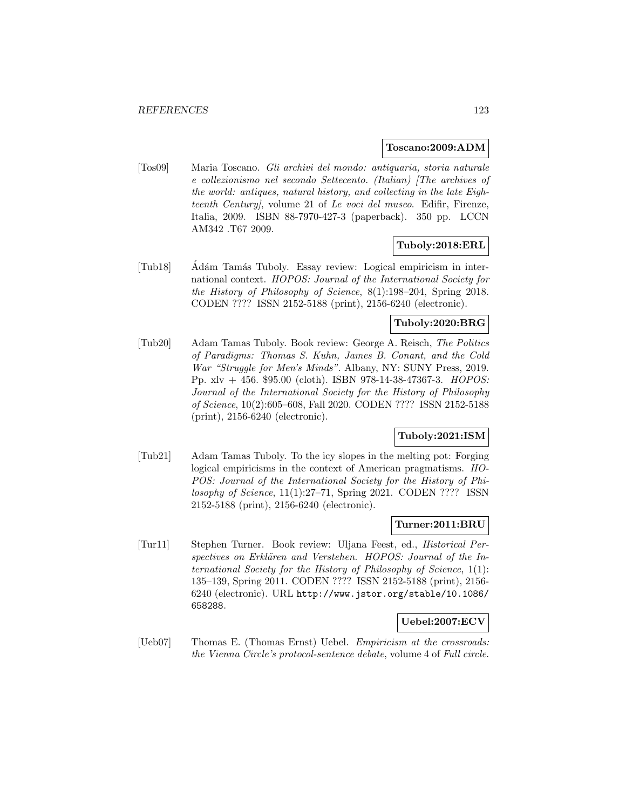#### **Toscano:2009:ADM**

[Tos09] Maria Toscano. Gli archivi del mondo: antiquaria, storia naturale e collezionismo nel secondo Settecento. (Italian) [The archives of the world: antiques, natural history, and collecting in the late Eighteenth Century], volume 21 of Le voci del museo. Edifir, Firenze, Italia, 2009. ISBN 88-7970-427-3 (paperback). 350 pp. LCCN AM342 .T67 2009.

### **Tuboly:2018:ERL**

[Tub18] Adám Tamás Tuboly. Essay review: Logical empiricism in international context. HOPOS: Journal of the International Society for the History of Philosophy of Science, 8(1):198–204, Spring 2018. CODEN ???? ISSN 2152-5188 (print), 2156-6240 (electronic).

### **Tuboly:2020:BRG**

[Tub20] Adam Tamas Tuboly. Book review: George A. Reisch, The Politics of Paradigms: Thomas S. Kuhn, James B. Conant, and the Cold War "Struggle for Men's Minds". Albany, NY: SUNY Press, 2019. Pp.  $xlv + 456$ . \$95.00 (cloth). ISBN 978-14-38-47367-3. HOPOS: Journal of the International Society for the History of Philosophy of Science, 10(2):605–608, Fall 2020. CODEN ???? ISSN 2152-5188 (print), 2156-6240 (electronic).

### **Tuboly:2021:ISM**

[Tub21] Adam Tamas Tuboly. To the icy slopes in the melting pot: Forging logical empiricisms in the context of American pragmatisms. HO-POS: Journal of the International Society for the History of Philosophy of Science, 11(1):27–71, Spring 2021. CODEN ???? ISSN 2152-5188 (print), 2156-6240 (electronic).

### **Turner:2011:BRU**

[Tur11] Stephen Turner. Book review: Uljana Feest, ed., Historical Perspectives on Erklären and Verstehen. HOPOS: Journal of the International Society for the History of Philosophy of Science, 1(1): 135–139, Spring 2011. CODEN ???? ISSN 2152-5188 (print), 2156- 6240 (electronic). URL http://www.jstor.org/stable/10.1086/ 658288.

#### **Uebel:2007:ECV**

[Ueb07] Thomas E. (Thomas Ernst) Uebel. *Empiricism at the crossroads:* the Vienna Circle's protocol-sentence debate, volume 4 of Full circle.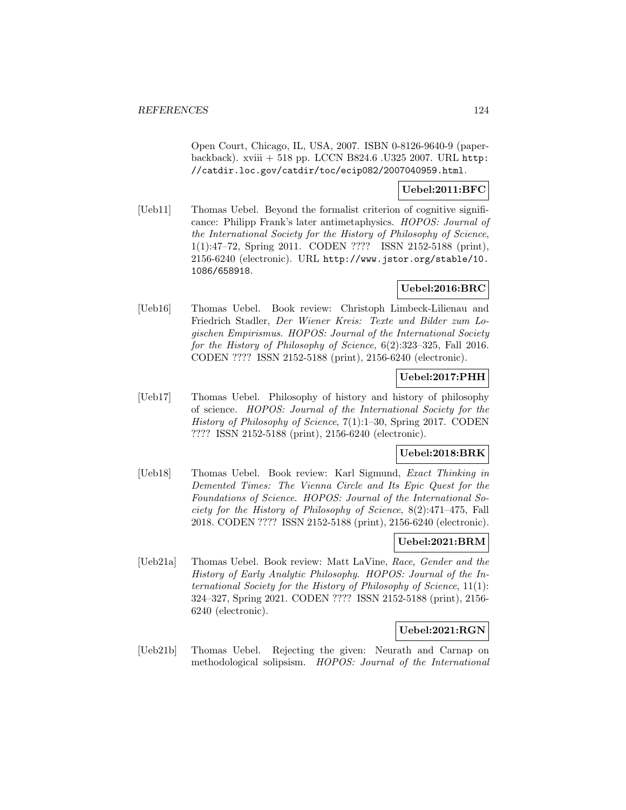Open Court, Chicago, IL, USA, 2007. ISBN 0-8126-9640-9 (paperbackback). xviii + 518 pp. LCCN B824.6 .U325 2007. URL http: //catdir.loc.gov/catdir/toc/ecip082/2007040959.html.

# **Uebel:2011:BFC**

[Ueb11] Thomas Uebel. Beyond the formalist criterion of cognitive significance: Philipp Frank's later antimetaphysics. HOPOS: Journal of the International Society for the History of Philosophy of Science, 1(1):47–72, Spring 2011. CODEN ???? ISSN 2152-5188 (print), 2156-6240 (electronic). URL http://www.jstor.org/stable/10. 1086/658918.

# **Uebel:2016:BRC**

[Ueb16] Thomas Uebel. Book review: Christoph Limbeck-Lilienau and Friedrich Stadler, Der Wiener Kreis: Texte und Bilder zum Logischen Empirismus. HOPOS: Journal of the International Society for the History of Philosophy of Science, 6(2):323–325, Fall 2016. CODEN ???? ISSN 2152-5188 (print), 2156-6240 (electronic).

# **Uebel:2017:PHH**

[Ueb17] Thomas Uebel. Philosophy of history and history of philosophy of science. HOPOS: Journal of the International Society for the History of Philosophy of Science, 7(1):1–30, Spring 2017. CODEN ???? ISSN 2152-5188 (print), 2156-6240 (electronic).

### **Uebel:2018:BRK**

[Ueb18] Thomas Uebel. Book review: Karl Sigmund, Exact Thinking in Demented Times: The Vienna Circle and Its Epic Quest for the Foundations of Science. HOPOS: Journal of the International Society for the History of Philosophy of Science, 8(2):471–475, Fall 2018. CODEN ???? ISSN 2152-5188 (print), 2156-6240 (electronic).

# **Uebel:2021:BRM**

[Ueb21a] Thomas Uebel. Book review: Matt LaVine, Race, Gender and the History of Early Analytic Philosophy. HOPOS: Journal of the International Society for the History of Philosophy of Science, 11(1): 324–327, Spring 2021. CODEN ???? ISSN 2152-5188 (print), 2156- 6240 (electronic).

### **Uebel:2021:RGN**

[Ueb21b] Thomas Uebel. Rejecting the given: Neurath and Carnap on methodological solipsism. HOPOS: Journal of the International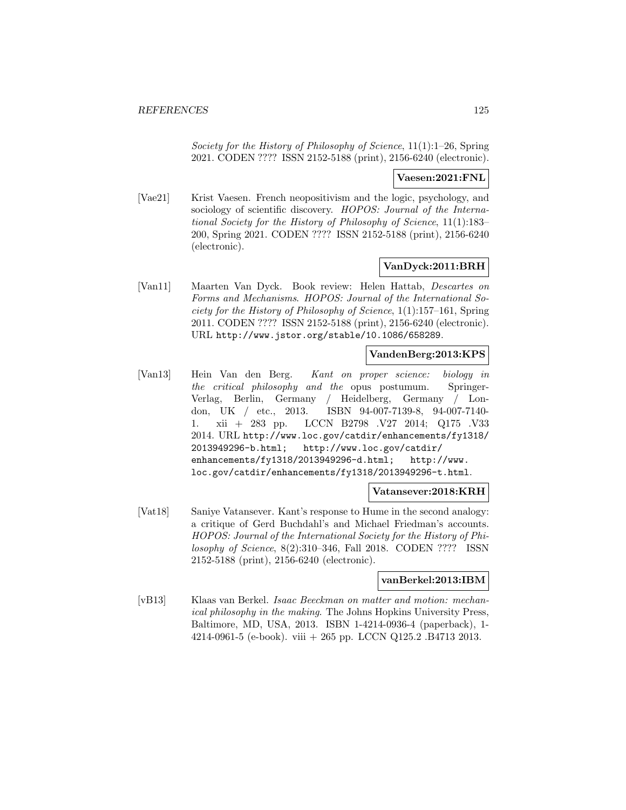Society for the History of Philosophy of Science, 11(1):1–26, Spring 2021. CODEN ???? ISSN 2152-5188 (print), 2156-6240 (electronic).

### **Vaesen:2021:FNL**

[Vae21] Krist Vaesen. French neopositivism and the logic, psychology, and sociology of scientific discovery. HOPOS: Journal of the International Society for the History of Philosophy of Science, 11(1):183– 200, Spring 2021. CODEN ???? ISSN 2152-5188 (print), 2156-6240 (electronic).

# **VanDyck:2011:BRH**

[Van11] Maarten Van Dyck. Book review: Helen Hattab, Descartes on Forms and Mechanisms. HOPOS: Journal of the International Society for the History of Philosophy of Science, 1(1):157–161, Spring 2011. CODEN ???? ISSN 2152-5188 (print), 2156-6240 (electronic). URL http://www.jstor.org/stable/10.1086/658289.

# **VandenBerg:2013:KPS**

[Van13] Hein Van den Berg. Kant on proper science: biology in the critical philosophy and the opus postumum. Springer-Verlag, Berlin, Germany / Heidelberg, Germany / London, UK / etc., 2013. ISBN 94-007-7139-8, 94-007-7140- 1. xii + 283 pp. LCCN B2798 .V27 2014; Q175 .V33 2014. URL http://www.loc.gov/catdir/enhancements/fy1318/ 2013949296-b.html; http://www.loc.gov/catdir/ enhancements/fy1318/2013949296-d.html; http://www. loc.gov/catdir/enhancements/fy1318/2013949296-t.html.

### **Vatansever:2018:KRH**

[Vat18] Saniye Vatansever. Kant's response to Hume in the second analogy: a critique of Gerd Buchdahl's and Michael Friedman's accounts. HOPOS: Journal of the International Society for the History of Philosophy of Science, 8(2):310–346, Fall 2018. CODEN ???? ISSN 2152-5188 (print), 2156-6240 (electronic).

#### **vanBerkel:2013:IBM**

[vB13] Klaas van Berkel. Isaac Beeckman on matter and motion: mechanical philosophy in the making. The Johns Hopkins University Press, Baltimore, MD, USA, 2013. ISBN 1-4214-0936-4 (paperback), 1- 4214-0961-5 (e-book). viii + 265 pp. LCCN Q125.2 .B4713 2013.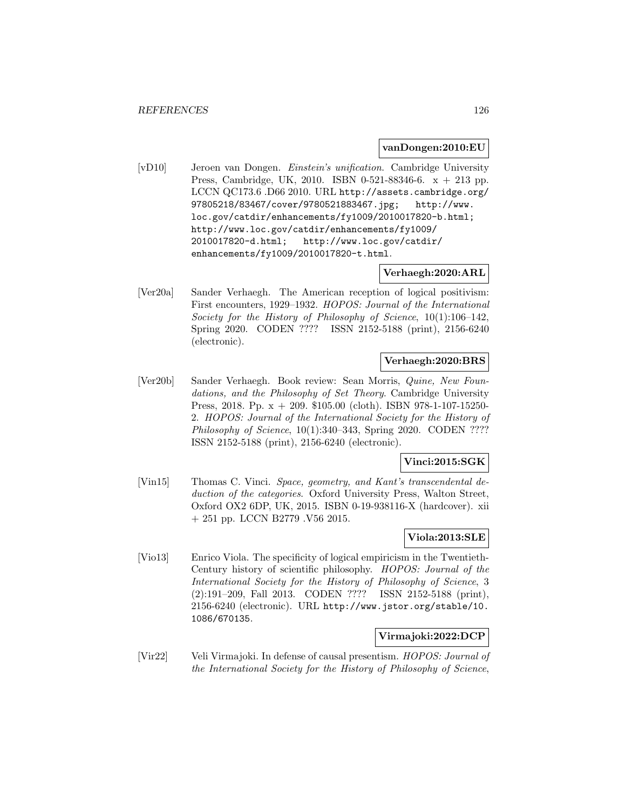#### **vanDongen:2010:EU**

[vD10] Jeroen van Dongen. Einstein's unification. Cambridge University Press, Cambridge, UK, 2010. ISBN 0-521-88346-6. x + 213 pp. LCCN QC173.6 .D66 2010. URL http://assets.cambridge.org/ 97805218/83467/cover/9780521883467.jpg; http://www. loc.gov/catdir/enhancements/fy1009/2010017820-b.html; http://www.loc.gov/catdir/enhancements/fy1009/ 2010017820-d.html; http://www.loc.gov/catdir/ enhancements/fy1009/2010017820-t.html.

### **Verhaegh:2020:ARL**

[Ver20a] Sander Verhaegh. The American reception of logical positivism: First encounters, 1929–1932. HOPOS: Journal of the International Society for the History of Philosophy of Science, 10(1):106–142, Spring 2020. CODEN ???? ISSN 2152-5188 (print), 2156-6240 (electronic).

# **Verhaegh:2020:BRS**

[Ver20b] Sander Verhaegh. Book review: Sean Morris, Quine, New Foundations, and the Philosophy of Set Theory. Cambridge University Press, 2018. Pp. x + 209. \$105.00 (cloth). ISBN 978-1-107-15250- 2. HOPOS: Journal of the International Society for the History of Philosophy of Science, 10(1):340–343, Spring 2020. CODEN ???? ISSN 2152-5188 (print), 2156-6240 (electronic).

### **Vinci:2015:SGK**

[Vin15] Thomas C. Vinci. Space, geometry, and Kant's transcendental deduction of the categories. Oxford University Press, Walton Street, Oxford OX2 6DP, UK, 2015. ISBN 0-19-938116-X (hardcover). xii + 251 pp. LCCN B2779 .V56 2015.

# **Viola:2013:SLE**

[Vio13] Enrico Viola. The specificity of logical empiricism in the Twentieth-Century history of scientific philosophy. HOPOS: Journal of the International Society for the History of Philosophy of Science, 3 (2):191–209, Fall 2013. CODEN ???? ISSN 2152-5188 (print), 2156-6240 (electronic). URL http://www.jstor.org/stable/10. 1086/670135.

### **Virmajoki:2022:DCP**

[Vir22] Veli Virmajoki. In defense of causal presentism. HOPOS: Journal of the International Society for the History of Philosophy of Science,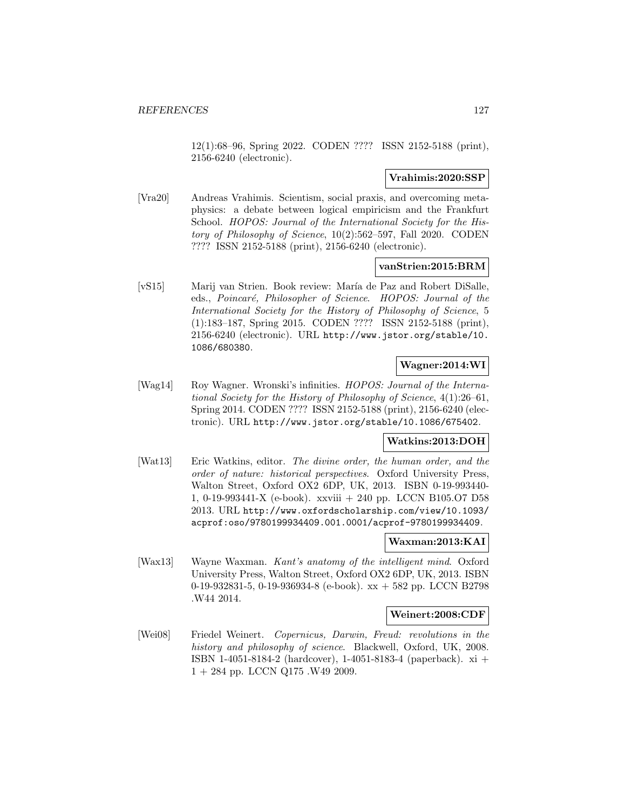12(1):68–96, Spring 2022. CODEN ???? ISSN 2152-5188 (print), 2156-6240 (electronic).

#### **Vrahimis:2020:SSP**

[Vra20] Andreas Vrahimis. Scientism, social praxis, and overcoming metaphysics: a debate between logical empiricism and the Frankfurt School. HOPOS: Journal of the International Society for the History of Philosophy of Science, 10(2):562–597, Fall 2020. CODEN ???? ISSN 2152-5188 (print), 2156-6240 (electronic).

#### **vanStrien:2015:BRM**

[vS15] Marij van Strien. Book review: María de Paz and Robert DiSalle, eds., Poincaré, Philosopher of Science. HOPOS: Journal of the International Society for the History of Philosophy of Science, 5 (1):183–187, Spring 2015. CODEN ???? ISSN 2152-5188 (print), 2156-6240 (electronic). URL http://www.jstor.org/stable/10. 1086/680380.

# **Wagner:2014:WI**

[Wag14] Roy Wagner. Wronski's infinities. HOPOS: Journal of the International Society for the History of Philosophy of Science, 4(1):26–61, Spring 2014. CODEN ???? ISSN 2152-5188 (print), 2156-6240 (electronic). URL http://www.jstor.org/stable/10.1086/675402.

### **Watkins:2013:DOH**

[Wat13] Eric Watkins, editor. The divine order, the human order, and the order of nature: historical perspectives. Oxford University Press, Walton Street, Oxford OX2 6DP, UK, 2013. ISBN 0-19-993440- 1, 0-19-993441-X (e-book). xxviii + 240 pp. LCCN B105.O7 D58 2013. URL http://www.oxfordscholarship.com/view/10.1093/ acprof:oso/9780199934409.001.0001/acprof-9780199934409.

### **Waxman:2013:KAI**

[Wax13] Wayne Waxman. Kant's anatomy of the intelligent mind. Oxford University Press, Walton Street, Oxford OX2 6DP, UK, 2013. ISBN 0-19-932831-5, 0-19-936934-8 (e-book). xx + 582 pp. LCCN B2798 .W44 2014.

#### **Weinert:2008:CDF**

[Wei08] Friedel Weinert. Copernicus, Darwin, Freud: revolutions in the history and philosophy of science. Blackwell, Oxford, UK, 2008. ISBN 1-4051-8184-2 (hardcover), 1-4051-8183-4 (paperback). xi +  $1 + 284$  pp. LCCN Q175 .W49 2009.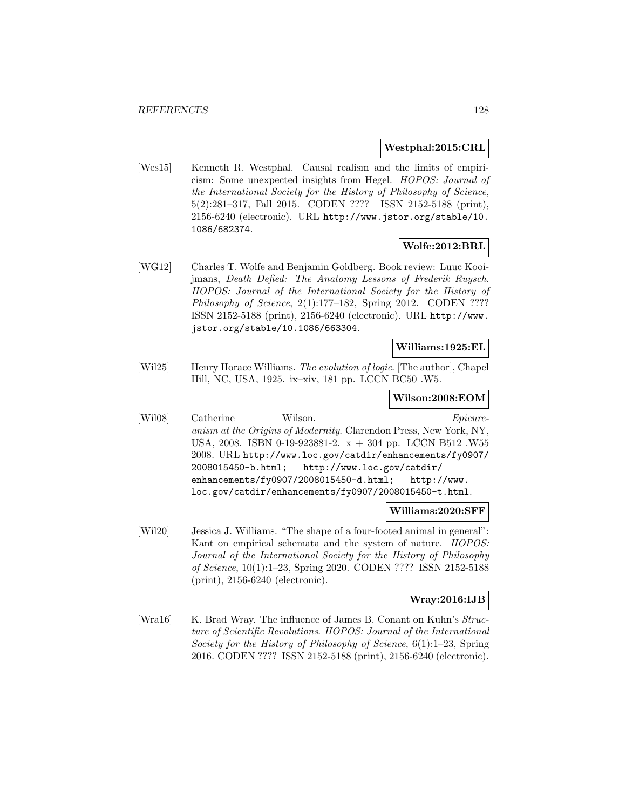### **Westphal:2015:CRL**

[Wes15] Kenneth R. Westphal. Causal realism and the limits of empiricism: Some unexpected insights from Hegel. HOPOS: Journal of the International Society for the History of Philosophy of Science, 5(2):281–317, Fall 2015. CODEN ???? ISSN 2152-5188 (print), 2156-6240 (electronic). URL http://www.jstor.org/stable/10. 1086/682374.

# **Wolfe:2012:BRL**

[WG12] Charles T. Wolfe and Benjamin Goldberg. Book review: Luuc Kooijmans, Death Defied: The Anatomy Lessons of Frederik Ruysch. HOPOS: Journal of the International Society for the History of Philosophy of Science, 2(1):177-182, Spring 2012. CODEN ???? ISSN 2152-5188 (print), 2156-6240 (electronic). URL http://www. jstor.org/stable/10.1086/663304.

### **Williams:1925:EL**

[Wil25] Henry Horace Williams. The evolution of logic. [The author], Chapel Hill, NC, USA, 1925. ix–xiv, 181 pp. LCCN BC50 .W5.

#### **Wilson:2008:EOM**

[Wil08] Catherine Wilson. Epicureanism at the Origins of Modernity. Clarendon Press, New York, NY, USA, 2008. ISBN 0-19-923881-2. x + 304 pp. LCCN B512 .W55 2008. URL http://www.loc.gov/catdir/enhancements/fy0907/ 2008015450-b.html; http://www.loc.gov/catdir/ enhancements/fy0907/2008015450-d.html; http://www. loc.gov/catdir/enhancements/fy0907/2008015450-t.html.

#### **Williams:2020:SFF**

[Wil20] Jessica J. Williams. "The shape of a four-footed animal in general": Kant on empirical schemata and the system of nature. HOPOS: Journal of the International Society for the History of Philosophy of Science, 10(1):1–23, Spring 2020. CODEN ???? ISSN 2152-5188 (print), 2156-6240 (electronic).

### **Wray:2016:IJB**

[Wra16] K. Brad Wray. The influence of James B. Conant on Kuhn's Structure of Scientific Revolutions. HOPOS: Journal of the International Society for the History of Philosophy of Science, 6(1):1–23, Spring 2016. CODEN ???? ISSN 2152-5188 (print), 2156-6240 (electronic).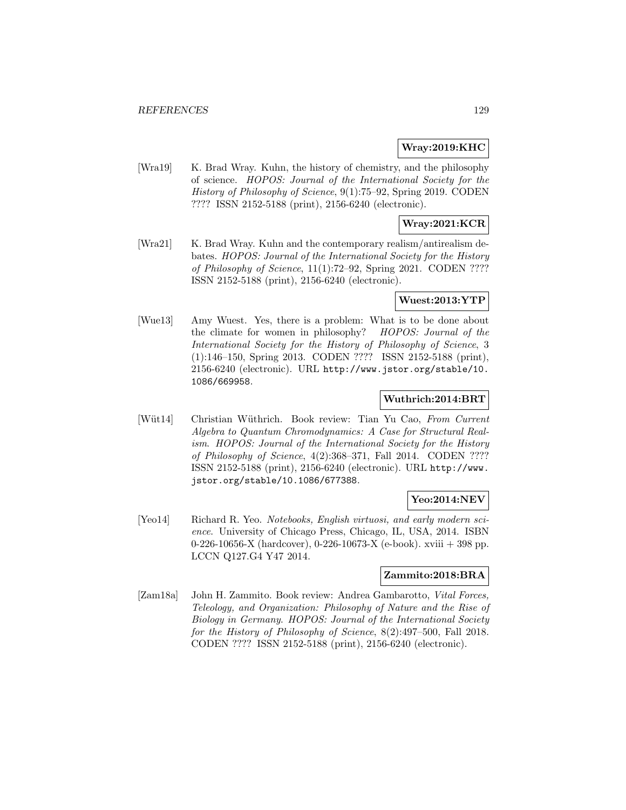### **Wray:2019:KHC**

[Wra19] K. Brad Wray. Kuhn, the history of chemistry, and the philosophy of science. HOPOS: Journal of the International Society for the History of Philosophy of Science, 9(1):75–92, Spring 2019. CODEN ???? ISSN 2152-5188 (print), 2156-6240 (electronic).

# **Wray:2021:KCR**

[Wra21] K. Brad Wray. Kuhn and the contemporary realism/antirealism debates. HOPOS: Journal of the International Society for the History of Philosophy of Science, 11(1):72–92, Spring 2021. CODEN ???? ISSN 2152-5188 (print), 2156-6240 (electronic).

### **Wuest:2013:YTP**

[Wue13] Amy Wuest. Yes, there is a problem: What is to be done about the climate for women in philosophy? HOPOS: Journal of the International Society for the History of Philosophy of Science, 3 (1):146–150, Spring 2013. CODEN ???? ISSN 2152-5188 (print), 2156-6240 (electronic). URL http://www.jstor.org/stable/10. 1086/669958.

#### **Wuthrich:2014:BRT**

[Wüt14] Christian Wüthrich. Book review: Tian Yu Cao, From Current Algebra to Quantum Chromodynamics: A Case for Structural Realism. HOPOS: Journal of the International Society for the History of Philosophy of Science, 4(2):368–371, Fall 2014. CODEN ???? ISSN 2152-5188 (print), 2156-6240 (electronic). URL http://www. jstor.org/stable/10.1086/677388.

# **Yeo:2014:NEV**

[Yeo14] Richard R. Yeo. Notebooks, English virtuosi, and early modern science. University of Chicago Press, Chicago, IL, USA, 2014. ISBN 0-226-10656-X (hardcover), 0-226-10673-X (e-book). xviii + 398 pp. LCCN Q127.G4 Y47 2014.

# **Zammito:2018:BRA**

[Zam18a] John H. Zammito. Book review: Andrea Gambarotto, Vital Forces, Teleology, and Organization: Philosophy of Nature and the Rise of Biology in Germany. HOPOS: Journal of the International Society for the History of Philosophy of Science, 8(2):497–500, Fall 2018. CODEN ???? ISSN 2152-5188 (print), 2156-6240 (electronic).